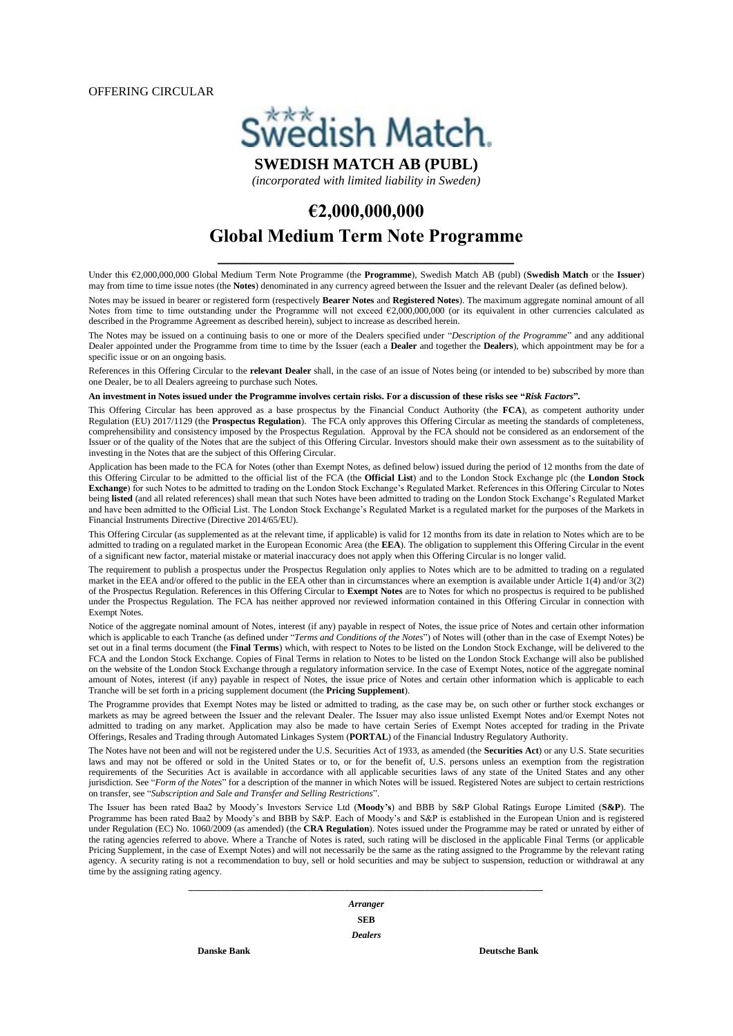OFFERING CIRCULAR



*(incorporated with limited liability in Sweden)*

# **€2,000,000,000**

# **Global Medium Term Note Programme \_\_\_\_\_\_\_\_\_\_\_\_\_\_\_\_\_\_\_\_\_\_\_\_\_\_\_\_\_\_\_\_\_\_**

Under this €2,000,000,000 Global Medium Term Note Programme (the **Programme**), Swedish Match AB (publ) (**Swedish Match** or the **Issuer**) may from time to time issue notes (the **Notes**) denominated in any currency agreed between the Issuer and the relevant Dealer (as defined below).

Notes may be issued in bearer or registered form (respectively **Bearer Notes** and **Registered Notes**). The maximum aggregate nominal amount of all Notes from time to time outstanding under the Programme will not exceed €2,000,000,000 (or its equivalent in other currencies calculated as described in the Programme Agreement as described herein), subject to increase as described herein.

The Notes may be issued on a continuing basis to one or more of the Dealers specified under "*Description of the Programme*" and any additional Dealer appointed under the Programme from time to time by the Issuer (each a **Dealer** and together the **Dealers**), which appointment may be for a specific issue or on an ongoing basis.

References in this Offering Circular to the **relevant Dealer** shall, in the case of an issue of Notes being (or intended to be) subscribed by more than one Dealer, be to all Dealers agreeing to purchase such Notes.

**An investment in Notes issued under the Programme involves certain risks. For a discussion of these risks see "***Risk Factors***"***.*

This Offering Circular has been approved as a base prospectus by the Financial Conduct Authority (the **FCA**), as competent authority under Regulation (EU) 2017/1129 (the **Prospectus Regulation**). The FCA only approves this Offering Circular as meeting the standards of completeness, comprehensibility and consistency imposed by the Prospectus Regulation. Approval by the FCA should not be considered as an endorsement of the Issuer or of the quality of the Notes that are the subject of this Offering Circular. Investors should make their own assessment as to the suitability of investing in the Notes that are the subject of this Offering Circular.

Application has been made to the FCA for Notes (other than Exempt Notes, as defined below) issued during the period of 12 months from the date of this Offering Circular to be admitted to the official list of the FCA (the **Official List**) and to the London Stock Exchange plc (the **London Stock Exchange**) for such Notes to be admitted to trading on the London Stock Exchange's Regulated Market. References in this Offering Circular to Notes being **listed** (and all related references) shall mean that such Notes have been admitted to trading on the London Stock Exchange's Regulated Market and have been admitted to the Official List. The London Stock Exchange's Regulated Market is a regulated market for the purposes of the Markets in Financial Instruments Directive (Directive 2014/65/EU).

This Offering Circular (as supplemented as at the relevant time, if applicable) is valid for 12 months from its date in relation to Notes which are to be admitted to trading on a regulated market in the European Economic Area (the **EEA**). The obligation to supplement this Offering Circular in the event of a significant new factor, material mistake or material inaccuracy does not apply when this Offering Circular is no longer valid.

The requirement to publish a prospectus under the Prospectus Regulation only applies to Notes which are to be admitted to trading on a regulated market in the EEA and/or offered to the public in the EEA other than in circumstances where an exemption is available under Article 1(4) and/or 3(2) of the Prospectus Regulation. References in this Offering Circular to **Exempt Notes** are to Notes for which no prospectus is required to be published under the Prospectus Regulation. The FCA has neither approved nor reviewed information contained in this Offering Circular in connection with Exempt Notes.

Notice of the aggregate nominal amount of Notes, interest (if any) payable in respect of Notes, the issue price of Notes and certain other information which is applicable to each Tranche (as defined under "*Terms and Conditions of the Notes*") of Notes will (other than in the case of Exempt Notes) be set out in a final terms document (the **Final Terms**) which, with respect to Notes to be listed on the London Stock Exchange, will be delivered to the FCA and the London Stock Exchange. Copies of Final Terms in relation to Notes to be listed on the London Stock Exchange will also be published on the website of the London Stock Exchange through a regulatory information service. In the case of Exempt Notes, notice of the aggregate nominal amount of Notes, interest (if any) payable in respect of Notes, the issue price of Notes and certain other information which is applicable to each Tranche will be set forth in a pricing supplement document (the **Pricing Supplement**).

The Programme provides that Exempt Notes may be listed or admitted to trading, as the case may be, on such other or further stock exchanges or markets as may be agreed between the Issuer and the relevant Dealer. The Issuer may also issue unlisted Exempt Notes and/or Exempt Notes not admitted to trading on any market. Application may also be made to have certain Series of Exempt Notes accepted for trading in the Private Offerings, Resales and Trading through Automated Linkages System (**PORTAL**) of the Financial Industry Regulatory Authority.

The Notes have not been and will not be registered under the U.S. Securities Act of 1933, as amended (the **Securities Act**) or any U.S. State securities laws and may not be offered or sold in the United States or to, or for the benefit of, U.S. persons unless an exemption from the registration requirements of the Securities Act is available in accordance with all applicable securities laws of any state of the United States and any other jurisdiction. See "*Form of the Notes*" for a description of the manner in which Notes will be issued. Registered Notes are subject to certain restrictions on transfer, see "*Subscription and Sale and Transfer and Selling Restrictions*".

The Issuer has been rated Baa2 by Moody's Investors Service Ltd (**Moody's**) and BBB by S&P Global Ratings Europe Limited (**S&P**). The Programme has been rated Baa2 by Moody's and BBB by S&P. Each of Moody's and S&P is established in the European Union and is registered under Regulation (EC) No. 1060/2009 (as amended) (the **CRA Regulation**). Notes issued under the Programme may be rated or unrated by either of the rating agencies referred to above. Where a Tranche of Notes is rated, such rating will be disclosed in the applicable Final Terms (or applicable Pricing Supplement, in the case of Exempt Notes) and will not necessarily be the same as the rating assigned to the Programme by the relevant rating agency. A security rating is not a recommendation to buy, sell or hold securities and may be subject to suspension, reduction or withdrawal at any time by the assigning rating agency.

> *Arranger* **SEB** *Dealers*

*\_\_\_\_\_\_\_\_\_\_\_\_\_\_\_\_\_\_\_\_\_\_\_\_\_\_\_\_\_\_\_\_\_\_\_\_\_\_\_\_\_\_\_\_\_\_\_\_\_\_\_\_\_\_\_\_\_\_\_\_\_\_\_\_\_\_\_\_\_\_\_\_\_\_\_*

**Danske Bank Deutsche Bank**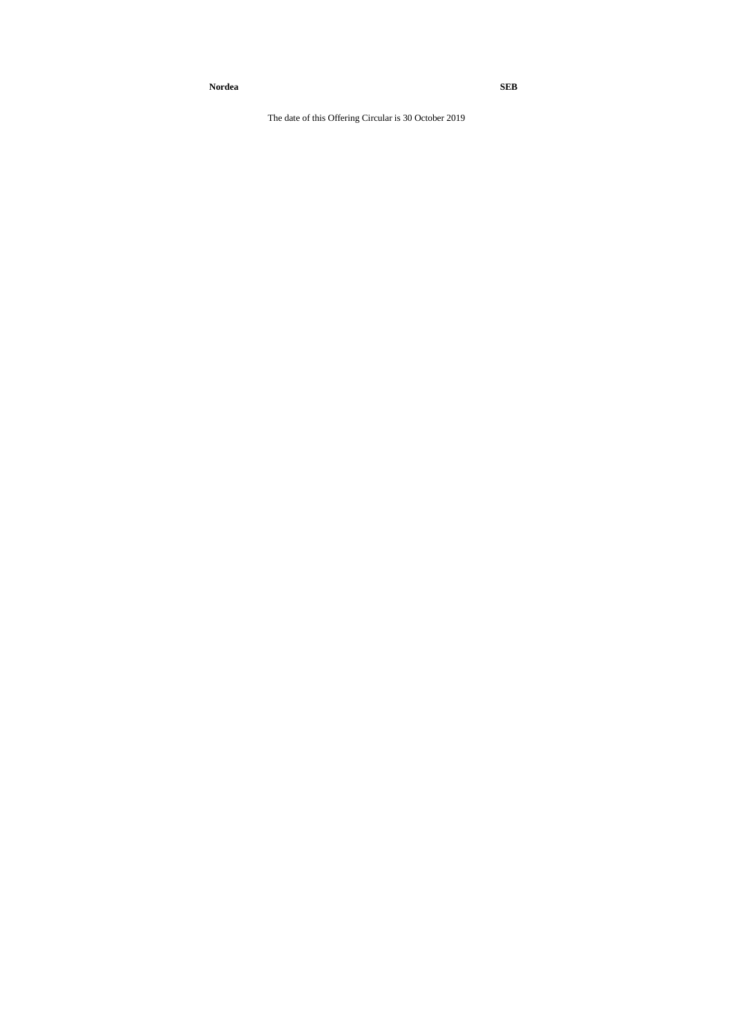**Nordea SEB**

The date of this Offering Circular is 30 October 2019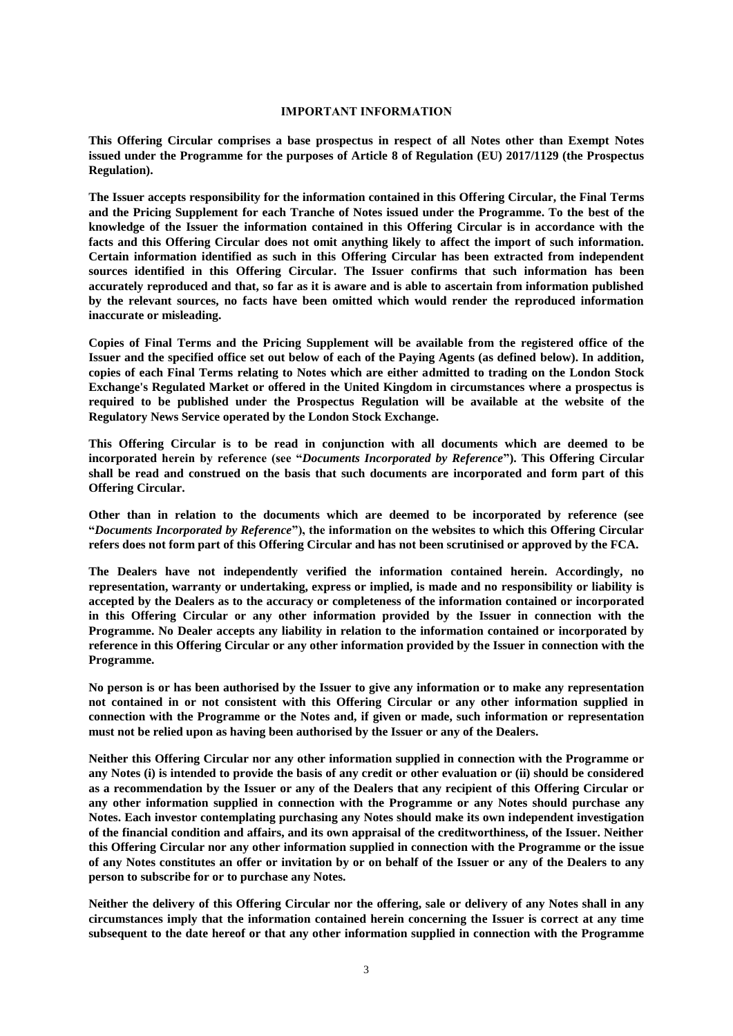#### **IMPORTANT INFORMATION**

**This Offering Circular comprises a base prospectus in respect of all Notes other than Exempt Notes issued under the Programme for the purposes of Article 8 of Regulation (EU) 2017/1129 (the Prospectus Regulation).**

**The Issuer accepts responsibility for the information contained in this Offering Circular, the Final Terms and the Pricing Supplement for each Tranche of Notes issued under the Programme. To the best of the knowledge of the Issuer the information contained in this Offering Circular is in accordance with the facts and this Offering Circular does not omit anything likely to affect the import of such information. Certain information identified as such in this Offering Circular has been extracted from independent sources identified in this Offering Circular. The Issuer confirms that such information has been accurately reproduced and that, so far as it is aware and is able to ascertain from information published by the relevant sources, no facts have been omitted which would render the reproduced information inaccurate or misleading.**

**Copies of Final Terms and the Pricing Supplement will be available from the registered office of the Issuer and the specified office set out below of each of the Paying Agents (as defined below). In addition, copies of each Final Terms relating to Notes which are either admitted to trading on the London Stock Exchange's Regulated Market or offered in the United Kingdom in circumstances where a prospectus is required to be published under the Prospectus Regulation will be available at the website of the Regulatory News Service operated by the London Stock Exchange.**

**This Offering Circular is to be read in conjunction with all documents which are deemed to be incorporated herein by reference (see "***Documents Incorporated by Reference***"). This Offering Circular shall be read and construed on the basis that such documents are incorporated and form part of this Offering Circular.**

**Other than in relation to the documents which are deemed to be incorporated by reference (see "***Documents Incorporated by Reference***"), the information on the websites to which this Offering Circular refers does not form part of this Offering Circular and has not been scrutinised or approved by the FCA.**

**The Dealers have not independently verified the information contained herein. Accordingly, no representation, warranty or undertaking, express or implied, is made and no responsibility or liability is accepted by the Dealers as to the accuracy or completeness of the information contained or incorporated in this Offering Circular or any other information provided by the Issuer in connection with the Programme. No Dealer accepts any liability in relation to the information contained or incorporated by reference in this Offering Circular or any other information provided by the Issuer in connection with the Programme.**

**No person is or has been authorised by the Issuer to give any information or to make any representation not contained in or not consistent with this Offering Circular or any other information supplied in connection with the Programme or the Notes and, if given or made, such information or representation must not be relied upon as having been authorised by the Issuer or any of the Dealers.**

**Neither this Offering Circular nor any other information supplied in connection with the Programme or any Notes (i) is intended to provide the basis of any credit or other evaluation or (ii) should be considered as a recommendation by the Issuer or any of the Dealers that any recipient of this Offering Circular or any other information supplied in connection with the Programme or any Notes should purchase any Notes. Each investor contemplating purchasing any Notes should make its own independent investigation of the financial condition and affairs, and its own appraisal of the creditworthiness, of the Issuer. Neither this Offering Circular nor any other information supplied in connection with the Programme or the issue of any Notes constitutes an offer or invitation by or on behalf of the Issuer or any of the Dealers to any person to subscribe for or to purchase any Notes.**

**Neither the delivery of this Offering Circular nor the offering, sale or delivery of any Notes shall in any circumstances imply that the information contained herein concerning the Issuer is correct at any time subsequent to the date hereof or that any other information supplied in connection with the Programme**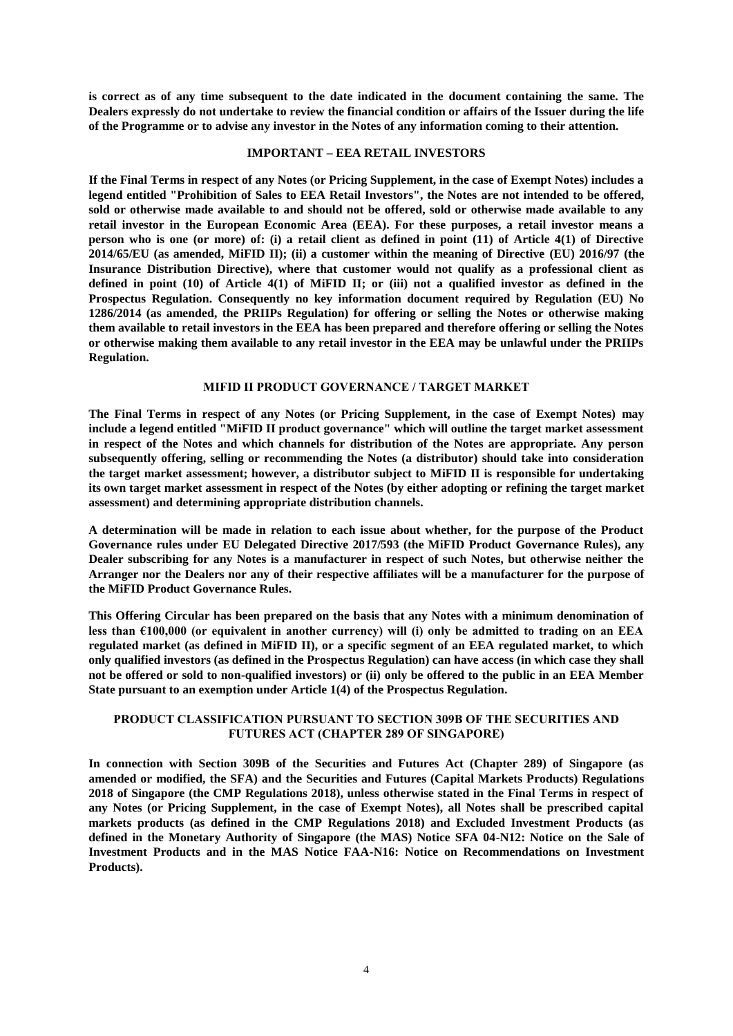**is correct as of any time subsequent to the date indicated in the document containing the same. The Dealers expressly do not undertake to review the financial condition or affairs of the Issuer during the life of the Programme or to advise any investor in the Notes of any information coming to their attention.**

#### **IMPORTANT – EEA RETAIL INVESTORS**

**If the Final Terms in respect of any Notes (or Pricing Supplement, in the case of Exempt Notes) includes a legend entitled "Prohibition of Sales to EEA Retail Investors", the Notes are not intended to be offered, sold or otherwise made available to and should not be offered, sold or otherwise made available to any retail investor in the European Economic Area (EEA). For these purposes, a retail investor means a person who is one (or more) of: (i) a retail client as defined in point (11) of Article 4(1) of Directive 2014/65/EU (as amended, MiFID II); (ii) a customer within the meaning of Directive (EU) 2016/97 (the Insurance Distribution Directive), where that customer would not qualify as a professional client as defined in point (10) of Article 4(1) of MiFID II; or (iii) not a qualified investor as defined in the Prospectus Regulation. Consequently no key information document required by Regulation (EU) No 1286/2014 (as amended, the PRIIPs Regulation) for offering or selling the Notes or otherwise making them available to retail investors in the EEA has been prepared and therefore offering or selling the Notes or otherwise making them available to any retail investor in the EEA may be unlawful under the PRIIPs Regulation.**

#### **MIFID II PRODUCT GOVERNANCE / TARGET MARKET**

**The Final Terms in respect of any Notes (or Pricing Supplement, in the case of Exempt Notes) may include a legend entitled "MiFID II product governance" which will outline the target market assessment in respect of the Notes and which channels for distribution of the Notes are appropriate. Any person subsequently offering, selling or recommending the Notes (a distributor) should take into consideration the target market assessment; however, a distributor subject to MiFID II is responsible for undertaking its own target market assessment in respect of the Notes (by either adopting or refining the target market assessment) and determining appropriate distribution channels.**

**A determination will be made in relation to each issue about whether, for the purpose of the Product Governance rules under EU Delegated Directive 2017/593 (the MiFID Product Governance Rules), any Dealer subscribing for any Notes is a manufacturer in respect of such Notes, but otherwise neither the Arranger nor the Dealers nor any of their respective affiliates will be a manufacturer for the purpose of the MiFID Product Governance Rules.**

**This Offering Circular has been prepared on the basis that any Notes with a minimum denomination of less than €100,000 (or equivalent in another currency) will (i) only be admitted to trading on an EEA regulated market (as defined in MiFID II), or a specific segment of an EEA regulated market, to which only qualified investors (as defined in the Prospectus Regulation) can have access (in which case they shall not be offered or sold to non-qualified investors) or (ii) only be offered to the public in an EEA Member State pursuant to an exemption under Article 1(4) of the Prospectus Regulation.**

### **PRODUCT CLASSIFICATION PURSUANT TO SECTION 309B OF THE SECURITIES AND FUTURES ACT (CHAPTER 289 OF SINGAPORE)**

**In connection with Section 309B of the Securities and Futures Act (Chapter 289) of Singapore (as amended or modified, the SFA) and the Securities and Futures (Capital Markets Products) Regulations 2018 of Singapore (the CMP Regulations 2018), unless otherwise stated in the Final Terms in respect of any Notes (or Pricing Supplement, in the case of Exempt Notes), all Notes shall be prescribed capital markets products (as defined in the CMP Regulations 2018) and Excluded Investment Products (as defined in the Monetary Authority of Singapore (the MAS) Notice SFA 04-N12: Notice on the Sale of Investment Products and in the MAS Notice FAA-N16: Notice on Recommendations on Investment Products).**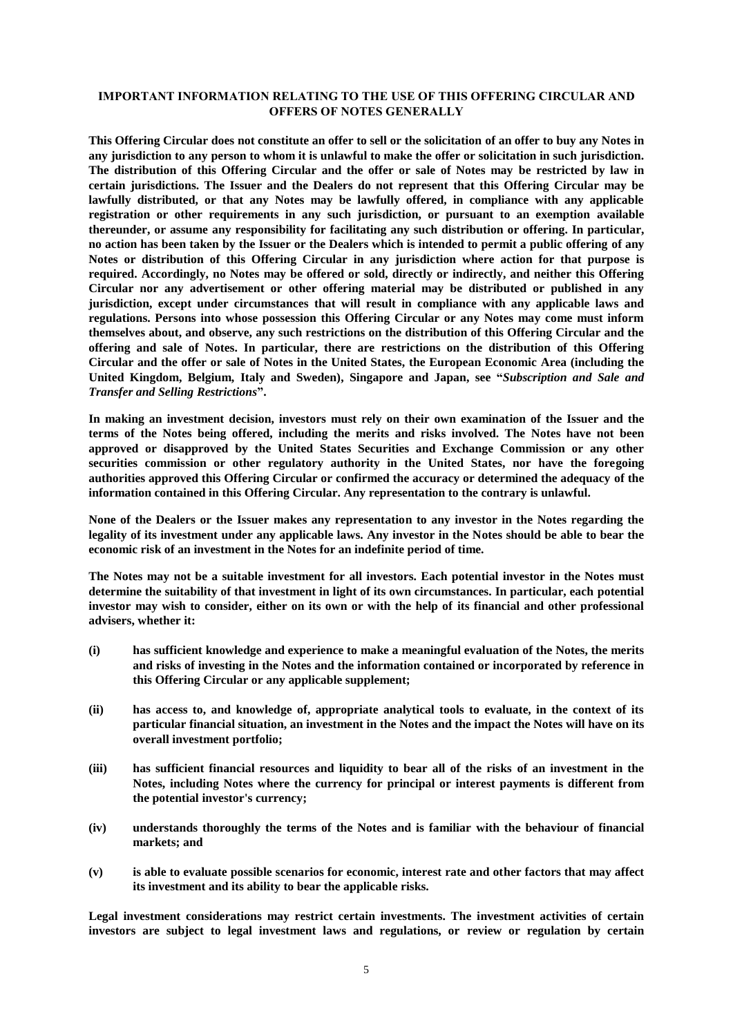### **IMPORTANT INFORMATION RELATING TO THE USE OF THIS OFFERING CIRCULAR AND OFFERS OF NOTES GENERALLY**

**This Offering Circular does not constitute an offer to sell or the solicitation of an offer to buy any Notes in any jurisdiction to any person to whom it is unlawful to make the offer or solicitation in such jurisdiction. The distribution of this Offering Circular and the offer or sale of Notes may be restricted by law in certain jurisdictions. The Issuer and the Dealers do not represent that this Offering Circular may be lawfully distributed, or that any Notes may be lawfully offered, in compliance with any applicable registration or other requirements in any such jurisdiction, or pursuant to an exemption available thereunder, or assume any responsibility for facilitating any such distribution or offering. In particular, no action has been taken by the Issuer or the Dealers which is intended to permit a public offering of any Notes or distribution of this Offering Circular in any jurisdiction where action for that purpose is required. Accordingly, no Notes may be offered or sold, directly or indirectly, and neither this Offering Circular nor any advertisement or other offering material may be distributed or published in any jurisdiction, except under circumstances that will result in compliance with any applicable laws and regulations. Persons into whose possession this Offering Circular or any Notes may come must inform themselves about, and observe, any such restrictions on the distribution of this Offering Circular and the offering and sale of Notes. In particular, there are restrictions on the distribution of this Offering Circular and the offer or sale of Notes in the United States, the European Economic Area (including the United Kingdom, Belgium, Italy and Sweden), Singapore and Japan, see "***Subscription and Sale and Transfer and Selling Restrictions***".**

**In making an investment decision, investors must rely on their own examination of the Issuer and the terms of the Notes being offered, including the merits and risks involved. The Notes have not been approved or disapproved by the United States Securities and Exchange Commission or any other securities commission or other regulatory authority in the United States, nor have the foregoing authorities approved this Offering Circular or confirmed the accuracy or determined the adequacy of the information contained in this Offering Circular. Any representation to the contrary is unlawful.**

**None of the Dealers or the Issuer makes any representation to any investor in the Notes regarding the legality of its investment under any applicable laws. Any investor in the Notes should be able to bear the economic risk of an investment in the Notes for an indefinite period of time.**

**The Notes may not be a suitable investment for all investors. Each potential investor in the Notes must determine the suitability of that investment in light of its own circumstances. In particular, each potential investor may wish to consider, either on its own or with the help of its financial and other professional advisers, whether it:**

- **(i) has sufficient knowledge and experience to make a meaningful evaluation of the Notes, the merits and risks of investing in the Notes and the information contained or incorporated by reference in this Offering Circular or any applicable supplement;**
- **(ii) has access to, and knowledge of, appropriate analytical tools to evaluate, in the context of its particular financial situation, an investment in the Notes and the impact the Notes will have on its overall investment portfolio;**
- **(iii) has sufficient financial resources and liquidity to bear all of the risks of an investment in the Notes, including Notes where the currency for principal or interest payments is different from the potential investor's currency;**
- **(iv) understands thoroughly the terms of the Notes and is familiar with the behaviour of financial markets; and**
- **(v) is able to evaluate possible scenarios for economic, interest rate and other factors that may affect its investment and its ability to bear the applicable risks.**

**Legal investment considerations may restrict certain investments. The investment activities of certain investors are subject to legal investment laws and regulations, or review or regulation by certain**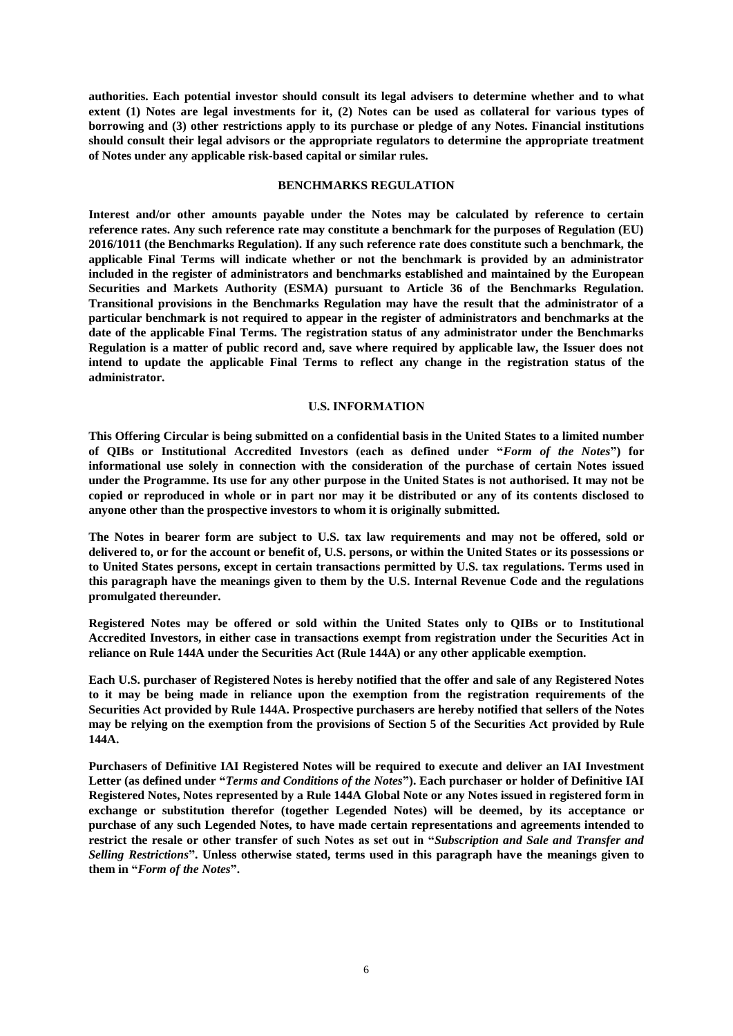**authorities. Each potential investor should consult its legal advisers to determine whether and to what extent (1) Notes are legal investments for it, (2) Notes can be used as collateral for various types of borrowing and (3) other restrictions apply to its purchase or pledge of any Notes. Financial institutions should consult their legal advisors or the appropriate regulators to determine the appropriate treatment of Notes under any applicable risk-based capital or similar rules.**

#### **BENCHMARKS REGULATION**

**Interest and/or other amounts payable under the Notes may be calculated by reference to certain reference rates. Any such reference rate may constitute a benchmark for the purposes of Regulation (EU) 2016/1011 (the Benchmarks Regulation). If any such reference rate does constitute such a benchmark, the applicable Final Terms will indicate whether or not the benchmark is provided by an administrator included in the register of administrators and benchmarks established and maintained by the European Securities and Markets Authority (ESMA) pursuant to Article 36 of the Benchmarks Regulation. Transitional provisions in the Benchmarks Regulation may have the result that the administrator of a particular benchmark is not required to appear in the register of administrators and benchmarks at the date of the applicable Final Terms. The registration status of any administrator under the Benchmarks Regulation is a matter of public record and, save where required by applicable law, the Issuer does not intend to update the applicable Final Terms to reflect any change in the registration status of the administrator.**

#### **U.S. INFORMATION**

**This Offering Circular is being submitted on a confidential basis in the United States to a limited number of QIBs or Institutional Accredited Investors (each as defined under "***Form of the Notes***") for informational use solely in connection with the consideration of the purchase of certain Notes issued under the Programme. Its use for any other purpose in the United States is not authorised. It may not be copied or reproduced in whole or in part nor may it be distributed or any of its contents disclosed to anyone other than the prospective investors to whom it is originally submitted.**

**The Notes in bearer form are subject to U.S. tax law requirements and may not be offered, sold or delivered to, or for the account or benefit of, U.S. persons, or within the United States or its possessions or to United States persons, except in certain transactions permitted by U.S. tax regulations. Terms used in this paragraph have the meanings given to them by the U.S. Internal Revenue Code and the regulations promulgated thereunder.**

**Registered Notes may be offered or sold within the United States only to QIBs or to Institutional Accredited Investors, in either case in transactions exempt from registration under the Securities Act in reliance on Rule 144A under the Securities Act (Rule 144A) or any other applicable exemption.**

**Each U.S. purchaser of Registered Notes is hereby notified that the offer and sale of any Registered Notes to it may be being made in reliance upon the exemption from the registration requirements of the Securities Act provided by Rule 144A. Prospective purchasers are hereby notified that sellers of the Notes may be relying on the exemption from the provisions of Section 5 of the Securities Act provided by Rule 144A.**

**Purchasers of Definitive IAI Registered Notes will be required to execute and deliver an IAI Investment Letter (as defined under "***Terms and Conditions of the Notes***"). Each purchaser or holder of Definitive IAI Registered Notes, Notes represented by a Rule 144A Global Note or any Notes issued in registered form in exchange or substitution therefor (together Legended Notes) will be deemed, by its acceptance or purchase of any such Legended Notes, to have made certain representations and agreements intended to restrict the resale or other transfer of such Notes as set out in "***Subscription and Sale and Transfer and Selling Restrictions***". Unless otherwise stated, terms used in this paragraph have the meanings given to them in "***Form of the Notes***".**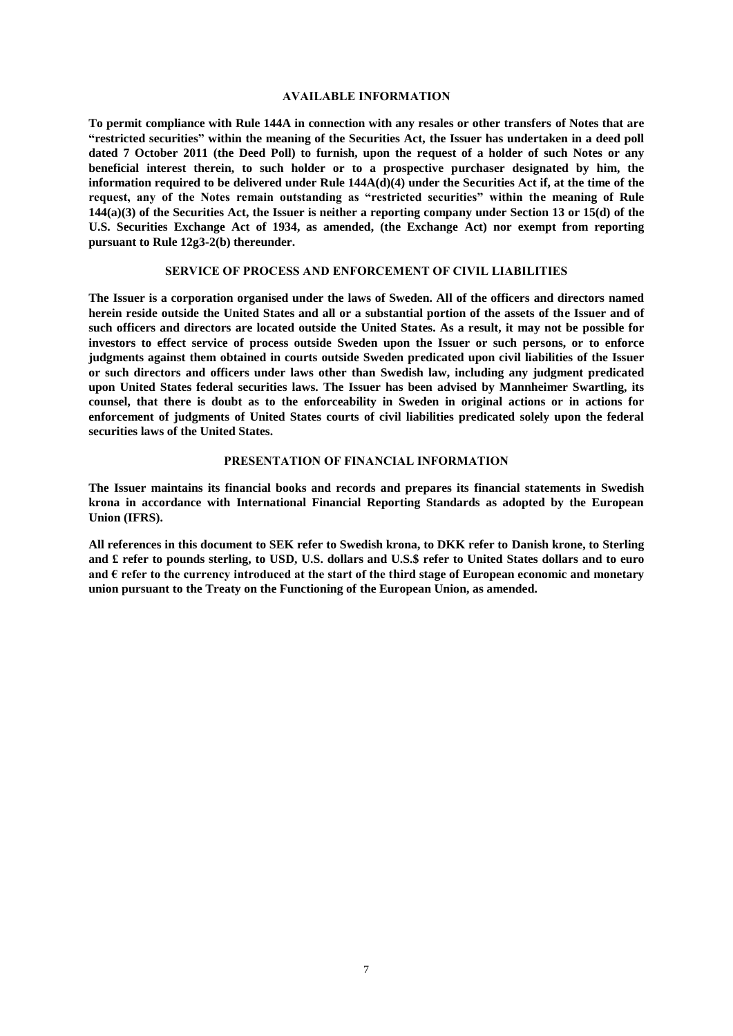#### **AVAILABLE INFORMATION**

**To permit compliance with Rule 144A in connection with any resales or other transfers of Notes that are "restricted securities" within the meaning of the Securities Act, the Issuer has undertaken in a deed poll dated 7 October 2011 (the Deed Poll) to furnish, upon the request of a holder of such Notes or any beneficial interest therein, to such holder or to a prospective purchaser designated by him, the information required to be delivered under Rule 144A(d)(4) under the Securities Act if, at the time of the request, any of the Notes remain outstanding as "restricted securities" within the meaning of Rule 144(a)(3) of the Securities Act, the Issuer is neither a reporting company under Section 13 or 15(d) of the U.S. Securities Exchange Act of 1934, as amended, (the Exchange Act) nor exempt from reporting pursuant to Rule 12g3-2(b) thereunder.**

#### **SERVICE OF PROCESS AND ENFORCEMENT OF CIVIL LIABILITIES**

**The Issuer is a corporation organised under the laws of Sweden. All of the officers and directors named herein reside outside the United States and all or a substantial portion of the assets of the Issuer and of such officers and directors are located outside the United States. As a result, it may not be possible for investors to effect service of process outside Sweden upon the Issuer or such persons, or to enforce judgments against them obtained in courts outside Sweden predicated upon civil liabilities of the Issuer or such directors and officers under laws other than Swedish law, including any judgment predicated upon United States federal securities laws. The Issuer has been advised by Mannheimer Swartling, its counsel, that there is doubt as to the enforceability in Sweden in original actions or in actions for enforcement of judgments of United States courts of civil liabilities predicated solely upon the federal securities laws of the United States.**

#### **PRESENTATION OF FINANCIAL INFORMATION**

**The Issuer maintains its financial books and records and prepares its financial statements in Swedish krona in accordance with International Financial Reporting Standards as adopted by the European Union (IFRS).**

**All references in this document to SEK refer to Swedish krona, to DKK refer to Danish krone, to Sterling and £ refer to pounds sterling, to USD, U.S. dollars and U.S.\$ refer to United States dollars and to euro and € refer to the currency introduced at the start of the third stage of European economic and monetary union pursuant to the Treaty on the Functioning of the European Union, as amended.**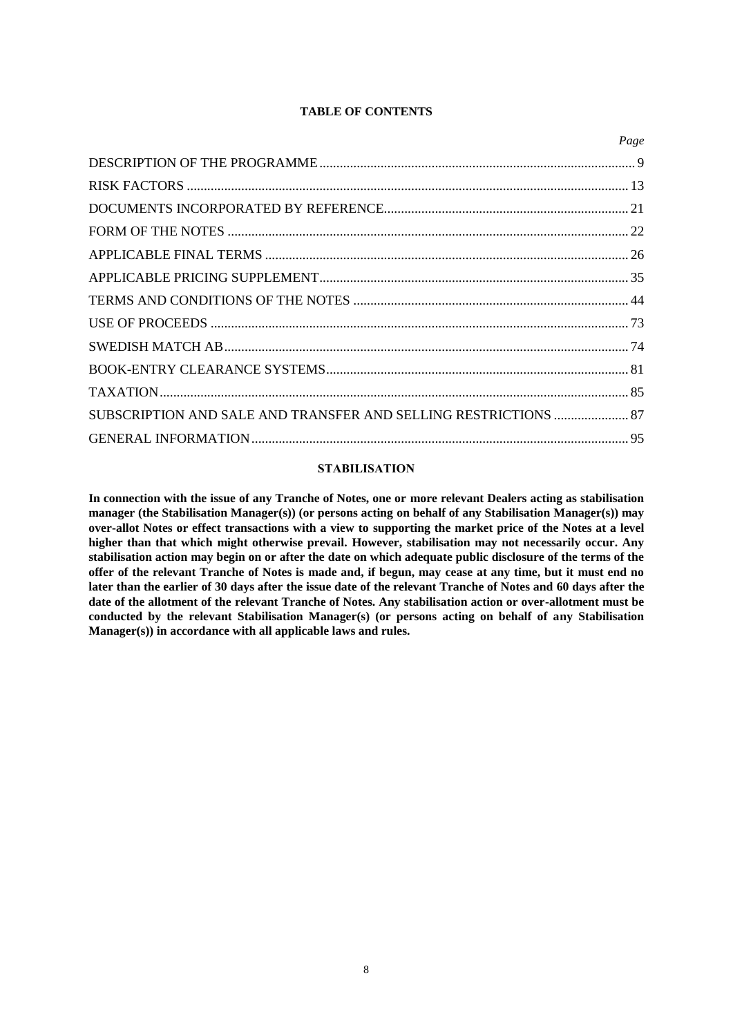### **TABLE OF CONTENTS**

|                                                                 | Page |
|-----------------------------------------------------------------|------|
|                                                                 |      |
|                                                                 |      |
|                                                                 |      |
|                                                                 |      |
|                                                                 |      |
|                                                                 |      |
|                                                                 |      |
|                                                                 |      |
|                                                                 |      |
|                                                                 |      |
|                                                                 |      |
| SUBSCRIPTION AND SALE AND TRANSFER AND SELLING RESTRICTIONS  87 |      |
|                                                                 |      |
|                                                                 |      |

### **STABILISATION**

**In connection with the issue of any Tranche of Notes, one or more relevant Dealers acting as stabilisation manager (the Stabilisation Manager(s)) (or persons acting on behalf of any Stabilisation Manager(s)) may over-allot Notes or effect transactions with a view to supporting the market price of the Notes at a level higher than that which might otherwise prevail. However, stabilisation may not necessarily occur. Any stabilisation action may begin on or after the date on which adequate public disclosure of the terms of the offer of the relevant Tranche of Notes is made and, if begun, may cease at any time, but it must end no later than the earlier of 30 days after the issue date of the relevant Tranche of Notes and 60 days after the date of the allotment of the relevant Tranche of Notes. Any stabilisation action or over-allotment must be conducted by the relevant Stabilisation Manager(s) (or persons acting on behalf of any Stabilisation Manager(s)) in accordance with all applicable laws and rules.**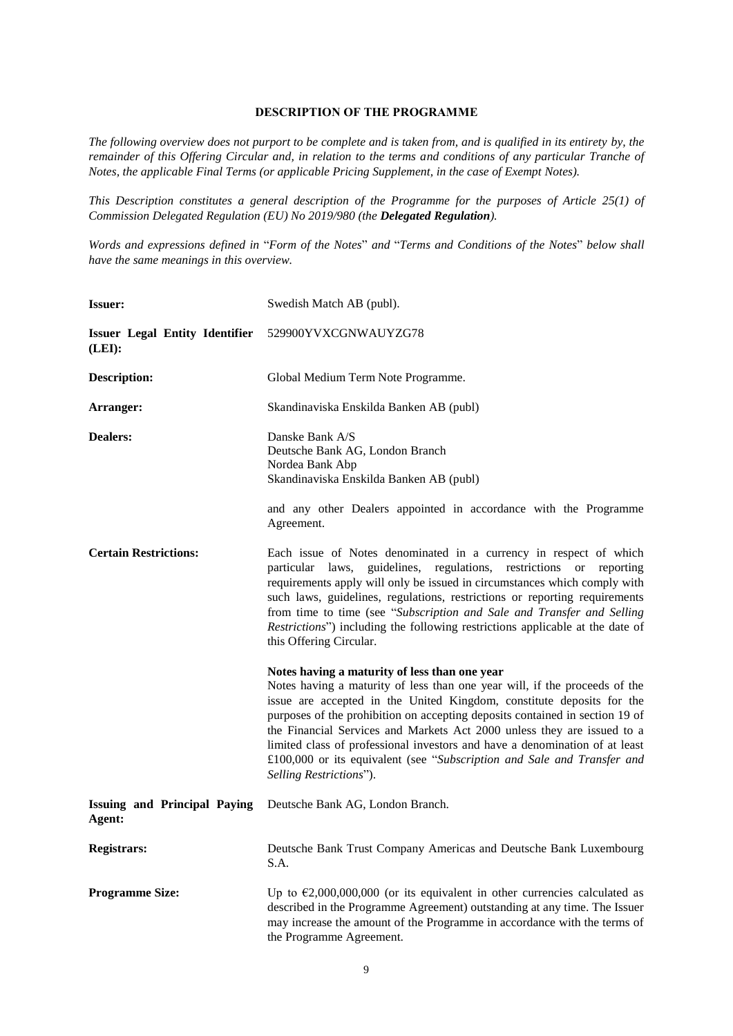### **DESCRIPTION OF THE PROGRAMME**

*The following overview does not purport to be complete and is taken from, and is qualified in its entirety by, the remainder of this Offering Circular and, in relation to the terms and conditions of any particular Tranche of Notes, the applicable Final Terms (or applicable Pricing Supplement, in the case of Exempt Notes).*

*This Description constitutes a general description of the Programme for the purposes of Article 25(1) of Commission Delegated Regulation (EU) No 2019/980 (the Delegated Regulation).*

*Words and expressions defined in* "*Form of the Notes*" *and* "*Terms and Conditions of the Notes*" *below shall have the same meanings in this overview.*

| <b>Issuer:</b>                                  | Swedish Match AB (publ).                                                                                                                                                                                                                                                                                                                                                                                                                                                                                                                             |
|-------------------------------------------------|------------------------------------------------------------------------------------------------------------------------------------------------------------------------------------------------------------------------------------------------------------------------------------------------------------------------------------------------------------------------------------------------------------------------------------------------------------------------------------------------------------------------------------------------------|
| <b>Issuer Legal Entity Identifier</b><br>(LEI): | 529900YVXCGNWAUYZG78                                                                                                                                                                                                                                                                                                                                                                                                                                                                                                                                 |
| <b>Description:</b>                             | Global Medium Term Note Programme.                                                                                                                                                                                                                                                                                                                                                                                                                                                                                                                   |
| Arranger:                                       | Skandinaviska Enskilda Banken AB (publ)                                                                                                                                                                                                                                                                                                                                                                                                                                                                                                              |
| <b>Dealers:</b>                                 | Danske Bank A/S<br>Deutsche Bank AG, London Branch<br>Nordea Bank Abp<br>Skandinaviska Enskilda Banken AB (publ)<br>and any other Dealers appointed in accordance with the Programme<br>Agreement.                                                                                                                                                                                                                                                                                                                                                   |
| <b>Certain Restrictions:</b>                    | Each issue of Notes denominated in a currency in respect of which<br>particular laws, guidelines, regulations, restrictions or reporting<br>requirements apply will only be issued in circumstances which comply with<br>such laws, guidelines, regulations, restrictions or reporting requirements<br>from time to time (see "Subscription and Sale and Transfer and Selling<br>Restrictions") including the following restrictions applicable at the date of<br>this Offering Circular.                                                            |
|                                                 | Notes having a maturity of less than one year<br>Notes having a maturity of less than one year will, if the proceeds of the<br>issue are accepted in the United Kingdom, constitute deposits for the<br>purposes of the prohibition on accepting deposits contained in section 19 of<br>the Financial Services and Markets Act 2000 unless they are issued to a<br>limited class of professional investors and have a denomination of at least<br>£100,000 or its equivalent (see "Subscription and Sale and Transfer and<br>Selling Restrictions"). |
| <b>Issuing and Principal Paying</b><br>Agent:   | Deutsche Bank AG, London Branch.                                                                                                                                                                                                                                                                                                                                                                                                                                                                                                                     |
| Registrars:                                     | Deutsche Bank Trust Company Americas and Deutsche Bank Luxembourg<br>S.A.                                                                                                                                                                                                                                                                                                                                                                                                                                                                            |
| <b>Programme Size:</b>                          | Up to $\epsilon$ 2,000,000,000 (or its equivalent in other currencies calculated as<br>described in the Programme Agreement) outstanding at any time. The Issuer<br>may increase the amount of the Programme in accordance with the terms of<br>the Programme Agreement.                                                                                                                                                                                                                                                                             |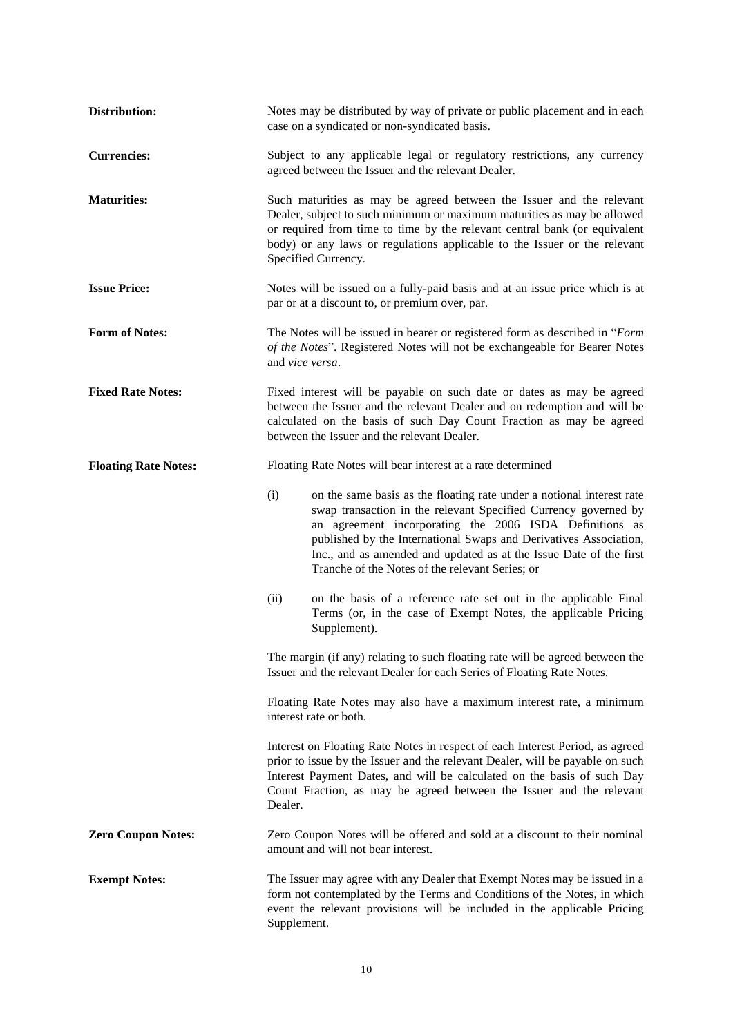| Distribution:               | Notes may be distributed by way of private or public placement and in each<br>case on a syndicated or non-syndicated basis.                                                                                                                                                                                                                                                                              |  |  |
|-----------------------------|----------------------------------------------------------------------------------------------------------------------------------------------------------------------------------------------------------------------------------------------------------------------------------------------------------------------------------------------------------------------------------------------------------|--|--|
| <b>Currencies:</b>          | Subject to any applicable legal or regulatory restrictions, any currency<br>agreed between the Issuer and the relevant Dealer.                                                                                                                                                                                                                                                                           |  |  |
| <b>Maturities:</b>          | Such maturities as may be agreed between the Issuer and the relevant<br>Dealer, subject to such minimum or maximum maturities as may be allowed<br>or required from time to time by the relevant central bank (or equivalent<br>body) or any laws or regulations applicable to the Issuer or the relevant<br>Specified Currency.                                                                         |  |  |
| <b>Issue Price:</b>         | Notes will be issued on a fully-paid basis and at an issue price which is at<br>par or at a discount to, or premium over, par.                                                                                                                                                                                                                                                                           |  |  |
| <b>Form of Notes:</b>       | The Notes will be issued in bearer or registered form as described in "Form<br>of the Notes". Registered Notes will not be exchangeable for Bearer Notes<br>and vice versa.                                                                                                                                                                                                                              |  |  |
| <b>Fixed Rate Notes:</b>    | Fixed interest will be payable on such date or dates as may be agreed<br>between the Issuer and the relevant Dealer and on redemption and will be<br>calculated on the basis of such Day Count Fraction as may be agreed<br>between the Issuer and the relevant Dealer.                                                                                                                                  |  |  |
| <b>Floating Rate Notes:</b> | Floating Rate Notes will bear interest at a rate determined                                                                                                                                                                                                                                                                                                                                              |  |  |
|                             | (i)<br>on the same basis as the floating rate under a notional interest rate<br>swap transaction in the relevant Specified Currency governed by<br>an agreement incorporating the 2006 ISDA Definitions as<br>published by the International Swaps and Derivatives Association,<br>Inc., and as amended and updated as at the Issue Date of the first<br>Tranche of the Notes of the relevant Series; or |  |  |
|                             | on the basis of a reference rate set out in the applicable Final<br>(ii)<br>Terms (or, in the case of Exempt Notes, the applicable Pricing<br>Supplement).                                                                                                                                                                                                                                               |  |  |
|                             | The margin (if any) relating to such floating rate will be agreed between the<br>Issuer and the relevant Dealer for each Series of Floating Rate Notes.                                                                                                                                                                                                                                                  |  |  |
|                             | Floating Rate Notes may also have a maximum interest rate, a minimum<br>interest rate or both.                                                                                                                                                                                                                                                                                                           |  |  |
|                             | Interest on Floating Rate Notes in respect of each Interest Period, as agreed<br>prior to issue by the Issuer and the relevant Dealer, will be payable on such<br>Interest Payment Dates, and will be calculated on the basis of such Day<br>Count Fraction, as may be agreed between the Issuer and the relevant<br>Dealer.                                                                             |  |  |
| <b>Zero Coupon Notes:</b>   | Zero Coupon Notes will be offered and sold at a discount to their nominal<br>amount and will not bear interest.                                                                                                                                                                                                                                                                                          |  |  |
| <b>Exempt Notes:</b>        | The Issuer may agree with any Dealer that Exempt Notes may be issued in a<br>form not contemplated by the Terms and Conditions of the Notes, in which<br>event the relevant provisions will be included in the applicable Pricing<br>Supplement.                                                                                                                                                         |  |  |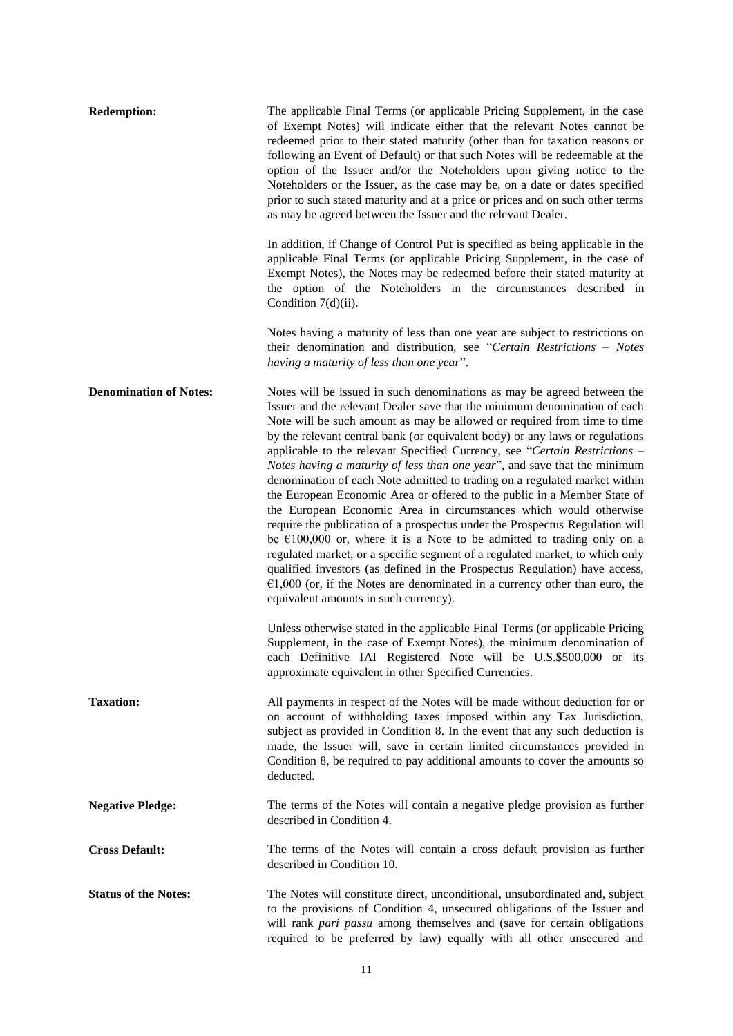| <b>Redemption:</b>            | The applicable Final Terms (or applicable Pricing Supplement, in the case<br>of Exempt Notes) will indicate either that the relevant Notes cannot be<br>redeemed prior to their stated maturity (other than for taxation reasons or<br>following an Event of Default) or that such Notes will be redeemable at the<br>option of the Issuer and/or the Noteholders upon giving notice to the<br>Noteholders or the Issuer, as the case may be, on a date or dates specified<br>prior to such stated maturity and at a price or prices and on such other terms<br>as may be agreed between the Issuer and the relevant Dealer.                                                                                                                                                                                                                                                                                                                                                                                                                                                                                                                                           |
|-------------------------------|------------------------------------------------------------------------------------------------------------------------------------------------------------------------------------------------------------------------------------------------------------------------------------------------------------------------------------------------------------------------------------------------------------------------------------------------------------------------------------------------------------------------------------------------------------------------------------------------------------------------------------------------------------------------------------------------------------------------------------------------------------------------------------------------------------------------------------------------------------------------------------------------------------------------------------------------------------------------------------------------------------------------------------------------------------------------------------------------------------------------------------------------------------------------|
|                               | In addition, if Change of Control Put is specified as being applicable in the<br>applicable Final Terms (or applicable Pricing Supplement, in the case of<br>Exempt Notes), the Notes may be redeemed before their stated maturity at<br>the option of the Noteholders in the circumstances described in<br>Condition $7(d)(ii)$ .                                                                                                                                                                                                                                                                                                                                                                                                                                                                                                                                                                                                                                                                                                                                                                                                                                     |
|                               | Notes having a maturity of less than one year are subject to restrictions on<br>their denomination and distribution, see "Certain Restrictions - Notes<br>having a maturity of less than one year".                                                                                                                                                                                                                                                                                                                                                                                                                                                                                                                                                                                                                                                                                                                                                                                                                                                                                                                                                                    |
| <b>Denomination of Notes:</b> | Notes will be issued in such denominations as may be agreed between the<br>Issuer and the relevant Dealer save that the minimum denomination of each<br>Note will be such amount as may be allowed or required from time to time<br>by the relevant central bank (or equivalent body) or any laws or regulations<br>applicable to the relevant Specified Currency, see "Certain Restrictions -<br>Notes having a maturity of less than one year", and save that the minimum<br>denomination of each Note admitted to trading on a regulated market within<br>the European Economic Area or offered to the public in a Member State of<br>the European Economic Area in circumstances which would otherwise<br>require the publication of a prospectus under the Prospectus Regulation will<br>be $\epsilon$ 100,000 or, where it is a Note to be admitted to trading only on a<br>regulated market, or a specific segment of a regulated market, to which only<br>qualified investors (as defined in the Prospectus Regulation) have access,<br>$€1,000$ (or, if the Notes are denominated in a currency other than euro, the<br>equivalent amounts in such currency). |
|                               | Unless otherwise stated in the applicable Final Terms (or applicable Pricing<br>Supplement, in the case of Exempt Notes), the minimum denomination of<br>each Definitive IAI Registered Note will be U.S.\$500,000 or its<br>approximate equivalent in other Specified Currencies.                                                                                                                                                                                                                                                                                                                                                                                                                                                                                                                                                                                                                                                                                                                                                                                                                                                                                     |
| <b>Taxation:</b>              | All payments in respect of the Notes will be made without deduction for or<br>on account of withholding taxes imposed within any Tax Jurisdiction,<br>subject as provided in Condition 8. In the event that any such deduction is<br>made, the Issuer will, save in certain limited circumstances provided in<br>Condition 8, be required to pay additional amounts to cover the amounts so<br>deducted.                                                                                                                                                                                                                                                                                                                                                                                                                                                                                                                                                                                                                                                                                                                                                               |
| <b>Negative Pledge:</b>       | The terms of the Notes will contain a negative pledge provision as further<br>described in Condition 4.                                                                                                                                                                                                                                                                                                                                                                                                                                                                                                                                                                                                                                                                                                                                                                                                                                                                                                                                                                                                                                                                |
| <b>Cross Default:</b>         | The terms of the Notes will contain a cross default provision as further<br>described in Condition 10.                                                                                                                                                                                                                                                                                                                                                                                                                                                                                                                                                                                                                                                                                                                                                                                                                                                                                                                                                                                                                                                                 |
| <b>Status of the Notes:</b>   | The Notes will constitute direct, unconditional, unsubordinated and, subject<br>to the provisions of Condition 4, unsecured obligations of the Issuer and<br>will rank pari passu among themselves and (save for certain obligations<br>required to be preferred by law) equally with all other unsecured and                                                                                                                                                                                                                                                                                                                                                                                                                                                                                                                                                                                                                                                                                                                                                                                                                                                          |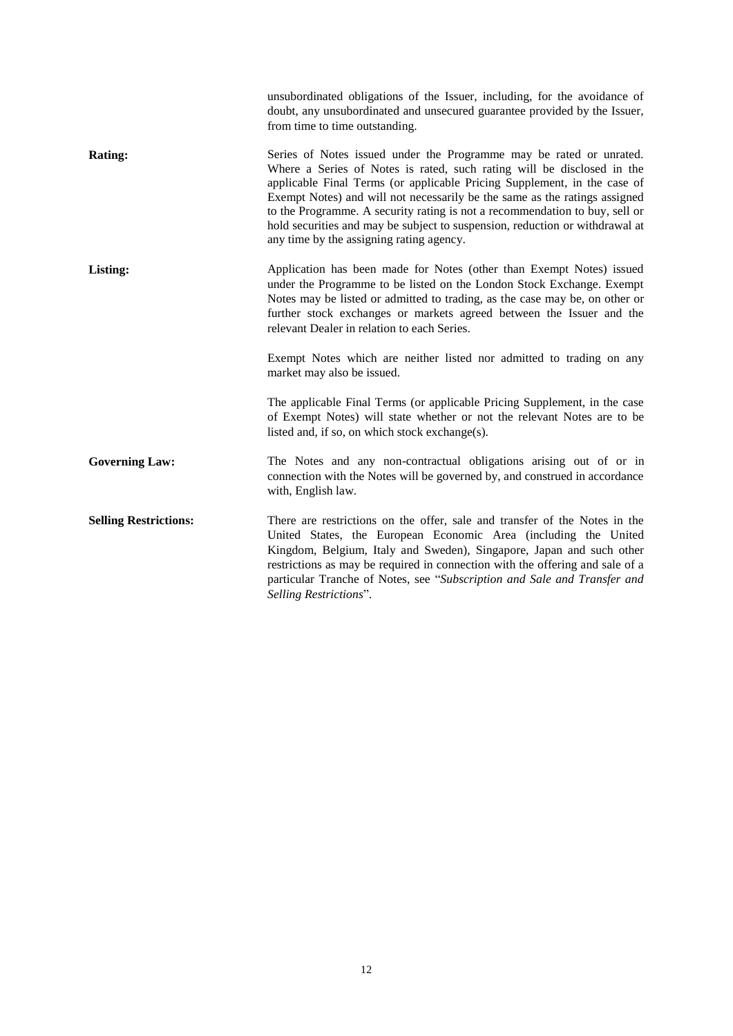|                              | unsubordinated obligations of the Issuer, including, for the avoidance of<br>doubt, any unsubordinated and unsecured guarantee provided by the Issuer,<br>from time to time outstanding.                                                                                                                                                                                                                                                                                                                           |
|------------------------------|--------------------------------------------------------------------------------------------------------------------------------------------------------------------------------------------------------------------------------------------------------------------------------------------------------------------------------------------------------------------------------------------------------------------------------------------------------------------------------------------------------------------|
| <b>Rating:</b>               | Series of Notes issued under the Programme may be rated or unrated.<br>Where a Series of Notes is rated, such rating will be disclosed in the<br>applicable Final Terms (or applicable Pricing Supplement, in the case of<br>Exempt Notes) and will not necessarily be the same as the ratings assigned<br>to the Programme. A security rating is not a recommendation to buy, sell or<br>hold securities and may be subject to suspension, reduction or withdrawal at<br>any time by the assigning rating agency. |
| Listing:                     | Application has been made for Notes (other than Exempt Notes) issued<br>under the Programme to be listed on the London Stock Exchange. Exempt<br>Notes may be listed or admitted to trading, as the case may be, on other or<br>further stock exchanges or markets agreed between the Issuer and the<br>relevant Dealer in relation to each Series.                                                                                                                                                                |
|                              | Exempt Notes which are neither listed nor admitted to trading on any<br>market may also be issued.                                                                                                                                                                                                                                                                                                                                                                                                                 |
|                              | The applicable Final Terms (or applicable Pricing Supplement, in the case<br>of Exempt Notes) will state whether or not the relevant Notes are to be<br>listed and, if so, on which stock exchange(s).                                                                                                                                                                                                                                                                                                             |
| <b>Governing Law:</b>        | The Notes and any non-contractual obligations arising out of or in<br>connection with the Notes will be governed by, and construed in accordance<br>with, English law.                                                                                                                                                                                                                                                                                                                                             |
| <b>Selling Restrictions:</b> | There are restrictions on the offer, sale and transfer of the Notes in the<br>United States, the European Economic Area (including the United<br>Kingdom, Belgium, Italy and Sweden), Singapore, Japan and such other<br>restrictions as may be required in connection with the offering and sale of a<br>particular Tranche of Notes, see "Subscription and Sale and Transfer and<br>Selling Restrictions".                                                                                                       |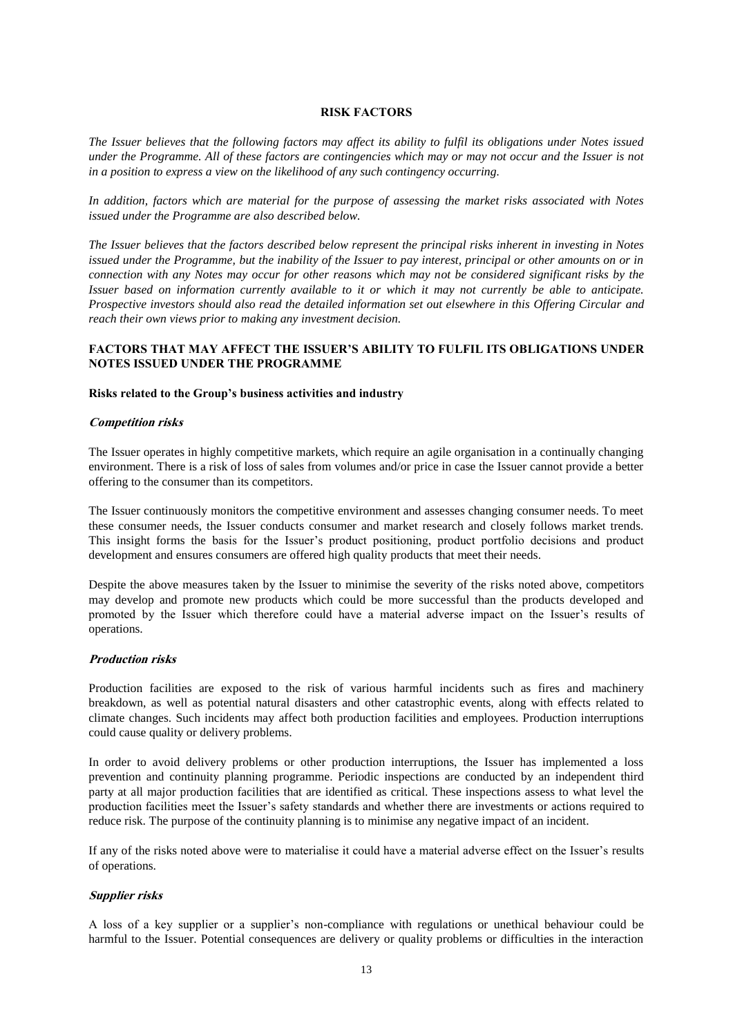#### **RISK FACTORS**

*The Issuer believes that the following factors may affect its ability to fulfil its obligations under Notes issued under the Programme. All of these factors are contingencies which may or may not occur and the Issuer is not in a position to express a view on the likelihood of any such contingency occurring.*

*In addition, factors which are material for the purpose of assessing the market risks associated with Notes issued under the Programme are also described below.*

*The Issuer believes that the factors described below represent the principal risks inherent in investing in Notes issued under the Programme, but the inability of the Issuer to pay interest, principal or other amounts on or in connection with any Notes may occur for other reasons which may not be considered significant risks by the Issuer based on information currently available to it or which it may not currently be able to anticipate. Prospective investors should also read the detailed information set out elsewhere in this Offering Circular and reach their own views prior to making any investment decision.*

### **FACTORS THAT MAY AFFECT THE ISSUER'S ABILITY TO FULFIL ITS OBLIGATIONS UNDER NOTES ISSUED UNDER THE PROGRAMME**

#### **Risks related to the Group's business activities and industry**

#### **Competition risks**

The Issuer operates in highly competitive markets, which require an agile organisation in a continually changing environment. There is a risk of loss of sales from volumes and/or price in case the Issuer cannot provide a better offering to the consumer than its competitors.

The Issuer continuously monitors the competitive environment and assesses changing consumer needs. To meet these consumer needs, the Issuer conducts consumer and market research and closely follows market trends. This insight forms the basis for the Issuer's product positioning, product portfolio decisions and product development and ensures consumers are offered high quality products that meet their needs.

Despite the above measures taken by the Issuer to minimise the severity of the risks noted above, competitors may develop and promote new products which could be more successful than the products developed and promoted by the Issuer which therefore could have a material adverse impact on the Issuer's results of operations.

#### **Production risks**

Production facilities are exposed to the risk of various harmful incidents such as fires and machinery breakdown, as well as potential natural disasters and other catastrophic events, along with effects related to climate changes. Such incidents may affect both production facilities and employees. Production interruptions could cause quality or delivery problems.

In order to avoid delivery problems or other production interruptions, the Issuer has implemented a loss prevention and continuity planning programme. Periodic inspections are conducted by an independent third party at all major production facilities that are identified as critical. These inspections assess to what level the production facilities meet the Issuer's safety standards and whether there are investments or actions required to reduce risk. The purpose of the continuity planning is to minimise any negative impact of an incident.

If any of the risks noted above were to materialise it could have a material adverse effect on the Issuer's results of operations.

### **Supplier risks**

A loss of a key supplier or a supplier's non-compliance with regulations or unethical behaviour could be harmful to the Issuer. Potential consequences are delivery or quality problems or difficulties in the interaction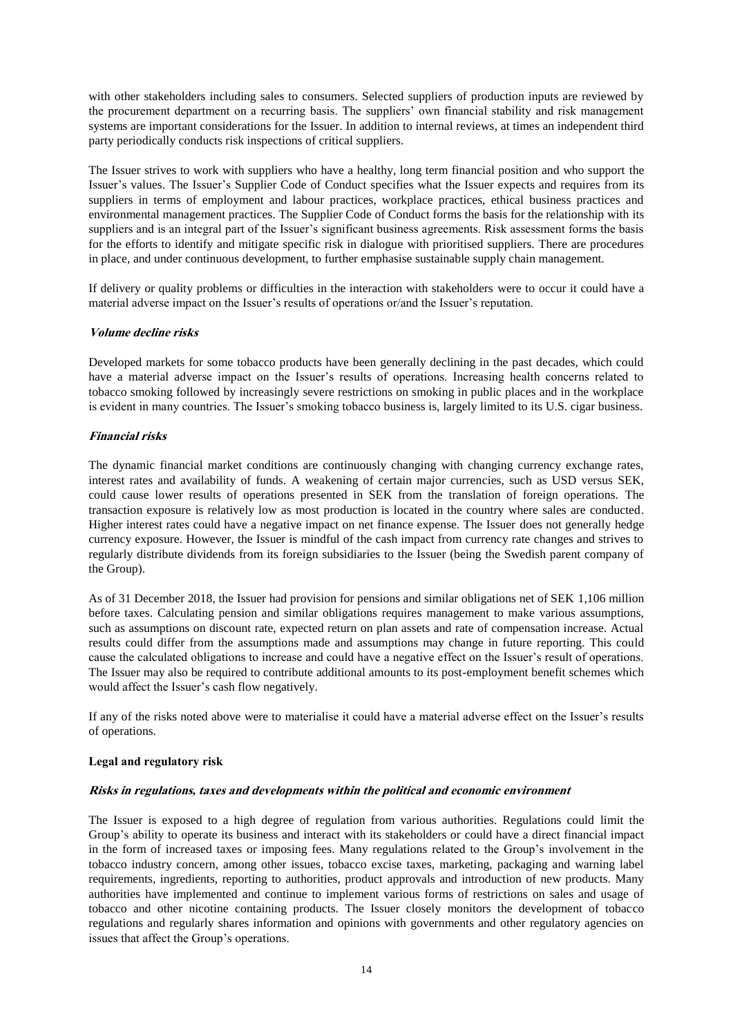with other stakeholders including sales to consumers. Selected suppliers of production inputs are reviewed by the procurement department on a recurring basis. The suppliers' own financial stability and risk management systems are important considerations for the Issuer. In addition to internal reviews, at times an independent third party periodically conducts risk inspections of critical suppliers.

The Issuer strives to work with suppliers who have a healthy, long term financial position and who support the Issuer's values. The Issuer's Supplier Code of Conduct specifies what the Issuer expects and requires from its suppliers in terms of employment and labour practices, workplace practices, ethical business practices and environmental management practices. The Supplier Code of Conduct forms the basis for the relationship with its suppliers and is an integral part of the Issuer's significant business agreements. Risk assessment forms the basis for the efforts to identify and mitigate specific risk in dialogue with prioritised suppliers. There are procedures in place, and under continuous development, to further emphasise sustainable supply chain management.

If delivery or quality problems or difficulties in the interaction with stakeholders were to occur it could have a material adverse impact on the Issuer's results of operations or/and the Issuer's reputation.

### **Volume decline risks**

Developed markets for some tobacco products have been generally declining in the past decades, which could have a material adverse impact on the Issuer's results of operations. Increasing health concerns related to tobacco smoking followed by increasingly severe restrictions on smoking in public places and in the workplace is evident in many countries. The Issuer's smoking tobacco business is, largely limited to its U.S. cigar business.

### **Financial risks**

The dynamic financial market conditions are continuously changing with changing currency exchange rates, interest rates and availability of funds. A weakening of certain major currencies, such as USD versus SEK, could cause lower results of operations presented in SEK from the translation of foreign operations. The transaction exposure is relatively low as most production is located in the country where sales are conducted. Higher interest rates could have a negative impact on net finance expense. The Issuer does not generally hedge currency exposure. However, the Issuer is mindful of the cash impact from currency rate changes and strives to regularly distribute dividends from its foreign subsidiaries to the Issuer (being the Swedish parent company of the Group).

As of 31 December 2018, the Issuer had provision for pensions and similar obligations net of SEK 1,106 million before taxes. Calculating pension and similar obligations requires management to make various assumptions, such as assumptions on discount rate, expected return on plan assets and rate of compensation increase. Actual results could differ from the assumptions made and assumptions may change in future reporting. This could cause the calculated obligations to increase and could have a negative effect on the Issuer's result of operations. The Issuer may also be required to contribute additional amounts to its post-employment benefit schemes which would affect the Issuer's cash flow negatively.

If any of the risks noted above were to materialise it could have a material adverse effect on the Issuer's results of operations.

#### **Legal and regulatory risk**

#### **Risks in regulations, taxes and developments within the political and economic environment**

The Issuer is exposed to a high degree of regulation from various authorities. Regulations could limit the Group's ability to operate its business and interact with its stakeholders or could have a direct financial impact in the form of increased taxes or imposing fees. Many regulations related to the Group's involvement in the tobacco industry concern, among other issues, tobacco excise taxes, marketing, packaging and warning label requirements, ingredients, reporting to authorities, product approvals and introduction of new products. Many authorities have implemented and continue to implement various forms of restrictions on sales and usage of tobacco and other nicotine containing products. The Issuer closely monitors the development of tobacco regulations and regularly shares information and opinions with governments and other regulatory agencies on issues that affect the Group's operations.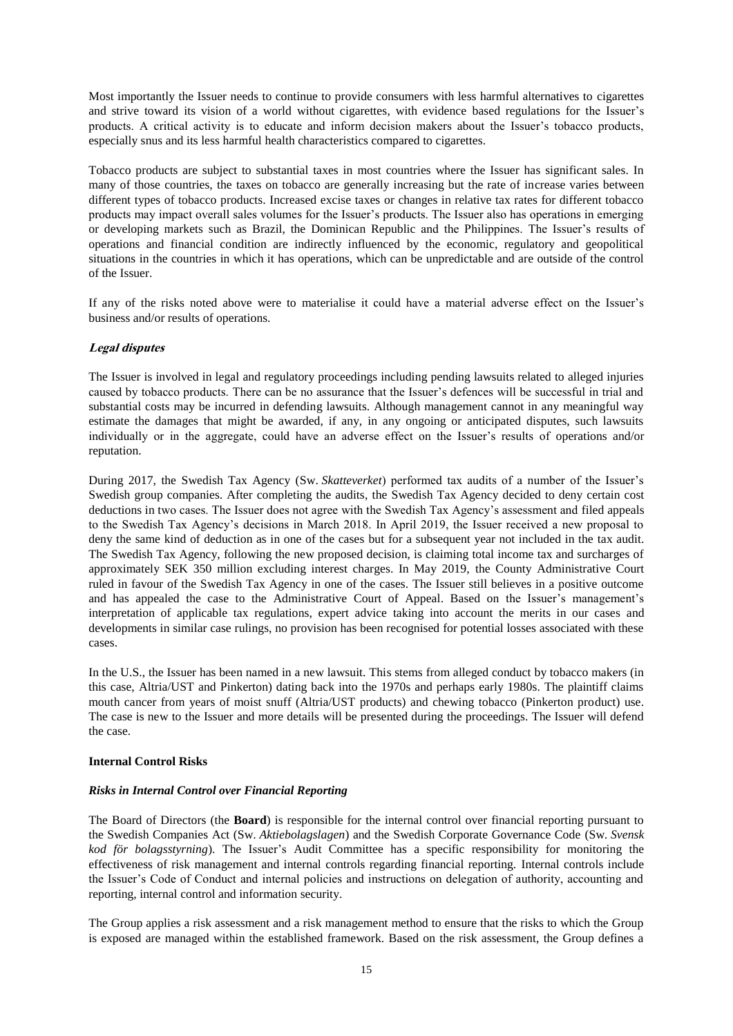Most importantly the Issuer needs to continue to provide consumers with less harmful alternatives to cigarettes and strive toward its vision of a world without cigarettes, with evidence based regulations for the Issuer's products. A critical activity is to educate and inform decision makers about the Issuer's tobacco products, especially snus and its less harmful health characteristics compared to cigarettes.

Tobacco products are subject to substantial taxes in most countries where the Issuer has significant sales. In many of those countries, the taxes on tobacco are generally increasing but the rate of increase varies between different types of tobacco products. Increased excise taxes or changes in relative tax rates for different tobacco products may impact overall sales volumes for the Issuer's products. The Issuer also has operations in emerging or developing markets such as Brazil, the Dominican Republic and the Philippines. The Issuer's results of operations and financial condition are indirectly influenced by the economic, regulatory and geopolitical situations in the countries in which it has operations, which can be unpredictable and are outside of the control of the Issuer.

If any of the risks noted above were to materialise it could have a material adverse effect on the Issuer's business and/or results of operations.

### **Legal disputes**

The Issuer is involved in legal and regulatory proceedings including pending lawsuits related to alleged injuries caused by tobacco products. There can be no assurance that the Issuer's defences will be successful in trial and substantial costs may be incurred in defending lawsuits. Although management cannot in any meaningful way estimate the damages that might be awarded, if any, in any ongoing or anticipated disputes, such lawsuits individually or in the aggregate, could have an adverse effect on the Issuer's results of operations and/or reputation.

During 2017, the Swedish Tax Agency (Sw. *Skatteverket*) performed tax audits of a number of the Issuer's Swedish group companies. After completing the audits, the Swedish Tax Agency decided to deny certain cost deductions in two cases. The Issuer does not agree with the Swedish Tax Agency's assessment and filed appeals to the Swedish Tax Agency's decisions in March 2018. In April 2019, the Issuer received a new proposal to deny the same kind of deduction as in one of the cases but for a subsequent year not included in the tax audit. The Swedish Tax Agency, following the new proposed decision, is claiming total income tax and surcharges of approximately SEK 350 million excluding interest charges. In May 2019, the County Administrative Court ruled in favour of the Swedish Tax Agency in one of the cases. The Issuer still believes in a positive outcome and has appealed the case to the Administrative Court of Appeal. Based on the Issuer's management's interpretation of applicable tax regulations, expert advice taking into account the merits in our cases and developments in similar case rulings, no provision has been recognised for potential losses associated with these cases.

In the U.S., the Issuer has been named in a new lawsuit. This stems from alleged conduct by tobacco makers (in this case, Altria/UST and Pinkerton) dating back into the 1970s and perhaps early 1980s. The plaintiff claims mouth cancer from years of moist snuff (Altria/UST products) and chewing tobacco (Pinkerton product) use. The case is new to the Issuer and more details will be presented during the proceedings. The Issuer will defend the case.

### **Internal Control Risks**

### *Risks in Internal Control over Financial Reporting*

The Board of Directors (the **Board**) is responsible for the internal control over financial reporting pursuant to the Swedish Companies Act (Sw. *Aktiebolagslagen*) and the Swedish Corporate Governance Code (Sw. *Svensk kod för bolagsstyrning*). The Issuer's Audit Committee has a specific responsibility for monitoring the effectiveness of risk management and internal controls regarding financial reporting. Internal controls include the Issuer's Code of Conduct and internal policies and instructions on delegation of authority, accounting and reporting, internal control and information security.

The Group applies a risk assessment and a risk management method to ensure that the risks to which the Group is exposed are managed within the established framework. Based on the risk assessment, the Group defines a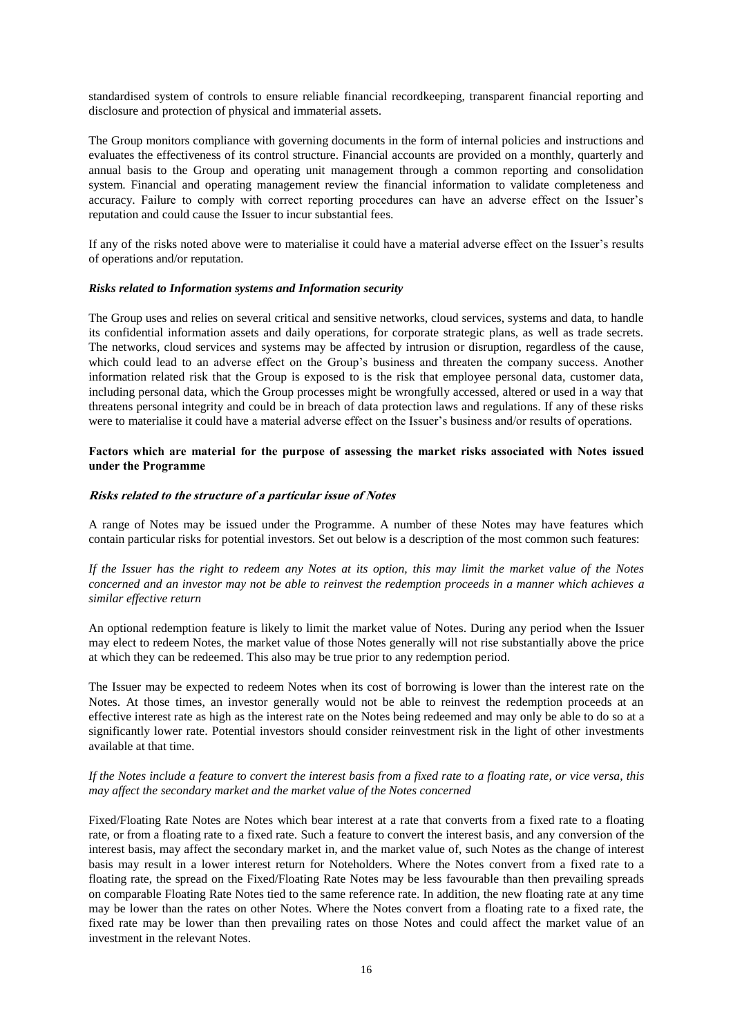standardised system of controls to ensure reliable financial recordkeeping, transparent financial reporting and disclosure and protection of physical and immaterial assets.

The Group monitors compliance with governing documents in the form of internal policies and instructions and evaluates the effectiveness of its control structure. Financial accounts are provided on a monthly, quarterly and annual basis to the Group and operating unit management through a common reporting and consolidation system. Financial and operating management review the financial information to validate completeness and accuracy. Failure to comply with correct reporting procedures can have an adverse effect on the Issuer's reputation and could cause the Issuer to incur substantial fees.

If any of the risks noted above were to materialise it could have a material adverse effect on the Issuer's results of operations and/or reputation.

#### *Risks related to Information systems and Information security*

The Group uses and relies on several critical and sensitive networks, cloud services, systems and data, to handle its confidential information assets and daily operations, for corporate strategic plans, as well as trade secrets. The networks, cloud services and systems may be affected by intrusion or disruption, regardless of the cause, which could lead to an adverse effect on the Group's business and threaten the company success. Another information related risk that the Group is exposed to is the risk that employee personal data, customer data, including personal data, which the Group processes might be wrongfully accessed, altered or used in a way that threatens personal integrity and could be in breach of data protection laws and regulations. If any of these risks were to materialise it could have a material adverse effect on the Issuer's business and/or results of operations.

### **Factors which are material for the purpose of assessing the market risks associated with Notes issued under the Programme**

#### **Risks related to the structure of a particular issue of Notes**

A range of Notes may be issued under the Programme. A number of these Notes may have features which contain particular risks for potential investors. Set out below is a description of the most common such features:

*If the Issuer has the right to redeem any Notes at its option, this may limit the market value of the Notes concerned and an investor may not be able to reinvest the redemption proceeds in a manner which achieves a similar effective return*

An optional redemption feature is likely to limit the market value of Notes. During any period when the Issuer may elect to redeem Notes, the market value of those Notes generally will not rise substantially above the price at which they can be redeemed. This also may be true prior to any redemption period.

The Issuer may be expected to redeem Notes when its cost of borrowing is lower than the interest rate on the Notes. At those times, an investor generally would not be able to reinvest the redemption proceeds at an effective interest rate as high as the interest rate on the Notes being redeemed and may only be able to do so at a significantly lower rate. Potential investors should consider reinvestment risk in the light of other investments available at that time.

### *If the Notes include a feature to convert the interest basis from a fixed rate to a floating rate, or vice versa, this may affect the secondary market and the market value of the Notes concerned*

Fixed/Floating Rate Notes are Notes which bear interest at a rate that converts from a fixed rate to a floating rate, or from a floating rate to a fixed rate. Such a feature to convert the interest basis, and any conversion of the interest basis, may affect the secondary market in, and the market value of, such Notes as the change of interest basis may result in a lower interest return for Noteholders. Where the Notes convert from a fixed rate to a floating rate, the spread on the Fixed/Floating Rate Notes may be less favourable than then prevailing spreads on comparable Floating Rate Notes tied to the same reference rate. In addition, the new floating rate at any time may be lower than the rates on other Notes. Where the Notes convert from a floating rate to a fixed rate, the fixed rate may be lower than then prevailing rates on those Notes and could affect the market value of an investment in the relevant Notes.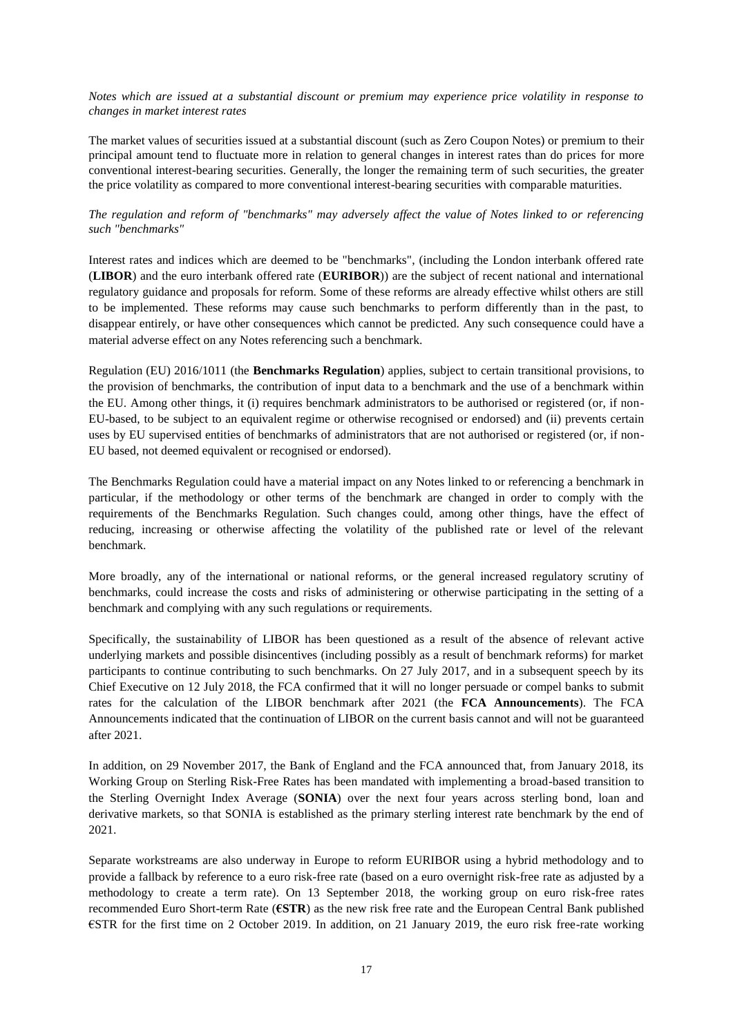### *Notes which are issued at a substantial discount or premium may experience price volatility in response to changes in market interest rates*

The market values of securities issued at a substantial discount (such as Zero Coupon Notes) or premium to their principal amount tend to fluctuate more in relation to general changes in interest rates than do prices for more conventional interest-bearing securities. Generally, the longer the remaining term of such securities, the greater the price volatility as compared to more conventional interest-bearing securities with comparable maturities.

### *The regulation and reform of "benchmarks" may adversely affect the value of Notes linked to or referencing such "benchmarks"*

Interest rates and indices which are deemed to be "benchmarks", (including the London interbank offered rate (**LIBOR**) and the euro interbank offered rate (**EURIBOR**)) are the subject of recent national and international regulatory guidance and proposals for reform. Some of these reforms are already effective whilst others are still to be implemented. These reforms may cause such benchmarks to perform differently than in the past, to disappear entirely, or have other consequences which cannot be predicted. Any such consequence could have a material adverse effect on any Notes referencing such a benchmark.

Regulation (EU) 2016/1011 (the **Benchmarks Regulation**) applies, subject to certain transitional provisions, to the provision of benchmarks, the contribution of input data to a benchmark and the use of a benchmark within the EU. Among other things, it (i) requires benchmark administrators to be authorised or registered (or, if non-EU-based, to be subject to an equivalent regime or otherwise recognised or endorsed) and (ii) prevents certain uses by EU supervised entities of benchmarks of administrators that are not authorised or registered (or, if non-EU based, not deemed equivalent or recognised or endorsed).

The Benchmarks Regulation could have a material impact on any Notes linked to or referencing a benchmark in particular, if the methodology or other terms of the benchmark are changed in order to comply with the requirements of the Benchmarks Regulation. Such changes could, among other things, have the effect of reducing, increasing or otherwise affecting the volatility of the published rate or level of the relevant benchmark.

More broadly, any of the international or national reforms, or the general increased regulatory scrutiny of benchmarks, could increase the costs and risks of administering or otherwise participating in the setting of a benchmark and complying with any such regulations or requirements.

Specifically, the sustainability of LIBOR has been questioned as a result of the absence of relevant active underlying markets and possible disincentives (including possibly as a result of benchmark reforms) for market participants to continue contributing to such benchmarks. On 27 July 2017, and in a subsequent speech by its Chief Executive on 12 July 2018, the FCA confirmed that it will no longer persuade or compel banks to submit rates for the calculation of the LIBOR benchmark after 2021 (the **FCA Announcements**). The FCA Announcements indicated that the continuation of LIBOR on the current basis cannot and will not be guaranteed after 2021.

In addition, on 29 November 2017, the Bank of England and the FCA announced that, from January 2018, its Working Group on Sterling Risk-Free Rates has been mandated with implementing a broad-based transition to the Sterling Overnight Index Average (**SONIA**) over the next four years across sterling bond, loan and derivative markets, so that SONIA is established as the primary sterling interest rate benchmark by the end of 2021.

Separate workstreams are also underway in Europe to reform EURIBOR using a hybrid methodology and to provide a fallback by reference to a euro risk-free rate (based on a euro overnight risk-free rate as adjusted by a methodology to create a term rate). On 13 September 2018, the working group on euro risk-free rates recommended Euro Short-term Rate (**€STR**) as the new risk free rate and the European Central Bank published €STR for the first time on 2 October 2019. In addition, on 21 January 2019, the euro risk free-rate working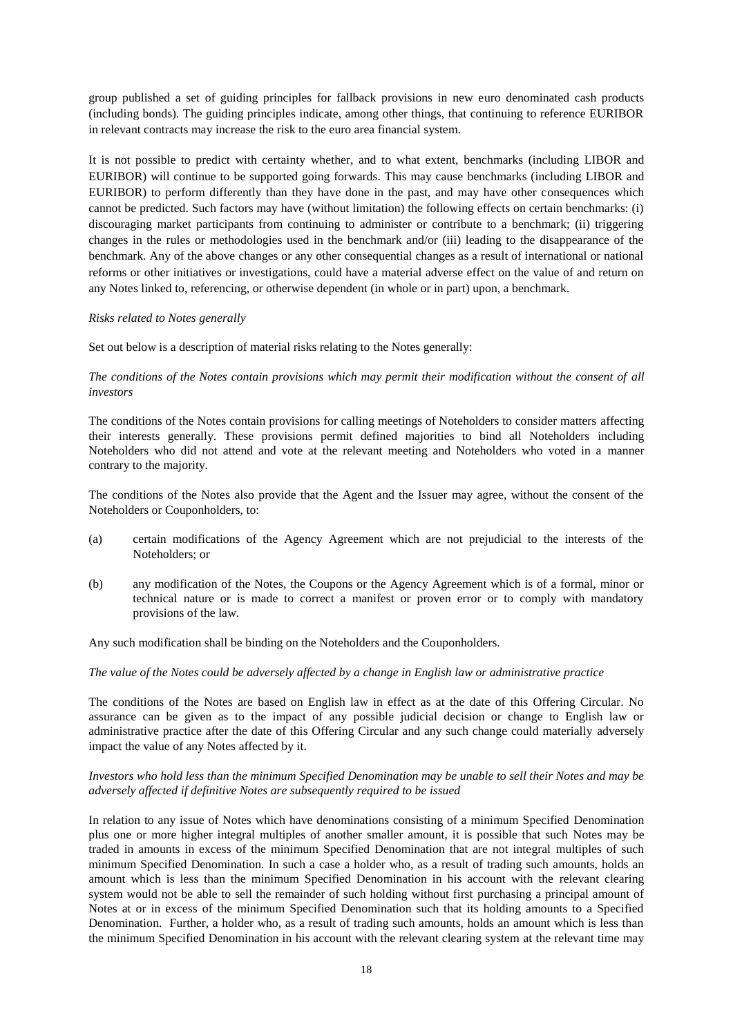group published a set of guiding principles for fallback provisions in new euro denominated cash products (including bonds). The guiding principles indicate, among other things, that continuing to reference EURIBOR in relevant contracts may increase the risk to the euro area financial system.

It is not possible to predict with certainty whether, and to what extent, benchmarks (including LIBOR and EURIBOR) will continue to be supported going forwards. This may cause benchmarks (including LIBOR and EURIBOR) to perform differently than they have done in the past, and may have other consequences which cannot be predicted. Such factors may have (without limitation) the following effects on certain benchmarks: (i) discouraging market participants from continuing to administer or contribute to a benchmark; (ii) triggering changes in the rules or methodologies used in the benchmark and/or (iii) leading to the disappearance of the benchmark. Any of the above changes or any other consequential changes as a result of international or national reforms or other initiatives or investigations, could have a material adverse effect on the value of and return on any Notes linked to, referencing, or otherwise dependent (in whole or in part) upon, a benchmark.

### *Risks related to Notes generally*

Set out below is a description of material risks relating to the Notes generally:

### *The conditions of the Notes contain provisions which may permit their modification without the consent of all investors*

The conditions of the Notes contain provisions for calling meetings of Noteholders to consider matters affecting their interests generally. These provisions permit defined majorities to bind all Noteholders including Noteholders who did not attend and vote at the relevant meeting and Noteholders who voted in a manner contrary to the majority.

The conditions of the Notes also provide that the Agent and the Issuer may agree, without the consent of the Noteholders or Couponholders, to:

- (a) certain modifications of the Agency Agreement which are not prejudicial to the interests of the Noteholders; or
- (b) any modification of the Notes, the Coupons or the Agency Agreement which is of a formal, minor or technical nature or is made to correct a manifest or proven error or to comply with mandatory provisions of the law.

Any such modification shall be binding on the Noteholders and the Couponholders.

#### *The value of the Notes could be adversely affected by a change in English law or administrative practice*

The conditions of the Notes are based on English law in effect as at the date of this Offering Circular. No assurance can be given as to the impact of any possible judicial decision or change to English law or administrative practice after the date of this Offering Circular and any such change could materially adversely impact the value of any Notes affected by it.

### *Investors who hold less than the minimum Specified Denomination may be unable to sell their Notes and may be adversely affected if definitive Notes are subsequently required to be issued*

In relation to any issue of Notes which have denominations consisting of a minimum Specified Denomination plus one or more higher integral multiples of another smaller amount, it is possible that such Notes may be traded in amounts in excess of the minimum Specified Denomination that are not integral multiples of such minimum Specified Denomination. In such a case a holder who, as a result of trading such amounts, holds an amount which is less than the minimum Specified Denomination in his account with the relevant clearing system would not be able to sell the remainder of such holding without first purchasing a principal amount of Notes at or in excess of the minimum Specified Denomination such that its holding amounts to a Specified Denomination. Further, a holder who, as a result of trading such amounts, holds an amount which is less than the minimum Specified Denomination in his account with the relevant clearing system at the relevant time may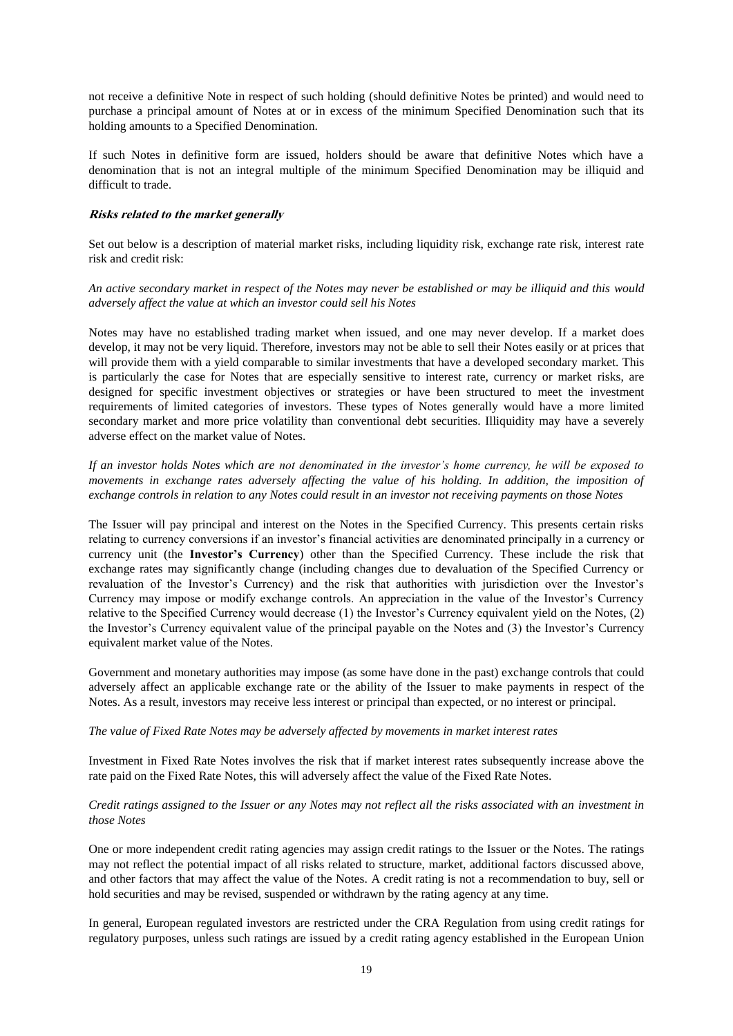not receive a definitive Note in respect of such holding (should definitive Notes be printed) and would need to purchase a principal amount of Notes at or in excess of the minimum Specified Denomination such that its holding amounts to a Specified Denomination.

If such Notes in definitive form are issued, holders should be aware that definitive Notes which have a denomination that is not an integral multiple of the minimum Specified Denomination may be illiquid and difficult to trade.

### **Risks related to the market generally**

Set out below is a description of material market risks, including liquidity risk, exchange rate risk, interest rate risk and credit risk:

*An active secondary market in respect of the Notes may never be established or may be illiquid and this would adversely affect the value at which an investor could sell his Notes*

Notes may have no established trading market when issued, and one may never develop. If a market does develop, it may not be very liquid. Therefore, investors may not be able to sell their Notes easily or at prices that will provide them with a yield comparable to similar investments that have a developed secondary market. This is particularly the case for Notes that are especially sensitive to interest rate, currency or market risks, are designed for specific investment objectives or strategies or have been structured to meet the investment requirements of limited categories of investors. These types of Notes generally would have a more limited secondary market and more price volatility than conventional debt securities. Illiquidity may have a severely adverse effect on the market value of Notes.

*If an investor holds Notes which are not denominated in the investor's home currency, he will be exposed to movements in exchange rates adversely affecting the value of his holding. In addition, the imposition of exchange controls in relation to any Notes could result in an investor not receiving payments on those Notes*

The Issuer will pay principal and interest on the Notes in the Specified Currency. This presents certain risks relating to currency conversions if an investor's financial activities are denominated principally in a currency or currency unit (the **Investor's Currency**) other than the Specified Currency. These include the risk that exchange rates may significantly change (including changes due to devaluation of the Specified Currency or revaluation of the Investor's Currency) and the risk that authorities with jurisdiction over the Investor's Currency may impose or modify exchange controls. An appreciation in the value of the Investor's Currency relative to the Specified Currency would decrease (1) the Investor's Currency equivalent yield on the Notes, (2) the Investor's Currency equivalent value of the principal payable on the Notes and (3) the Investor's Currency equivalent market value of the Notes.

Government and monetary authorities may impose (as some have done in the past) exchange controls that could adversely affect an applicable exchange rate or the ability of the Issuer to make payments in respect of the Notes. As a result, investors may receive less interest or principal than expected, or no interest or principal.

#### *The value of Fixed Rate Notes may be adversely affected by movements in market interest rates*

Investment in Fixed Rate Notes involves the risk that if market interest rates subsequently increase above the rate paid on the Fixed Rate Notes, this will adversely affect the value of the Fixed Rate Notes.

### *Credit ratings assigned to the Issuer or any Notes may not reflect all the risks associated with an investment in those Notes*

One or more independent credit rating agencies may assign credit ratings to the Issuer or the Notes. The ratings may not reflect the potential impact of all risks related to structure, market, additional factors discussed above, and other factors that may affect the value of the Notes. A credit rating is not a recommendation to buy, sell or hold securities and may be revised, suspended or withdrawn by the rating agency at any time.

In general, European regulated investors are restricted under the CRA Regulation from using credit ratings for regulatory purposes, unless such ratings are issued by a credit rating agency established in the European Union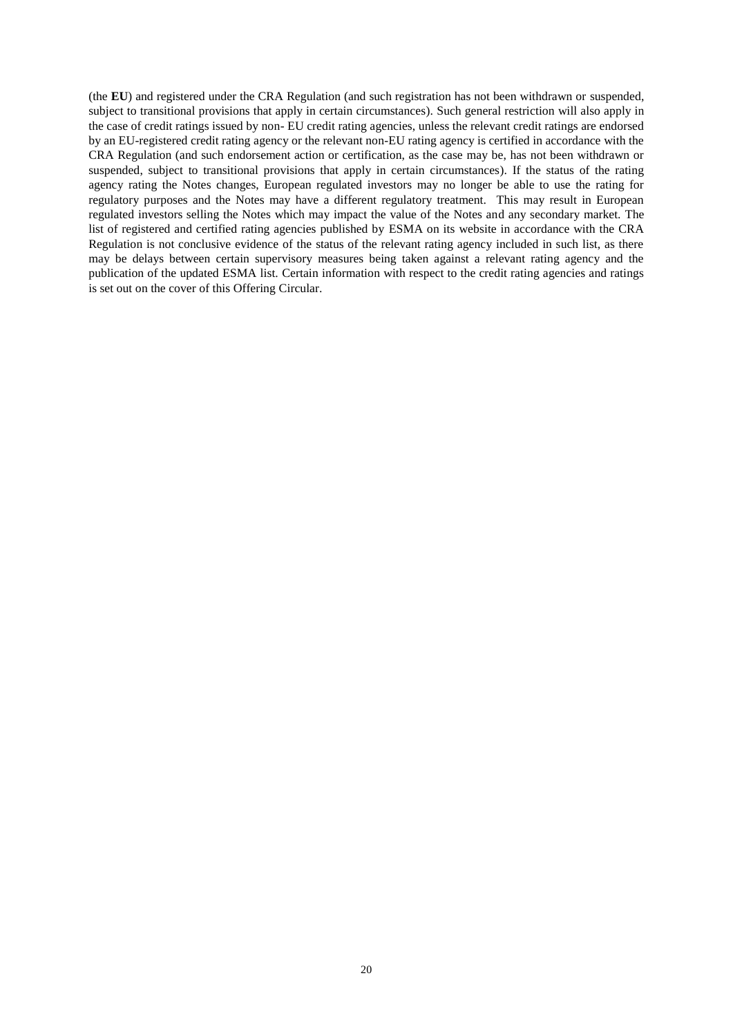(the **EU**) and registered under the CRA Regulation (and such registration has not been withdrawn or suspended, subject to transitional provisions that apply in certain circumstances). Such general restriction will also apply in the case of credit ratings issued by non- EU credit rating agencies, unless the relevant credit ratings are endorsed by an EU-registered credit rating agency or the relevant non-EU rating agency is certified in accordance with the CRA Regulation (and such endorsement action or certification, as the case may be, has not been withdrawn or suspended, subject to transitional provisions that apply in certain circumstances). If the status of the rating agency rating the Notes changes, European regulated investors may no longer be able to use the rating for regulatory purposes and the Notes may have a different regulatory treatment. This may result in European regulated investors selling the Notes which may impact the value of the Notes and any secondary market. The list of registered and certified rating agencies published by ESMA on its website in accordance with the CRA Regulation is not conclusive evidence of the status of the relevant rating agency included in such list, as there may be delays between certain supervisory measures being taken against a relevant rating agency and the publication of the updated ESMA list. Certain information with respect to the credit rating agencies and ratings is set out on the cover of this Offering Circular.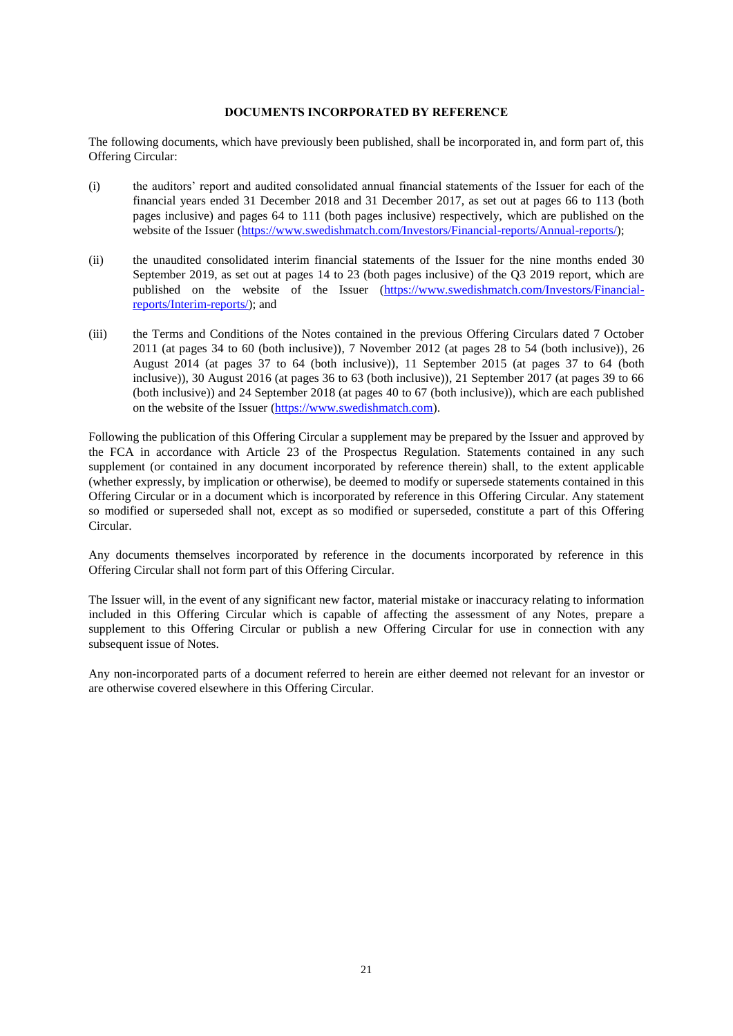#### **DOCUMENTS INCORPORATED BY REFERENCE**

The following documents, which have previously been published, shall be incorporated in, and form part of, this Offering Circular:

- (i) the auditors' report and audited consolidated annual financial statements of the Issuer for each of the financial years ended 31 December 2018 and 31 December 2017, as set out at pages 66 to 113 (both pages inclusive) and pages 64 to 111 (both pages inclusive) respectively, which are published on the website of the Issuer [\(https://www.swedishmatch.com/Investors/Financial-reports/Annual-reports/\)](https://www.swedishmatch.com/Investors/Financial-reports/Annual-reports/);
- (ii) the unaudited consolidated interim financial statements of the Issuer for the nine months ended 30 September 2019, as set out at pages 14 to 23 (both pages inclusive) of the Q3 2019 report, which are published on the website of the Issuer [\(https://www.swedishmatch.com/Investors/Financial](https://www.swedishmatch.com/Investors/Financial-reports/Interim-reports/)[reports/Interim-reports/\)](https://www.swedishmatch.com/Investors/Financial-reports/Interim-reports/); and
- (iii) the Terms and Conditions of the Notes contained in the previous Offering Circulars dated 7 October 2011 (at pages 34 to 60 (both inclusive)), 7 November 2012 (at pages 28 to 54 (both inclusive)), 26 August 2014 (at pages 37 to 64 (both inclusive)), 11 September 2015 (at pages 37 to 64 (both inclusive)), 30 August 2016 (at pages 36 to 63 (both inclusive)), 21 September 2017 (at pages 39 to 66 (both inclusive)) and 24 September 2018 (at pages 40 to 67 (both inclusive)), which are each published on the website of the Issuer [\(https://www.swedishmatch.com\)](https://www.swedishmatch.com/).

Following the publication of this Offering Circular a supplement may be prepared by the Issuer and approved by the FCA in accordance with Article 23 of the Prospectus Regulation. Statements contained in any such supplement (or contained in any document incorporated by reference therein) shall, to the extent applicable (whether expressly, by implication or otherwise), be deemed to modify or supersede statements contained in this Offering Circular or in a document which is incorporated by reference in this Offering Circular. Any statement so modified or superseded shall not, except as so modified or superseded, constitute a part of this Offering Circular.

Any documents themselves incorporated by reference in the documents incorporated by reference in this Offering Circular shall not form part of this Offering Circular.

The Issuer will, in the event of any significant new factor, material mistake or inaccuracy relating to information included in this Offering Circular which is capable of affecting the assessment of any Notes, prepare a supplement to this Offering Circular or publish a new Offering Circular for use in connection with any subsequent issue of Notes.

Any non-incorporated parts of a document referred to herein are either deemed not relevant for an investor or are otherwise covered elsewhere in this Offering Circular.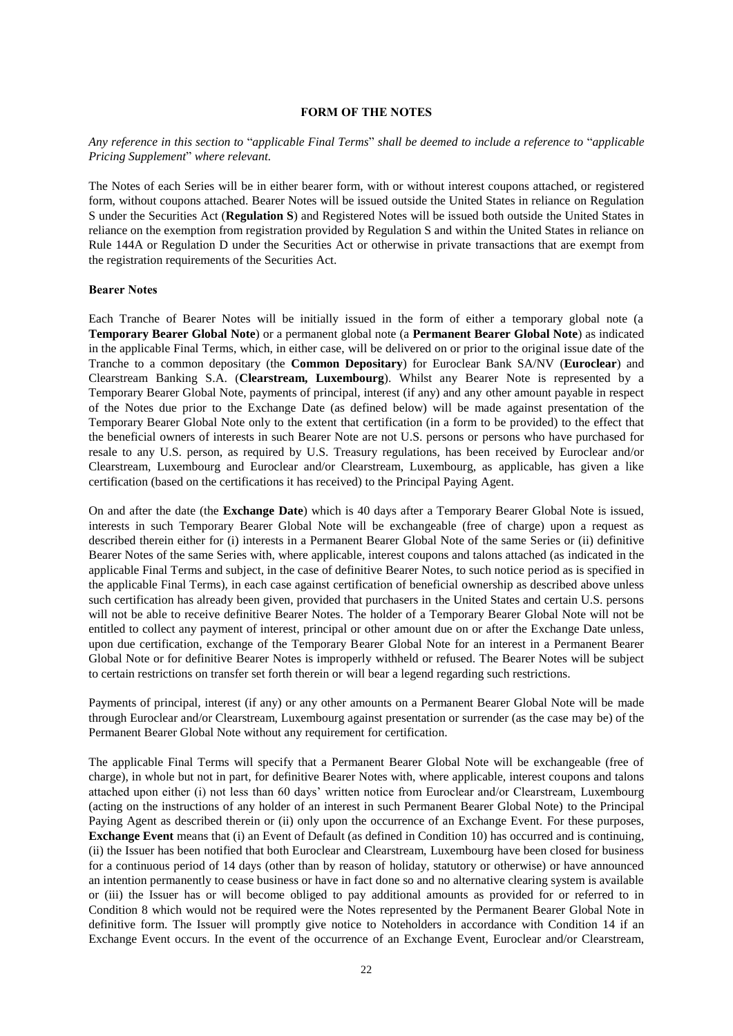#### **FORM OF THE NOTES**

### *Any reference in this section to* "*applicable Final Terms*" *shall be deemed to include a reference to* "*applicable Pricing Supplement*" *where relevant.*

The Notes of each Series will be in either bearer form, with or without interest coupons attached, or registered form, without coupons attached. Bearer Notes will be issued outside the United States in reliance on Regulation S under the Securities Act (**Regulation S**) and Registered Notes will be issued both outside the United States in reliance on the exemption from registration provided by Regulation S and within the United States in reliance on Rule 144A or Regulation D under the Securities Act or otherwise in private transactions that are exempt from the registration requirements of the Securities Act.

#### **Bearer Notes**

Each Tranche of Bearer Notes will be initially issued in the form of either a temporary global note (a **Temporary Bearer Global Note**) or a permanent global note (a **Permanent Bearer Global Note**) as indicated in the applicable Final Terms, which, in either case, will be delivered on or prior to the original issue date of the Tranche to a common depositary (the **Common Depositary**) for Euroclear Bank SA/NV (**Euroclear**) and Clearstream Banking S.A. (**Clearstream, Luxembourg**). Whilst any Bearer Note is represented by a Temporary Bearer Global Note, payments of principal, interest (if any) and any other amount payable in respect of the Notes due prior to the Exchange Date (as defined below) will be made against presentation of the Temporary Bearer Global Note only to the extent that certification (in a form to be provided) to the effect that the beneficial owners of interests in such Bearer Note are not U.S. persons or persons who have purchased for resale to any U.S. person, as required by U.S. Treasury regulations, has been received by Euroclear and/or Clearstream, Luxembourg and Euroclear and/or Clearstream, Luxembourg, as applicable, has given a like certification (based on the certifications it has received) to the Principal Paying Agent.

On and after the date (the **Exchange Date**) which is 40 days after a Temporary Bearer Global Note is issued, interests in such Temporary Bearer Global Note will be exchangeable (free of charge) upon a request as described therein either for (i) interests in a Permanent Bearer Global Note of the same Series or (ii) definitive Bearer Notes of the same Series with, where applicable, interest coupons and talons attached (as indicated in the applicable Final Terms and subject, in the case of definitive Bearer Notes, to such notice period as is specified in the applicable Final Terms), in each case against certification of beneficial ownership as described above unless such certification has already been given, provided that purchasers in the United States and certain U.S. persons will not be able to receive definitive Bearer Notes. The holder of a Temporary Bearer Global Note will not be entitled to collect any payment of interest, principal or other amount due on or after the Exchange Date unless, upon due certification, exchange of the Temporary Bearer Global Note for an interest in a Permanent Bearer Global Note or for definitive Bearer Notes is improperly withheld or refused. The Bearer Notes will be subject to certain restrictions on transfer set forth therein or will bear a legend regarding such restrictions.

Payments of principal, interest (if any) or any other amounts on a Permanent Bearer Global Note will be made through Euroclear and/or Clearstream, Luxembourg against presentation or surrender (as the case may be) of the Permanent Bearer Global Note without any requirement for certification.

The applicable Final Terms will specify that a Permanent Bearer Global Note will be exchangeable (free of charge), in whole but not in part, for definitive Bearer Notes with, where applicable, interest coupons and talons attached upon either (i) not less than 60 days' written notice from Euroclear and/or Clearstream, Luxembourg (acting on the instructions of any holder of an interest in such Permanent Bearer Global Note) to the Principal Paying Agent as described therein or (ii) only upon the occurrence of an Exchange Event. For these purposes, **Exchange Event** means that (i) an Event of Default (as defined in Condition [10\)](#page-66-0) has occurred and is continuing, (ii) the Issuer has been notified that both Euroclear and Clearstream, Luxembourg have been closed for business for a continuous period of 14 days (other than by reason of holiday, statutory or otherwise) or have announced an intention permanently to cease business or have in fact done so and no alternative clearing system is available or (iii) the Issuer has or will become obliged to pay additional amounts as provided for or referred to in Condition [8](#page-65-0) which would not be required were the Notes represented by the Permanent Bearer Global Note in definitive form. The Issuer will promptly give notice to Noteholders in accordance with Condition [14](#page-68-0) if an Exchange Event occurs. In the event of the occurrence of an Exchange Event, Euroclear and/or Clearstream,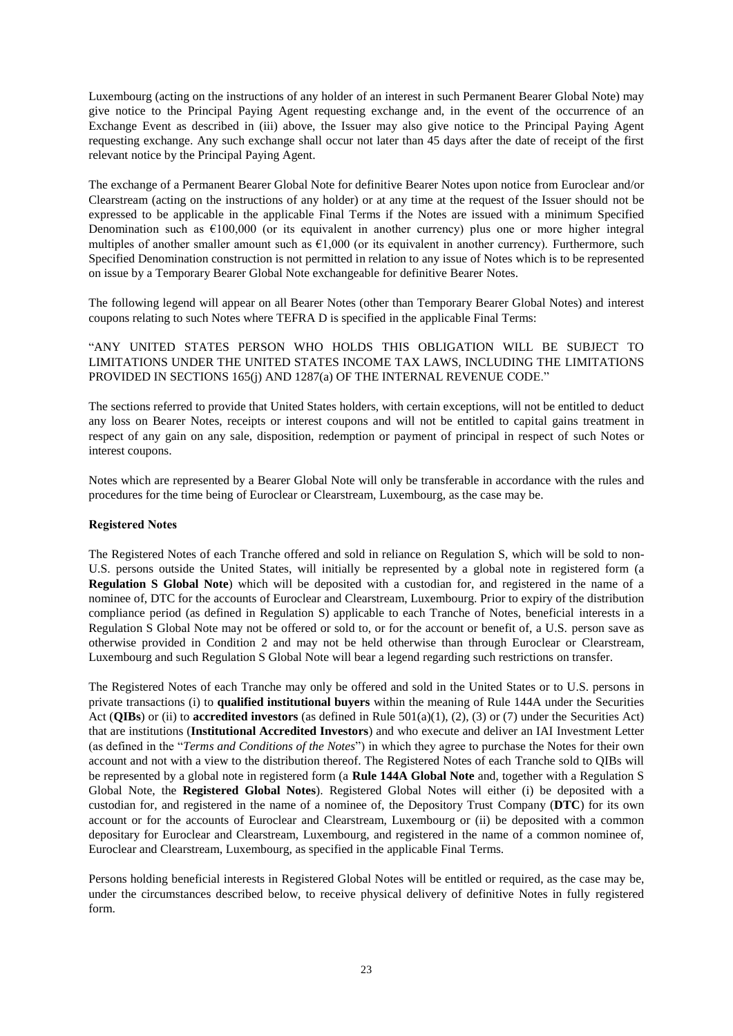Luxembourg (acting on the instructions of any holder of an interest in such Permanent Bearer Global Note) may give notice to the Principal Paying Agent requesting exchange and, in the event of the occurrence of an Exchange Event as described in (iii) above, the Issuer may also give notice to the Principal Paying Agent requesting exchange. Any such exchange shall occur not later than 45 days after the date of receipt of the first relevant notice by the Principal Paying Agent.

The exchange of a Permanent Bearer Global Note for definitive Bearer Notes upon notice from Euroclear and/or Clearstream (acting on the instructions of any holder) or at any time at the request of the Issuer should not be expressed to be applicable in the applicable Final Terms if the Notes are issued with a minimum Specified Denomination such as  $\epsilon$ 100,000 (or its equivalent in another currency) plus one or more higher integral multiples of another smaller amount such as  $E1,000$  (or its equivalent in another currency). Furthermore, such Specified Denomination construction is not permitted in relation to any issue of Notes which is to be represented on issue by a Temporary Bearer Global Note exchangeable for definitive Bearer Notes.

The following legend will appear on all Bearer Notes (other than Temporary Bearer Global Notes) and interest coupons relating to such Notes where TEFRA D is specified in the applicable Final Terms:

"ANY UNITED STATES PERSON WHO HOLDS THIS OBLIGATION WILL BE SUBJECT TO LIMITATIONS UNDER THE UNITED STATES INCOME TAX LAWS, INCLUDING THE LIMITATIONS PROVIDED IN SECTIONS 165(j) AND 1287(a) OF THE INTERNAL REVENUE CODE."

The sections referred to provide that United States holders, with certain exceptions, will not be entitled to deduct any loss on Bearer Notes, receipts or interest coupons and will not be entitled to capital gains treatment in respect of any gain on any sale, disposition, redemption or payment of principal in respect of such Notes or interest coupons.

Notes which are represented by a Bearer Global Note will only be transferable in accordance with the rules and procedures for the time being of Euroclear or Clearstream, Luxembourg, as the case may be.

### **Registered Notes**

The Registered Notes of each Tranche offered and sold in reliance on Regulation S, which will be sold to non-U.S. persons outside the United States, will initially be represented by a global note in registered form (a **Regulation S Global Note**) which will be deposited with a custodian for, and registered in the name of a nominee of, DTC for the accounts of Euroclear and Clearstream, Luxembourg. Prior to expiry of the distribution compliance period (as defined in Regulation S) applicable to each Tranche of Notes, beneficial interests in a Regulation S Global Note may not be offered or sold to, or for the account or benefit of, a U.S. person save as otherwise provided in Condition [2](#page-45-0) and may not be held otherwise than through Euroclear or Clearstream, Luxembourg and such Regulation S Global Note will bear a legend regarding such restrictions on transfer.

The Registered Notes of each Tranche may only be offered and sold in the United States or to U.S. persons in private transactions (i) to **qualified institutional buyers** within the meaning of Rule 144A under the Securities Act (**QIBs**) or (ii) to **accredited investors** (as defined in Rule 501(a)(1), (2), (3) or (7) under the Securities Act) that are institutions (**Institutional Accredited Investors**) and who execute and deliver an IAI Investment Letter (as defined in the "*Terms and Conditions of the Notes*") in which they agree to purchase the Notes for their own account and not with a view to the distribution thereof. The Registered Notes of each Tranche sold to QIBs will be represented by a global note in registered form (a **Rule 144A Global Note** and, together with a Regulation S Global Note, the **Registered Global Notes**). Registered Global Notes will either (i) be deposited with a custodian for, and registered in the name of a nominee of, the Depository Trust Company (**DTC**) for its own account or for the accounts of Euroclear and Clearstream, Luxembourg or (ii) be deposited with a common depositary for Euroclear and Clearstream, Luxembourg, and registered in the name of a common nominee of, Euroclear and Clearstream, Luxembourg, as specified in the applicable Final Terms.

Persons holding beneficial interests in Registered Global Notes will be entitled or required, as the case may be, under the circumstances described below, to receive physical delivery of definitive Notes in fully registered form.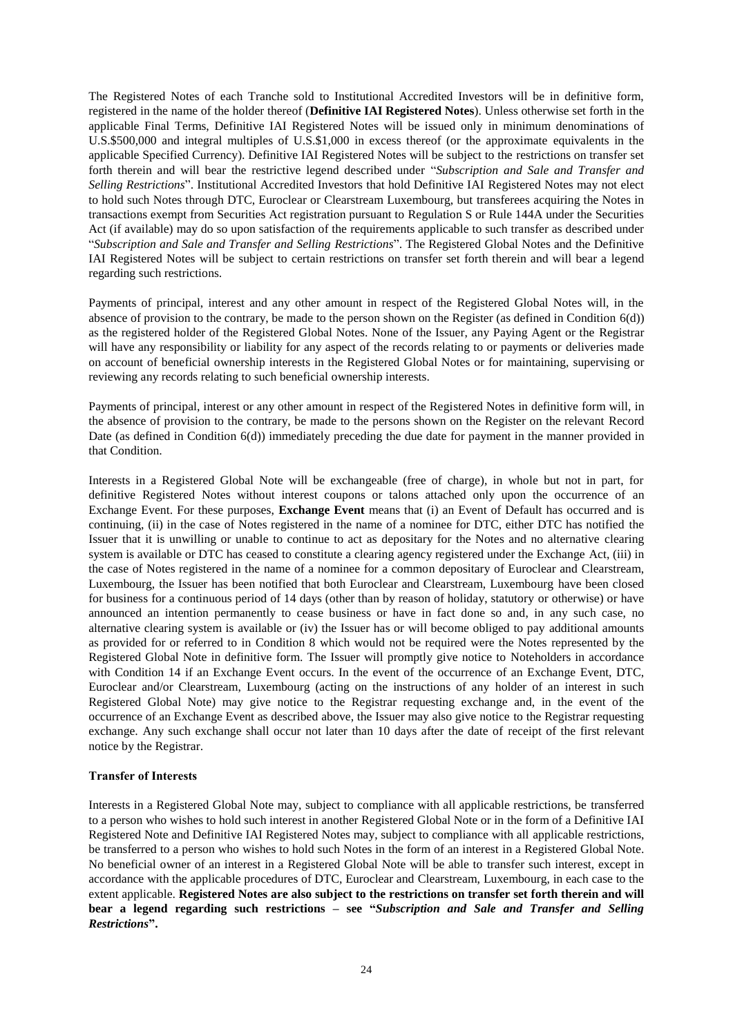The Registered Notes of each Tranche sold to Institutional Accredited Investors will be in definitive form, registered in the name of the holder thereof (**Definitive IAI Registered Notes**). Unless otherwise set forth in the applicable Final Terms, Definitive IAI Registered Notes will be issued only in minimum denominations of U.S.\$500,000 and integral multiples of U.S.\$1,000 in excess thereof (or the approximate equivalents in the applicable Specified Currency). Definitive IAI Registered Notes will be subject to the restrictions on transfer set forth therein and will bear the restrictive legend described under "*Subscription and Sale and Transfer and Selling Restrictions*". Institutional Accredited Investors that hold Definitive IAI Registered Notes may not elect to hold such Notes through DTC, Euroclear or Clearstream Luxembourg, but transferees acquiring the Notes in transactions exempt from Securities Act registration pursuant to Regulation S or Rule 144A under the Securities Act (if available) may do so upon satisfaction of the requirements applicable to such transfer as described under "*Subscription and Sale and Transfer and Selling Restrictions*". The Registered Global Notes and the Definitive IAI Registered Notes will be subject to certain restrictions on transfer set forth therein and will bear a legend regarding such restrictions.

Payments of principal, interest and any other amount in respect of the Registered Global Notes will, in the absence of provision to the contrary, be made to the person shown on the Register (as defined in Condition [6\(d\)\)](#page-57-0) as the registered holder of the Registered Global Notes. None of the Issuer, any Paying Agent or the Registrar will have any responsibility or liability for any aspect of the records relating to or payments or deliveries made on account of beneficial ownership interests in the Registered Global Notes or for maintaining, supervising or reviewing any records relating to such beneficial ownership interests.

Payments of principal, interest or any other amount in respect of the Registered Notes in definitive form will, in the absence of provision to the contrary, be made to the persons shown on the Register on the relevant Record Date (as defined in Condition [6\(d\)\)](#page-57-0) immediately preceding the due date for payment in the manner provided in that Condition.

Interests in a Registered Global Note will be exchangeable (free of charge), in whole but not in part, for definitive Registered Notes without interest coupons or talons attached only upon the occurrence of an Exchange Event. For these purposes, **Exchange Event** means that (i) an Event of Default has occurred and is continuing, (ii) in the case of Notes registered in the name of a nominee for DTC, either DTC has notified the Issuer that it is unwilling or unable to continue to act as depositary for the Notes and no alternative clearing system is available or DTC has ceased to constitute a clearing agency registered under the Exchange Act, (iii) in the case of Notes registered in the name of a nominee for a common depositary of Euroclear and Clearstream, Luxembourg, the Issuer has been notified that both Euroclear and Clearstream, Luxembourg have been closed for business for a continuous period of 14 days (other than by reason of holiday, statutory or otherwise) or have announced an intention permanently to cease business or have in fact done so and, in any such case, no alternative clearing system is available or (iv) the Issuer has or will become obliged to pay additional amounts as provided for or referred to in Condition [8](#page-65-0) which would not be required were the Notes represented by the Registered Global Note in definitive form. The Issuer will promptly give notice to Noteholders in accordance with Condition [14](#page-68-0) if an Exchange Event occurs. In the event of the occurrence of an Exchange Event, DTC, Euroclear and/or Clearstream, Luxembourg (acting on the instructions of any holder of an interest in such Registered Global Note) may give notice to the Registrar requesting exchange and, in the event of the occurrence of an Exchange Event as described above, the Issuer may also give notice to the Registrar requesting exchange. Any such exchange shall occur not later than 10 days after the date of receipt of the first relevant notice by the Registrar.

### **Transfer of Interests**

Interests in a Registered Global Note may, subject to compliance with all applicable restrictions, be transferred to a person who wishes to hold such interest in another Registered Global Note or in the form of a Definitive IAI Registered Note and Definitive IAI Registered Notes may, subject to compliance with all applicable restrictions, be transferred to a person who wishes to hold such Notes in the form of an interest in a Registered Global Note. No beneficial owner of an interest in a Registered Global Note will be able to transfer such interest, except in accordance with the applicable procedures of DTC, Euroclear and Clearstream, Luxembourg, in each case to the extent applicable. **Registered Notes are also subject to the restrictions on transfer set forth therein and will bear a legend regarding such restrictions – see "***Subscription and Sale and Transfer and Selling Restrictions***".**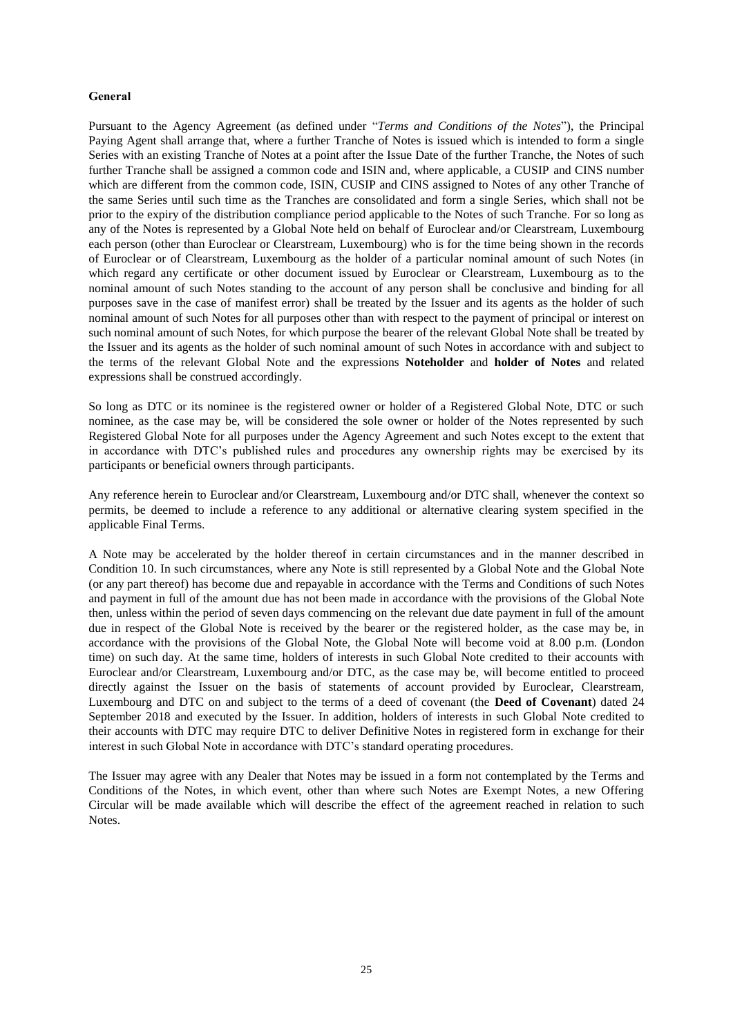#### **General**

Pursuant to the Agency Agreement (as defined under "*Terms and Conditions of the Notes*"), the Principal Paying Agent shall arrange that, where a further Tranche of Notes is issued which is intended to form a single Series with an existing Tranche of Notes at a point after the Issue Date of the further Tranche, the Notes of such further Tranche shall be assigned a common code and ISIN and, where applicable, a CUSIP and CINS number which are different from the common code, ISIN, CUSIP and CINS assigned to Notes of any other Tranche of the same Series until such time as the Tranches are consolidated and form a single Series, which shall not be prior to the expiry of the distribution compliance period applicable to the Notes of such Tranche. For so long as any of the Notes is represented by a Global Note held on behalf of Euroclear and/or Clearstream, Luxembourg each person (other than Euroclear or Clearstream, Luxembourg) who is for the time being shown in the records of Euroclear or of Clearstream, Luxembourg as the holder of a particular nominal amount of such Notes (in which regard any certificate or other document issued by Euroclear or Clearstream, Luxembourg as to the nominal amount of such Notes standing to the account of any person shall be conclusive and binding for all purposes save in the case of manifest error) shall be treated by the Issuer and its agents as the holder of such nominal amount of such Notes for all purposes other than with respect to the payment of principal or interest on such nominal amount of such Notes, for which purpose the bearer of the relevant Global Note shall be treated by the Issuer and its agents as the holder of such nominal amount of such Notes in accordance with and subject to the terms of the relevant Global Note and the expressions **Noteholder** and **holder of Notes** and related expressions shall be construed accordingly.

So long as DTC or its nominee is the registered owner or holder of a Registered Global Note, DTC or such nominee, as the case may be, will be considered the sole owner or holder of the Notes represented by such Registered Global Note for all purposes under the Agency Agreement and such Notes except to the extent that in accordance with DTC's published rules and procedures any ownership rights may be exercised by its participants or beneficial owners through participants.

Any reference herein to Euroclear and/or Clearstream, Luxembourg and/or DTC shall, whenever the context so permits, be deemed to include a reference to any additional or alternative clearing system specified in the applicable Final Terms.

A Note may be accelerated by the holder thereof in certain circumstances and in the manner described in Condition [10.](#page-66-0) In such circumstances, where any Note is still represented by a Global Note and the Global Note (or any part thereof) has become due and repayable in accordance with the Terms and Conditions of such Notes and payment in full of the amount due has not been made in accordance with the provisions of the Global Note then, unless within the period of seven days commencing on the relevant due date payment in full of the amount due in respect of the Global Note is received by the bearer or the registered holder, as the case may be, in accordance with the provisions of the Global Note, the Global Note will become void at 8.00 p.m. (London time) on such day. At the same time, holders of interests in such Global Note credited to their accounts with Euroclear and/or Clearstream, Luxembourg and/or DTC, as the case may be, will become entitled to proceed directly against the Issuer on the basis of statements of account provided by Euroclear, Clearstream, Luxembourg and DTC on and subject to the terms of a deed of covenant (the **Deed of Covenant**) dated 24 September 2018 and executed by the Issuer. In addition, holders of interests in such Global Note credited to their accounts with DTC may require DTC to deliver Definitive Notes in registered form in exchange for their interest in such Global Note in accordance with DTC's standard operating procedures.

The Issuer may agree with any Dealer that Notes may be issued in a form not contemplated by the Terms and Conditions of the Notes, in which event, other than where such Notes are Exempt Notes, a new Offering Circular will be made available which will describe the effect of the agreement reached in relation to such Notes.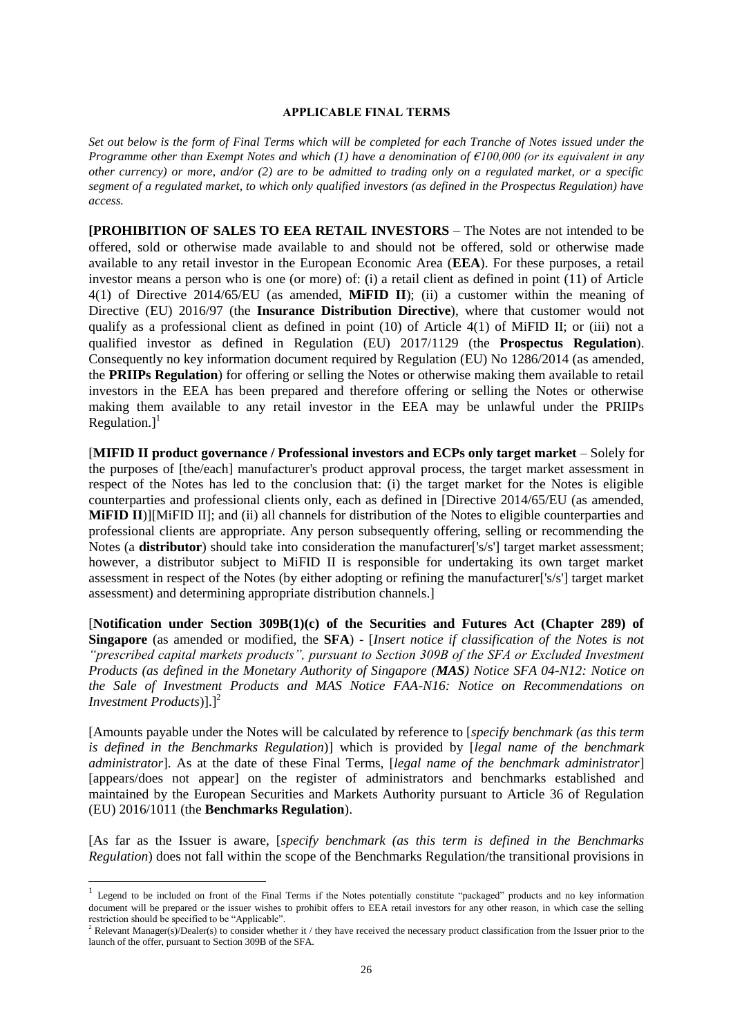#### **APPLICABLE FINAL TERMS**

*Set out below is the form of Final Terms which will be completed for each Tranche of Notes issued under the Programme other than Exempt Notes and which (1) have a denomination of €100,000 (or its equivalent in any other currency) or more, and/or (2) are to be admitted to trading only on a regulated market, or a specific segment of a regulated market, to which only qualified investors (as defined in the Prospectus Regulation) have access.*

**[PROHIBITION OF SALES TO EEA RETAIL INVESTORS** – The Notes are not intended to be offered, sold or otherwise made available to and should not be offered, sold or otherwise made available to any retail investor in the European Economic Area (**EEA**). For these purposes, a retail investor means a person who is one (or more) of: (i) a retail client as defined in point (11) of Article 4(1) of Directive 2014/65/EU (as amended, **MiFID II**); (ii) a customer within the meaning of Directive (EU) 2016/97 (the **Insurance Distribution Directive**), where that customer would not qualify as a professional client as defined in point (10) of Article 4(1) of MiFID II; or (iii) not a qualified investor as defined in Regulation (EU) 2017/1129 (the **Prospectus Regulation**). Consequently no key information document required by Regulation (EU) No 1286/2014 (as amended, the **PRIIPs Regulation**) for offering or selling the Notes or otherwise making them available to retail investors in the EEA has been prepared and therefore offering or selling the Notes or otherwise making them available to any retail investor in the EEA may be unlawful under the PRIIPs Regulation.] $<sup>1</sup>$ </sup>

**[MIFID II product governance / Professional investors and ECPs only target market – Solely for** the purposes of [the/each] manufacturer's product approval process, the target market assessment in respect of the Notes has led to the conclusion that: (i) the target market for the Notes is eligible counterparties and professional clients only, each as defined in [Directive 2014/65/EU (as amended, **MiFID II**)][MiFID II]; and (ii) all channels for distribution of the Notes to eligible counterparties and professional clients are appropriate. Any person subsequently offering, selling or recommending the Notes (a **distributor**) should take into consideration the manufacturer['s/s'] target market assessment; however, a distributor subject to MiFID II is responsible for undertaking its own target market assessment in respect of the Notes (by either adopting or refining the manufacturer['s/s'] target market assessment) and determining appropriate distribution channels.]

[**Notification under Section 309B(1)(c) of the Securities and Futures Act (Chapter 289) of Singapore** (as amended or modified, the **SFA**) - [*Insert notice if classification of the Notes is not "prescribed capital markets products", pursuant to Section 309B of the SFA or Excluded Investment Products (as defined in the Monetary Authority of Singapore (MAS) Notice SFA 04-N12: Notice on the Sale of Investment Products and MAS Notice FAA-N16: Notice on Recommendations on Investment Products*)].<sup>[2</sup>

[Amounts payable under the Notes will be calculated by reference to [*specify benchmark (as this term is defined in the Benchmarks Regulation*)] which is provided by [*legal name of the benchmark administrator*]. As at the date of these Final Terms, [*legal name of the benchmark administrator*] [appears/does not appear] on the register of administrators and benchmarks established and maintained by the European Securities and Markets Authority pursuant to Article 36 of Regulation (EU) 2016/1011 (the **Benchmarks Regulation**).

[As far as the Issuer is aware, [*specify benchmark (as this term is defined in the Benchmarks Regulation*) does not fall within the scope of the Benchmarks Regulation/the transitional provisions in

1

<sup>&</sup>lt;sup>1</sup> Legend to be included on front of the Final Terms if the Notes potentially constitute "packaged" products and no key information document will be prepared or the issuer wishes to prohibit offers to EEA retail investors for any other reason, in which case the selling restriction should be specified to be "Applicable".

 $<sup>2</sup>$  Relevant Manager(s)/Dealer(s) to consider whether it / they have received the necessary product classification from the Issuer prior to the</sup> launch of the offer, pursuant to Section 309B of the SFA.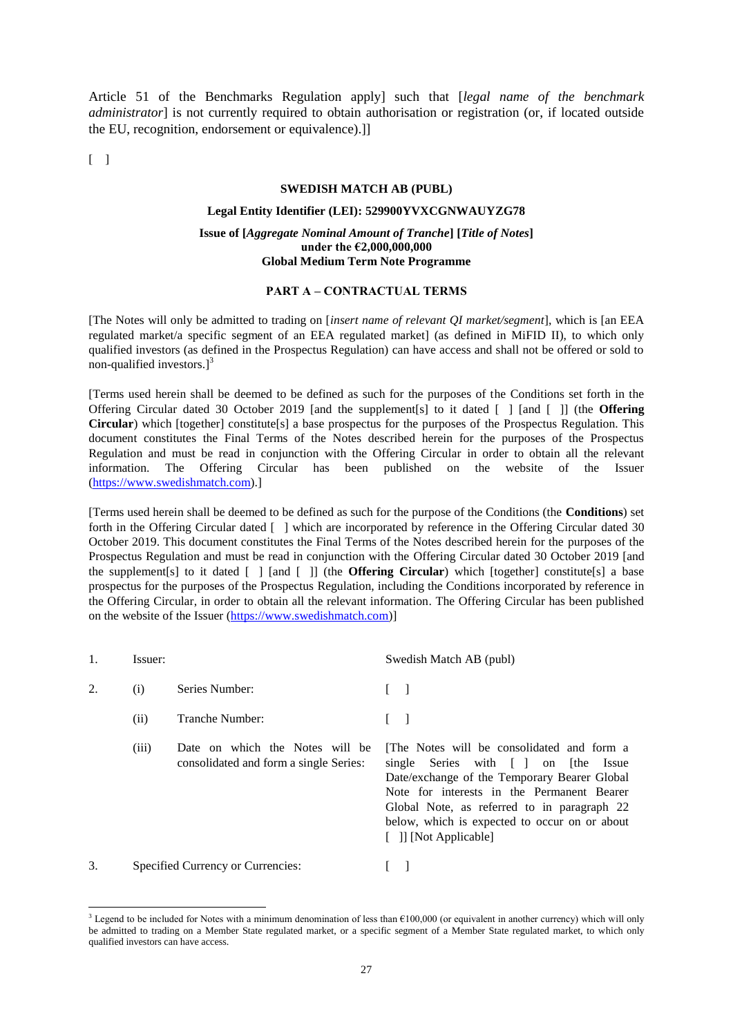Article 51 of the Benchmarks Regulation apply] such that [*legal name of the benchmark administrator*] is not currently required to obtain authorisation or registration (or, if located outside the EU, recognition, endorsement or equivalence).]]

 $\lceil$   $\rceil$ 

-

#### **SWEDISH MATCH AB (PUBL)**

#### **Legal Entity Identifier (LEI): 529900YVXCGNWAUYZG78**

### **Issue of [***Aggregate Nominal Amount of Tranche***] [***Title of Notes***] under the €2,000,000,000 Global Medium Term Note Programme**

### **PART A – CONTRACTUAL TERMS**

[The Notes will only be admitted to trading on [*insert name of relevant QI market/segment*], which is [an EEA regulated market/a specific segment of an EEA regulated market] (as defined in MiFID II), to which only qualified investors (as defined in the Prospectus Regulation) can have access and shall not be offered or sold to non-qualified investors.] $3$ 

[Terms used herein shall be deemed to be defined as such for the purposes of the Conditions set forth in the Offering Circular dated 30 October 2019 [and the supplement[s] to it dated [ ] [and [ ]] (the **Offering Circular**) which [together] constitute[s] a base prospectus for the purposes of the Prospectus Regulation. This document constitutes the Final Terms of the Notes described herein for the purposes of the Prospectus Regulation and must be read in conjunction with the Offering Circular in order to obtain all the relevant information. The Offering Circular has been published on the website of the Issuer [\(https://www.swedishmatch.com\)](https://www.swedishmatch.com/).]

[Terms used herein shall be deemed to be defined as such for the purpose of the Conditions (the **Conditions**) set forth in the Offering Circular dated [ ] which are incorporated by reference in the Offering Circular dated 30 October 2019. This document constitutes the Final Terms of the Notes described herein for the purposes of the Prospectus Regulation and must be read in conjunction with the Offering Circular dated 30 October 2019 [and the supplement[s] to it dated [ ] [and [ ]] (the **Offering Circular**) which [together] constitute[s] a base prospectus for the purposes of the Prospectus Regulation, including the Conditions incorporated by reference in the Offering Circular, in order to obtain all the relevant information. The Offering Circular has been published on the website of the Issuer [\(https://www.swedishmatch.com\)](https://www.swedishmatch.com/)]

|    | Issuer: |                                                                           | Swedish Match AB (publ)                                                                                                                                                                                                                                                                                  |
|----|---------|---------------------------------------------------------------------------|----------------------------------------------------------------------------------------------------------------------------------------------------------------------------------------------------------------------------------------------------------------------------------------------------------|
| 2. | (i)     | Series Number:                                                            | $\blacksquare$                                                                                                                                                                                                                                                                                           |
|    | (ii)    | Tranche Number:                                                           |                                                                                                                                                                                                                                                                                                          |
|    | (iii)   | Date on which the Notes will be<br>consolidated and form a single Series: | The Notes will be consolidated and form a<br>single Series with [ ] on [the Issue<br>Date/exchange of the Temporary Bearer Global<br>Note for interests in the Permanent Bearer<br>Global Note, as referred to in paragraph 22<br>below, which is expected to occur on or about<br>[ ]] [Not Applicable] |
| 3. |         | Specified Currency or Currencies:                                         |                                                                                                                                                                                                                                                                                                          |

<sup>&</sup>lt;sup>3</sup> Legend to be included for Notes with a minimum denomination of less than  $€100,000$  (or equivalent in another currency) which will only be admitted to trading on a Member State regulated market, or a specific segment of a Member State regulated market, to which only qualified investors can have access.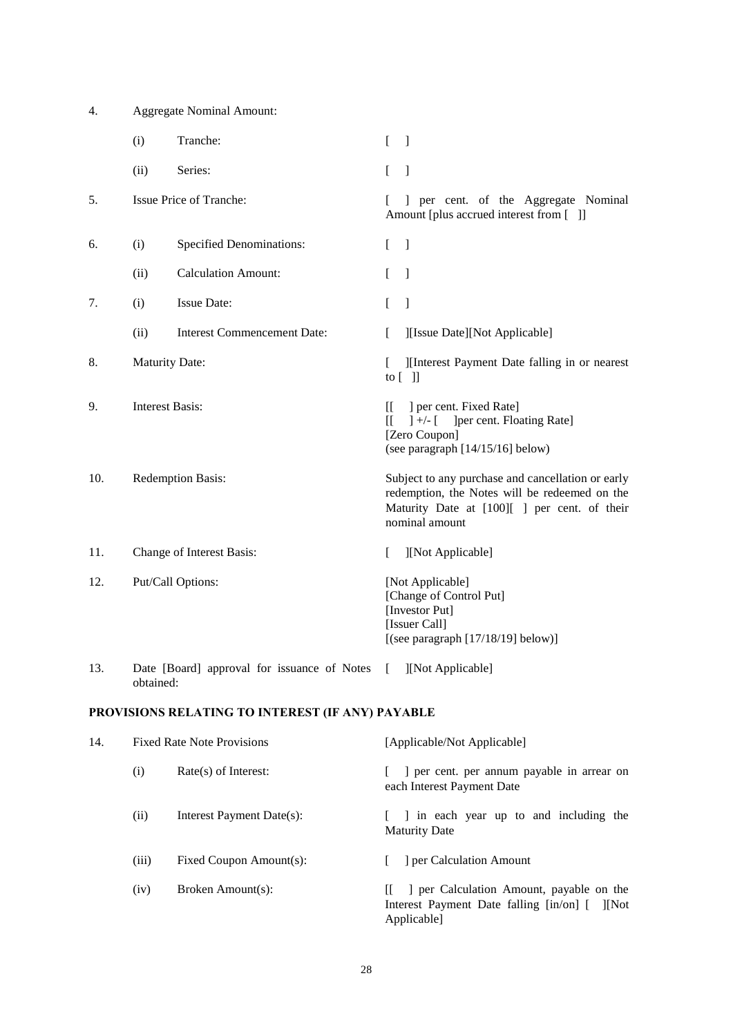| 4.  | <b>Aggregate Nominal Amount:</b> |                                                  |                |                                                                                                                                                                      |
|-----|----------------------------------|--------------------------------------------------|----------------|----------------------------------------------------------------------------------------------------------------------------------------------------------------------|
|     | (i)                              | Tranche:                                         | L              | $\overline{\phantom{a}}$                                                                                                                                             |
|     | (ii)                             | Series:                                          | $\mathbf{r}$   | $\lceil$                                                                                                                                                             |
| 5.  |                                  | Issue Price of Tranche:                          |                | ] per cent. of the Aggregate Nominal<br>Amount [plus accrued interest from []]                                                                                       |
| 6.  | (i)                              | <b>Specified Denominations:</b>                  | $\mathbf{r}$   | $\overline{\phantom{a}}$                                                                                                                                             |
|     | (ii)                             | <b>Calculation Amount:</b>                       | L              | $\mathbf{I}$                                                                                                                                                         |
| 7.  | (i)                              | <b>Issue Date:</b>                               | L              | $\mathbf{I}$                                                                                                                                                         |
|     | (ii)                             | <b>Interest Commencement Date:</b>               | L              | ][Issue Date][Not Applicable]                                                                                                                                        |
| 8.  | <b>Maturity Date:</b>            |                                                  | L              | ][Interest Payment Date falling in or nearest<br>to $\lceil$ $\rceil$                                                                                                |
| 9.  | <b>Interest Basis:</b>           |                                                  | II.<br>$\prod$ | ] per cent. Fixed Rate]<br>$]+/-$ [<br>] per cent. Floating Rate]<br>[Zero Coupon]<br>(see paragraph [14/15/16] below)                                               |
| 10. | Redemption Basis:                |                                                  |                | Subject to any purchase and cancellation or early<br>redemption, the Notes will be redeemed on the<br>Maturity Date at [100][ ] per cent. of their<br>nominal amount |
| 11. |                                  | Change of Interest Basis:                        | L              | ][Not Applicable]                                                                                                                                                    |
| 12. |                                  | Put/Call Options:                                |                | [Not Applicable]<br>[Change of Control Put]<br>[Investor Put]<br>[Issuer Call]<br>[(see paragraph $[17/18/19]$ below)]                                               |
| 13. | obtained:                        | Date [Board] approval for issuance of Notes      | f.             | ][Not Applicable]                                                                                                                                                    |
|     |                                  | PROVISIONS RELATING TO INTEREST (IF ANY) PAYABLE |                |                                                                                                                                                                      |

<span id="page-27-0"></span>

| 14. | <b>Fixed Rate Note Provisions</b> |                           | [Applicable/Not Applicable]                                                                            |  |  |
|-----|-----------------------------------|---------------------------|--------------------------------------------------------------------------------------------------------|--|--|
|     | (i)                               | $Rate(s)$ of Interest:    | er cent. per annum payable in arrear on<br>each Interest Payment Date                                  |  |  |
|     | (ii)                              | Interest Payment Date(s): | I in each year up to and including the<br><b>Maturity Date</b>                                         |  |  |
|     | (iii)                             | Fixed Coupon Amount(s):   | per Calculation Amount                                                                                 |  |  |
|     | (iv)                              | Broken Amount(s):         | The Calculation Amount, payable on the<br>Interest Payment Date falling [in/on] [ ][Not<br>Applicable] |  |  |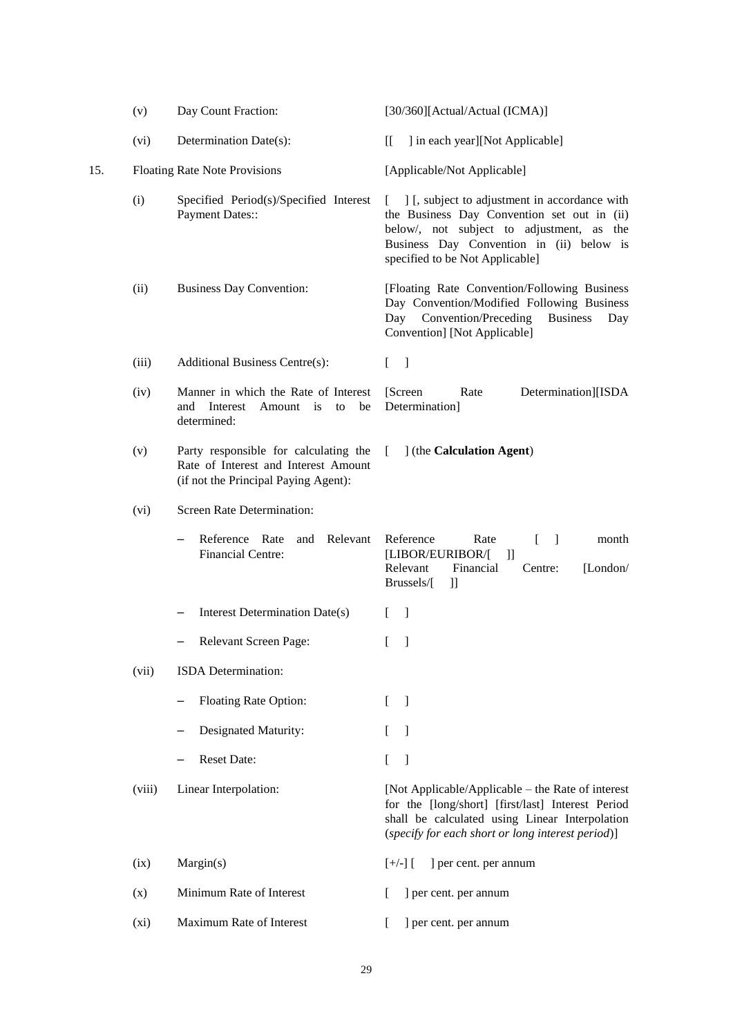<span id="page-28-1"></span><span id="page-28-0"></span>

|     | (v)    | Day Count Fraction:                                                                                                   | [30/360][Actual/Actual (ICMA)]                                                                                                                                                                                                           |
|-----|--------|-----------------------------------------------------------------------------------------------------------------------|------------------------------------------------------------------------------------------------------------------------------------------------------------------------------------------------------------------------------------------|
|     | (vi)   | Determination Date(s):                                                                                                | ] in each year][Not Applicable]<br>IL.                                                                                                                                                                                                   |
| 15. |        | <b>Floating Rate Note Provisions</b>                                                                                  | [Applicable/Not Applicable]                                                                                                                                                                                                              |
|     | (i)    | Specified Period(s)/Specified Interest<br><b>Payment Dates::</b>                                                      | ] [, subject to adjustment in accordance with<br>$\mathbf{L}$<br>the Business Day Convention set out in (ii)<br>below/, not subject to adjustment, as the<br>Business Day Convention in (ii) below is<br>specified to be Not Applicable] |
|     | (ii)   | <b>Business Day Convention:</b>                                                                                       | [Floating Rate Convention/Following Business<br>Day Convention/Modified Following Business<br>Convention/Preceding<br><b>Business</b><br>Day<br>Day<br>Convention] [Not Applicable]                                                      |
|     | (iii)  | <b>Additional Business Centre(s):</b>                                                                                 | $\Box$<br>L                                                                                                                                                                                                                              |
|     | (iv)   | Manner in which the Rate of Interest<br>Interest<br>Amount<br>be<br>and<br>is<br>to<br>determined:                    | [Screen]<br>Rate<br>Determination][ISDA<br>Determination]                                                                                                                                                                                |
|     | (v)    | Party responsible for calculating the<br>Rate of Interest and Interest Amount<br>(if not the Principal Paying Agent): | ] (the Calculation Agent)<br>$\Box$                                                                                                                                                                                                      |
|     | (vi)   | Screen Rate Determination:                                                                                            |                                                                                                                                                                                                                                          |
|     |        | Relevant<br>Reference Rate<br>and<br><b>Financial Centre:</b>                                                         | Reference<br>Rate<br>- 1<br>month<br>[LIBOR/EURIBOR/[<br>$\mathbb{I}$<br>Relevant<br>Financial<br>[London/<br>Centre:<br>Brussels/[<br>П                                                                                                 |
|     |        | Interest Determination Date(s)                                                                                        | -1<br>L                                                                                                                                                                                                                                  |
|     |        | Relevant Screen Page:                                                                                                 | -1                                                                                                                                                                                                                                       |
|     | (vii)  | ISDA Determination:                                                                                                   |                                                                                                                                                                                                                                          |
|     |        | Floating Rate Option:                                                                                                 | $\left[ \right]$<br>$\lceil$                                                                                                                                                                                                             |
|     |        | Designated Maturity:                                                                                                  | $\left[ \right]$<br>$\mathbf{I}$                                                                                                                                                                                                         |
|     |        | Reset Date:                                                                                                           | $\mathbf{r}$<br>$\mathbf{I}$                                                                                                                                                                                                             |
|     | (viii) | Linear Interpolation:                                                                                                 | [Not Applicable/Applicable – the Rate of interest<br>for the [long/short] [first/last] Interest Period<br>shall be calculated using Linear Interpolation<br>(specify for each short or long interest period)]                            |
|     | (ix)   | Margin(s)                                                                                                             | $[+/$ ] $[$<br>] per cent. per annum                                                                                                                                                                                                     |
|     | (x)    | Minimum Rate of Interest                                                                                              | ] per cent. per annum<br>L                                                                                                                                                                                                               |
|     | (xi)   | Maximum Rate of Interest                                                                                              | ] per cent. per annum                                                                                                                                                                                                                    |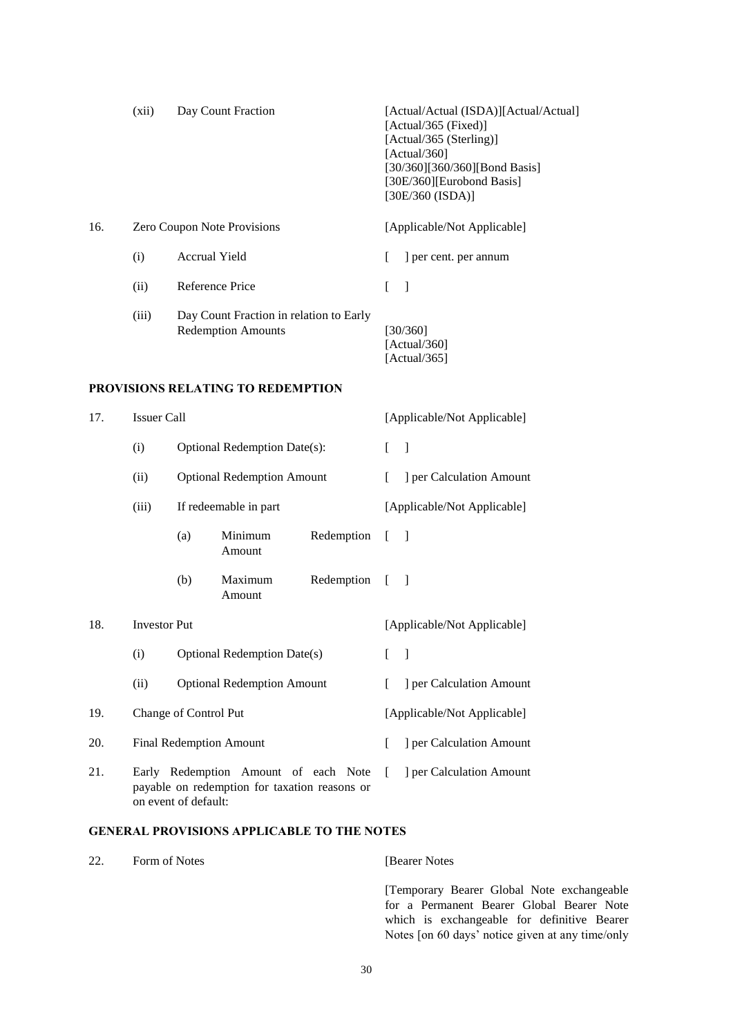<span id="page-29-2"></span><span id="page-29-1"></span>

|     | (xii)                                                                                                         |                      | Day Count Fraction                                                   |                          |                             | [Actual/Actual (ISDA)][Actual/Actual]<br>[Actual/365 (Fixed)]<br>[Actual/365 (Sterling)]<br>[Actual/360]<br>[30/360][360/360][Bond Basis]<br>[30E/360][Eurobond Basis]<br>[30E/360 (ISDA)] |
|-----|---------------------------------------------------------------------------------------------------------------|----------------------|----------------------------------------------------------------------|--------------------------|-----------------------------|--------------------------------------------------------------------------------------------------------------------------------------------------------------------------------------------|
| 16. |                                                                                                               |                      | Zero Coupon Note Provisions                                          |                          |                             | [Applicable/Not Applicable]                                                                                                                                                                |
|     | (i)                                                                                                           | <b>Accrual Yield</b> |                                                                      |                          | L                           | ] per cent. per annum                                                                                                                                                                      |
|     | (ii)                                                                                                          | Reference Price      |                                                                      |                          | L                           | $\mathbf{I}$                                                                                                                                                                               |
|     | (iii)                                                                                                         |                      | Day Count Fraction in relation to Early<br><b>Redemption Amounts</b> |                          |                             | [30/360]<br>[Actual/360]<br>[Actual/365]                                                                                                                                                   |
|     |                                                                                                               |                      | <b>PROVISIONS RELATING TO REDEMPTION</b>                             |                          |                             |                                                                                                                                                                                            |
| 17. | <b>Issuer Call</b>                                                                                            |                      |                                                                      |                          |                             | [Applicable/Not Applicable]                                                                                                                                                                |
|     | (i)                                                                                                           |                      | <b>Optional Redemption Date(s):</b>                                  |                          | L                           | $\mathbf{1}$                                                                                                                                                                               |
|     | (ii)                                                                                                          |                      | <b>Optional Redemption Amount</b>                                    |                          | L                           | ] per Calculation Amount                                                                                                                                                                   |
|     | (iii)                                                                                                         |                      | If redeemable in part                                                |                          |                             | [Applicable/Not Applicable]                                                                                                                                                                |
|     |                                                                                                               | (a)                  | Minimum<br>Amount                                                    | Redemption               | ſ                           | - 1                                                                                                                                                                                        |
|     |                                                                                                               | (b)                  | Maximum<br>Amount                                                    | Redemption               | $\lceil$                    | - 1                                                                                                                                                                                        |
| 18. | <b>Investor Put</b>                                                                                           |                      |                                                                      |                          |                             | [Applicable/Not Applicable]                                                                                                                                                                |
|     | (i)                                                                                                           |                      | <b>Optional Redemption Date(s)</b>                                   |                          |                             |                                                                                                                                                                                            |
|     | (ii)                                                                                                          |                      | <b>Optional Redemption Amount</b>                                    |                          | L                           | ] per Calculation Amount                                                                                                                                                                   |
| 19. | Change of Control Put                                                                                         |                      |                                                                      |                          | [Applicable/Not Applicable] |                                                                                                                                                                                            |
| 20. | <b>Final Redemption Amount</b>                                                                                |                      | L                                                                    | ] per Calculation Amount |                             |                                                                                                                                                                                            |
| 21. | Early Redemption Amount of each Note<br>payable on redemption for taxation reasons or<br>on event of default: |                      | L                                                                    | ] per Calculation Amount |                             |                                                                                                                                                                                            |

# <span id="page-29-4"></span><span id="page-29-3"></span>**GENERAL PROVISIONS APPLICABLE TO THE NOTES**

<span id="page-29-0"></span>

| 22. | Form of Notes | <b>Bearer Notes</b>                                             |
|-----|---------------|-----------------------------------------------------------------|
|     |               | [Temporary Bearer Global Note]<br>for a Permanent Bearer Global |

exchangeable Bearer Note

which is exchangeable for definitive Bearer Notes [on 60 days' notice given at any time/only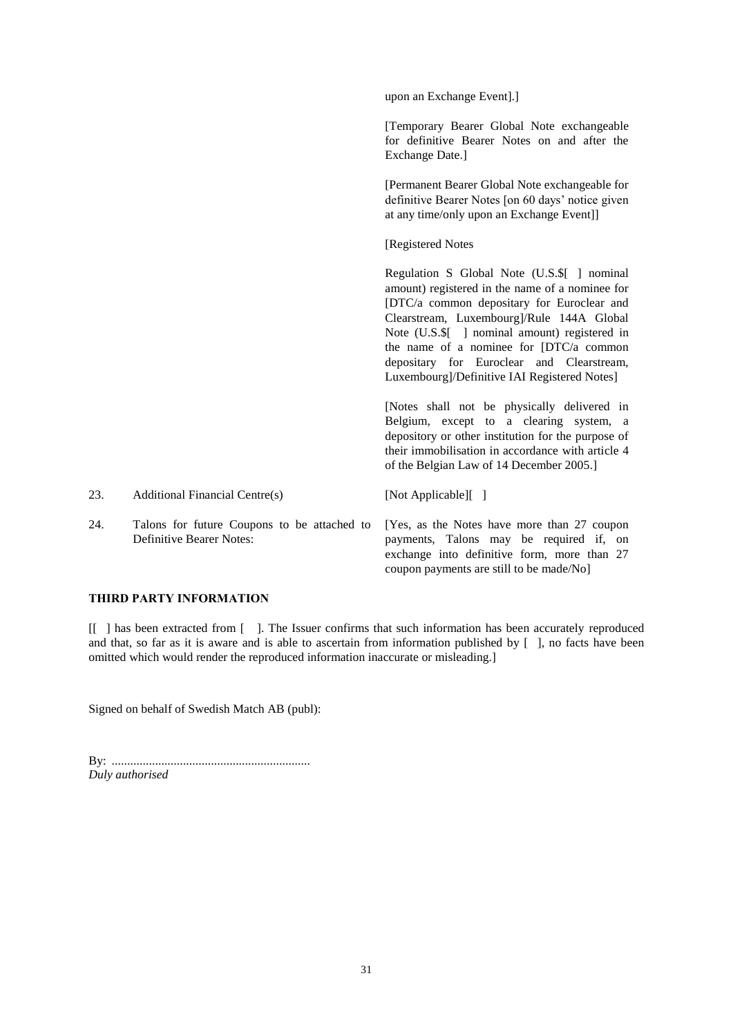|     |                                                                                | upon an Exchange Event].]                                                                                                                                                                                                                                                                                                                                                          |
|-----|--------------------------------------------------------------------------------|------------------------------------------------------------------------------------------------------------------------------------------------------------------------------------------------------------------------------------------------------------------------------------------------------------------------------------------------------------------------------------|
|     |                                                                                | [Temporary Bearer Global Note exchangeable<br>for definitive Bearer Notes on and after the<br>Exchange Date.]                                                                                                                                                                                                                                                                      |
|     |                                                                                | [Permanent Bearer Global Note exchangeable for<br>definitive Bearer Notes [on 60 days' notice given<br>at any time/only upon an Exchange Event]]                                                                                                                                                                                                                                   |
|     |                                                                                | [Registered Notes                                                                                                                                                                                                                                                                                                                                                                  |
|     |                                                                                | Regulation S Global Note (U.S.\$[ ] nominal<br>amount) registered in the name of a nominee for<br>[DTC/a common depositary for Euroclear and<br>Clearstream, Luxembourg]/Rule 144A Global<br>Note (U.S.\$[ ] nominal amount) registered in<br>the name of a nominee for [DTC/a common<br>depositary for Euroclear and Clearstream,<br>Luxembourg]/Definitive IAI Registered Notes] |
|     |                                                                                | [Notes shall not be physically delivered in<br>Belgium, except to a clearing system, a<br>depository or other institution for the purpose of<br>their immobilisation in accordance with article 4<br>of the Belgian Law of 14 December 2005.]                                                                                                                                      |
| 23. | <b>Additional Financial Centre(s)</b>                                          | [Not Applicable][]                                                                                                                                                                                                                                                                                                                                                                 |
| 24. | Talons for future Coupons to be attached to<br><b>Definitive Bearer Notes:</b> | [Yes, as the Notes have more than 27 coupon<br>payments, Talons may be required if, on<br>exchange into definitive form, more than 27<br>coupon payments are still to be made/No]                                                                                                                                                                                                  |

## **THIRD PARTY INFORMATION**

[[ ] has been extracted from [ ]. The Issuer confirms that such information has been accurately reproduced and that, so far as it is aware and is able to ascertain from information published by [ ], no facts have been omitted which would render the reproduced information inaccurate or misleading.]

Signed on behalf of Swedish Match AB (publ):

By: ................................................................ *Duly authorised*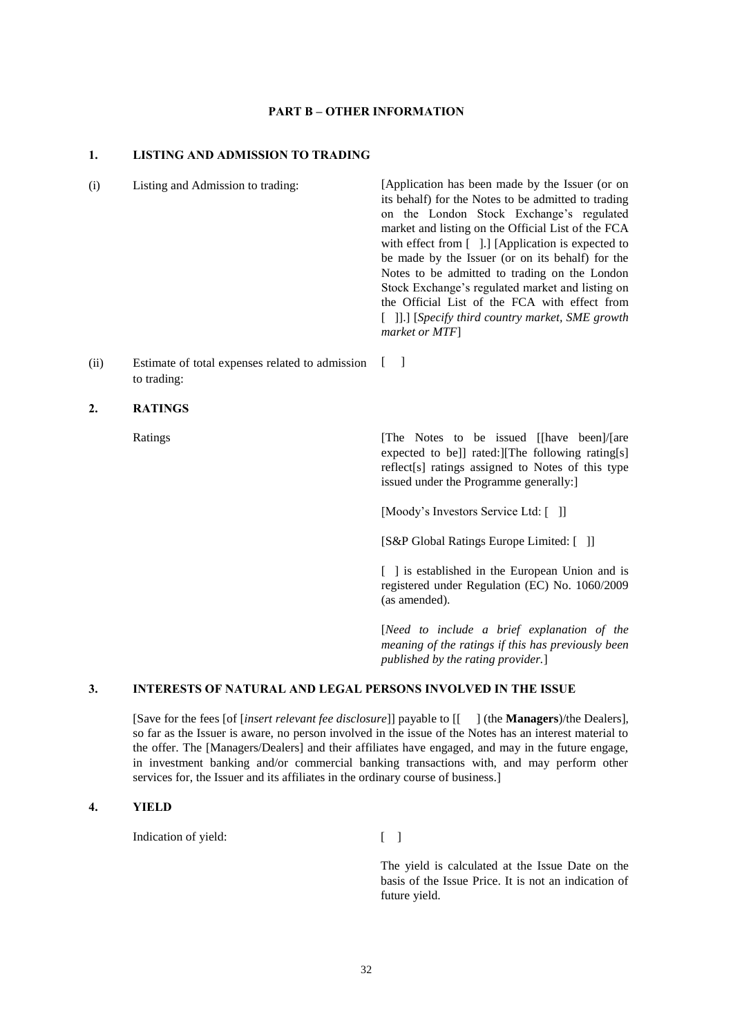### **PART B – OTHER INFORMATION**

### **1. LISTING AND ADMISSION TO TRADING**

(i) Listing and Admission to trading: [Application has been made by the Issuer (or on its behalf) for the Notes to be admitted to trading on the London Stock Exchange's regulated market and listing on the Official List of the FCA with effect from [ ].] [Application is expected to be made by the Issuer (or on its behalf) for the Notes to be admitted to trading on the London Stock Exchange's regulated market and listing on the Official List of the FCA with effect from [ ]].] [*Specify third country market, SME growth market or MTF*]

(ii) Estimate of total expenses related to admission to trading:  $\lceil$   $\rceil$ 

### **2. RATINGS**

Ratings [The Notes to be issued [[have been]/[are expected to be]] rated:][The following rating[s] reflect[s] ratings assigned to Notes of this type issued under the Programme generally:]

[Moody's Investors Service Ltd: [ ]]

[S&P Global Ratings Europe Limited: [ ]]

[ ] is established in the European Union and is registered under Regulation (EC) No. 1060/2009 (as amended).

[*Need to include a brief explanation of the meaning of the ratings if this has previously been published by the rating provider.*]

### **3. INTERESTS OF NATURAL AND LEGAL PERSONS INVOLVED IN THE ISSUE**

[Save for the fees [of [*insert relevant fee disclosure*]] payable to [[ ] (the **Managers**)/the Dealers], so far as the Issuer is aware, no person involved in the issue of the Notes has an interest material to the offer. The [Managers/Dealers] and their affiliates have engaged, and may in the future engage, in investment banking and/or commercial banking transactions with, and may perform other services for, the Issuer and its affiliates in the ordinary course of business.]

### **4. YIELD**

Indication of yield: [ ]

The yield is calculated at the Issue Date on the basis of the Issue Price. It is not an indication of future yield.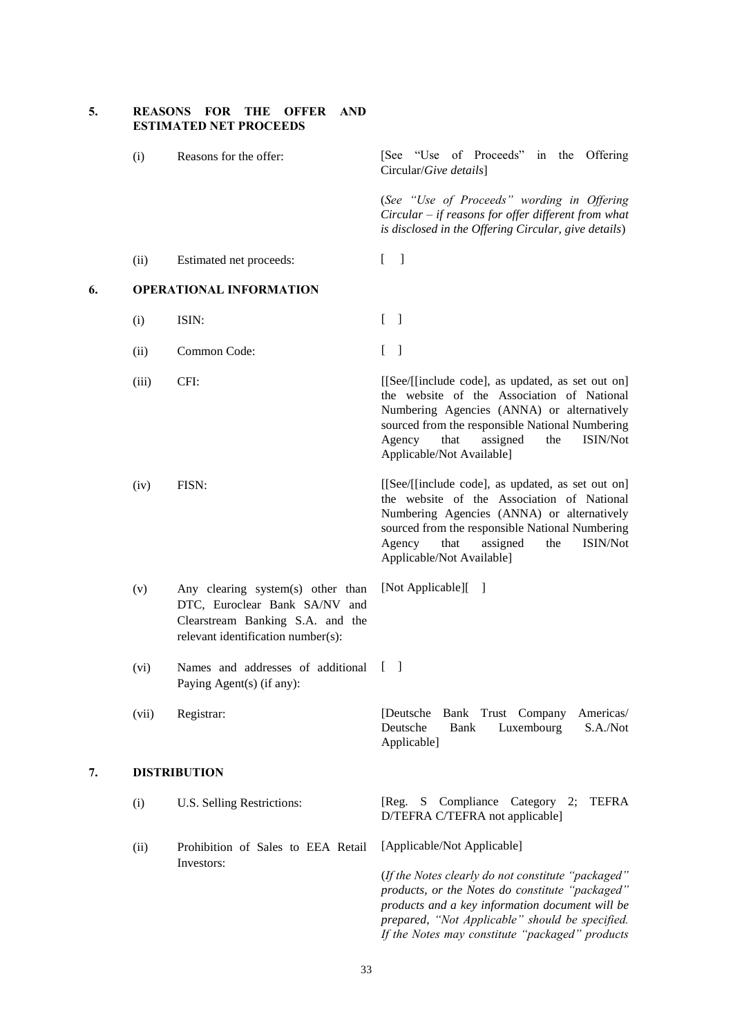|    | <b>ESTIMATED NET PROCEEDS</b> |                                                                                                                                              |                                                                                                                                                                                                                                                                                       |  |
|----|-------------------------------|----------------------------------------------------------------------------------------------------------------------------------------------|---------------------------------------------------------------------------------------------------------------------------------------------------------------------------------------------------------------------------------------------------------------------------------------|--|
|    | (i)                           | Reasons for the offer:                                                                                                                       | [See "Use of Proceeds" in the Offering<br>Circular/Give details]                                                                                                                                                                                                                      |  |
|    |                               |                                                                                                                                              | (See "Use of Proceeds" wording in Offering<br>Circular – if reasons for offer different from what<br>is disclosed in the Offering Circular, give details)                                                                                                                             |  |
|    | (ii)                          | Estimated net proceeds:                                                                                                                      | - 1<br>L                                                                                                                                                                                                                                                                              |  |
| 6. |                               | <b>OPERATIONAL INFORMATION</b>                                                                                                               |                                                                                                                                                                                                                                                                                       |  |
|    | (i)                           | ISIN:                                                                                                                                        | $\begin{bmatrix} 1 \end{bmatrix}$                                                                                                                                                                                                                                                     |  |
|    | (ii)                          | Common Code:                                                                                                                                 | $\begin{bmatrix} 1 \end{bmatrix}$                                                                                                                                                                                                                                                     |  |
|    | (iii)                         | CFI:                                                                                                                                         | [[See/[[include code], as updated, as set out on]<br>the website of the Association of National<br>Numbering Agencies (ANNA) or alternatively<br>sourced from the responsible National Numbering<br>Agency<br>that<br>ISIN/Not<br>assigned<br>the<br>Applicable/Not Available]        |  |
|    | (iv)                          | FISN:                                                                                                                                        | [[See/[[include code], as updated, as set out on]<br>the website of the Association of National<br>Numbering Agencies (ANNA) or alternatively<br>sourced from the responsible National Numbering<br>Agency<br>that<br><b>ISIN/Not</b><br>assigned<br>the<br>Applicable/Not Available] |  |
|    | (v)                           | Any clearing system(s) other than<br>DTC, Euroclear Bank SA/NV and<br>Clearstream Banking S.A. and the<br>relevant identification number(s): | [Not Applicable][<br>- 1                                                                                                                                                                                                                                                              |  |
|    | (vi)                          | Names and addresses of additional<br>Paying Agent(s) (if any):                                                                               |                                                                                                                                                                                                                                                                                       |  |
|    | (vii)                         | Registrar:                                                                                                                                   | Bank Trust Company<br>Americas/<br>[Deutsche]<br>Deutsche<br>Luxembourg<br>S.A./Not<br><b>Bank</b><br>Applicable]                                                                                                                                                                     |  |
| 7. | <b>DISTRIBUTION</b>           |                                                                                                                                              |                                                                                                                                                                                                                                                                                       |  |
|    | (i)                           | U.S. Selling Restrictions:                                                                                                                   | S Compliance Category 2;<br>TEFRA<br> Reg.<br>D/TEFRA C/TEFRA not applicable]                                                                                                                                                                                                         |  |
|    | (ii)                          | Prohibition of Sales to EEA Retail                                                                                                           | [Applicable/Not Applicable]                                                                                                                                                                                                                                                           |  |
|    |                               | Investors:                                                                                                                                   | (If the Notes clearly do not constitute "packaged"<br>products, or the Notes do constitute "packaged"<br>products and a key information document will be<br>prepared, "Not Applicable" should be specified.                                                                           |  |

**5. REASONS FOR THE OFFER AND** 

*If the Notes may constitute "packaged" products*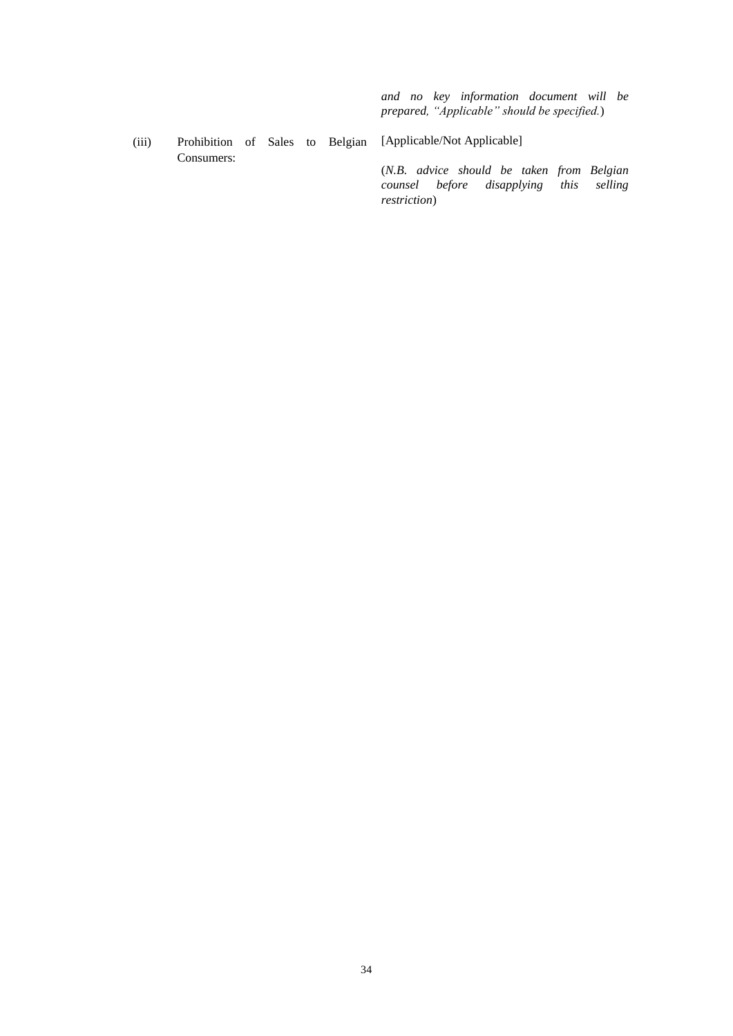*and no key information document will be prepared, "Applicable" should be specified.*)

(iii) Prohibition of Sales to Belgian [Applicable/Not Applicable] Consumers:

(*N.B. advice should be taken from Belgian counsel before disapplying this restriction*)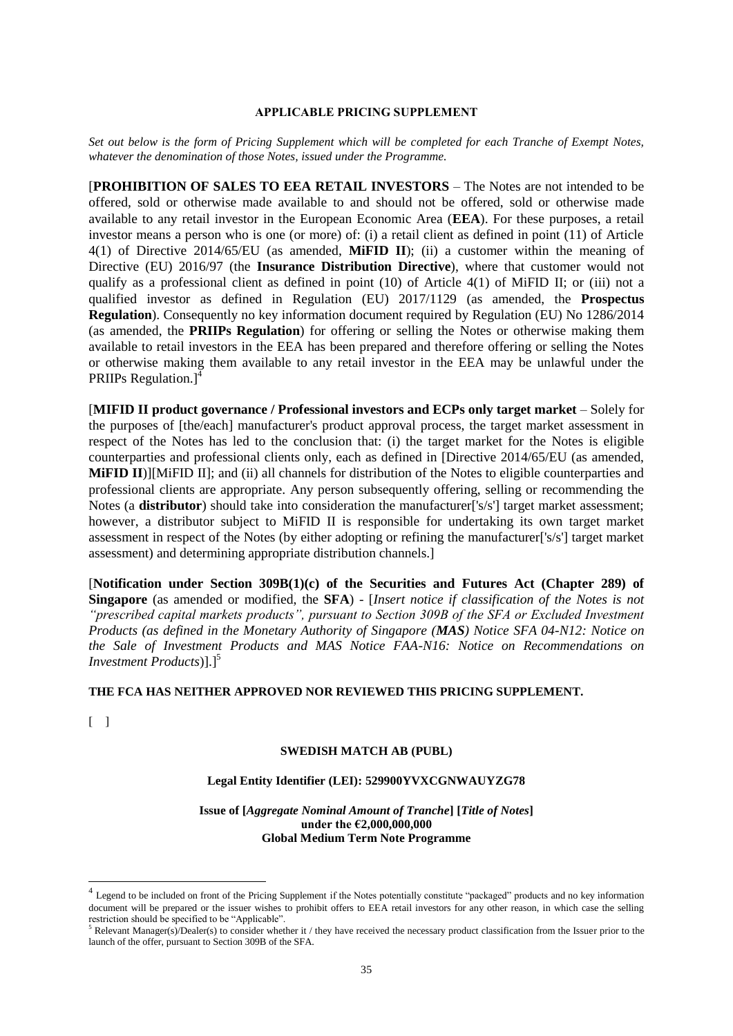#### **APPLICABLE PRICING SUPPLEMENT**

*Set out below is the form of Pricing Supplement which will be completed for each Tranche of Exempt Notes, whatever the denomination of those Notes, issued under the Programme.*

[**PROHIBITION OF SALES TO EEA RETAIL INVESTORS** – The Notes are not intended to be offered, sold or otherwise made available to and should not be offered, sold or otherwise made available to any retail investor in the European Economic Area (**EEA**). For these purposes, a retail investor means a person who is one (or more) of: (i) a retail client as defined in point (11) of Article 4(1) of Directive 2014/65/EU (as amended, **MiFID II**); (ii) a customer within the meaning of Directive (EU) 2016/97 (the **Insurance Distribution Directive**), where that customer would not qualify as a professional client as defined in point (10) of Article 4(1) of MiFID II; or (iii) not a qualified investor as defined in Regulation (EU) 2017/1129 (as amended, the **Prospectus Regulation**). Consequently no key information document required by Regulation (EU) No 1286/2014 (as amended, the **PRIIPs Regulation**) for offering or selling the Notes or otherwise making them available to retail investors in the EEA has been prepared and therefore offering or selling the Notes or otherwise making them available to any retail investor in the EEA may be unlawful under the PRIIPs Regulation.]<sup>4</sup>

[MIFID II product governance / Professional investors and ECPs only target market – Solely for the purposes of [the/each] manufacturer's product approval process, the target market assessment in respect of the Notes has led to the conclusion that: (i) the target market for the Notes is eligible counterparties and professional clients only, each as defined in [Directive 2014/65/EU (as amended, **MiFID II**)][MiFID II]; and (ii) all channels for distribution of the Notes to eligible counterparties and professional clients are appropriate. Any person subsequently offering, selling or recommending the Notes (a **distributor**) should take into consideration the manufacturer<sup>['s/s']</sup> target market assessment; however, a distributor subject to MiFID II is responsible for undertaking its own target market assessment in respect of the Notes (by either adopting or refining the manufacturer['s/s'] target market assessment) and determining appropriate distribution channels.]

[**Notification under Section 309B(1)(c) of the Securities and Futures Act (Chapter 289) of Singapore** (as amended or modified, the **SFA**) - [*Insert notice if classification of the Notes is not "prescribed capital markets products", pursuant to Section 309B of the SFA or Excluded Investment Products (as defined in the Monetary Authority of Singapore (MAS) Notice SFA 04-N12: Notice on the Sale of Investment Products and MAS Notice FAA-N16: Notice on Recommendations on Investment Products*)].<sup>[5]</sup>

### **THE FCA HAS NEITHER APPROVED NOR REVIEWED THIS PRICING SUPPLEMENT.**

 $\lceil$   $\rceil$ 

1

#### **SWEDISH MATCH AB (PUBL)**

**Legal Entity Identifier (LEI): 529900YVXCGNWAUYZG78**

**Issue of [***Aggregate Nominal Amount of Tranche***] [***Title of Notes***] under the €2,000,000,000 Global Medium Term Note Programme**

<sup>&</sup>lt;sup>4</sup> Legend to be included on front of the Pricing Supplement if the Notes potentially constitute "packaged" products and no key information document will be prepared or the issuer wishes to prohibit offers to EEA retail investors for any other reason, in which case the selling restriction should be specified to be "Applicable".

<sup>5</sup> Relevant Manager(s)/Dealer(s) to consider whether it / they have received the necessary product classification from the Issuer prior to the launch of the offer, pursuant to Section 309B of the SFA.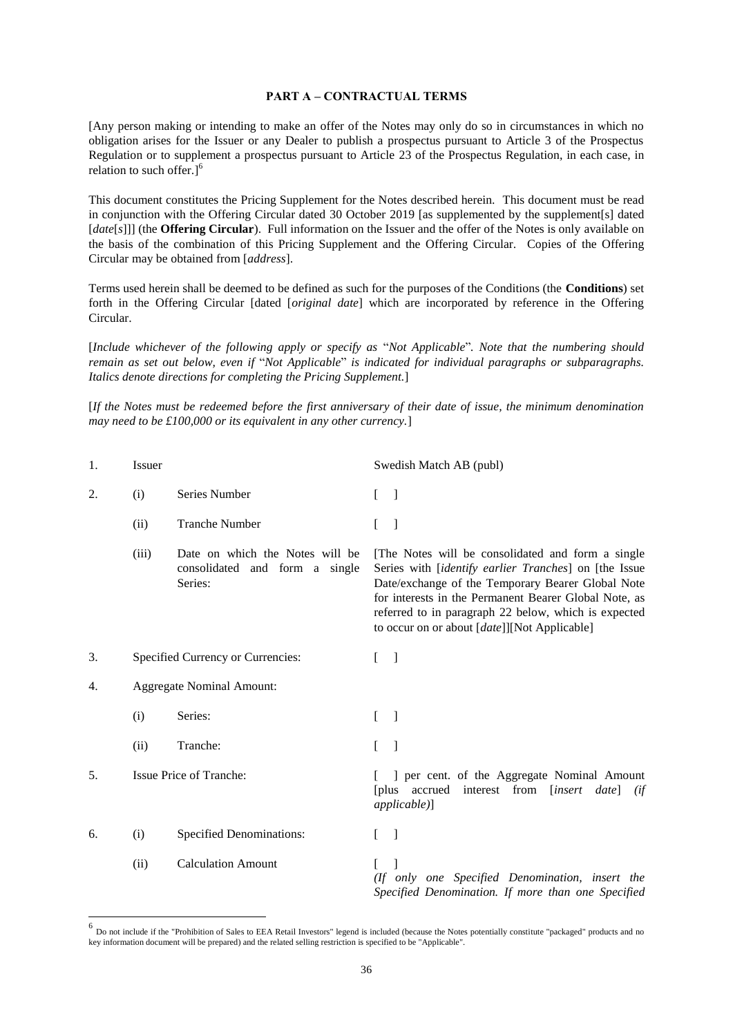#### **PART A – CONTRACTUAL TERMS**

[Any person making or intending to make an offer of the Notes may only do so in circumstances in which no obligation arises for the Issuer or any Dealer to publish a prospectus pursuant to Article 3 of the Prospectus Regulation or to supplement a prospectus pursuant to Article 23 of the Prospectus Regulation, in each case, in relation to such offer.]<sup>6</sup>

This document constitutes the Pricing Supplement for the Notes described herein. This document must be read in conjunction with the Offering Circular dated 30 October 2019 [as supplemented by the supplement[s] dated [*date*[*s*]]] (the **Offering Circular**). Full information on the Issuer and the offer of the Notes is only available on the basis of the combination of this Pricing Supplement and the Offering Circular. Copies of the Offering Circular may be obtained from [*address*].

Terms used herein shall be deemed to be defined as such for the purposes of the Conditions (the **Conditions**) set forth in the Offering Circular [dated [*original date*] which are incorporated by reference in the Offering Circular.

[*Include whichever of the following apply or specify as* "*Not Applicable*"*. Note that the numbering should remain as set out below, even if* "*Not Applicable*" *is indicated for individual paragraphs or subparagraphs. Italics denote directions for completing the Pricing Supplement.*]

[*If the Notes must be redeemed before the first anniversary of their date of issue, the minimum denomination may need to be £100,000 or its equivalent in any other currency.*]

| 1. | Issuer                            |                                                                              | Swedish Match AB (publ)                                                                                                                                                                                                                                                                                                                                |
|----|-----------------------------------|------------------------------------------------------------------------------|--------------------------------------------------------------------------------------------------------------------------------------------------------------------------------------------------------------------------------------------------------------------------------------------------------------------------------------------------------|
| 2. | (i)                               | Series Number                                                                | $\Gamma$<br>$\Box$                                                                                                                                                                                                                                                                                                                                     |
|    | (ii)                              | <b>Tranche Number</b>                                                        | - 1                                                                                                                                                                                                                                                                                                                                                    |
|    | (iii)                             | Date on which the Notes will be<br>consolidated and form a single<br>Series: | The Notes will be consolidated and form a single<br>Series with <i>[identify earlier Tranches]</i> on <i>[the Issue</i><br>Date/exchange of the Temporary Bearer Global Note<br>for interests in the Permanent Bearer Global Note, as<br>referred to in paragraph 22 below, which is expected<br>to occur on or about [ <i>date</i> ]][Not Applicable] |
| 3. | Specified Currency or Currencies: |                                                                              | $\Box$<br>$\mathbf{r}$                                                                                                                                                                                                                                                                                                                                 |
| 4. | <b>Aggregate Nominal Amount:</b>  |                                                                              |                                                                                                                                                                                                                                                                                                                                                        |
|    | (i)                               | Series:                                                                      | $\Box$<br>$\mathbf{r}$                                                                                                                                                                                                                                                                                                                                 |
|    | (ii)                              | Tranche:                                                                     | -1<br>L                                                                                                                                                                                                                                                                                                                                                |
| 5. | Issue Price of Tranche:           |                                                                              | ] per cent. of the Aggregate Nominal Amount<br>[plus accrued interest from [insert date]<br>(ii<br>applicable)]                                                                                                                                                                                                                                        |
| 6. | (i)                               | <b>Specified Denominations:</b>                                              | $\overline{\phantom{a}}$<br>L                                                                                                                                                                                                                                                                                                                          |
|    | (ii)                              | <b>Calculation Amount</b>                                                    | (If only one Specified Denomination, insert the<br>Specified Denomination. If more than one Specified                                                                                                                                                                                                                                                  |

<sup>&</sup>lt;sup>6</sup> Do not include if the "Prohibition of Sales to EEA Retail Investors" legend is included (because the Notes potentially constitute "packaged" products and no key information document will be prepared) and the related selling restriction is specified to be "Applicable".

1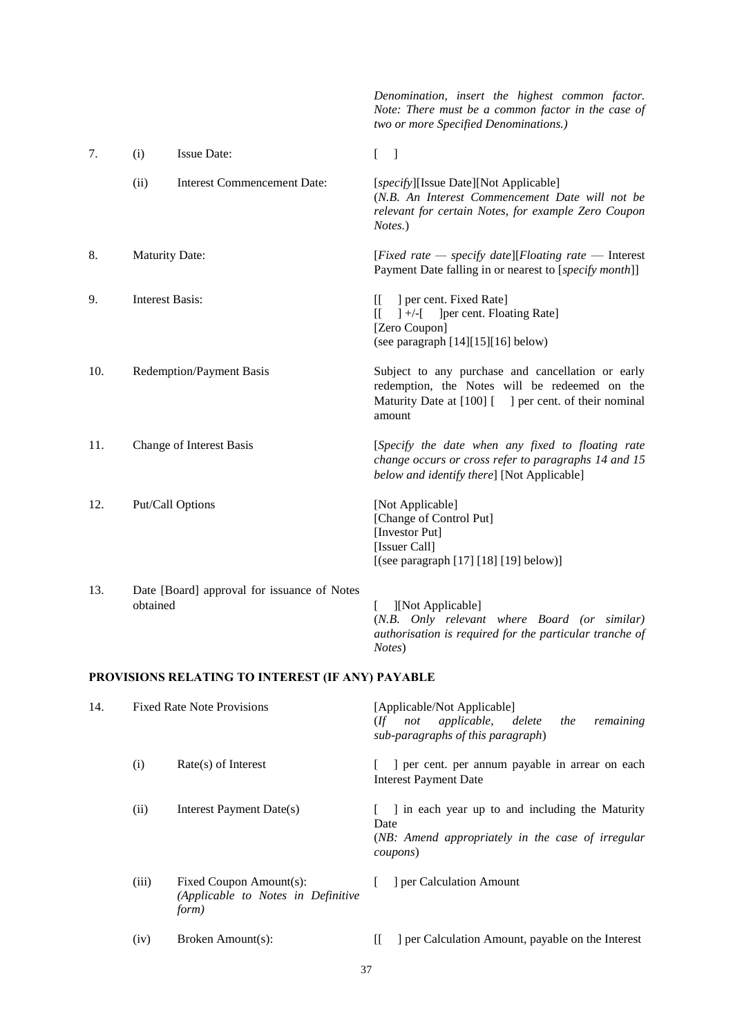|     |                                   |                                                                        | Denomination, insert the highest common factor.<br>Note: There must be a common factor in the case of<br>two or more Specified Denominations.)                        |
|-----|-----------------------------------|------------------------------------------------------------------------|-----------------------------------------------------------------------------------------------------------------------------------------------------------------------|
| 7.  | (i)                               | <b>Issue Date:</b>                                                     | $\begin{bmatrix} 1 \end{bmatrix}$                                                                                                                                     |
|     | (ii)                              | <b>Interest Commencement Date:</b>                                     | [specify][Issue Date][Not Applicable]<br>(N.B. An Interest Commencement Date will not be<br>relevant for certain Notes, for example Zero Coupon<br>Notes.)            |
| 8.  | <b>Maturity Date:</b>             |                                                                        | [Fixed rate $-$ specify date][Floating rate $-$ Interest<br>Payment Date falling in or nearest to [specify month]]                                                    |
| 9.  | <b>Interest Basis:</b>            |                                                                        | ] per cent. Fixed Rate]<br>II.<br>] per cent. Floating Rate]<br>$]+/-[$<br>IL.<br>[Zero Coupon]<br>(see paragraph [14][15][16] below)                                 |
| 10. |                                   | <b>Redemption/Payment Basis</b>                                        | Subject to any purchase and cancellation or early<br>redemption, the Notes will be redeemed on the<br>Maturity Date at [100] [ ] per cent. of their nominal<br>amount |
| 11. |                                   | Change of Interest Basis                                               | [Specify the date when any fixed to floating rate<br>change occurs or cross refer to paragraphs 14 and 15<br>below and identify there] [Not Applicable]               |
| 12. |                                   | Put/Call Options                                                       | [Not Applicable]<br>[Change of Control Put]<br>[Investor Put]<br>[Issuer Call]<br>[(see paragraph [17] [18] [19] below)]                                              |
| 13. | obtained                          | Date [Board] approval for issuance of Notes                            | ][Not Applicable]<br>L<br>(N.B. Only relevant where Board (or similar)<br>authorisation is required for the particular tranche of<br>Notes)                           |
|     |                                   | PROVISIONS RELATING TO INTEREST (IF ANY) PAYABLE                       |                                                                                                                                                                       |
| 14. | <b>Fixed Rate Note Provisions</b> |                                                                        | [Applicable/Not Applicable]<br>applicable,<br>$($ f not<br>delete<br>the<br>remaining<br>sub-paragraphs of this paragraph)                                            |
|     | (i)                               | $Rate(s)$ of Interest                                                  | ] per cent. per annum payable in arrear on each<br>L<br><b>Interest Payment Date</b>                                                                                  |
|     | (ii)                              | Interest Payment Date(s)                                               | ] in each year up to and including the Maturity<br>$\mathbf{L}$<br>Date<br>(NB: Amend appropriately in the case of irregular<br>coupons)                              |
|     | (iii)                             | Fixed Coupon Amount(s):<br>(Applicable to Notes in Definitive<br>form) | ] per Calculation Amount<br>L                                                                                                                                         |

<span id="page-36-0"></span>(iv) Broken Amount(s): [[ ] per Calculation Amount, payable on the Interest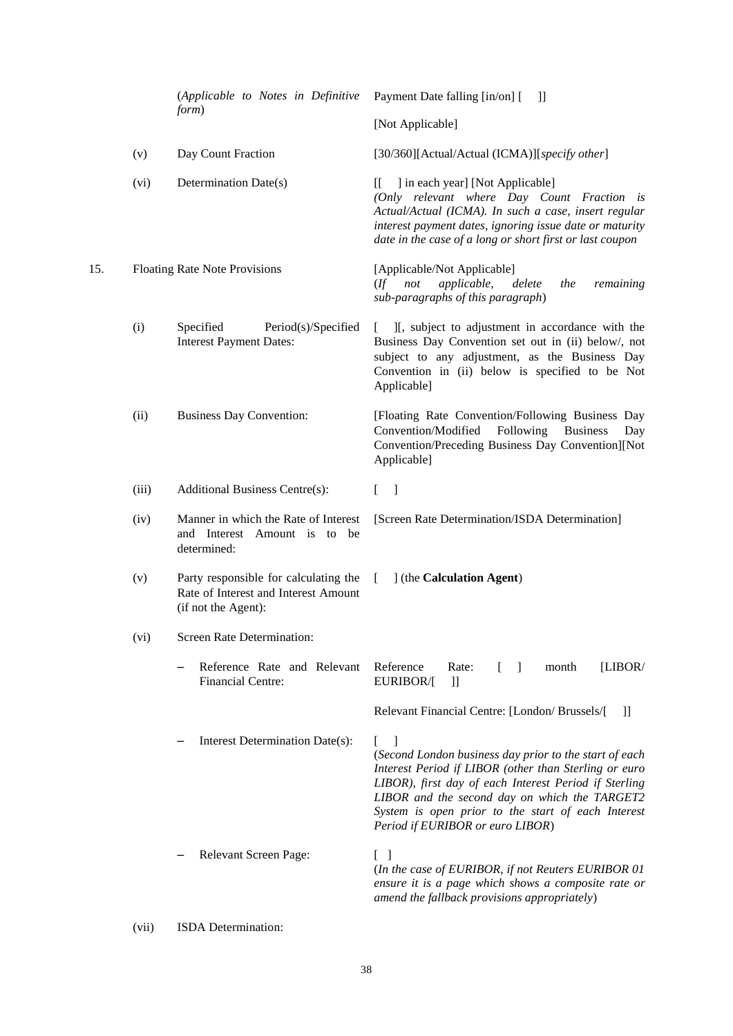<span id="page-37-2"></span><span id="page-37-1"></span><span id="page-37-0"></span>

|     |       | (Applicable to Notes in Definitive<br>form)                                                          | Payment Date falling [in/on] [<br>H                                                                                                                                                                                                                                                                                            |
|-----|-------|------------------------------------------------------------------------------------------------------|--------------------------------------------------------------------------------------------------------------------------------------------------------------------------------------------------------------------------------------------------------------------------------------------------------------------------------|
|     |       |                                                                                                      | [Not Applicable]                                                                                                                                                                                                                                                                                                               |
|     | (v)   | Day Count Fraction                                                                                   | [30/360][Actual/Actual (ICMA)][specify other]                                                                                                                                                                                                                                                                                  |
|     | (vi)  | Determination Date(s)                                                                                | ] in each year] [Not Applicable]<br>II.<br>(Only relevant where Day Count Fraction is<br>Actual/Actual (ICMA). In such a case, insert regular<br>interest payment dates, ignoring issue date or maturity<br>date in the case of a long or short first or last coupon                                                           |
| 15. |       | <b>Floating Rate Note Provisions</b>                                                                 | [Applicable/Not Applicable]<br>applicable,<br>delete<br>the<br>$($ f not<br>remaining<br>sub-paragraphs of this paragraph)                                                                                                                                                                                                     |
|     | (i)   | Period(s)/Specified<br>Specified<br><b>Interest Payment Dates:</b>                                   | ][, subject to adjustment in accordance with the<br>L<br>Business Day Convention set out in (ii) below/, not<br>subject to any adjustment, as the Business Day<br>Convention in (ii) below is specified to be Not<br>Applicable]                                                                                               |
|     | (ii)  | <b>Business Day Convention:</b>                                                                      | [Floating Rate Convention/Following Business Day<br>Convention/Modified<br>Following<br><b>Business</b><br>Day<br>Convention/Preceding Business Day Convention][Not<br>Applicable]                                                                                                                                             |
|     | (iii) | Additional Business Centre(s):                                                                       | $\mathbb{L}$<br>$\lceil$                                                                                                                                                                                                                                                                                                       |
|     | (iv)  | Manner in which the Rate of Interest<br>and Interest Amount is to be<br>determined:                  | [Screen Rate Determination/ISDA Determination]                                                                                                                                                                                                                                                                                 |
|     | (v)   | Party responsible for calculating the<br>Rate of Interest and Interest Amount<br>(if not the Agent): | 1 (the Calculation Agent)<br><sup>[</sup>                                                                                                                                                                                                                                                                                      |
|     | (vi)  | Screen Rate Determination:                                                                           |                                                                                                                                                                                                                                                                                                                                |
|     |       | Reference Rate and Relevant<br>Financial Centre:                                                     | Reference<br>Rate:<br>[LIBOR/<br>month<br>$\perp$<br>EURIBOR/[<br>$] \hspace{0.1cm} ] \hspace{0.1cm} ]$                                                                                                                                                                                                                        |
|     |       |                                                                                                      | Relevant Financial Centre: [London/ Brussels/[<br>H                                                                                                                                                                                                                                                                            |
|     |       | Interest Determination Date(s):                                                                      | L<br>-1<br>(Second London business day prior to the start of each<br>Interest Period if LIBOR (other than Sterling or euro<br>LIBOR), first day of each Interest Period if Sterling<br>LIBOR and the second day on which the TARGET2<br>System is open prior to the start of each Interest<br>Period if EURIBOR or euro LIBOR) |
|     |       | Relevant Screen Page:                                                                                | $\begin{bmatrix} \end{bmatrix}$<br>(In the case of EURIBOR, if not Reuters EURIBOR 01<br>ensure it is a page which shows a composite rate or<br>amend the fallback provisions appropriately)                                                                                                                                   |

(vii) ISDA Determination: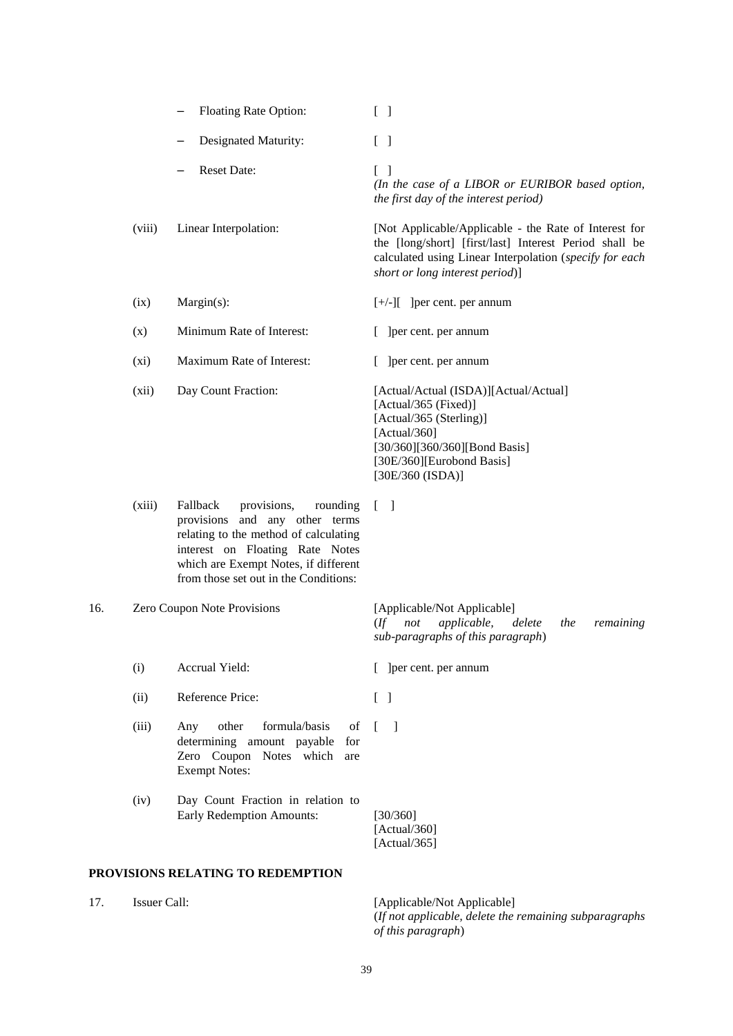|                                    |              | Floating Rate Option:                                                                                                                                                                                                                 | $\begin{bmatrix} 1 \end{bmatrix}$                                                                                                                                                                             |
|------------------------------------|--------------|---------------------------------------------------------------------------------------------------------------------------------------------------------------------------------------------------------------------------------------|---------------------------------------------------------------------------------------------------------------------------------------------------------------------------------------------------------------|
|                                    |              | Designated Maturity:                                                                                                                                                                                                                  | $\begin{bmatrix} 1 \end{bmatrix}$                                                                                                                                                                             |
|                                    |              | <b>Reset Date:</b>                                                                                                                                                                                                                    | $\begin{bmatrix} \end{bmatrix}$<br>(In the case of a LIBOR or EURIBOR based option,<br>the first day of the interest period)                                                                                  |
|                                    | (viii)       | Linear Interpolation:                                                                                                                                                                                                                 | [Not Applicable/Applicable - the Rate of Interest for<br>the [long/short] [first/last] Interest Period shall be<br>calculated using Linear Interpolation (specify for each<br>short or long interest period)] |
|                                    | (ix)         | $Margin(s)$ :                                                                                                                                                                                                                         | $[+/.]$ ] [ ] [ ] [ per cent. per annum                                                                                                                                                                       |
|                                    | (x)          | Minimum Rate of Interest:                                                                                                                                                                                                             | [ ] ] ] per cent. per annum                                                                                                                                                                                   |
|                                    | (xi)         | Maximum Rate of Interest:                                                                                                                                                                                                             | [ ] ] per cent. per annum                                                                                                                                                                                     |
|                                    | (xii)        | Day Count Fraction:                                                                                                                                                                                                                   | [Actual/Actual (ISDA)][Actual/Actual]<br>[Actual/365 (Fixed)]<br>[Actual/365 (Sterling)]<br>[Actual/360]<br>[30/360][360/360][Bond Basis]<br>[30E/360][Eurobond Basis]<br>[30E/360 (ISDA)]                    |
|                                    | (xiii)       | Fallback<br>provisions,<br>rounding<br>provisions<br>and any other terms<br>relating to the method of calculating<br>interest on Floating Rate Notes<br>which are Exempt Notes, if different<br>from those set out in the Conditions: | $\begin{bmatrix} 1 \end{bmatrix}$                                                                                                                                                                             |
| Zero Coupon Note Provisions<br>16. |              |                                                                                                                                                                                                                                       | [Applicable/Not Applicable]<br>applicable,<br>delete<br>$($ ff<br>not<br>the<br>remaining<br>sub-paragraphs of this paragraph)                                                                                |
|                                    | (i)          | Accrual Yield:                                                                                                                                                                                                                        | [ ] [ ] [ ] [ ] [ ] [ ] per cent. per annum                                                                                                                                                                   |
|                                    | (ii)         | Reference Price:                                                                                                                                                                                                                      | $[\ ]$                                                                                                                                                                                                        |
|                                    | (iii)        | other<br>formula/basis<br>of<br>Any<br>determining amount payable<br>for<br>Zero Coupon Notes which<br>are<br><b>Exempt Notes:</b>                                                                                                    | $\lceil$ $\rceil$                                                                                                                                                                                             |
|                                    | (iv)         | Day Count Fraction in relation to<br><b>Early Redemption Amounts:</b>                                                                                                                                                                 | [30/360]<br>[Actual/360]<br>[Actual/365]                                                                                                                                                                      |
|                                    |              | PROVISIONS RELATING TO REDEMPTION                                                                                                                                                                                                     |                                                                                                                                                                                                               |
| 17.                                | Issuer Call: |                                                                                                                                                                                                                                       | [Applicable/Not Applicable]                                                                                                                                                                                   |

<span id="page-38-1"></span><span id="page-38-0"></span>(*If not applicable, delete the remaining subparagraphs of this paragraph*)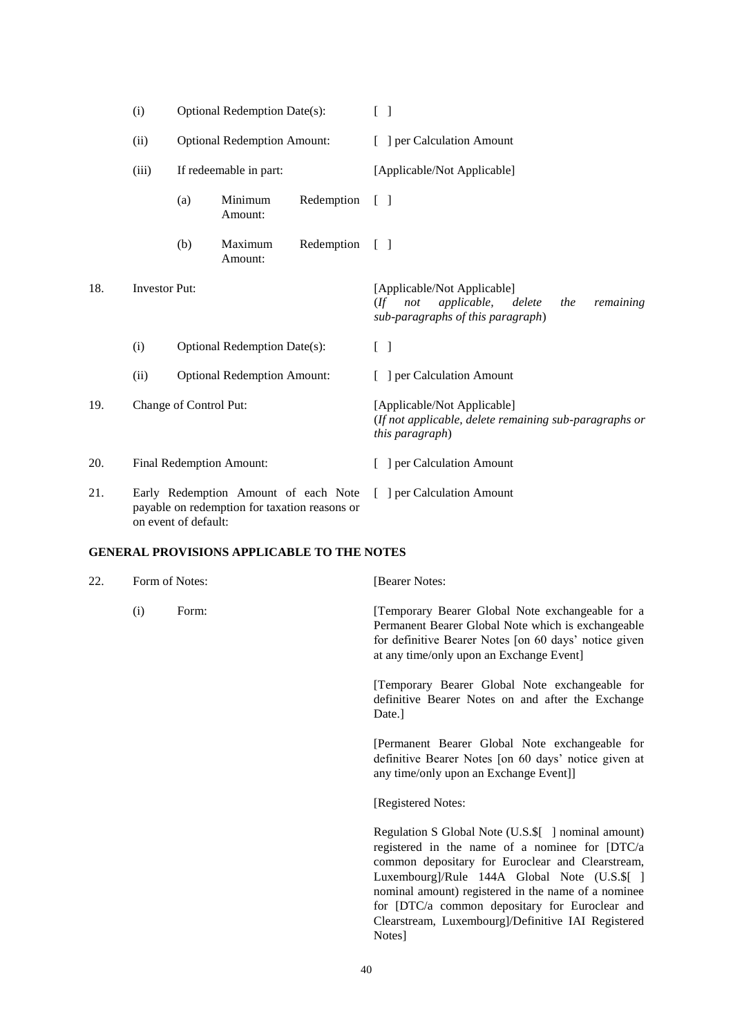<span id="page-39-0"></span>

|     | (i)                                                                                   | <b>Optional Redemption Date(s):</b><br><b>Optional Redemption Amount:</b><br>If redeemable in part:<br>Minimum<br>(a)<br>Redemption<br>Amount: |                                    |            | $[\ ]$                                                                                                                                 |
|-----|---------------------------------------------------------------------------------------|------------------------------------------------------------------------------------------------------------------------------------------------|------------------------------------|------------|----------------------------------------------------------------------------------------------------------------------------------------|
|     | (ii)                                                                                  |                                                                                                                                                |                                    |            | [ ] per Calculation Amount                                                                                                             |
|     | (iii)                                                                                 |                                                                                                                                                |                                    |            | [Applicable/Not Applicable]                                                                                                            |
|     |                                                                                       |                                                                                                                                                |                                    |            | $\lceil \rceil$                                                                                                                        |
|     |                                                                                       | (b)                                                                                                                                            | Maximum<br>Amount:                 | Redemption | $\lceil$ $\rceil$                                                                                                                      |
| 18. | <b>Investor Put:</b>                                                                  |                                                                                                                                                |                                    |            | [Applicable/Not Applicable]<br><i>applicable</i> ,<br>$($ ff<br>delete<br>remaining<br>not<br>the<br>sub-paragraphs of this paragraph) |
|     | (i)                                                                                   | <b>Optional Redemption Date(s):</b>                                                                                                            |                                    |            | $[\ ]$                                                                                                                                 |
|     | (ii)                                                                                  |                                                                                                                                                | <b>Optional Redemption Amount:</b> |            | ] per Calculation Amount                                                                                                               |
| 19. |                                                                                       | Change of Control Put:                                                                                                                         |                                    |            | [Applicable/Not Applicable]<br>(If not applicable, delete remaining sub-paragraphs or<br>this paragraph)                               |
| 20. |                                                                                       | Final Redemption Amount:                                                                                                                       |                                    |            | ] per Calculation Amount                                                                                                               |
| 21. | Early Redemption Amount of each Note<br>payable on redemption for taxation reasons or |                                                                                                                                                |                                    |            | [ ] per Calculation Amount                                                                                                             |

<span id="page-39-1"></span>on event of default:

# **GENERAL PROVISIONS APPLICABLE TO THE NOTES**

| Form of Notes: |       | [Bearer Notes:                                                                                                                                                                                                                                                                                                                                                                     |  |
|----------------|-------|------------------------------------------------------------------------------------------------------------------------------------------------------------------------------------------------------------------------------------------------------------------------------------------------------------------------------------------------------------------------------------|--|
| (i)            | Form: | [Temporary Bearer Global Note exchangeable for a<br>Permanent Bearer Global Note which is exchangeable<br>for definitive Bearer Notes [on 60 days' notice given<br>at any time/only upon an Exchange Event]                                                                                                                                                                        |  |
|                |       | [Temporary Bearer Global Note exchangeable for<br>definitive Bearer Notes on and after the Exchange<br>Date.]                                                                                                                                                                                                                                                                      |  |
|                |       | [Permanent Bearer Global Note exchangeable for<br>definitive Bearer Notes [on 60 days' notice given at<br>any time/only upon an Exchange Event]]                                                                                                                                                                                                                                   |  |
|                |       | [Registered Notes:                                                                                                                                                                                                                                                                                                                                                                 |  |
|                |       | Regulation S Global Note (U.S.\$[ ] nominal amount)<br>registered in the name of a nominee for [DTC/a<br>common depositary for Euroclear and Clearstream,<br>Luxembourg]/Rule 144A Global Note (U.S.\$[ ]<br>nominal amount) registered in the name of a nominee<br>for [DTC/a common depositary for Euroclear and<br>Clearstream, Luxembourg]/Definitive IAI Registered<br>Notes] |  |
|                |       |                                                                                                                                                                                                                                                                                                                                                                                    |  |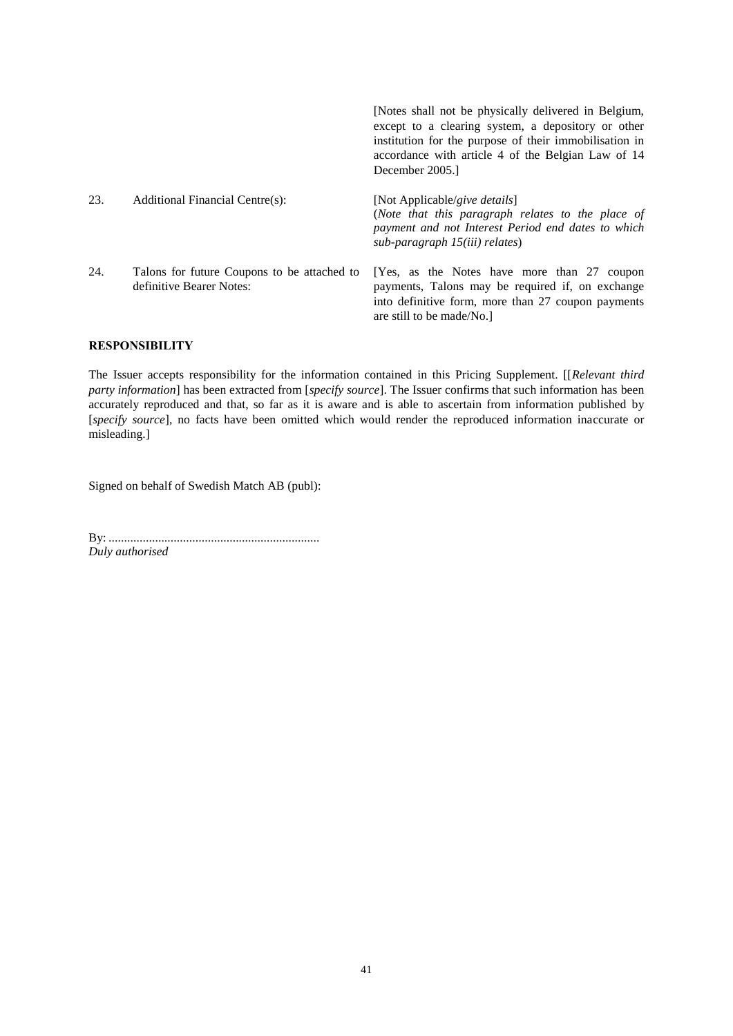|     |                                                                         | [Notes shall not be physically delivered in Belgium,<br>except to a clearing system, a depository or other<br>institution for the purpose of their immobilisation in<br>accordance with article 4 of the Belgian Law of 14<br>December 2005. |
|-----|-------------------------------------------------------------------------|----------------------------------------------------------------------------------------------------------------------------------------------------------------------------------------------------------------------------------------------|
| 23. | Additional Financial Centre(s):                                         | [Not Applicable/give details]<br>(Note that this paragraph relates to the place of<br>payment and not Interest Period end dates to which<br>sub-paragraph 15(iii) relates)                                                                   |
| 24. | Talons for future Coupons to be attached to<br>definitive Bearer Notes: | [Yes, as the Notes have more than 27 coupon<br>payments, Talons may be required if, on exchange<br>into definitive form, more than 27 coupon payments<br>are still to be made/No.                                                            |

# **RESPONSIBILITY**

The Issuer accepts responsibility for the information contained in this Pricing Supplement. [[*Relevant third party information*] has been extracted from [*specify source*]. The Issuer confirms that such information has been accurately reproduced and that, so far as it is aware and is able to ascertain from information published by [*specify source*], no facts have been omitted which would render the reproduced information inaccurate or misleading.]

Signed on behalf of Swedish Match AB (publ):

By: .................................................................... *Duly authorised*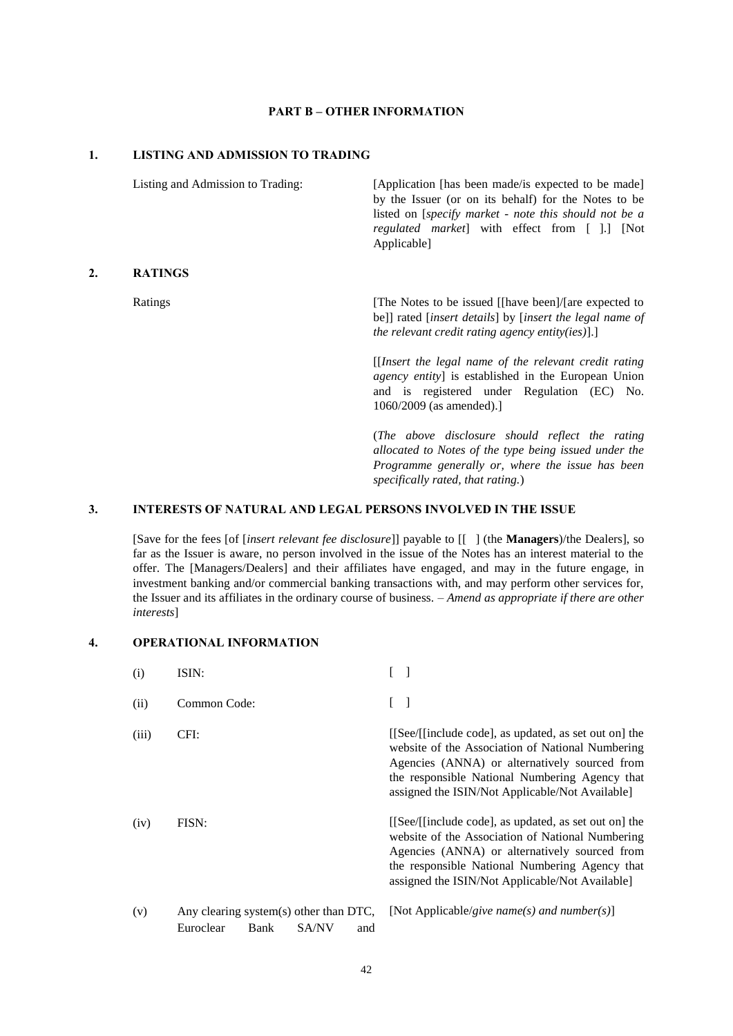## **PART B – OTHER INFORMATION**

# **1. LISTING AND ADMISSION TO TRADING**

**2.** 

| Listing and Admission to Trading: | [Application [has been made/is expected to be made]<br>by the Issuer (or on its behalf) for the Notes to be<br>listed on [ <i>specify market - note this should not be a</i><br>regulated market] with effect from [ ].] [Not<br>Applicable]                                                       |
|-----------------------------------|----------------------------------------------------------------------------------------------------------------------------------------------------------------------------------------------------------------------------------------------------------------------------------------------------|
| <b>RATINGS</b>                    |                                                                                                                                                                                                                                                                                                    |
| Ratings                           | [The Notes to be issued [[have been]/[are expected to<br>be]] rated [insert details] by [insert the legal name of<br>the relevant credit rating agency entity(ies).<br>[ <i>Insert the legal name of the relevant credit rating</i><br><i>agency entity</i> ] is established in the European Union |
|                                   | and is registered under Regulation (EC) No.<br>$1060/2009$ (as amended).]                                                                                                                                                                                                                          |
|                                   | (The above disclosure should reflect the rating<br>allocated to Notes of the type being issued under the<br>Programme generally or, where the issue has been<br>specifically rated, that rating.)                                                                                                  |

# **3. INTERESTS OF NATURAL AND LEGAL PERSONS INVOLVED IN THE ISSUE**

[Save for the fees [of [*insert relevant fee disclosure*]] payable to [[ ] (the **Managers**)/the Dealers], so far as the Issuer is aware, no person involved in the issue of the Notes has an interest material to the offer. The [Managers/Dealers] and their affiliates have engaged, and may in the future engage, in investment banking and/or commercial banking transactions with, and may perform other services for, the Issuer and its affiliates in the ordinary course of business. – *Amend as appropriate if there are other interests*]

# **4. OPERATIONAL INFORMATION**

| (i)   | ISIN:                                               |      |              |     |                                                                                                                                                                                                                                                                 |
|-------|-----------------------------------------------------|------|--------------|-----|-----------------------------------------------------------------------------------------------------------------------------------------------------------------------------------------------------------------------------------------------------------------|
| (ii)  | Common Code:                                        |      |              |     |                                                                                                                                                                                                                                                                 |
| (iii) | CFI:                                                |      |              |     | [[See/[[include code], as updated, as set out on] the<br>website of the Association of National Numbering<br>Agencies (ANNA) or alternatively sourced from<br>the responsible National Numbering Agency that<br>assigned the ISIN/Not Applicable/Not Available] |
| (iv)  | FISN:                                               |      |              |     | [[See/[[include code], as updated, as set out on] the<br>website of the Association of National Numbering<br>Agencies (ANNA) or alternatively sourced from<br>the responsible National Numbering Agency that<br>assigned the ISIN/Not Applicable/Not Available] |
| (v)   | Any clearing system(s) other than DTC,<br>Euroclear | Bank | <b>SA/NV</b> | and | [Not Applicable/give name(s) and number(s)]                                                                                                                                                                                                                     |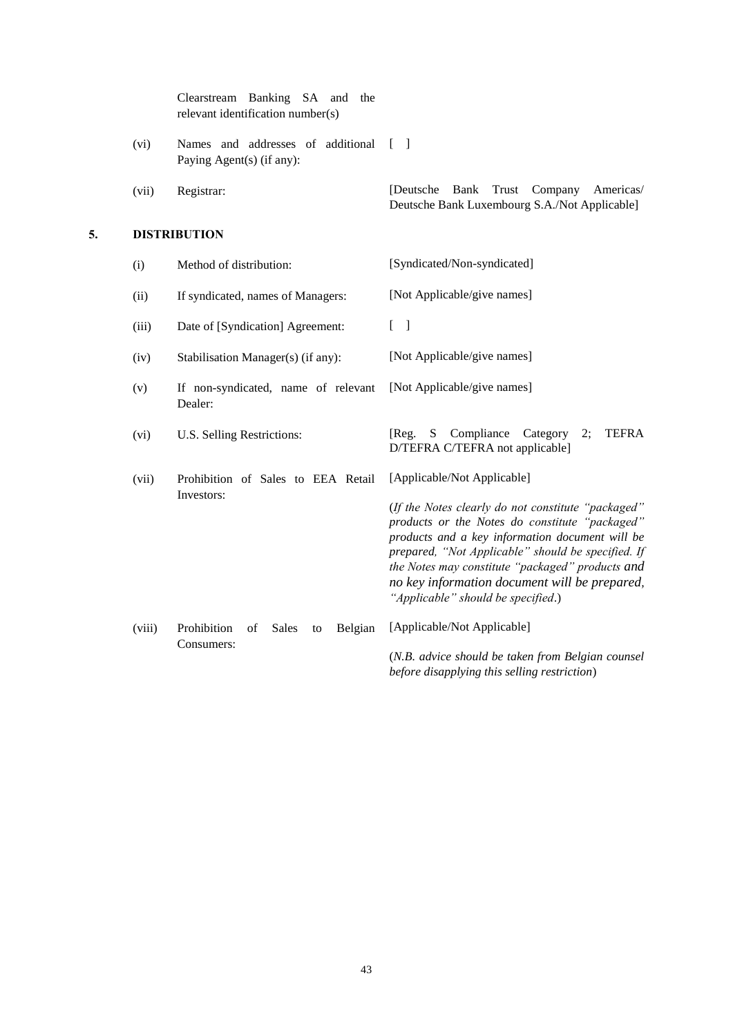|    |        | Clearstream Banking SA and<br>the<br>relevant identification number(s) |                                                                                                                                                                                                                                                                                                                                                          |
|----|--------|------------------------------------------------------------------------|----------------------------------------------------------------------------------------------------------------------------------------------------------------------------------------------------------------------------------------------------------------------------------------------------------------------------------------------------------|
|    | (vi)   | Names and addresses of additional<br>Paying Agent(s) (if any):         | $\Box$                                                                                                                                                                                                                                                                                                                                                   |
|    | (vii)  | Registrar:                                                             | Bank Trust Company<br>[Deutsche]<br>Americas/<br>Deutsche Bank Luxembourg S.A./Not Applicable]                                                                                                                                                                                                                                                           |
| 5. |        | <b>DISTRIBUTION</b>                                                    |                                                                                                                                                                                                                                                                                                                                                          |
|    | (i)    | Method of distribution:                                                | [Syndicated/Non-syndicated]                                                                                                                                                                                                                                                                                                                              |
|    | (ii)   | If syndicated, names of Managers:                                      | [Not Applicable/give names]                                                                                                                                                                                                                                                                                                                              |
|    | (iii)  | Date of [Syndication] Agreement:                                       | $\begin{bmatrix} 1 \end{bmatrix}$                                                                                                                                                                                                                                                                                                                        |
|    | (iv)   | Stabilisation Manager(s) (if any):                                     | [Not Applicable/give names]                                                                                                                                                                                                                                                                                                                              |
|    | (v)    | If non-syndicated, name of relevant<br>Dealer:                         | [Not Applicable/give names]                                                                                                                                                                                                                                                                                                                              |
|    | (vi)   | U.S. Selling Restrictions:                                             | Compliance<br>Category<br><b>TEFRA</b><br>[Reg.<br>S<br>2;<br>D/TEFRA C/TEFRA not applicable]                                                                                                                                                                                                                                                            |
|    | (vii)  | Prohibition of Sales to EEA Retail                                     | [Applicable/Not Applicable]                                                                                                                                                                                                                                                                                                                              |
|    |        | Investors:                                                             | (If the Notes clearly do not constitute "packaged"<br>products or the Notes do constitute "packaged"<br>products and a key information document will be<br>prepared, "Not Applicable" should be specified. If<br>the Notes may constitute "packaged" products and<br>no key information document will be prepared,<br>"Applicable" should be specified.) |
|    | (viii) | Prohibition<br>Sales<br>of<br>Belgian<br>to                            | [Applicable/Not Applicable]                                                                                                                                                                                                                                                                                                                              |
|    |        | Consumers:                                                             | (N.B. advice should be taken from Belgian counsel                                                                                                                                                                                                                                                                                                        |

*before disapplying this selling restriction*)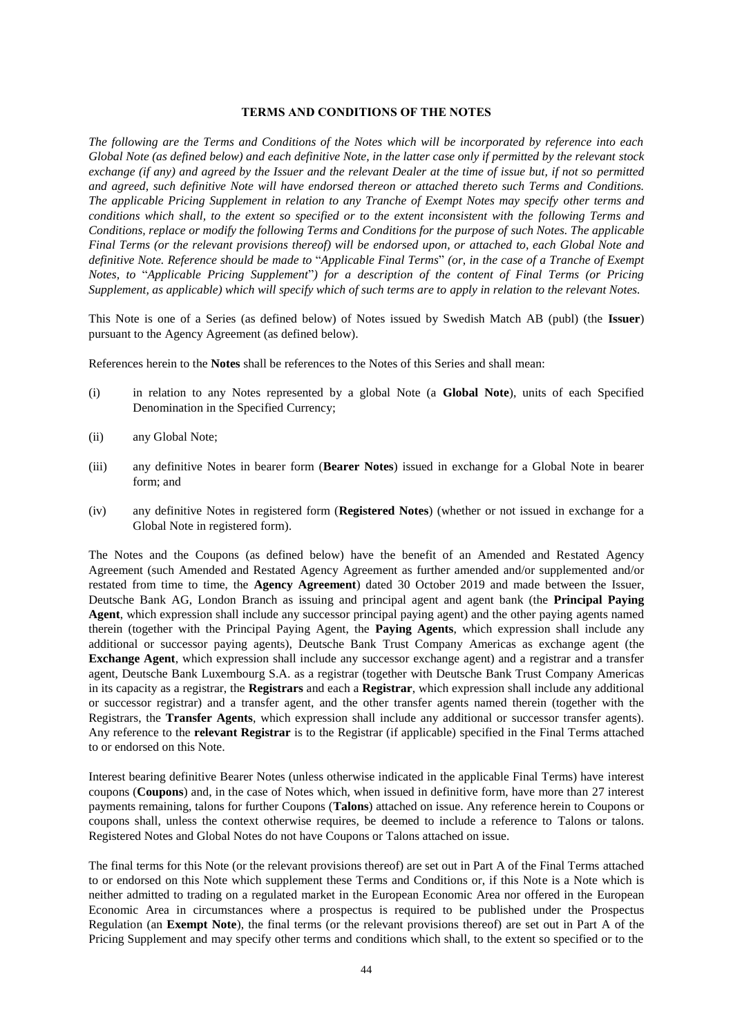### **TERMS AND CONDITIONS OF THE NOTES**

*The following are the Terms and Conditions of the Notes which will be incorporated by reference into each Global Note (as defined below) and each definitive Note, in the latter case only if permitted by the relevant stock exchange (if any) and agreed by the Issuer and the relevant Dealer at the time of issue but, if not so permitted and agreed, such definitive Note will have endorsed thereon or attached thereto such Terms and Conditions. The applicable Pricing Supplement in relation to any Tranche of Exempt Notes may specify other terms and conditions which shall, to the extent so specified or to the extent inconsistent with the following Terms and Conditions, replace or modify the following Terms and Conditions for the purpose of such Notes. The applicable Final Terms (or the relevant provisions thereof) will be endorsed upon, or attached to, each Global Note and definitive Note. Reference should be made to* "*Applicable Final Terms*" *(or, in the case of a Tranche of Exempt Notes, to* "*Applicable Pricing Supplement*"*) for a description of the content of Final Terms (or Pricing Supplement, as applicable) which will specify which of such terms are to apply in relation to the relevant Notes.*

This Note is one of a Series (as defined below) of Notes issued by Swedish Match AB (publ) (the **Issuer**) pursuant to the Agency Agreement (as defined below).

References herein to the **Notes** shall be references to the Notes of this Series and shall mean:

- (i) in relation to any Notes represented by a global Note (a **Global Note**), units of each Specified Denomination in the Specified Currency;
- (ii) any Global Note;
- (iii) any definitive Notes in bearer form (**Bearer Notes**) issued in exchange for a Global Note in bearer form; and
- (iv) any definitive Notes in registered form (**Registered Notes**) (whether or not issued in exchange for a Global Note in registered form).

The Notes and the Coupons (as defined below) have the benefit of an Amended and Restated Agency Agreement (such Amended and Restated Agency Agreement as further amended and/or supplemented and/or restated from time to time, the **Agency Agreement**) dated 30 October 2019 and made between the Issuer, Deutsche Bank AG, London Branch as issuing and principal agent and agent bank (the **Principal Paying Agent**, which expression shall include any successor principal paying agent) and the other paying agents named therein (together with the Principal Paying Agent, the **Paying Agents**, which expression shall include any additional or successor paying agents), Deutsche Bank Trust Company Americas as exchange agent (the **Exchange Agent**, which expression shall include any successor exchange agent) and a registrar and a transfer agent, Deutsche Bank Luxembourg S.A. as a registrar (together with Deutsche Bank Trust Company Americas in its capacity as a registrar, the **Registrars** and each a **Registrar**, which expression shall include any additional or successor registrar) and a transfer agent, and the other transfer agents named therein (together with the Registrars, the **Transfer Agents**, which expression shall include any additional or successor transfer agents). Any reference to the **relevant Registrar** is to the Registrar (if applicable) specified in the Final Terms attached to or endorsed on this Note.

Interest bearing definitive Bearer Notes (unless otherwise indicated in the applicable Final Terms) have interest coupons (**Coupons**) and, in the case of Notes which, when issued in definitive form, have more than 27 interest payments remaining, talons for further Coupons (**Talons**) attached on issue. Any reference herein to Coupons or coupons shall, unless the context otherwise requires, be deemed to include a reference to Talons or talons. Registered Notes and Global Notes do not have Coupons or Talons attached on issue.

The final terms for this Note (or the relevant provisions thereof) are set out in Part A of the Final Terms attached to or endorsed on this Note which supplement these Terms and Conditions or, if this Note is a Note which is neither admitted to trading on a regulated market in the European Economic Area nor offered in the European Economic Area in circumstances where a prospectus is required to be published under the Prospectus Regulation (an **Exempt Note**), the final terms (or the relevant provisions thereof) are set out in Part A of the Pricing Supplement and may specify other terms and conditions which shall, to the extent so specified or to the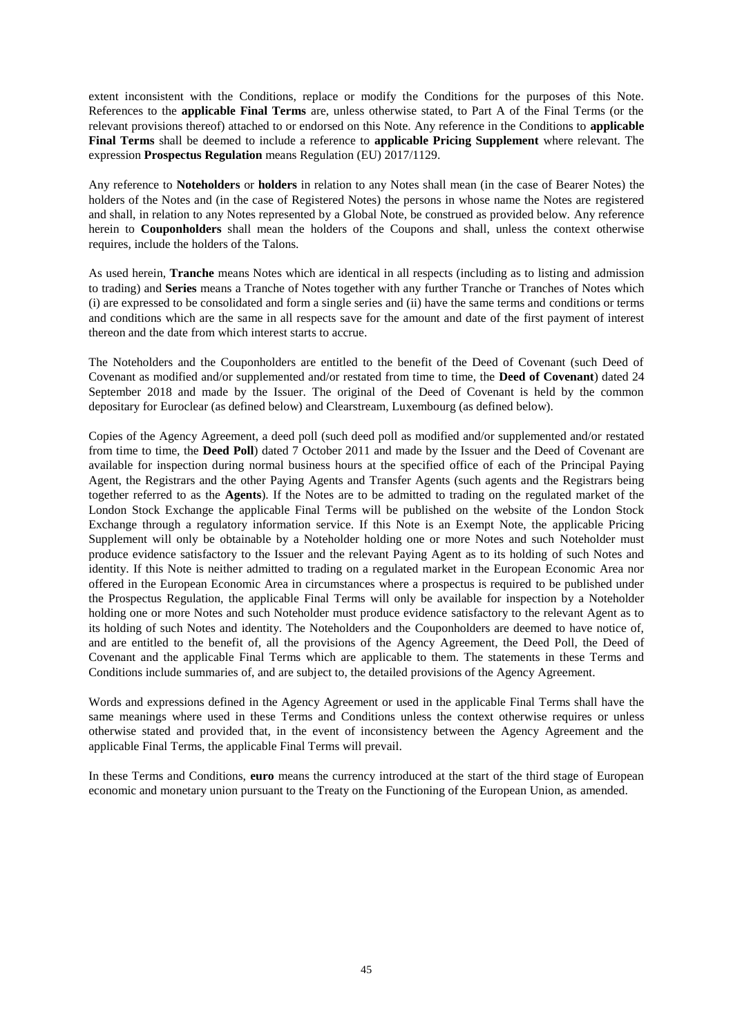extent inconsistent with the Conditions, replace or modify the Conditions for the purposes of this Note. References to the **applicable Final Terms** are, unless otherwise stated, to Part A of the Final Terms (or the relevant provisions thereof) attached to or endorsed on this Note. Any reference in the Conditions to **applicable Final Terms** shall be deemed to include a reference to **applicable Pricing Supplement** where relevant. The expression **Prospectus Regulation** means Regulation (EU) 2017/1129.

Any reference to **Noteholders** or **holders** in relation to any Notes shall mean (in the case of Bearer Notes) the holders of the Notes and (in the case of Registered Notes) the persons in whose name the Notes are registered and shall, in relation to any Notes represented by a Global Note, be construed as provided below. Any reference herein to **Couponholders** shall mean the holders of the Coupons and shall, unless the context otherwise requires, include the holders of the Talons.

As used herein, **Tranche** means Notes which are identical in all respects (including as to listing and admission to trading) and **Series** means a Tranche of Notes together with any further Tranche or Tranches of Notes which (i) are expressed to be consolidated and form a single series and (ii) have the same terms and conditions or terms and conditions which are the same in all respects save for the amount and date of the first payment of interest thereon and the date from which interest starts to accrue.

The Noteholders and the Couponholders are entitled to the benefit of the Deed of Covenant (such Deed of Covenant as modified and/or supplemented and/or restated from time to time, the **Deed of Covenant**) dated 24 September 2018 and made by the Issuer. The original of the Deed of Covenant is held by the common depositary for Euroclear (as defined below) and Clearstream, Luxembourg (as defined below).

Copies of the Agency Agreement, a deed poll (such deed poll as modified and/or supplemented and/or restated from time to time, the **Deed Poll**) dated 7 October 2011 and made by the Issuer and the Deed of Covenant are available for inspection during normal business hours at the specified office of each of the Principal Paying Agent, the Registrars and the other Paying Agents and Transfer Agents (such agents and the Registrars being together referred to as the **Agents**). If the Notes are to be admitted to trading on the regulated market of the London Stock Exchange the applicable Final Terms will be published on the website of the London Stock Exchange through a regulatory information service. If this Note is an Exempt Note, the applicable Pricing Supplement will only be obtainable by a Noteholder holding one or more Notes and such Noteholder must produce evidence satisfactory to the Issuer and the relevant Paying Agent as to its holding of such Notes and identity. If this Note is neither admitted to trading on a regulated market in the European Economic Area nor offered in the European Economic Area in circumstances where a prospectus is required to be published under the Prospectus Regulation, the applicable Final Terms will only be available for inspection by a Noteholder holding one or more Notes and such Noteholder must produce evidence satisfactory to the relevant Agent as to its holding of such Notes and identity. The Noteholders and the Couponholders are deemed to have notice of, and are entitled to the benefit of, all the provisions of the Agency Agreement, the Deed Poll, the Deed of Covenant and the applicable Final Terms which are applicable to them. The statements in these Terms and Conditions include summaries of, and are subject to, the detailed provisions of the Agency Agreement.

Words and expressions defined in the Agency Agreement or used in the applicable Final Terms shall have the same meanings where used in these Terms and Conditions unless the context otherwise requires or unless otherwise stated and provided that, in the event of inconsistency between the Agency Agreement and the applicable Final Terms, the applicable Final Terms will prevail.

In these Terms and Conditions, **euro** means the currency introduced at the start of the third stage of European economic and monetary union pursuant to the Treaty on the Functioning of the European Union, as amended.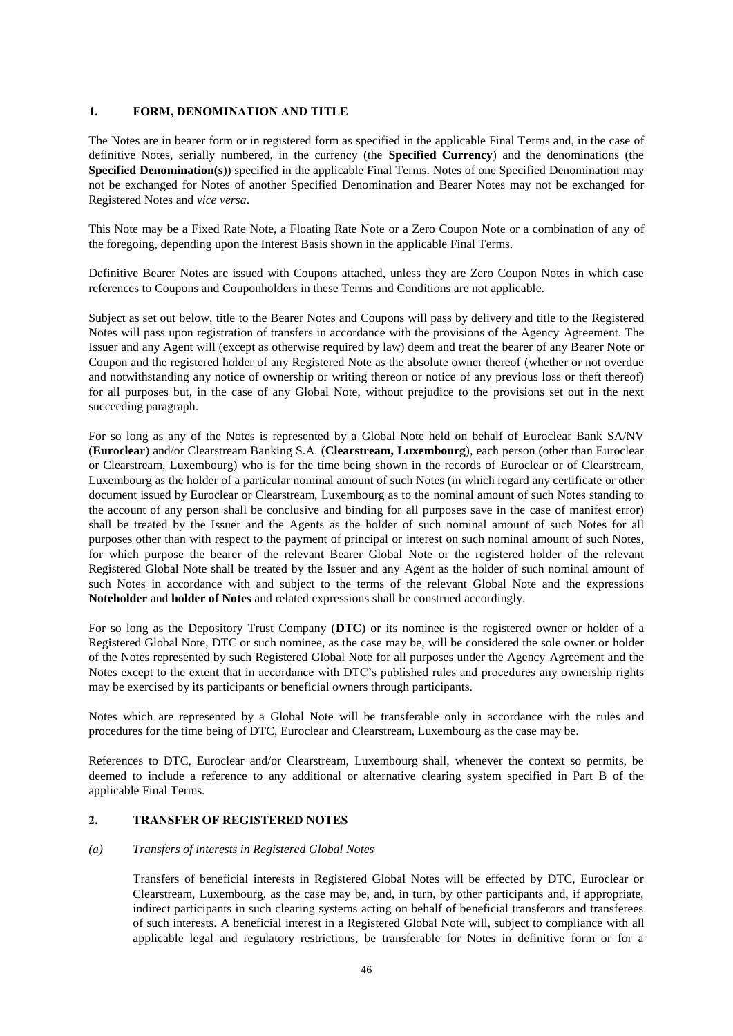## **1. FORM, DENOMINATION AND TITLE**

The Notes are in bearer form or in registered form as specified in the applicable Final Terms and, in the case of definitive Notes, serially numbered, in the currency (the **Specified Currency**) and the denominations (the **Specified Denomination(s**)) specified in the applicable Final Terms. Notes of one Specified Denomination may not be exchanged for Notes of another Specified Denomination and Bearer Notes may not be exchanged for Registered Notes and *vice versa*.

This Note may be a Fixed Rate Note, a Floating Rate Note or a Zero Coupon Note or a combination of any of the foregoing, depending upon the Interest Basis shown in the applicable Final Terms.

Definitive Bearer Notes are issued with Coupons attached, unless they are Zero Coupon Notes in which case references to Coupons and Couponholders in these Terms and Conditions are not applicable.

Subject as set out below, title to the Bearer Notes and Coupons will pass by delivery and title to the Registered Notes will pass upon registration of transfers in accordance with the provisions of the Agency Agreement. The Issuer and any Agent will (except as otherwise required by law) deem and treat the bearer of any Bearer Note or Coupon and the registered holder of any Registered Note as the absolute owner thereof (whether or not overdue and notwithstanding any notice of ownership or writing thereon or notice of any previous loss or theft thereof) for all purposes but, in the case of any Global Note, without prejudice to the provisions set out in the next succeeding paragraph.

For so long as any of the Notes is represented by a Global Note held on behalf of Euroclear Bank SA/NV (**Euroclear**) and/or Clearstream Banking S.A. (**Clearstream, Luxembourg**), each person (other than Euroclear or Clearstream, Luxembourg) who is for the time being shown in the records of Euroclear or of Clearstream, Luxembourg as the holder of a particular nominal amount of such Notes (in which regard any certificate or other document issued by Euroclear or Clearstream, Luxembourg as to the nominal amount of such Notes standing to the account of any person shall be conclusive and binding for all purposes save in the case of manifest error) shall be treated by the Issuer and the Agents as the holder of such nominal amount of such Notes for all purposes other than with respect to the payment of principal or interest on such nominal amount of such Notes, for which purpose the bearer of the relevant Bearer Global Note or the registered holder of the relevant Registered Global Note shall be treated by the Issuer and any Agent as the holder of such nominal amount of such Notes in accordance with and subject to the terms of the relevant Global Note and the expressions **Noteholder** and **holder of Notes** and related expressions shall be construed accordingly.

For so long as the Depository Trust Company (**DTC**) or its nominee is the registered owner or holder of a Registered Global Note, DTC or such nominee, as the case may be, will be considered the sole owner or holder of the Notes represented by such Registered Global Note for all purposes under the Agency Agreement and the Notes except to the extent that in accordance with DTC's published rules and procedures any ownership rights may be exercised by its participants or beneficial owners through participants.

Notes which are represented by a Global Note will be transferable only in accordance with the rules and procedures for the time being of DTC, Euroclear and Clearstream, Luxembourg as the case may be.

References to DTC, Euroclear and/or Clearstream, Luxembourg shall, whenever the context so permits, be deemed to include a reference to any additional or alternative clearing system specified in Part B of the applicable Final Terms.

## **2. TRANSFER OF REGISTERED NOTES**

## *(a) Transfers of interests in Registered Global Notes*

Transfers of beneficial interests in Registered Global Notes will be effected by DTC, Euroclear or Clearstream, Luxembourg, as the case may be, and, in turn, by other participants and, if appropriate, indirect participants in such clearing systems acting on behalf of beneficial transferors and transferees of such interests. A beneficial interest in a Registered Global Note will, subject to compliance with all applicable legal and regulatory restrictions, be transferable for Notes in definitive form or for a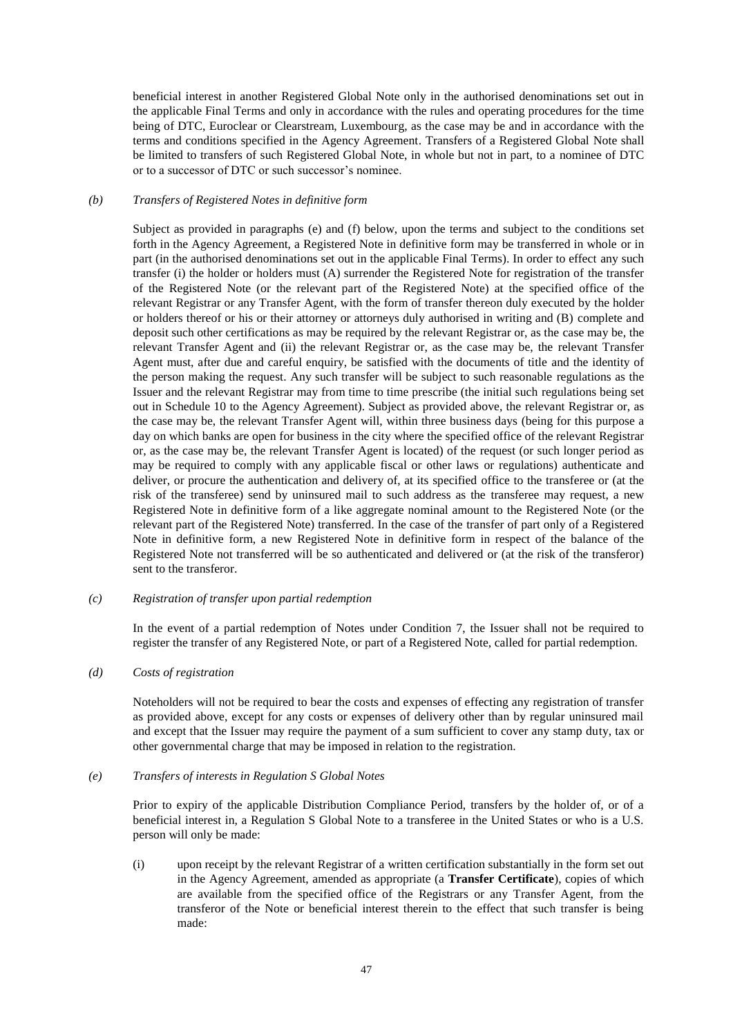beneficial interest in another Registered Global Note only in the authorised denominations set out in the applicable Final Terms and only in accordance with the rules and operating procedures for the time being of DTC, Euroclear or Clearstream, Luxembourg, as the case may be and in accordance with the terms and conditions specified in the Agency Agreement. Transfers of a Registered Global Note shall be limited to transfers of such Registered Global Note, in whole but not in part, to a nominee of DTC or to a successor of DTC or such successor's nominee.

### <span id="page-46-1"></span>*(b) Transfers of Registered Notes in definitive form*

Subject as provided in paragraphs [\(e\)](#page-46-0) and [\(f\)](#page-47-0) below, upon the terms and subject to the conditions set forth in the Agency Agreement, a Registered Note in definitive form may be transferred in whole or in part (in the authorised denominations set out in the applicable Final Terms). In order to effect any such transfer (i) the holder or holders must (A) surrender the Registered Note for registration of the transfer of the Registered Note (or the relevant part of the Registered Note) at the specified office of the relevant Registrar or any Transfer Agent, with the form of transfer thereon duly executed by the holder or holders thereof or his or their attorney or attorneys duly authorised in writing and (B) complete and deposit such other certifications as may be required by the relevant Registrar or, as the case may be, the relevant Transfer Agent and (ii) the relevant Registrar or, as the case may be, the relevant Transfer Agent must, after due and careful enquiry, be satisfied with the documents of title and the identity of the person making the request. Any such transfer will be subject to such reasonable regulations as the Issuer and the relevant Registrar may from time to time prescribe (the initial such regulations being set out in Schedule 10 to the Agency Agreement). Subject as provided above, the relevant Registrar or, as the case may be, the relevant Transfer Agent will, within three business days (being for this purpose a day on which banks are open for business in the city where the specified office of the relevant Registrar or, as the case may be, the relevant Transfer Agent is located) of the request (or such longer period as may be required to comply with any applicable fiscal or other laws or regulations) authenticate and deliver, or procure the authentication and delivery of, at its specified office to the transferee or (at the risk of the transferee) send by uninsured mail to such address as the transferee may request, a new Registered Note in definitive form of a like aggregate nominal amount to the Registered Note (or the relevant part of the Registered Note) transferred. In the case of the transfer of part only of a Registered Note in definitive form, a new Registered Note in definitive form in respect of the balance of the Registered Note not transferred will be so authenticated and delivered or (at the risk of the transferor) sent to the transferor.

### *(c) Registration of transfer upon partial redemption*

In the event of a partial redemption of Notes under Condition [7,](#page-59-0) the Issuer shall not be required to register the transfer of any Registered Note, or part of a Registered Note, called for partial redemption.

### *(d) Costs of registration*

Noteholders will not be required to bear the costs and expenses of effecting any registration of transfer as provided above, except for any costs or expenses of delivery other than by regular uninsured mail and except that the Issuer may require the payment of a sum sufficient to cover any stamp duty, tax or other governmental charge that may be imposed in relation to the registration.

### <span id="page-46-0"></span>*(e) Transfers of interests in Regulation S Global Notes*

Prior to expiry of the applicable Distribution Compliance Period, transfers by the holder of, or of a beneficial interest in, a Regulation S Global Note to a transferee in the United States or who is a U.S. person will only be made:

(i) upon receipt by the relevant Registrar of a written certification substantially in the form set out in the Agency Agreement, amended as appropriate (a **Transfer Certificate**), copies of which are available from the specified office of the Registrars or any Transfer Agent, from the transferor of the Note or beneficial interest therein to the effect that such transfer is being made: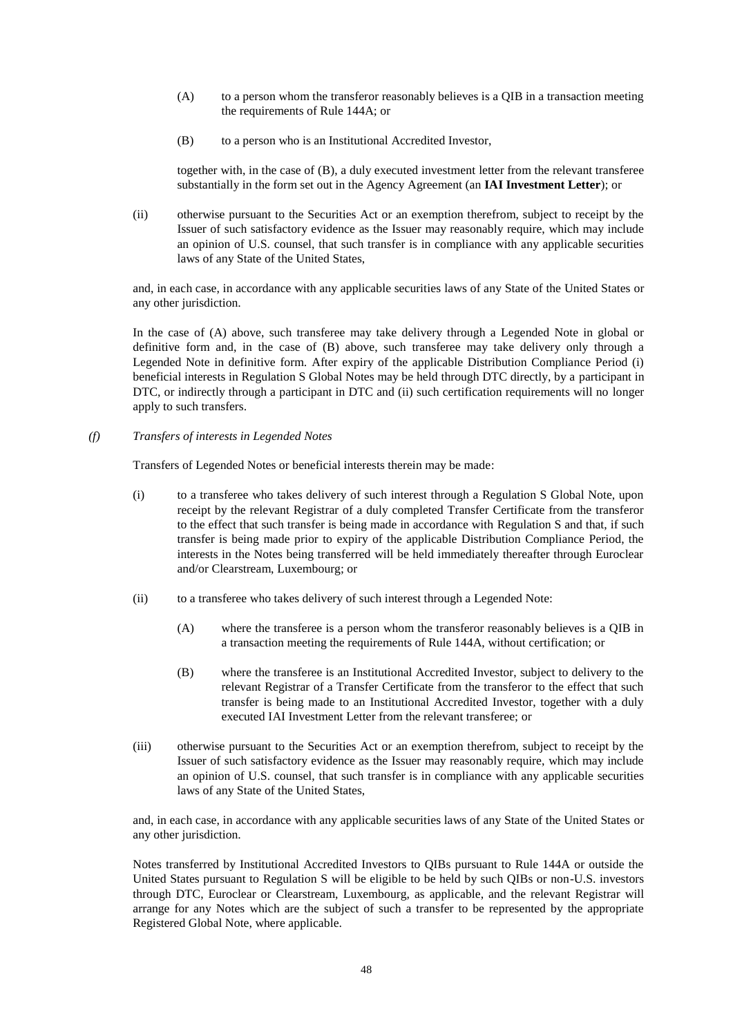- <span id="page-47-2"></span>(A) to a person whom the transferor reasonably believes is a QIB in a transaction meeting the requirements of Rule 144A; or
- <span id="page-47-1"></span>(B) to a person who is an Institutional Accredited Investor,

together with, in the case of [\(B\),](#page-47-1) a duly executed investment letter from the relevant transferee substantially in the form set out in the Agency Agreement (an **IAI Investment Letter**); or

(ii) otherwise pursuant to the Securities Act or an exemption therefrom, subject to receipt by the Issuer of such satisfactory evidence as the Issuer may reasonably require, which may include an opinion of U.S. counsel, that such transfer is in compliance with any applicable securities laws of any State of the United States,

and, in each case, in accordance with any applicable securities laws of any State of the United States or any other jurisdiction.

In the case of [\(A\) above,](#page-47-2) such transferee may take delivery through a Legended Note in global or definitive form and, in the case of [\(B\) above,](#page-47-1) such transferee may take delivery only through a Legended Note in definitive form. After expiry of the applicable Distribution Compliance Period (i) beneficial interests in Regulation S Global Notes may be held through DTC directly, by a participant in DTC, or indirectly through a participant in DTC and (ii) such certification requirements will no longer apply to such transfers.

<span id="page-47-0"></span>*(f) Transfers of interests in Legended Notes*

Transfers of Legended Notes or beneficial interests therein may be made:

- (i) to a transferee who takes delivery of such interest through a Regulation S Global Note, upon receipt by the relevant Registrar of a duly completed Transfer Certificate from the transferor to the effect that such transfer is being made in accordance with Regulation S and that, if such transfer is being made prior to expiry of the applicable Distribution Compliance Period, the interests in the Notes being transferred will be held immediately thereafter through Euroclear and/or Clearstream, Luxembourg; or
- (ii) to a transferee who takes delivery of such interest through a Legended Note:
	- (A) where the transferee is a person whom the transferor reasonably believes is a QIB in a transaction meeting the requirements of Rule 144A, without certification; or
	- (B) where the transferee is an Institutional Accredited Investor, subject to delivery to the relevant Registrar of a Transfer Certificate from the transferor to the effect that such transfer is being made to an Institutional Accredited Investor, together with a duly executed IAI Investment Letter from the relevant transferee; or
- (iii) otherwise pursuant to the Securities Act or an exemption therefrom, subject to receipt by the Issuer of such satisfactory evidence as the Issuer may reasonably require, which may include an opinion of U.S. counsel, that such transfer is in compliance with any applicable securities laws of any State of the United States,

and, in each case, in accordance with any applicable securities laws of any State of the United States or any other jurisdiction.

Notes transferred by Institutional Accredited Investors to QIBs pursuant to Rule 144A or outside the United States pursuant to Regulation S will be eligible to be held by such QIBs or non-U.S. investors through DTC, Euroclear or Clearstream, Luxembourg, as applicable, and the relevant Registrar will arrange for any Notes which are the subject of such a transfer to be represented by the appropriate Registered Global Note, where applicable.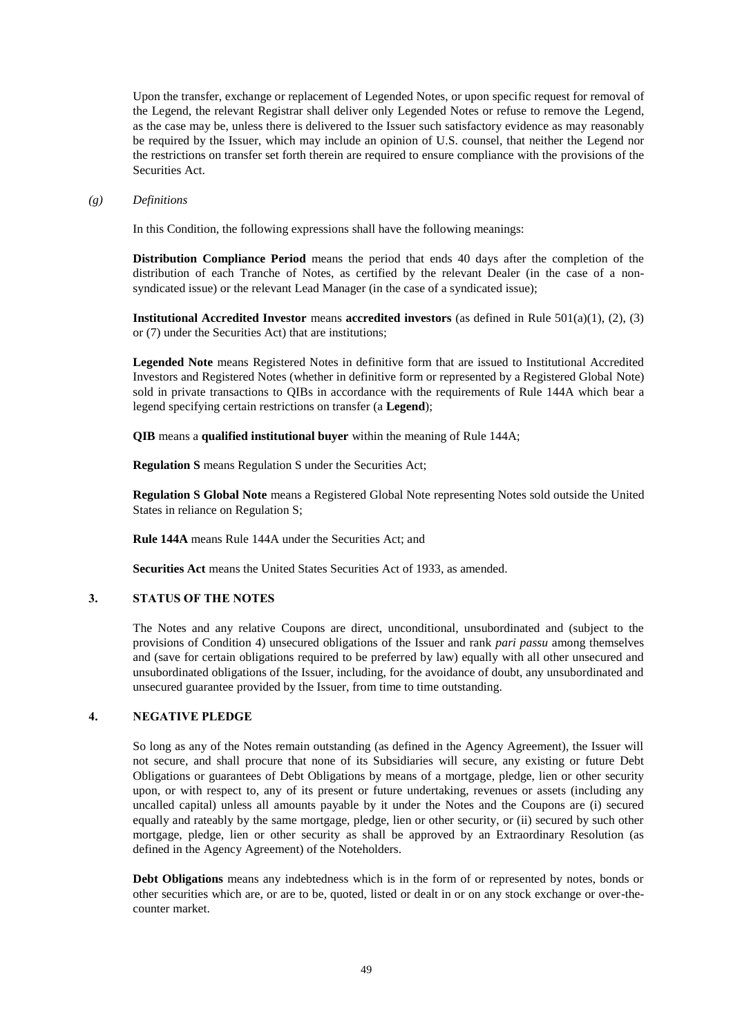Upon the transfer, exchange or replacement of Legended Notes, or upon specific request for removal of the Legend, the relevant Registrar shall deliver only Legended Notes or refuse to remove the Legend, as the case may be, unless there is delivered to the Issuer such satisfactory evidence as may reasonably be required by the Issuer, which may include an opinion of U.S. counsel, that neither the Legend nor the restrictions on transfer set forth therein are required to ensure compliance with the provisions of the Securities Act.

### *(g) Definitions*

In this Condition, the following expressions shall have the following meanings:

**Distribution Compliance Period** means the period that ends 40 days after the completion of the distribution of each Tranche of Notes, as certified by the relevant Dealer (in the case of a nonsyndicated issue) or the relevant Lead Manager (in the case of a syndicated issue);

**Institutional Accredited Investor** means **accredited investors** (as defined in Rule 501(a)(1), (2), (3) or (7) under the Securities Act) that are institutions;

**Legended Note** means Registered Notes in definitive form that are issued to Institutional Accredited Investors and Registered Notes (whether in definitive form or represented by a Registered Global Note) sold in private transactions to QIBs in accordance with the requirements of Rule 144A which bear a legend specifying certain restrictions on transfer (a **Legend**);

**QIB** means a **qualified institutional buyer** within the meaning of Rule 144A;

**Regulation S** means Regulation S under the Securities Act;

**Regulation S Global Note** means a Registered Global Note representing Notes sold outside the United States in reliance on Regulation S;

**Rule 144A** means Rule 144A under the Securities Act; and

**Securities Act** means the United States Securities Act of 1933, as amended.

## **3. STATUS OF THE NOTES**

The Notes and any relative Coupons are direct, unconditional, unsubordinated and (subject to the provisions of Condition [4\)](#page-48-0) unsecured obligations of the Issuer and rank *pari passu* among themselves and (save for certain obligations required to be preferred by law) equally with all other unsecured and unsubordinated obligations of the Issuer, including, for the avoidance of doubt, any unsubordinated and unsecured guarantee provided by the Issuer, from time to time outstanding.

## <span id="page-48-0"></span>**4. NEGATIVE PLEDGE**

So long as any of the Notes remain outstanding (as defined in the Agency Agreement), the Issuer will not secure, and shall procure that none of its Subsidiaries will secure, any existing or future Debt Obligations or guarantees of Debt Obligations by means of a mortgage, pledge, lien or other security upon, or with respect to, any of its present or future undertaking, revenues or assets (including any uncalled capital) unless all amounts payable by it under the Notes and the Coupons are (i) secured equally and rateably by the same mortgage, pledge, lien or other security, or (ii) secured by such other mortgage, pledge, lien or other security as shall be approved by an Extraordinary Resolution (as defined in the Agency Agreement) of the Noteholders.

**Debt Obligations** means any indebtedness which is in the form of or represented by notes, bonds or other securities which are, or are to be, quoted, listed or dealt in or on any stock exchange or over-thecounter market.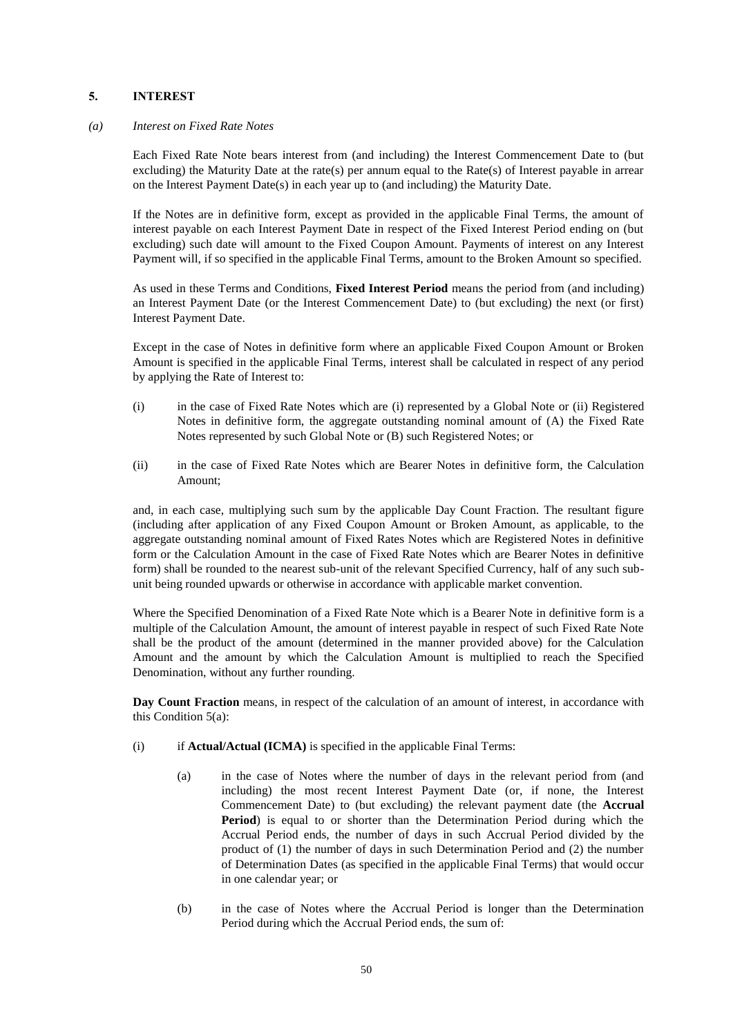## <span id="page-49-0"></span>**5. INTEREST**

### *(a) Interest on Fixed Rate Notes*

Each Fixed Rate Note bears interest from (and including) the Interest Commencement Date to (but excluding) the Maturity Date at the rate(s) per annum equal to the Rate(s) of Interest payable in arrear on the Interest Payment Date(s) in each year up to (and including) the Maturity Date.

If the Notes are in definitive form, except as provided in the applicable Final Terms, the amount of interest payable on each Interest Payment Date in respect of the Fixed Interest Period ending on (but excluding) such date will amount to the Fixed Coupon Amount. Payments of interest on any Interest Payment will, if so specified in the applicable Final Terms, amount to the Broken Amount so specified.

As used in these Terms and Conditions, **Fixed Interest Period** means the period from (and including) an Interest Payment Date (or the Interest Commencement Date) to (but excluding) the next (or first) Interest Payment Date.

Except in the case of Notes in definitive form where an applicable Fixed Coupon Amount or Broken Amount is specified in the applicable Final Terms, interest shall be calculated in respect of any period by applying the Rate of Interest to:

- (i) in the case of Fixed Rate Notes which are (i) represented by a Global Note or (ii) Registered Notes in definitive form, the aggregate outstanding nominal amount of (A) the Fixed Rate Notes represented by such Global Note or (B) such Registered Notes; or
- (ii) in the case of Fixed Rate Notes which are Bearer Notes in definitive form, the Calculation Amount;

and, in each case, multiplying such sum by the applicable Day Count Fraction. The resultant figure (including after application of any Fixed Coupon Amount or Broken Amount, as applicable, to the aggregate outstanding nominal amount of Fixed Rates Notes which are Registered Notes in definitive form or the Calculation Amount in the case of Fixed Rate Notes which are Bearer Notes in definitive form) shall be rounded to the nearest sub-unit of the relevant Specified Currency, half of any such subunit being rounded upwards or otherwise in accordance with applicable market convention.

Where the Specified Denomination of a Fixed Rate Note which is a Bearer Note in definitive form is a multiple of the Calculation Amount, the amount of interest payable in respect of such Fixed Rate Note shall be the product of the amount (determined in the manner provided above) for the Calculation Amount and the amount by which the Calculation Amount is multiplied to reach the Specified Denomination, without any further rounding.

**Day Count Fraction** means, in respect of the calculation of an amount of interest, in accordance with this Condition [5\(a\):](#page-49-0)

- (i) if **Actual/Actual (ICMA)** is specified in the applicable Final Terms:
	- (a) in the case of Notes where the number of days in the relevant period from (and including) the most recent Interest Payment Date (or, if none, the Interest Commencement Date) to (but excluding) the relevant payment date (the **Accrual Period**) is equal to or shorter than the Determination Period during which the Accrual Period ends, the number of days in such Accrual Period divided by the product of (1) the number of days in such Determination Period and (2) the number of Determination Dates (as specified in the applicable Final Terms) that would occur in one calendar year; or
	- (b) in the case of Notes where the Accrual Period is longer than the Determination Period during which the Accrual Period ends, the sum of: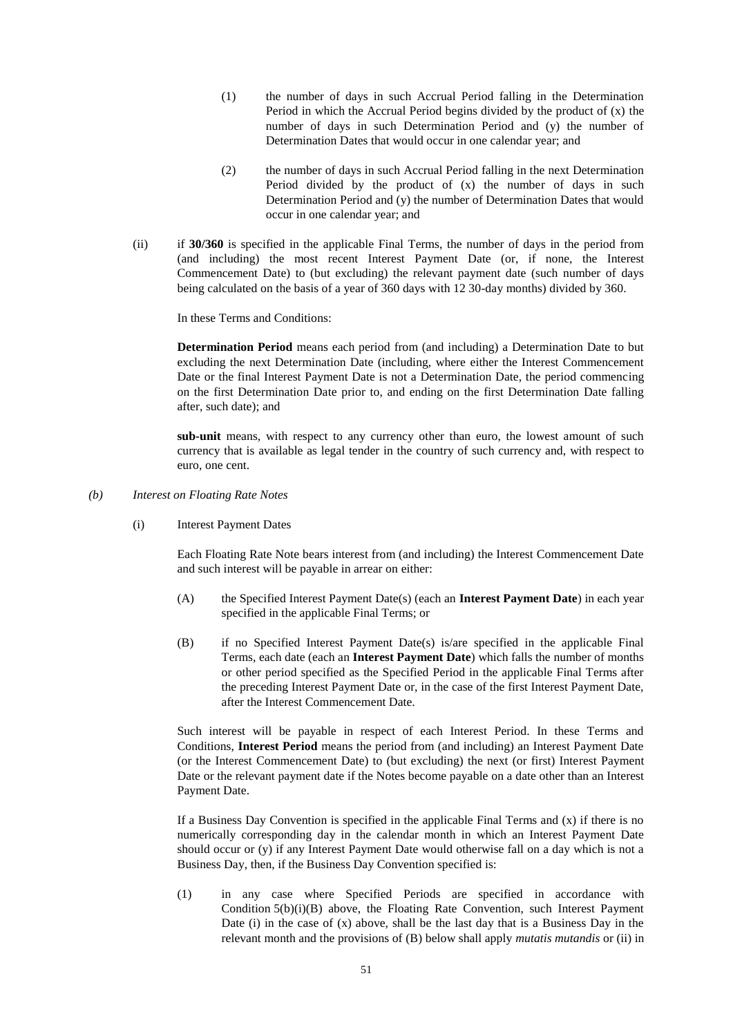- (1) the number of days in such Accrual Period falling in the Determination Period in which the Accrual Period begins divided by the product of (x) the number of days in such Determination Period and (y) the number of Determination Dates that would occur in one calendar year; and
- (2) the number of days in such Accrual Period falling in the next Determination Period divided by the product of (x) the number of days in such Determination Period and (y) the number of Determination Dates that would occur in one calendar year; and
- (ii) if **30/360** is specified in the applicable Final Terms, the number of days in the period from (and including) the most recent Interest Payment Date (or, if none, the Interest Commencement Date) to (but excluding) the relevant payment date (such number of days being calculated on the basis of a year of 360 days with 12 30-day months) divided by 360.

In these Terms and Conditions:

**Determination Period** means each period from (and including) a Determination Date to but excluding the next Determination Date (including, where either the Interest Commencement Date or the final Interest Payment Date is not a Determination Date, the period commencing on the first Determination Date prior to, and ending on the first Determination Date falling after, such date); and

**sub-unit** means, with respect to any currency other than euro, the lowest amount of such currency that is available as legal tender in the country of such currency and, with respect to euro, one cent.

- <span id="page-50-1"></span>*(b) Interest on Floating Rate Notes*
	- (i) Interest Payment Dates

Each Floating Rate Note bears interest from (and including) the Interest Commencement Date and such interest will be payable in arrear on either:

- (A) the Specified Interest Payment Date(s) (each an **Interest Payment Date**) in each year specified in the applicable Final Terms; or
- <span id="page-50-0"></span>(B) if no Specified Interest Payment Date(s) is/are specified in the applicable Final Terms, each date (each an **Interest Payment Date**) which falls the number of months or other period specified as the Specified Period in the applicable Final Terms after the preceding Interest Payment Date or, in the case of the first Interest Payment Date, after the Interest Commencement Date.

Such interest will be payable in respect of each Interest Period. In these Terms and Conditions, **Interest Period** means the period from (and including) an Interest Payment Date (or the Interest Commencement Date) to (but excluding) the next (or first) Interest Payment Date or the relevant payment date if the Notes become payable on a date other than an Interest Payment Date.

If a Business Day Convention is specified in the applicable Final Terms and  $(x)$  if there is no numerically corresponding day in the calendar month in which an Interest Payment Date should occur or (y) if any Interest Payment Date would otherwise fall on a day which is not a Business Day, then, if the Business Day Convention specified is:

(1) in any case where Specified Periods are specified in accordance with Condition [5\(b\)\(i\)\(B\) above,](#page-50-0) the Floating Rate Convention, such Interest Payment Date (i) in the case of  $(x)$  above, shall be the last day that is a Business Day in the relevant month and the provisions o[f \(B\)](#page-51-0) below shall apply *mutatis mutandis* or (ii) in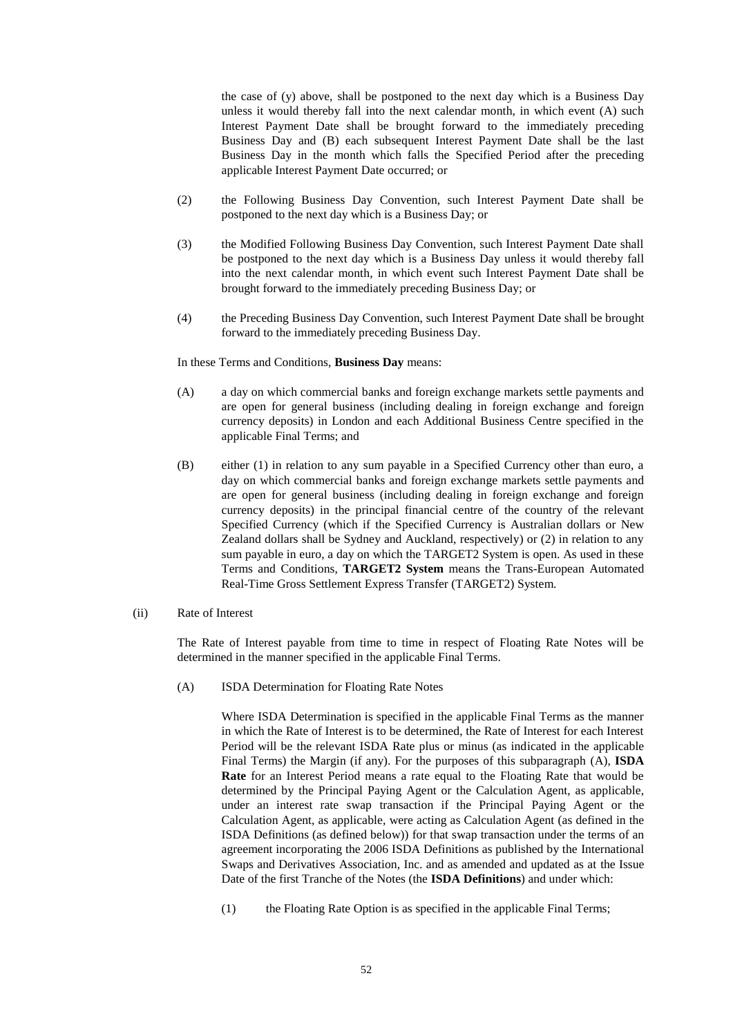<span id="page-51-0"></span>the case of (y) above, shall be postponed to the next day which is a Business Day unless it would thereby fall into the next calendar month, in which event (A) such Interest Payment Date shall be brought forward to the immediately preceding Business Day and (B) each subsequent Interest Payment Date shall be the last Business Day in the month which falls the Specified Period after the preceding applicable Interest Payment Date occurred; or

- (2) the Following Business Day Convention, such Interest Payment Date shall be postponed to the next day which is a Business Day; or
- (3) the Modified Following Business Day Convention, such Interest Payment Date shall be postponed to the next day which is a Business Day unless it would thereby fall into the next calendar month, in which event such Interest Payment Date shall be brought forward to the immediately preceding Business Day; or
- (4) the Preceding Business Day Convention, such Interest Payment Date shall be brought forward to the immediately preceding Business Day.

In these Terms and Conditions, **Business Day** means:

- (A) a day on which commercial banks and foreign exchange markets settle payments and are open for general business (including dealing in foreign exchange and foreign currency deposits) in London and each Additional Business Centre specified in the applicable Final Terms; and
- (B) either (1) in relation to any sum payable in a Specified Currency other than euro, a day on which commercial banks and foreign exchange markets settle payments and are open for general business (including dealing in foreign exchange and foreign currency deposits) in the principal financial centre of the country of the relevant Specified Currency (which if the Specified Currency is Australian dollars or New Zealand dollars shall be Sydney and Auckland, respectively) or (2) in relation to any sum payable in euro, a day on which the TARGET2 System is open. As used in these Terms and Conditions, **TARGET2 System** means the Trans-European Automated Real-Time Gross Settlement Express Transfer (TARGET2) System.
- <span id="page-51-2"></span><span id="page-51-1"></span>(ii) Rate of Interest

The Rate of Interest payable from time to time in respect of Floating Rate Notes will be determined in the manner specified in the applicable Final Terms.

(A) ISDA Determination for Floating Rate Notes

Where ISDA Determination is specified in the applicable Final Terms as the manner in which the Rate of Interest is to be determined, the Rate of Interest for each Interest Period will be the relevant ISDA Rate plus or minus (as indicated in the applicable Final Terms) the Margin (if any). For the purposes of this subparagraph [\(A\),](#page-51-1) **ISDA Rate** for an Interest Period means a rate equal to the Floating Rate that would be determined by the Principal Paying Agent or the Calculation Agent, as applicable, under an interest rate swap transaction if the Principal Paying Agent or the Calculation Agent, as applicable, were acting as Calculation Agent (as defined in the ISDA Definitions (as defined below)) for that swap transaction under the terms of an agreement incorporating the 2006 ISDA Definitions as published by the International Swaps and Derivatives Association, Inc. and as amended and updated as at the Issue Date of the first Tranche of the Notes (the **ISDA Definitions**) and under which:

(1) the Floating Rate Option is as specified in the applicable Final Terms;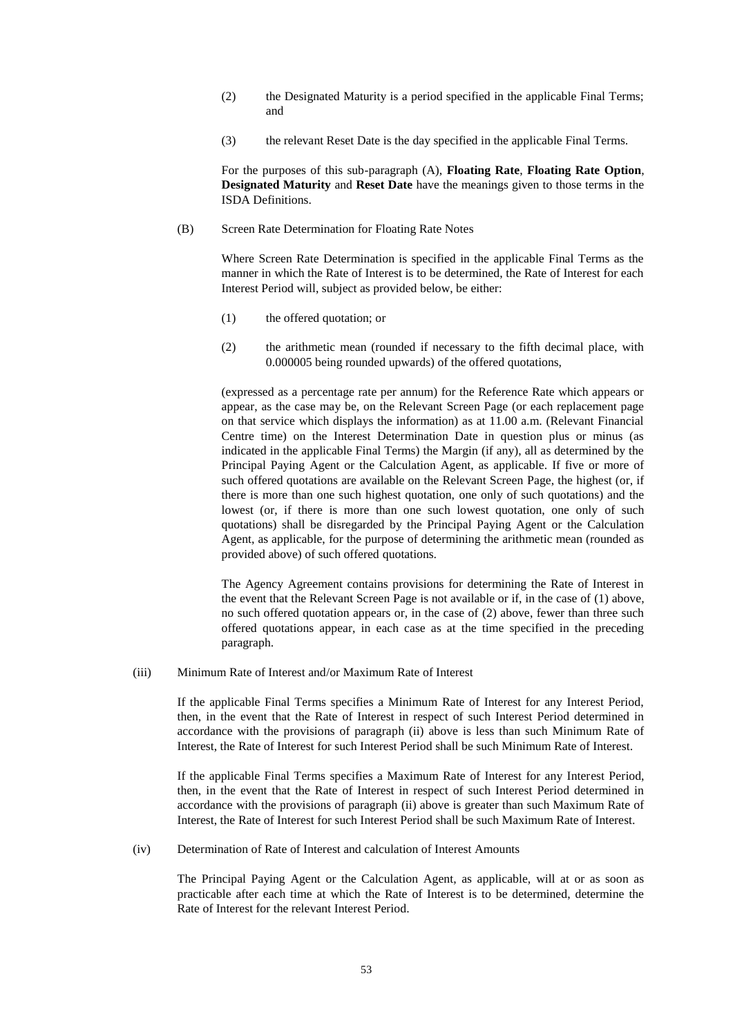- (2) the Designated Maturity is a period specified in the applicable Final Terms; and
- (3) the relevant Reset Date is the day specified in the applicable Final Terms.

For the purposes of this sub-paragraph [\(A\),](#page-51-1) **Floating Rate**, **Floating Rate Option**, **Designated Maturity** and **Reset Date** have the meanings given to those terms in the ISDA Definitions.

<span id="page-52-0"></span>(B) Screen Rate Determination for Floating Rate Notes

Where Screen Rate Determination is specified in the applicable Final Terms as the manner in which the Rate of Interest is to be determined, the Rate of Interest for each Interest Period will, subject as provided below, be either:

- <span id="page-52-1"></span>(1) the offered quotation; or
- (2) the arithmetic mean (rounded if necessary to the fifth decimal place, with 0.000005 being rounded upwards) of the offered quotations,

(expressed as a percentage rate per annum) for the Reference Rate which appears or appear, as the case may be, on the Relevant Screen Page (or each replacement page on that service which displays the information) as at 11.00 a.m. (Relevant Financial Centre time) on the Interest Determination Date in question plus or minus (as indicated in the applicable Final Terms) the Margin (if any), all as determined by the Principal Paying Agent or the Calculation Agent, as applicable. If five or more of such offered quotations are available on the Relevant Screen Page, the highest (or, if there is more than one such highest quotation, one only of such quotations) and the lowest (or, if there is more than one such lowest quotation, one only of such quotations) shall be disregarded by the Principal Paying Agent or the Calculation Agent, as applicable, for the purpose of determining the arithmetic mean (rounded as provided above) of such offered quotations.

The Agency Agreement contains provisions for determining the Rate of Interest in the event that the Relevant Screen Page is not available or if, in the case of [\(1\) above,](#page-52-0) no such offered quotation appears or, in the case of [\(2\) above,](#page-52-1) fewer than three such offered quotations appear, in each case as at the time specified in the preceding paragraph.

(iii) Minimum Rate of Interest and/or Maximum Rate of Interest

If the applicable Final Terms specifies a Minimum Rate of Interest for any Interest Period, then, in the event that the Rate of Interest in respect of such Interest Period determined in accordance with the provisions of paragraph [\(ii\) above](#page-51-2) is less than such Minimum Rate of Interest, the Rate of Interest for such Interest Period shall be such Minimum Rate of Interest.

If the applicable Final Terms specifies a Maximum Rate of Interest for any Interest Period, then, in the event that the Rate of Interest in respect of such Interest Period determined in accordance with the provisions of paragraph [\(ii\) above](#page-51-2) is greater than such Maximum Rate of Interest, the Rate of Interest for such Interest Period shall be such Maximum Rate of Interest.

(iv) Determination of Rate of Interest and calculation of Interest Amounts

The Principal Paying Agent or the Calculation Agent, as applicable, will at or as soon as practicable after each time at which the Rate of Interest is to be determined, determine the Rate of Interest for the relevant Interest Period.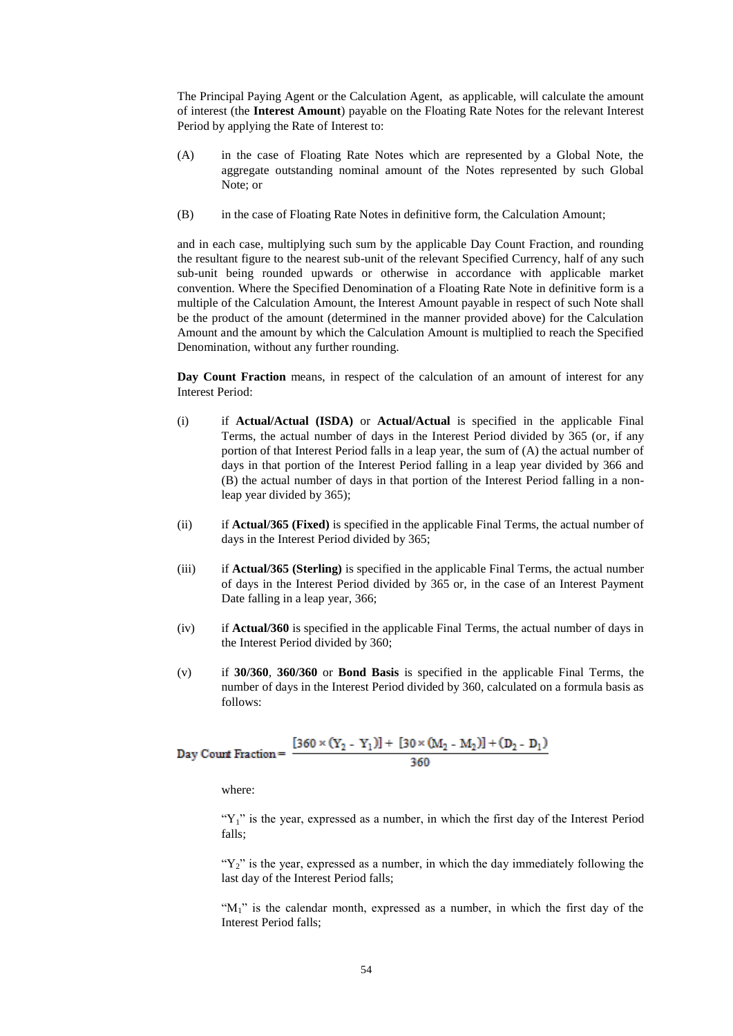The Principal Paying Agent or the Calculation Agent, as applicable, will calculate the amount of interest (the **Interest Amount**) payable on the Floating Rate Notes for the relevant Interest Period by applying the Rate of Interest to:

- (A) in the case of Floating Rate Notes which are represented by a Global Note, the aggregate outstanding nominal amount of the Notes represented by such Global Note; or
- (B) in the case of Floating Rate Notes in definitive form, the Calculation Amount;

and in each case, multiplying such sum by the applicable Day Count Fraction, and rounding the resultant figure to the nearest sub-unit of the relevant Specified Currency, half of any such sub-unit being rounded upwards or otherwise in accordance with applicable market convention. Where the Specified Denomination of a Floating Rate Note in definitive form is a multiple of the Calculation Amount, the Interest Amount payable in respect of such Note shall be the product of the amount (determined in the manner provided above) for the Calculation Amount and the amount by which the Calculation Amount is multiplied to reach the Specified Denomination, without any further rounding.

**Day Count Fraction** means, in respect of the calculation of an amount of interest for any Interest Period:

- (i) if **Actual/Actual (ISDA)** or **Actual/Actual** is specified in the applicable Final Terms, the actual number of days in the Interest Period divided by 365 (or, if any portion of that Interest Period falls in a leap year, the sum of (A) the actual number of days in that portion of the Interest Period falling in a leap year divided by 366 and (B) the actual number of days in that portion of the Interest Period falling in a nonleap year divided by 365);
- (ii) if **Actual/365 (Fixed)** is specified in the applicable Final Terms, the actual number of days in the Interest Period divided by 365;
- (iii) if **Actual/365 (Sterling)** is specified in the applicable Final Terms, the actual number of days in the Interest Period divided by 365 or, in the case of an Interest Payment Date falling in a leap year, 366;
- (iv) if **Actual/360** is specified in the applicable Final Terms, the actual number of days in the Interest Period divided by 360;
- (v) if **30/360**, **360/360** or **Bond Basis** is specified in the applicable Final Terms, the number of days in the Interest Period divided by 360, calculated on a formula basis as follows:

Day Count Fraction = 
$$
\frac{[360 \times (Y_2 - Y_1)] + [30 \times (M_2 - M_2)] + (D_2 - D_1)}{360}
$$

where:

" $Y_1$ " is the year, expressed as a number, in which the first day of the Interest Period falls;

" $Y_2$ " is the year, expressed as a number, in which the day immediately following the last day of the Interest Period falls;

" $M_1$ " is the calendar month, expressed as a number, in which the first day of the Interest Period falls;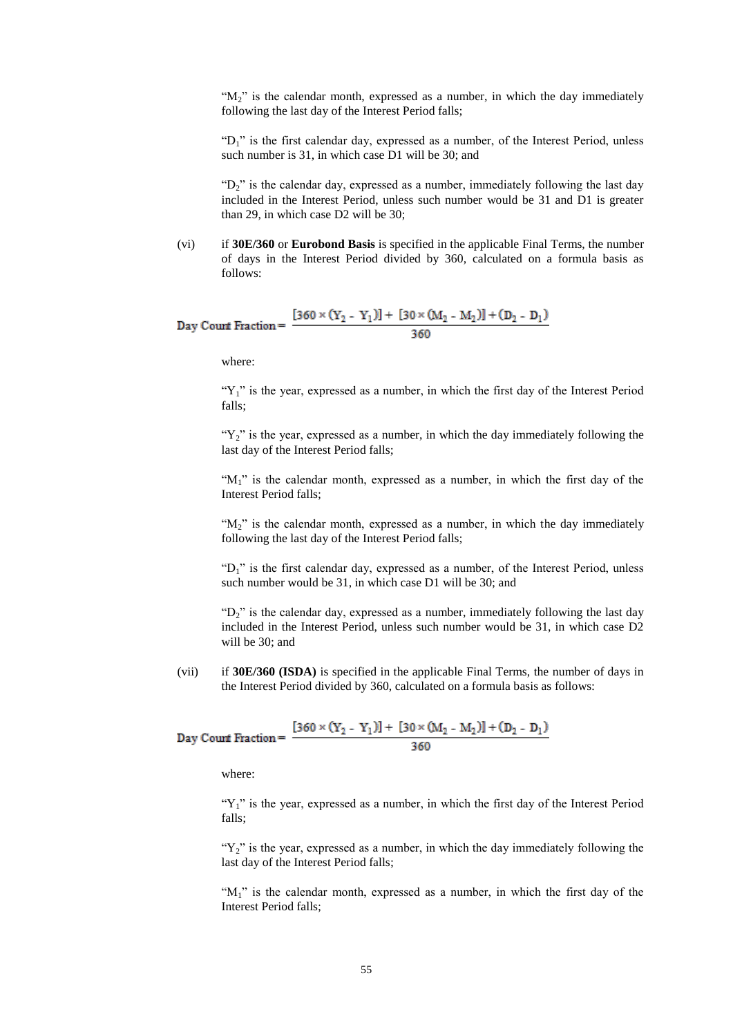" $M_2$ " is the calendar month, expressed as a number, in which the day immediately following the last day of the Interest Period falls;

"D<sub>1</sub>" is the first calendar day, expressed as a number, of the Interest Period, unless such number is 31, in which case D1 will be 30; and

" $D_2$ " is the calendar day, expressed as a number, immediately following the last day included in the Interest Period, unless such number would be 31 and D1 is greater than 29, in which case D2 will be 30;

(vi) if **30E/360** or **Eurobond Basis** is specified in the applicable Final Terms, the number of days in the Interest Period divided by 360, calculated on a formula basis as follows:

Day Court Fraction = 
$$
\frac{[360 \times (Y_2 - Y_1)] + [30 \times (M_2 - M_2)] + (D_2 - D_1)}{360}
$$

where:

" $Y_1$ " is the year, expressed as a number, in which the first day of the Interest Period falls;

" $Y_2$ " is the year, expressed as a number, in which the day immediately following the last day of the Interest Period falls;

" $M_1$ " is the calendar month, expressed as a number, in which the first day of the Interest Period falls;

" $M_2$ " is the calendar month, expressed as a number, in which the day immediately following the last day of the Interest Period falls;

"D<sub>1</sub>" is the first calendar day, expressed as a number, of the Interest Period, unless such number would be 31, in which case D1 will be 30; and

" $D_2$ " is the calendar day, expressed as a number, immediately following the last day included in the Interest Period, unless such number would be 31, in which case D2 will be 30; and

(vii) if **30E/360 (ISDA)** is specified in the applicable Final Terms, the number of days in the Interest Period divided by 360, calculated on a formula basis as follows:

Day Count Fraction = 
$$
\frac{[360 \times (Y_2 - Y_1)] + [30 \times (M_2 - M_2)] + (D_2 - D_1)}{360}
$$

where:

" $Y_1$ " is the year, expressed as a number, in which the first day of the Interest Period falls;

" $Y_2$ " is the year, expressed as a number, in which the day immediately following the last day of the Interest Period falls;

" $M_1$ " is the calendar month, expressed as a number, in which the first day of the Interest Period falls;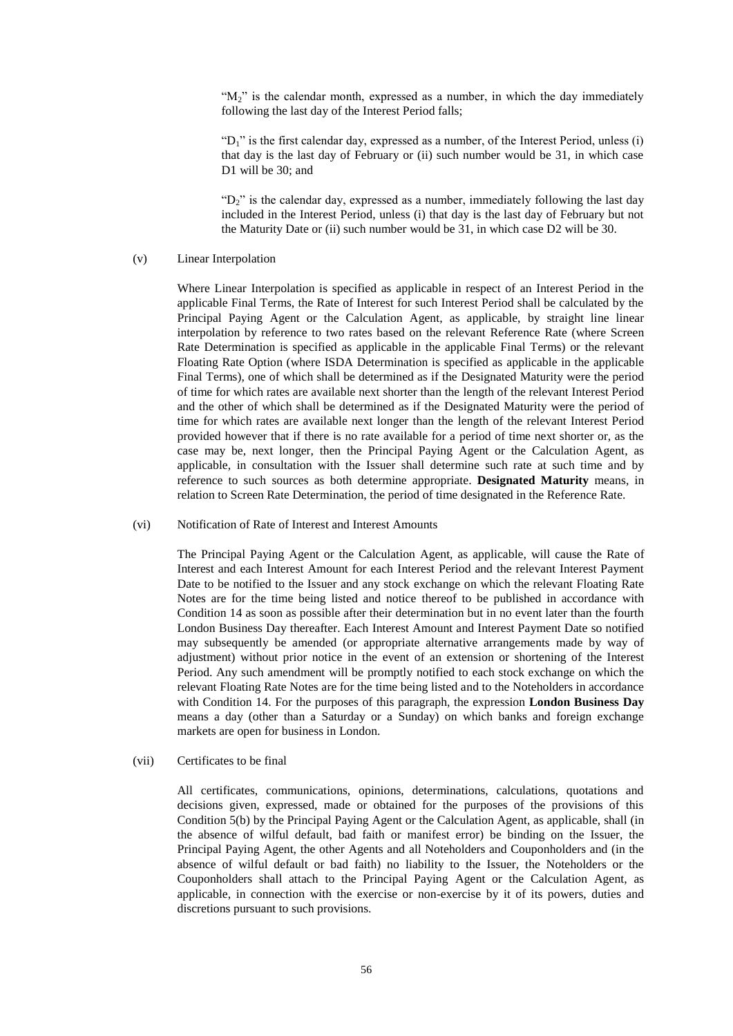" $M<sub>2</sub>$ " is the calendar month, expressed as a number, in which the day immediately following the last day of the Interest Period falls;

" $D_1$ " is the first calendar day, expressed as a number, of the Interest Period, unless (i) that day is the last day of February or (ii) such number would be 31, in which case D1 will be 30; and

" $D_2$ " is the calendar day, expressed as a number, immediately following the last day included in the Interest Period, unless (i) that day is the last day of February but not the Maturity Date or (ii) such number would be 31, in which case D2 will be 30.

#### (v) Linear Interpolation

Where Linear Interpolation is specified as applicable in respect of an Interest Period in the applicable Final Terms, the Rate of Interest for such Interest Period shall be calculated by the Principal Paying Agent or the Calculation Agent, as applicable, by straight line linear interpolation by reference to two rates based on the relevant Reference Rate (where Screen Rate Determination is specified as applicable in the applicable Final Terms) or the relevant Floating Rate Option (where ISDA Determination is specified as applicable in the applicable Final Terms), one of which shall be determined as if the Designated Maturity were the period of time for which rates are available next shorter than the length of the relevant Interest Period and the other of which shall be determined as if the Designated Maturity were the period of time for which rates are available next longer than the length of the relevant Interest Period provided however that if there is no rate available for a period of time next shorter or, as the case may be, next longer, then the Principal Paying Agent or the Calculation Agent, as applicable, in consultation with the Issuer shall determine such rate at such time and by reference to such sources as both determine appropriate. **Designated Maturity** means, in relation to Screen Rate Determination, the period of time designated in the Reference Rate.

#### (vi) Notification of Rate of Interest and Interest Amounts

The Principal Paying Agent or the Calculation Agent, as applicable, will cause the Rate of Interest and each Interest Amount for each Interest Period and the relevant Interest Payment Date to be notified to the Issuer and any stock exchange on which the relevant Floating Rate Notes are for the time being listed and notice thereof to be published in accordance with Condition [14](#page-68-0) as soon as possible after their determination but in no event later than the fourth London Business Day thereafter. Each Interest Amount and Interest Payment Date so notified may subsequently be amended (or appropriate alternative arrangements made by way of adjustment) without prior notice in the event of an extension or shortening of the Interest Period. Any such amendment will be promptly notified to each stock exchange on which the relevant Floating Rate Notes are for the time being listed and to the Noteholders in accordance with Condition [14.](#page-68-0) For the purposes of this paragraph, the expression **London Business Day**  means a day (other than a Saturday or a Sunday) on which banks and foreign exchange markets are open for business in London.

### (vii) Certificates to be final

All certificates, communications, opinions, determinations, calculations, quotations and decisions given, expressed, made or obtained for the purposes of the provisions of this Condition [5\(b\)](#page-50-1) by the Principal Paying Agent or the Calculation Agent, as applicable, shall (in the absence of wilful default, bad faith or manifest error) be binding on the Issuer, the Principal Paying Agent, the other Agents and all Noteholders and Couponholders and (in the absence of wilful default or bad faith) no liability to the Issuer, the Noteholders or the Couponholders shall attach to the Principal Paying Agent or the Calculation Agent, as applicable, in connection with the exercise or non-exercise by it of its powers, duties and discretions pursuant to such provisions.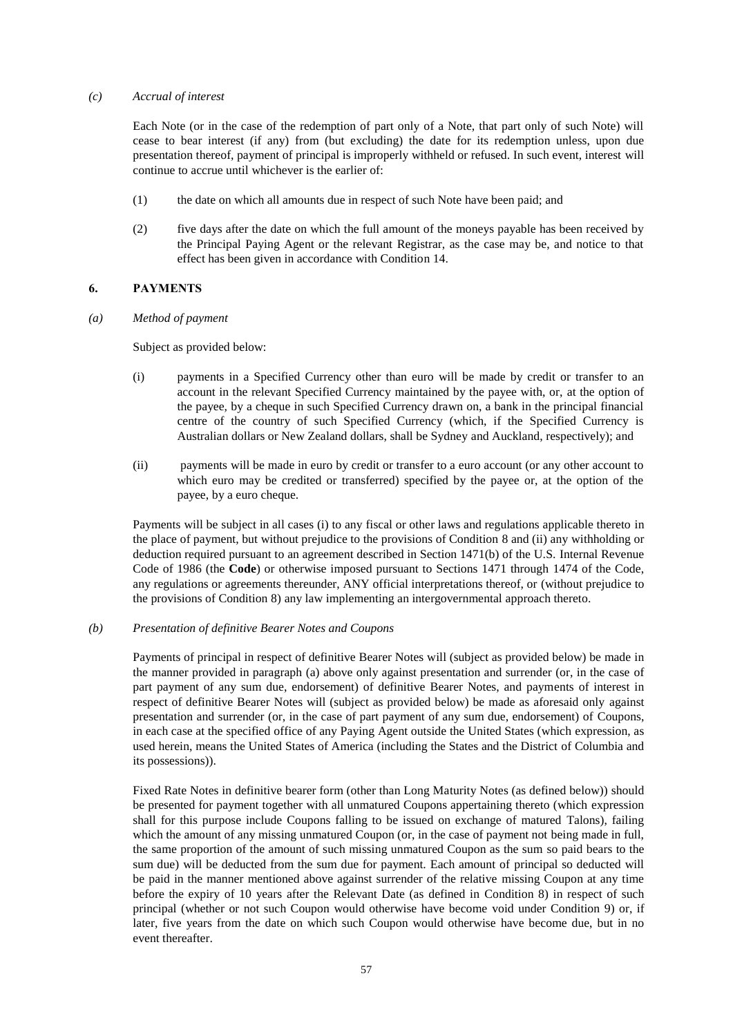### *(c) Accrual of interest*

Each Note (or in the case of the redemption of part only of a Note, that part only of such Note) will cease to bear interest (if any) from (but excluding) the date for its redemption unless, upon due presentation thereof, payment of principal is improperly withheld or refused. In such event, interest will continue to accrue until whichever is the earlier of:

- (1) the date on which all amounts due in respect of such Note have been paid; and
- (2) five days after the date on which the full amount of the moneys payable has been received by the Principal Paying Agent or the relevant Registrar, as the case may be, and notice to that effect has been given in accordance with Conditio[n 14.](#page-68-0)

## <span id="page-56-1"></span><span id="page-56-0"></span>**6. PAYMENTS**

*(a) Method of payment*

Subject as provided below:

- (i) payments in a Specified Currency other than euro will be made by credit or transfer to an account in the relevant Specified Currency maintained by the payee with, or, at the option of the payee, by a cheque in such Specified Currency drawn on, a bank in the principal financial centre of the country of such Specified Currency (which, if the Specified Currency is Australian dollars or New Zealand dollars, shall be Sydney and Auckland, respectively); and
- (ii) payments will be made in euro by credit or transfer to a euro account (or any other account to which euro may be credited or transferred) specified by the payee or, at the option of the payee, by a euro cheque.

Payments will be subject in all cases (i) to any fiscal or other laws and regulations applicable thereto in the place of payment, but without prejudice to the provisions of Condition [8](#page-65-0) and (ii) any withholding or deduction required pursuant to an agreement described in Section 1471(b) of the U.S. Internal Revenue Code of 1986 (the **Code**) or otherwise imposed pursuant to Sections 1471 through 1474 of the Code, any regulations or agreements thereunder, ANY official interpretations thereof, or (without prejudice to the provisions of Condition [8\)](#page-65-0) any law implementing an intergovernmental approach thereto.

## <span id="page-56-2"></span>*(b) Presentation of definitive Bearer Notes and Coupons*

Payments of principal in respect of definitive Bearer Notes will (subject as provided below) be made in the manner provided in paragraph [\(a\) above](#page-56-0) only against presentation and surrender (or, in the case of part payment of any sum due, endorsement) of definitive Bearer Notes, and payments of interest in respect of definitive Bearer Notes will (subject as provided below) be made as aforesaid only against presentation and surrender (or, in the case of part payment of any sum due, endorsement) of Coupons, in each case at the specified office of any Paying Agent outside the United States (which expression, as used herein, means the United States of America (including the States and the District of Columbia and its possessions)).

Fixed Rate Notes in definitive bearer form (other than Long Maturity Notes (as defined below)) should be presented for payment together with all unmatured Coupons appertaining thereto (which expression shall for this purpose include Coupons falling to be issued on exchange of matured Talons), failing which the amount of any missing unmatured Coupon (or, in the case of payment not being made in full, the same proportion of the amount of such missing unmatured Coupon as the sum so paid bears to the sum due) will be deducted from the sum due for payment. Each amount of principal so deducted will be paid in the manner mentioned above against surrender of the relative missing Coupon at any time before the expiry of 10 years after the Relevant Date (as defined in Condition [8\)](#page-65-0) in respect of such principal (whether or not such Coupon would otherwise have become void under Condition [9\)](#page-66-0) or, if later, five years from the date on which such Coupon would otherwise have become due, but in no event thereafter.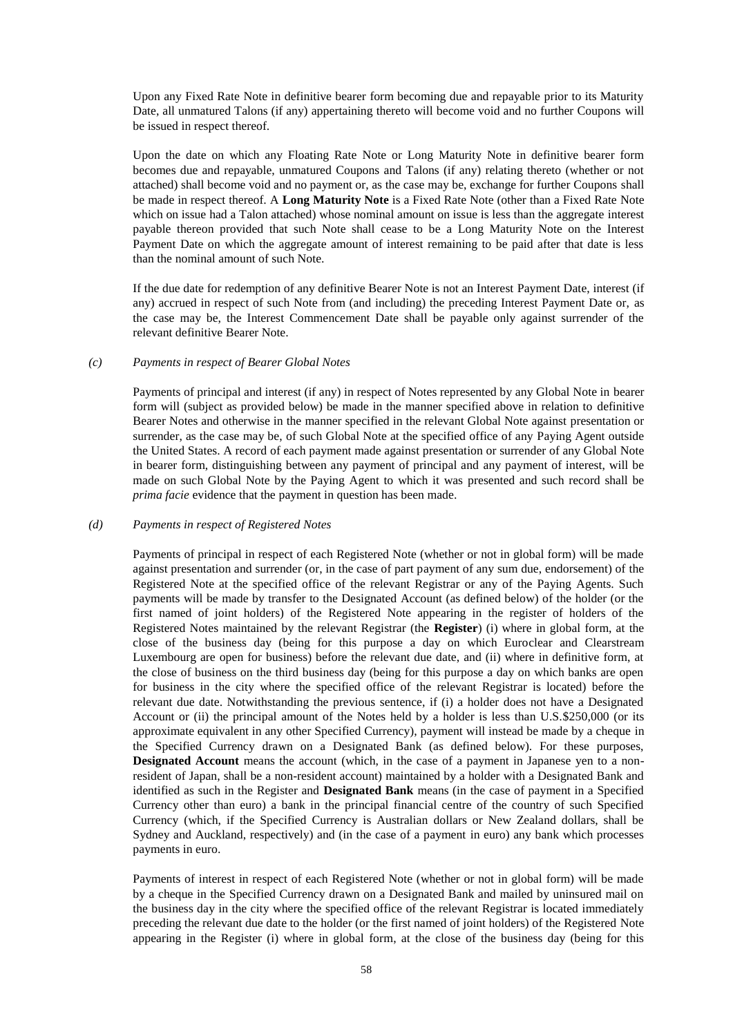Upon any Fixed Rate Note in definitive bearer form becoming due and repayable prior to its Maturity Date, all unmatured Talons (if any) appertaining thereto will become void and no further Coupons will be issued in respect thereof.

Upon the date on which any Floating Rate Note or Long Maturity Note in definitive bearer form becomes due and repayable, unmatured Coupons and Talons (if any) relating thereto (whether or not attached) shall become void and no payment or, as the case may be, exchange for further Coupons shall be made in respect thereof. A **Long Maturity Note** is a Fixed Rate Note (other than a Fixed Rate Note which on issue had a Talon attached) whose nominal amount on issue is less than the aggregate interest payable thereon provided that such Note shall cease to be a Long Maturity Note on the Interest Payment Date on which the aggregate amount of interest remaining to be paid after that date is less than the nominal amount of such Note.

If the due date for redemption of any definitive Bearer Note is not an Interest Payment Date, interest (if any) accrued in respect of such Note from (and including) the preceding Interest Payment Date or, as the case may be, the Interest Commencement Date shall be payable only against surrender of the relevant definitive Bearer Note.

#### *(c) Payments in respect of Bearer Global Notes*

Payments of principal and interest (if any) in respect of Notes represented by any Global Note in bearer form will (subject as provided below) be made in the manner specified above in relation to definitive Bearer Notes and otherwise in the manner specified in the relevant Global Note against presentation or surrender, as the case may be, of such Global Note at the specified office of any Paying Agent outside the United States. A record of each payment made against presentation or surrender of any Global Note in bearer form, distinguishing between any payment of principal and any payment of interest, will be made on such Global Note by the Paying Agent to which it was presented and such record shall be *prima facie* evidence that the payment in question has been made.

#### *(d) Payments in respect of Registered Notes*

Payments of principal in respect of each Registered Note (whether or not in global form) will be made against presentation and surrender (or, in the case of part payment of any sum due, endorsement) of the Registered Note at the specified office of the relevant Registrar or any of the Paying Agents. Such payments will be made by transfer to the Designated Account (as defined below) of the holder (or the first named of joint holders) of the Registered Note appearing in the register of holders of the Registered Notes maintained by the relevant Registrar (the **Register**) (i) where in global form, at the close of the business day (being for this purpose a day on which Euroclear and Clearstream Luxembourg are open for business) before the relevant due date, and (ii) where in definitive form, at the close of business on the third business day (being for this purpose a day on which banks are open for business in the city where the specified office of the relevant Registrar is located) before the relevant due date. Notwithstanding the previous sentence, if (i) a holder does not have a Designated Account or (ii) the principal amount of the Notes held by a holder is less than U.S.\$250,000 (or its approximate equivalent in any other Specified Currency), payment will instead be made by a cheque in the Specified Currency drawn on a Designated Bank (as defined below). For these purposes, **Designated Account** means the account (which, in the case of a payment in Japanese yen to a nonresident of Japan, shall be a non-resident account) maintained by a holder with a Designated Bank and identified as such in the Register and **Designated Bank** means (in the case of payment in a Specified Currency other than euro) a bank in the principal financial centre of the country of such Specified Currency (which, if the Specified Currency is Australian dollars or New Zealand dollars, shall be Sydney and Auckland, respectively) and (in the case of a payment in euro) any bank which processes payments in euro.

Payments of interest in respect of each Registered Note (whether or not in global form) will be made by a cheque in the Specified Currency drawn on a Designated Bank and mailed by uninsured mail on the business day in the city where the specified office of the relevant Registrar is located immediately preceding the relevant due date to the holder (or the first named of joint holders) of the Registered Note appearing in the Register (i) where in global form, at the close of the business day (being for this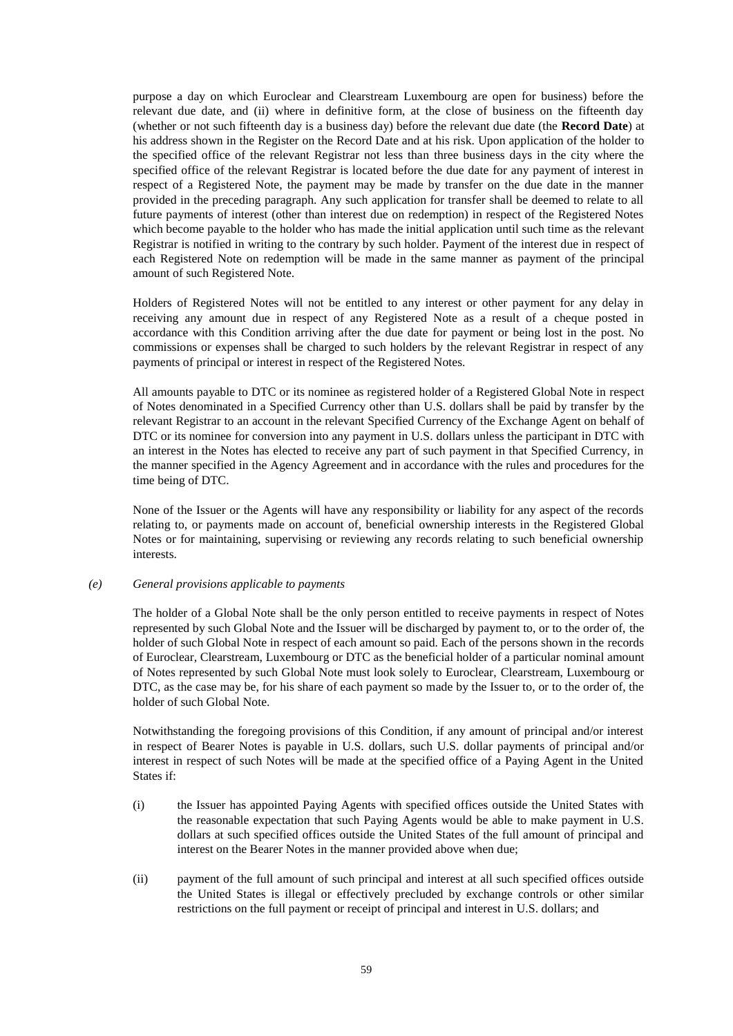purpose a day on which Euroclear and Clearstream Luxembourg are open for business) before the relevant due date, and (ii) where in definitive form, at the close of business on the fifteenth day (whether or not such fifteenth day is a business day) before the relevant due date (the **Record Date**) at his address shown in the Register on the Record Date and at his risk. Upon application of the holder to the specified office of the relevant Registrar not less than three business days in the city where the specified office of the relevant Registrar is located before the due date for any payment of interest in respect of a Registered Note, the payment may be made by transfer on the due date in the manner provided in the preceding paragraph. Any such application for transfer shall be deemed to relate to all future payments of interest (other than interest due on redemption) in respect of the Registered Notes which become payable to the holder who has made the initial application until such time as the relevant Registrar is notified in writing to the contrary by such holder. Payment of the interest due in respect of each Registered Note on redemption will be made in the same manner as payment of the principal amount of such Registered Note.

Holders of Registered Notes will not be entitled to any interest or other payment for any delay in receiving any amount due in respect of any Registered Note as a result of a cheque posted in accordance with this Condition arriving after the due date for payment or being lost in the post. No commissions or expenses shall be charged to such holders by the relevant Registrar in respect of any payments of principal or interest in respect of the Registered Notes.

All amounts payable to DTC or its nominee as registered holder of a Registered Global Note in respect of Notes denominated in a Specified Currency other than U.S. dollars shall be paid by transfer by the relevant Registrar to an account in the relevant Specified Currency of the Exchange Agent on behalf of DTC or its nominee for conversion into any payment in U.S. dollars unless the participant in DTC with an interest in the Notes has elected to receive any part of such payment in that Specified Currency, in the manner specified in the Agency Agreement and in accordance with the rules and procedures for the time being of DTC.

None of the Issuer or the Agents will have any responsibility or liability for any aspect of the records relating to, or payments made on account of, beneficial ownership interests in the Registered Global Notes or for maintaining, supervising or reviewing any records relating to such beneficial ownership interests.

### <span id="page-58-0"></span>*(e) General provisions applicable to payments*

The holder of a Global Note shall be the only person entitled to receive payments in respect of Notes represented by such Global Note and the Issuer will be discharged by payment to, or to the order of, the holder of such Global Note in respect of each amount so paid. Each of the persons shown in the records of Euroclear, Clearstream, Luxembourg or DTC as the beneficial holder of a particular nominal amount of Notes represented by such Global Note must look solely to Euroclear, Clearstream, Luxembourg or DTC, as the case may be, for his share of each payment so made by the Issuer to, or to the order of, the holder of such Global Note.

Notwithstanding the foregoing provisions of this Condition, if any amount of principal and/or interest in respect of Bearer Notes is payable in U.S. dollars, such U.S. dollar payments of principal and/or interest in respect of such Notes will be made at the specified office of a Paying Agent in the United States if:

- (i) the Issuer has appointed Paying Agents with specified offices outside the United States with the reasonable expectation that such Paying Agents would be able to make payment in U.S. dollars at such specified offices outside the United States of the full amount of principal and interest on the Bearer Notes in the manner provided above when due;
- (ii) payment of the full amount of such principal and interest at all such specified offices outside the United States is illegal or effectively precluded by exchange controls or other similar restrictions on the full payment or receipt of principal and interest in U.S. dollars; and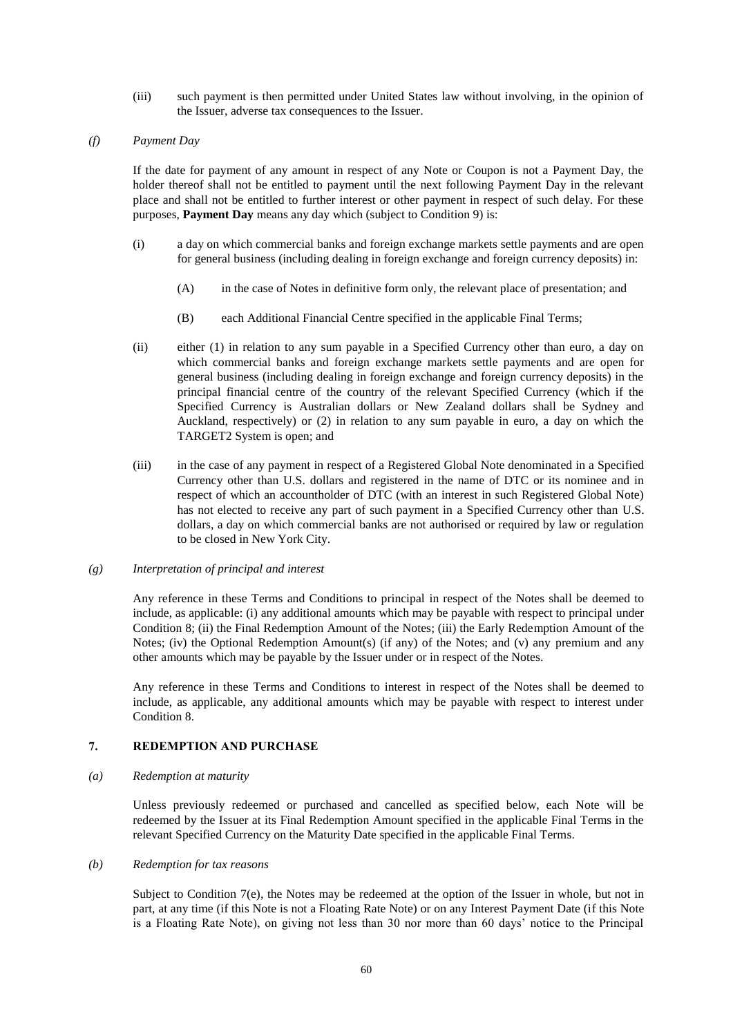(iii) such payment is then permitted under United States law without involving, in the opinion of the Issuer, adverse tax consequences to the Issuer.

### <span id="page-59-3"></span>*(f) Payment Day*

If the date for payment of any amount in respect of any Note or Coupon is not a Payment Day, the holder thereof shall not be entitled to payment until the next following Payment Day in the relevant place and shall not be entitled to further interest or other payment in respect of such delay. For these purposes, **Payment Day** means any day which (subject to Condition [9\)](#page-66-0) is:

- (i) a day on which commercial banks and foreign exchange markets settle payments and are open for general business (including dealing in foreign exchange and foreign currency deposits) in:
	- (A) in the case of Notes in definitive form only, the relevant place of presentation; and
	- (B) each Additional Financial Centre specified in the applicable Final Terms;
- (ii) either (1) in relation to any sum payable in a Specified Currency other than euro, a day on which commercial banks and foreign exchange markets settle payments and are open for general business (including dealing in foreign exchange and foreign currency deposits) in the principal financial centre of the country of the relevant Specified Currency (which if the Specified Currency is Australian dollars or New Zealand dollars shall be Sydney and Auckland, respectively) or (2) in relation to any sum payable in euro, a day on which the TARGET2 System is open; and
- (iii) in the case of any payment in respect of a Registered Global Note denominated in a Specified Currency other than U.S. dollars and registered in the name of DTC or its nominee and in respect of which an accountholder of DTC (with an interest in such Registered Global Note) has not elected to receive any part of such payment in a Specified Currency other than U.S. dollars, a day on which commercial banks are not authorised or required by law or regulation to be closed in New York City.

### *(g) Interpretation of principal and interest*

Any reference in these Terms and Conditions to principal in respect of the Notes shall be deemed to include, as applicable: (i) any additional amounts which may be payable with respect to principal under Condition [8;](#page-65-0) (ii) the Final Redemption Amount of the Notes; (iii) the Early Redemption Amount of the Notes; (iv) the Optional Redemption Amount(s) (if any) of the Notes; and (v) any premium and any other amounts which may be payable by the Issuer under or in respect of the Notes.

Any reference in these Terms and Conditions to interest in respect of the Notes shall be deemed to include, as applicable, any additional amounts which may be payable with respect to interest under Condition [8.](#page-65-0)

## <span id="page-59-2"></span><span id="page-59-0"></span>**7. REDEMPTION AND PURCHASE**

#### *(a) Redemption at maturity*

Unless previously redeemed or purchased and cancelled as specified below, each Note will be redeemed by the Issuer at its Final Redemption Amount specified in the applicable Final Terms in the relevant Specified Currency on the Maturity Date specified in the applicable Final Terms.

### <span id="page-59-1"></span>*(b) Redemption for tax reasons*

Subject to Condition [7\(e\),](#page-64-0) the Notes may be redeemed at the option of the Issuer in whole, but not in part, at any time (if this Note is not a Floating Rate Note) or on any Interest Payment Date (if this Note is a Floating Rate Note), on giving not less than 30 nor more than 60 days' notice to the Principal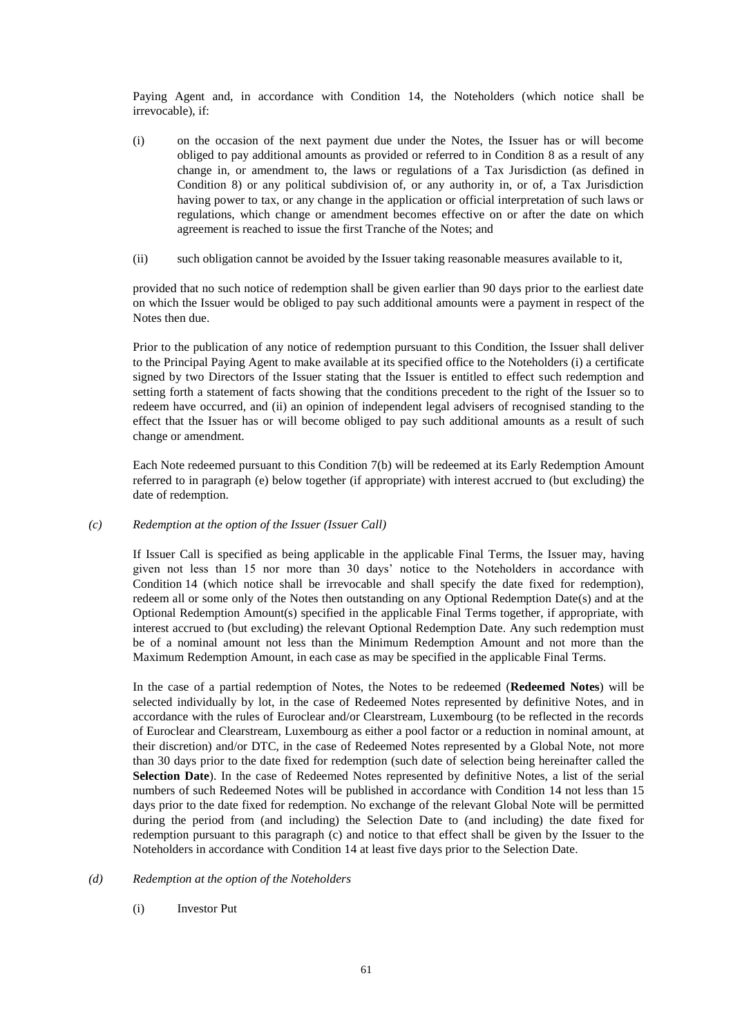Paying Agent and, in accordance with Condition [14,](#page-68-0) the Noteholders (which notice shall be irrevocable), if:

- (i) on the occasion of the next payment due under the Notes, the Issuer has or will become obliged to pay additional amounts as provided or referred to in Condition [8](#page-65-0) as a result of any change in, or amendment to, the laws or regulations of a Tax Jurisdiction (as defined in Condition [8\)](#page-65-0) or any political subdivision of, or any authority in, or of, a Tax Jurisdiction having power to tax, or any change in the application or official interpretation of such laws or regulations, which change or amendment becomes effective on or after the date on which agreement is reached to issue the first Tranche of the Notes; and
- (ii) such obligation cannot be avoided by the Issuer taking reasonable measures available to it,

provided that no such notice of redemption shall be given earlier than 90 days prior to the earliest date on which the Issuer would be obliged to pay such additional amounts were a payment in respect of the Notes then due.

Prior to the publication of any notice of redemption pursuant to this Condition, the Issuer shall deliver to the Principal Paying Agent to make available at its specified office to the Noteholders (i) a certificate signed by two Directors of the Issuer stating that the Issuer is entitled to effect such redemption and setting forth a statement of facts showing that the conditions precedent to the right of the Issuer so to redeem have occurred, and (ii) an opinion of independent legal advisers of recognised standing to the effect that the Issuer has or will become obliged to pay such additional amounts as a result of such change or amendment.

Each Note redeemed pursuant to this Condition [7\(b\)](#page-59-1) will be redeemed at its Early Redemption Amount referred to in paragraph [\(e\) below](#page-64-0) together (if appropriate) with interest accrued to (but excluding) the date of redemption.

### <span id="page-60-0"></span>*(c) Redemption at the option of the Issuer (Issuer Call)*

If Issuer Call is specified as being applicable in the applicable Final Terms, the Issuer may, having given not less than 15 nor more than 30 days' notice to the Noteholders in accordance with Condition [14](#page-68-0) (which notice shall be irrevocable and shall specify the date fixed for redemption), redeem all or some only of the Notes then outstanding on any Optional Redemption Date(s) and at the Optional Redemption Amount(s) specified in the applicable Final Terms together, if appropriate, with interest accrued to (but excluding) the relevant Optional Redemption Date. Any such redemption must be of a nominal amount not less than the Minimum Redemption Amount and not more than the Maximum Redemption Amount, in each case as may be specified in the applicable Final Terms.

In the case of a partial redemption of Notes, the Notes to be redeemed (**Redeemed Notes**) will be selected individually by lot, in the case of Redeemed Notes represented by definitive Notes, and in accordance with the rules of Euroclear and/or Clearstream, Luxembourg (to be reflected in the records of Euroclear and Clearstream, Luxembourg as either a pool factor or a reduction in nominal amount, at their discretion) and/or DTC, in the case of Redeemed Notes represented by a Global Note, not more than 30 days prior to the date fixed for redemption (such date of selection being hereinafter called the **Selection Date**). In the case of Redeemed Notes represented by definitive Notes, a list of the serial numbers of such Redeemed Notes will be published in accordance with Condition [14](#page-68-0) not less than 15 days prior to the date fixed for redemption. No exchange of the relevant Global Note will be permitted during the period from (and including) the Selection Date to (and including) the date fixed for redemption pursuant to this paragraph [\(c\)](#page-60-0) and notice to that effect shall be given by the Issuer to the Noteholders in accordance with Condition [14](#page-68-0) at least five days prior to the Selection Date.

### <span id="page-60-2"></span><span id="page-60-1"></span>*(d) Redemption at the option of the Noteholders*

(i) Investor Put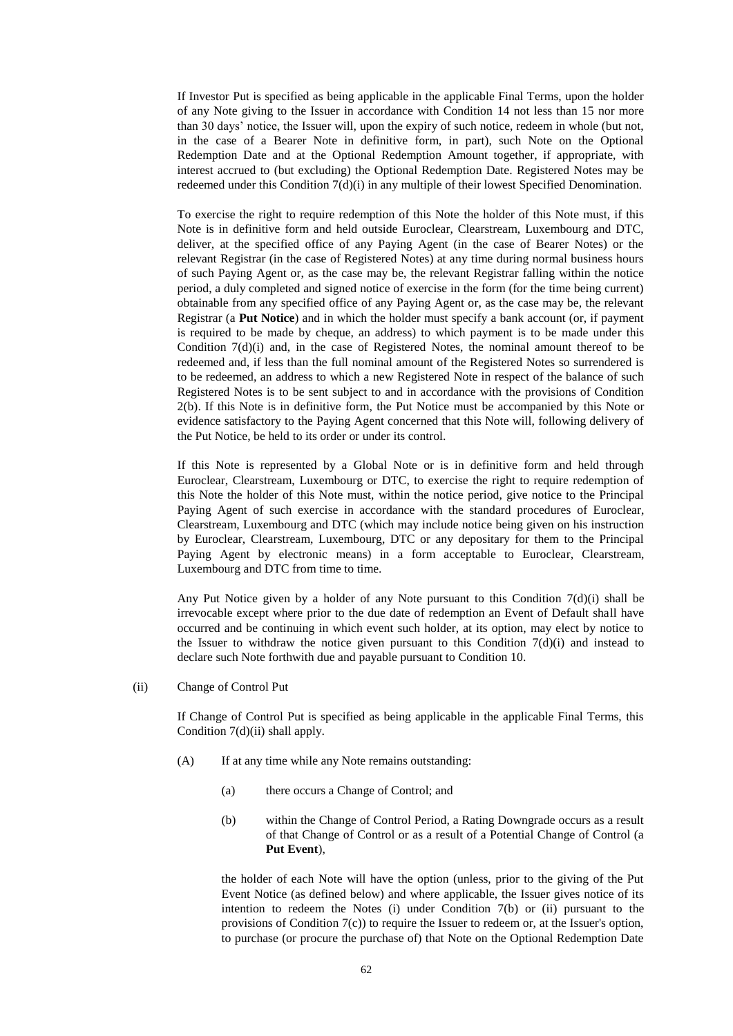If Investor Put is specified as being applicable in the applicable Final Terms, upon the holder of any Note giving to the Issuer in accordance with Condition [14](#page-68-0) not less than 15 nor more than 30 days' notice, the Issuer will, upon the expiry of such notice, redeem in whole (but not, in the case of a Bearer Note in definitive form, in part), such Note on the Optional Redemption Date and at the Optional Redemption Amount together, if appropriate, with interest accrued to (but excluding) the Optional Redemption Date. Registered Notes may be redeemed under this Condition [7\(d\)\(i\)](#page-60-1) in any multiple of their lowest Specified Denomination.

To exercise the right to require redemption of this Note the holder of this Note must, if this Note is in definitive form and held outside Euroclear, Clearstream, Luxembourg and DTC, deliver, at the specified office of any Paying Agent (in the case of Bearer Notes) or the relevant Registrar (in the case of Registered Notes) at any time during normal business hours of such Paying Agent or, as the case may be, the relevant Registrar falling within the notice period, a duly completed and signed notice of exercise in the form (for the time being current) obtainable from any specified office of any Paying Agent or, as the case may be, the relevant Registrar (a **Put Notice**) and in which the holder must specify a bank account (or, if payment is required to be made by cheque, an address) to which payment is to be made under this Condition [7\(d\)\(i\)](#page-60-1) and, in the case of Registered Notes, the nominal amount thereof to be redeemed and, if less than the full nominal amount of the Registered Notes so surrendered is to be redeemed, an address to which a new Registered Note in respect of the balance of such Registered Notes is to be sent subject to and in accordance with the provisions of Condition [2\(b\).](#page-46-1) If this Note is in definitive form, the Put Notice must be accompanied by this Note or evidence satisfactory to the Paying Agent concerned that this Note will, following delivery of the Put Notice, be held to its order or under its control.

If this Note is represented by a Global Note or is in definitive form and held through Euroclear, Clearstream, Luxembourg or DTC, to exercise the right to require redemption of this Note the holder of this Note must, within the notice period, give notice to the Principal Paying Agent of such exercise in accordance with the standard procedures of Euroclear, Clearstream, Luxembourg and DTC (which may include notice being given on his instruction by Euroclear, Clearstream, Luxembourg, DTC or any depositary for them to the Principal Paying Agent by electronic means) in a form acceptable to Euroclear, Clearstream, Luxembourg and DTC from time to time.

Any Put Notice given by a holder of any Note pursuant to this Condition [7\(d\)\(i\)](#page-60-1) shall be irrevocable except where prior to the due date of redemption an Event of Default shall have occurred and be continuing in which event such holder, at its option, may elect by notice to the Issuer to withdraw the notice given pursuant to this Condition  $7(d)(i)$  and instead to declare such Note forthwith due and payable pursuant to Condition [10.](#page-66-1)

<span id="page-61-0"></span>(ii) Change of Control Put

If Change of Control Put is specified as being applicable in the applicable Final Terms, this Condition [7\(d\)\(ii\)](#page-61-0) shall apply.

- (A) If at any time while any Note remains outstanding:
	- (a) there occurs a Change of Control; and
	- (b) within the Change of Control Period, a Rating Downgrade occurs as a result of that Change of Control or as a result of a Potential Change of Control (a **Put Event**),

the holder of each Note will have the option (unless, prior to the giving of the Put Event Notice (as defined below) and where applicable, the Issuer gives notice of its intention to redeem the Notes (i) under Condition [7\(b\)](#page-59-1) or (ii) pursuant to the provisions of Condition [7\(c\)\)](#page-60-0) to require the Issuer to redeem or, at the Issuer's option, to purchase (or procure the purchase of) that Note on the Optional Redemption Date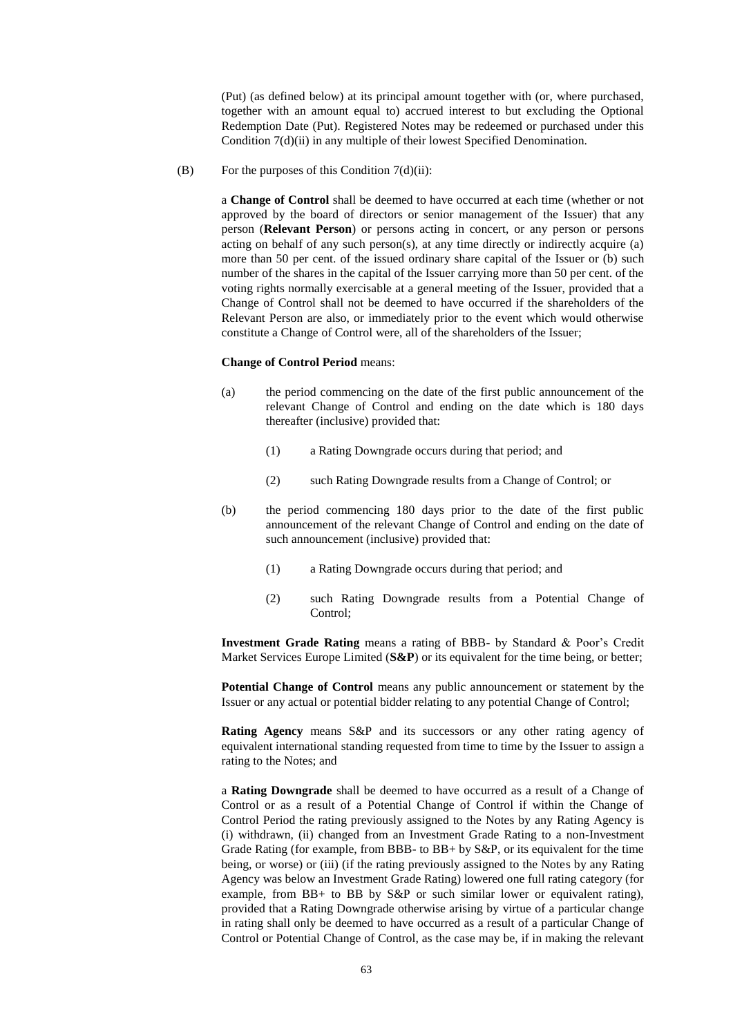(Put) (as defined below) at its principal amount together with (or, where purchased, together with an amount equal to) accrued interest to but excluding the Optional Redemption Date (Put). Registered Notes may be redeemed or purchased under this Condition [7\(d\)\(ii\)](#page-61-0) in any multiple of their lowest Specified Denomination.

(B) For the purposes of this Condition  $7(d)(ii)$ :

a **Change of Control** shall be deemed to have occurred at each time (whether or not approved by the board of directors or senior management of the Issuer) that any person (**Relevant Person**) or persons acting in concert, or any person or persons acting on behalf of any such person(s), at any time directly or indirectly acquire (a) more than 50 per cent. of the issued ordinary share capital of the Issuer or (b) such number of the shares in the capital of the Issuer carrying more than 50 per cent. of the voting rights normally exercisable at a general meeting of the Issuer, provided that a Change of Control shall not be deemed to have occurred if the shareholders of the Relevant Person are also, or immediately prior to the event which would otherwise constitute a Change of Control were, all of the shareholders of the Issuer;

#### **Change of Control Period** means:

- (a) the period commencing on the date of the first public announcement of the relevant Change of Control and ending on the date which is 180 days thereafter (inclusive) provided that:
	- (1) a Rating Downgrade occurs during that period; and
	- (2) such Rating Downgrade results from a Change of Control; or
- (b) the period commencing 180 days prior to the date of the first public announcement of the relevant Change of Control and ending on the date of such announcement (inclusive) provided that:
	- (1) a Rating Downgrade occurs during that period; and
	- (2) such Rating Downgrade results from a Potential Change of Control;

**Investment Grade Rating** means a rating of BBB- by Standard & Poor's Credit Market Services Europe Limited (**S&P**) or its equivalent for the time being, or better;

**Potential Change of Control** means any public announcement or statement by the Issuer or any actual or potential bidder relating to any potential Change of Control;

**Rating Agency** means S&P and its successors or any other rating agency of equivalent international standing requested from time to time by the Issuer to assign a rating to the Notes; and

a **Rating Downgrade** shall be deemed to have occurred as a result of a Change of Control or as a result of a Potential Change of Control if within the Change of Control Period the rating previously assigned to the Notes by any Rating Agency is (i) withdrawn, (ii) changed from an Investment Grade Rating to a non-Investment Grade Rating (for example, from BBB- to BB+ by S&P, or its equivalent for the time being, or worse) or (iii) (if the rating previously assigned to the Notes by any Rating Agency was below an Investment Grade Rating) lowered one full rating category (for example, from BB+ to BB by S&P or such similar lower or equivalent rating), provided that a Rating Downgrade otherwise arising by virtue of a particular change in rating shall only be deemed to have occurred as a result of a particular Change of Control or Potential Change of Control, as the case may be, if in making the relevant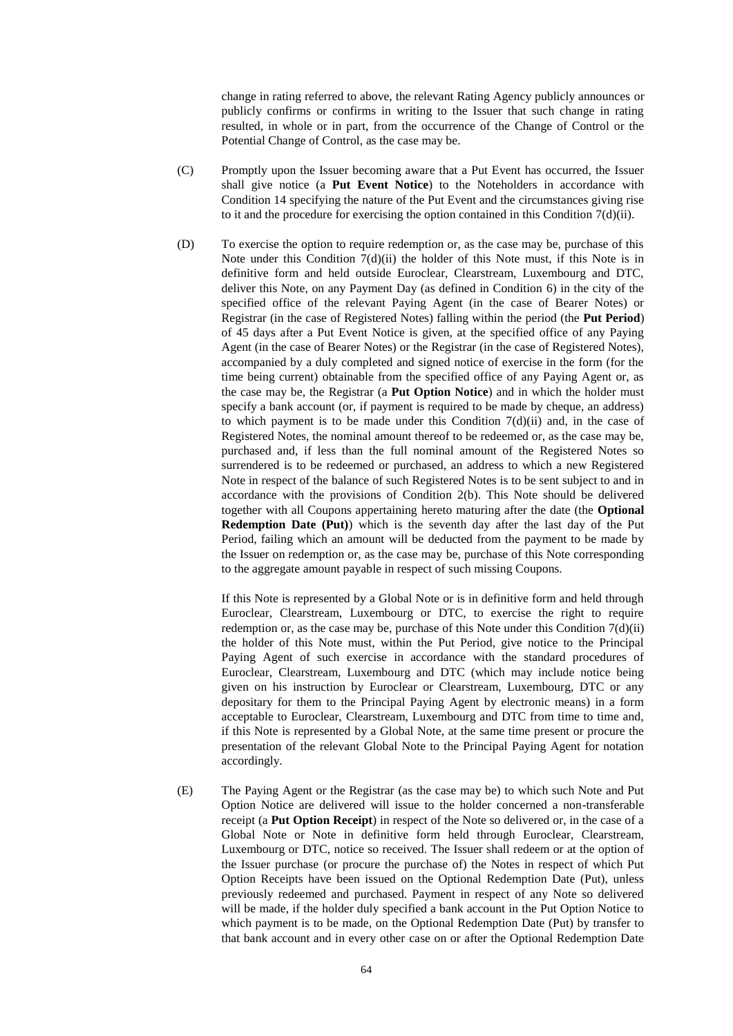change in rating referred to above, the relevant Rating Agency publicly announces or publicly confirms or confirms in writing to the Issuer that such change in rating resulted, in whole or in part, from the occurrence of the Change of Control or the Potential Change of Control, as the case may be.

- (C) Promptly upon the Issuer becoming aware that a Put Event has occurred, the Issuer shall give notice (a **Put Event Notice**) to the Noteholders in accordance with Condition [14](#page-68-0) specifying the nature of the Put Event and the circumstances giving rise to it and the procedure for exercising the option contained in this Condition [7\(d\)\(ii\).](#page-61-0)
- (D) To exercise the option to require redemption or, as the case may be, purchase of this Note under this Condition  $7(d)(ii)$  the holder of this Note must, if this Note is in definitive form and held outside Euroclear, Clearstream, Luxembourg and DTC, deliver this Note, on any Payment Day (as defined in Condition [6\)](#page-56-1) in the city of the specified office of the relevant Paying Agent (in the case of Bearer Notes) or Registrar (in the case of Registered Notes) falling within the period (the **Put Period**) of 45 days after a Put Event Notice is given, at the specified office of any Paying Agent (in the case of Bearer Notes) or the Registrar (in the case of Registered Notes), accompanied by a duly completed and signed notice of exercise in the form (for the time being current) obtainable from the specified office of any Paying Agent or, as the case may be, the Registrar (a **Put Option Notice**) and in which the holder must specify a bank account (or, if payment is required to be made by cheque, an address) to which payment is to be made under this Condition  $7(d)(ii)$  and, in the case of Registered Notes, the nominal amount thereof to be redeemed or, as the case may be, purchased and, if less than the full nominal amount of the Registered Notes so surrendered is to be redeemed or purchased, an address to which a new Registered Note in respect of the balance of such Registered Notes is to be sent subject to and in accordance with the provisions of Condition [2\(b\).](#page-46-1) This Note should be delivered together with all Coupons appertaining hereto maturing after the date (the **Optional Redemption Date (Put)**) which is the seventh day after the last day of the Put Period, failing which an amount will be deducted from the payment to be made by the Issuer on redemption or, as the case may be, purchase of this Note corresponding to the aggregate amount payable in respect of such missing Coupons.

If this Note is represented by a Global Note or is in definitive form and held through Euroclear, Clearstream, Luxembourg or DTC, to exercise the right to require redemption or, as the case may be, purchase of this Note under this Condition [7\(d\)\(ii\)](#page-61-0) the holder of this Note must, within the Put Period, give notice to the Principal Paying Agent of such exercise in accordance with the standard procedures of Euroclear, Clearstream, Luxembourg and DTC (which may include notice being given on his instruction by Euroclear or Clearstream, Luxembourg, DTC or any depositary for them to the Principal Paying Agent by electronic means) in a form acceptable to Euroclear, Clearstream, Luxembourg and DTC from time to time and, if this Note is represented by a Global Note, at the same time present or procure the presentation of the relevant Global Note to the Principal Paying Agent for notation accordingly.

(E) The Paying Agent or the Registrar (as the case may be) to which such Note and Put Option Notice are delivered will issue to the holder concerned a non-transferable receipt (a **Put Option Receipt**) in respect of the Note so delivered or, in the case of a Global Note or Note in definitive form held through Euroclear, Clearstream, Luxembourg or DTC, notice so received. The Issuer shall redeem or at the option of the Issuer purchase (or procure the purchase of) the Notes in respect of which Put Option Receipts have been issued on the Optional Redemption Date (Put), unless previously redeemed and purchased. Payment in respect of any Note so delivered will be made, if the holder duly specified a bank account in the Put Option Notice to which payment is to be made, on the Optional Redemption Date (Put) by transfer to that bank account and in every other case on or after the Optional Redemption Date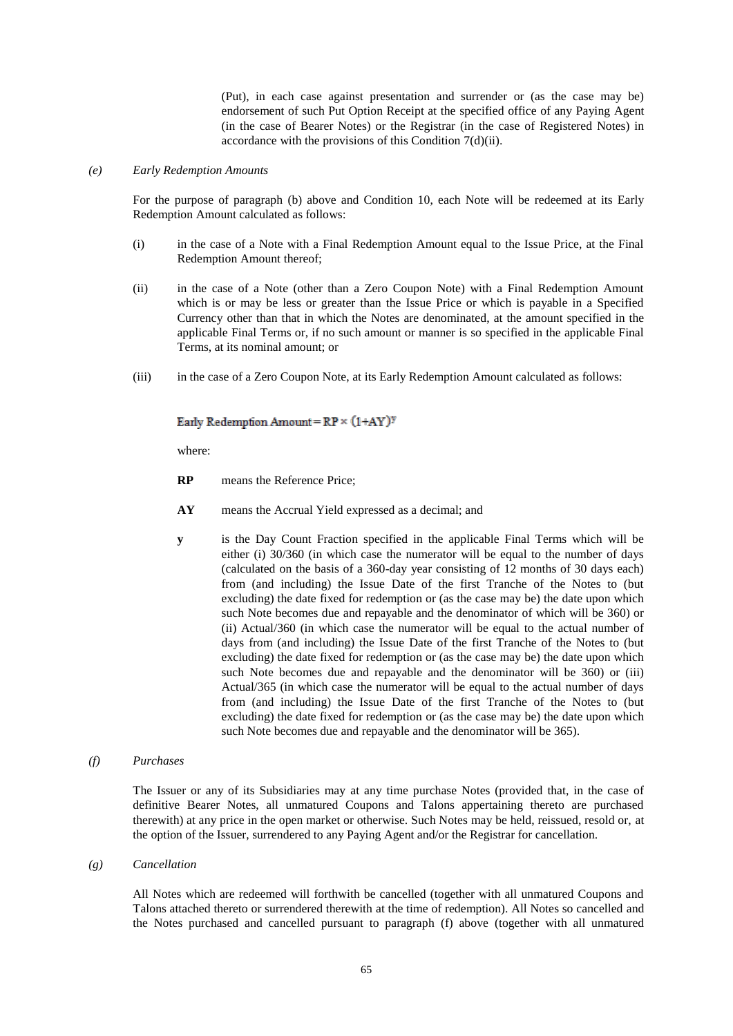(Put), in each case against presentation and surrender or (as the case may be) endorsement of such Put Option Receipt at the specified office of any Paying Agent (in the case of Bearer Notes) or the Registrar (in the case of Registered Notes) in accordance with the provisions of this Condition [7\(d\)\(ii\).](#page-61-0)

# <span id="page-64-0"></span>*(e) Early Redemption Amounts*

For the purpose of paragraph [\(b\) above](#page-59-1) and Condition [10,](#page-66-1) each Note will be redeemed at its Early Redemption Amount calculated as follows:

- (i) in the case of a Note with a Final Redemption Amount equal to the Issue Price, at the Final Redemption Amount thereof;
- (ii) in the case of a Note (other than a Zero Coupon Note) with a Final Redemption Amount which is or may be less or greater than the Issue Price or which is payable in a Specified Currency other than that in which the Notes are denominated, at the amount specified in the applicable Final Terms or, if no such amount or manner is so specified in the applicable Final Terms, at its nominal amount; or
- <span id="page-64-2"></span>(iii) in the case of a Zero Coupon Note, at its Early Redemption Amount calculated as follows:

### Early Redemption Amount =  $RP \times (1+AY)^y$

where:

- **RP** means the Reference Price;
- **AY** means the Accrual Yield expressed as a decimal; and
- **y** is the Day Count Fraction specified in the applicable Final Terms which will be either (i) 30/360 (in which case the numerator will be equal to the number of days (calculated on the basis of a 360-day year consisting of 12 months of 30 days each) from (and including) the Issue Date of the first Tranche of the Notes to (but excluding) the date fixed for redemption or (as the case may be) the date upon which such Note becomes due and repayable and the denominator of which will be 360) or (ii) Actual/360 (in which case the numerator will be equal to the actual number of days from (and including) the Issue Date of the first Tranche of the Notes to (but excluding) the date fixed for redemption or (as the case may be) the date upon which such Note becomes due and repayable and the denominator will be 360) or (iii) Actual/365 (in which case the numerator will be equal to the actual number of days from (and including) the Issue Date of the first Tranche of the Notes to (but excluding) the date fixed for redemption or (as the case may be) the date upon which such Note becomes due and repayable and the denominator will be 365).

### <span id="page-64-1"></span>*(f) Purchases*

The Issuer or any of its Subsidiaries may at any time purchase Notes (provided that, in the case of definitive Bearer Notes, all unmatured Coupons and Talons appertaining thereto are purchased therewith) at any price in the open market or otherwise. Such Notes may be held, reissued, resold or, at the option of the Issuer, surrendered to any Paying Agent and/or the Registrar for cancellation.

#### *(g) Cancellation*

All Notes which are redeemed will forthwith be cancelled (together with all unmatured Coupons and Talons attached thereto or surrendered therewith at the time of redemption). All Notes so cancelled and the Notes purchased and cancelled pursuant to paragraph [\(f\) above](#page-64-1) (together with all unmatured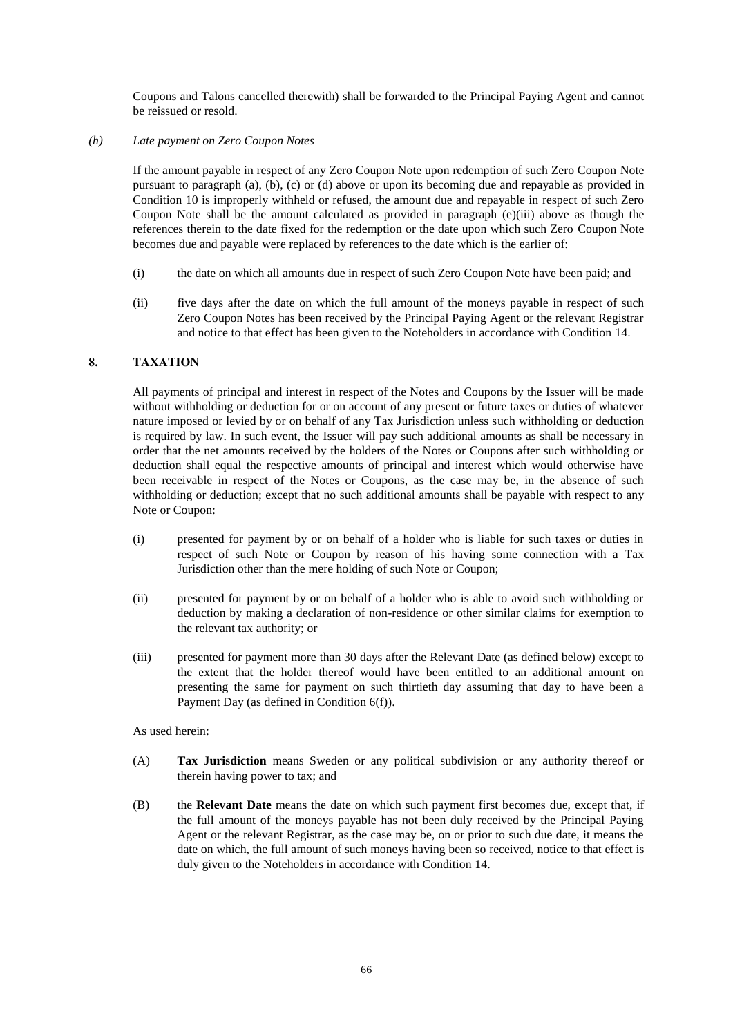Coupons and Talons cancelled therewith) shall be forwarded to the Principal Paying Agent and cannot be reissued or resold.

## *(h) Late payment on Zero Coupon Notes*

If the amount payable in respect of any Zero Coupon Note upon redemption of such Zero Coupon Note pursuant to paragraph [\(a\),](#page-59-2) [\(b\),](#page-59-1) [\(c\)](#page-60-0) or [\(d\) above](#page-60-2) or upon its becoming due and repayable as provided in Condition [10](#page-66-1) is improperly withheld or refused, the amount due and repayable in respect of such Zero Coupon Note shall be the amount calculated as provided in paragraph [\(e\)\(iii\) above](#page-64-2) as though the references therein to the date fixed for the redemption or the date upon which such Zero Coupon Note becomes due and payable were replaced by references to the date which is the earlier of:

- (i) the date on which all amounts due in respect of such Zero Coupon Note have been paid; and
- (ii) five days after the date on which the full amount of the moneys payable in respect of such Zero Coupon Notes has been received by the Principal Paying Agent or the relevant Registrar and notice to that effect has been given to the Noteholders in accordance with Condition [14.](#page-68-0)

### <span id="page-65-0"></span>**8. TAXATION**

All payments of principal and interest in respect of the Notes and Coupons by the Issuer will be made without withholding or deduction for or on account of any present or future taxes or duties of whatever nature imposed or levied by or on behalf of any Tax Jurisdiction unless such withholding or deduction is required by law. In such event, the Issuer will pay such additional amounts as shall be necessary in order that the net amounts received by the holders of the Notes or Coupons after such withholding or deduction shall equal the respective amounts of principal and interest which would otherwise have been receivable in respect of the Notes or Coupons, as the case may be, in the absence of such withholding or deduction; except that no such additional amounts shall be payable with respect to any Note or Coupon:

- (i) presented for payment by or on behalf of a holder who is liable for such taxes or duties in respect of such Note or Coupon by reason of his having some connection with a Tax Jurisdiction other than the mere holding of such Note or Coupon;
- (ii) presented for payment by or on behalf of a holder who is able to avoid such withholding or deduction by making a declaration of non-residence or other similar claims for exemption to the relevant tax authority; or
- (iii) presented for payment more than 30 days after the Relevant Date (as defined below) except to the extent that the holder thereof would have been entitled to an additional amount on presenting the same for payment on such thirtieth day assuming that day to have been a Payment Day (as defined in Condition [6\(f\)\)](#page-59-3).

### As used herein:

- (A) **Tax Jurisdiction** means Sweden or any political subdivision or any authority thereof or therein having power to tax; and
- (B) the **Relevant Date** means the date on which such payment first becomes due, except that, if the full amount of the moneys payable has not been duly received by the Principal Paying Agent or the relevant Registrar, as the case may be, on or prior to such due date, it means the date on which, the full amount of such moneys having been so received, notice to that effect is duly given to the Noteholders in accordance with Condition [14.](#page-68-0)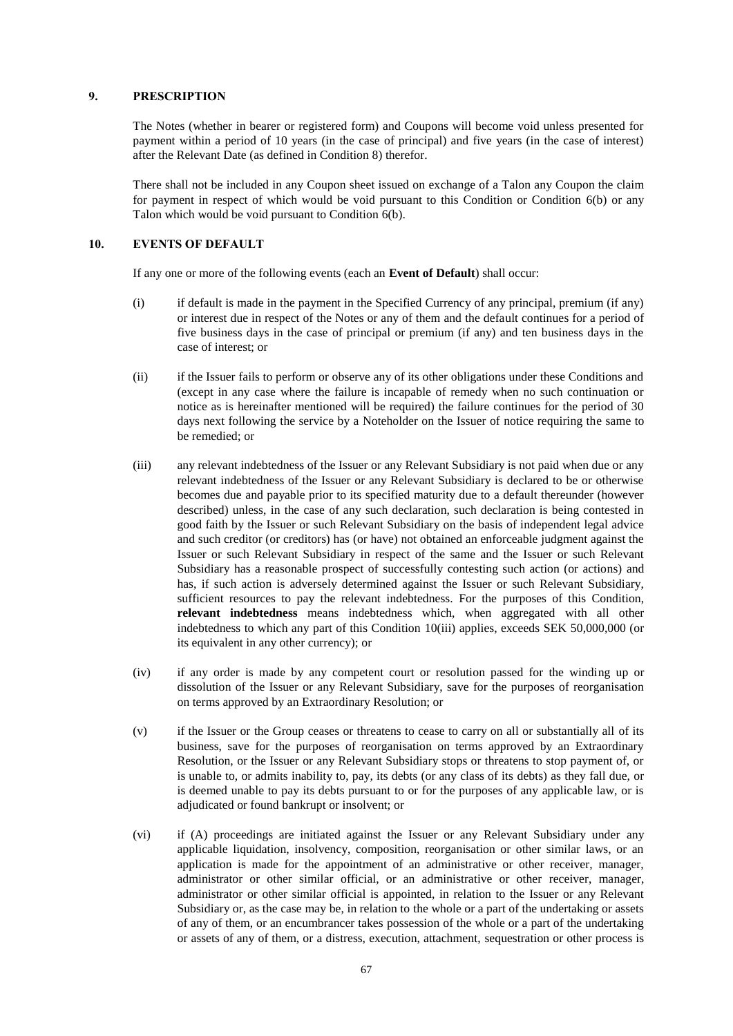## <span id="page-66-0"></span>**9. PRESCRIPTION**

The Notes (whether in bearer or registered form) and Coupons will become void unless presented for payment within a period of 10 years (in the case of principal) and five years (in the case of interest) after the Relevant Date (as defined in Condition [8\)](#page-65-0) therefor.

There shall not be included in any Coupon sheet issued on exchange of a Talon any Coupon the claim for payment in respect of which would be void pursuant to this Condition or Condition [6\(b\)](#page-56-2) or any Talon which would be void pursuant to Condition [6\(b\).](#page-56-2)

# <span id="page-66-1"></span>**10. EVENTS OF DEFAULT**

If any one or more of the following events (each an **Event of Default**) shall occur:

- (i) if default is made in the payment in the Specified Currency of any principal, premium (if any) or interest due in respect of the Notes or any of them and the default continues for a period of five business days in the case of principal or premium (if any) and ten business days in the case of interest; or
- (ii) if the Issuer fails to perform or observe any of its other obligations under these Conditions and (except in any case where the failure is incapable of remedy when no such continuation or notice as is hereinafter mentioned will be required) the failure continues for the period of 30 days next following the service by a Noteholder on the Issuer of notice requiring the same to be remedied; or
- <span id="page-66-2"></span>(iii) any relevant indebtedness of the Issuer or any Relevant Subsidiary is not paid when due or any relevant indebtedness of the Issuer or any Relevant Subsidiary is declared to be or otherwise becomes due and payable prior to its specified maturity due to a default thereunder (however described) unless, in the case of any such declaration, such declaration is being contested in good faith by the Issuer or such Relevant Subsidiary on the basis of independent legal advice and such creditor (or creditors) has (or have) not obtained an enforceable judgment against the Issuer or such Relevant Subsidiary in respect of the same and the Issuer or such Relevant Subsidiary has a reasonable prospect of successfully contesting such action (or actions) and has, if such action is adversely determined against the Issuer or such Relevant Subsidiary, sufficient resources to pay the relevant indebtedness. For the purposes of this Condition, **relevant indebtedness** means indebtedness which, when aggregated with all other indebtedness to which any part of this Condition [10\(iii\)](#page-66-2) applies, exceeds SEK 50,000,000 (or its equivalent in any other currency); or
- (iv) if any order is made by any competent court or resolution passed for the winding up or dissolution of the Issuer or any Relevant Subsidiary, save for the purposes of reorganisation on terms approved by an Extraordinary Resolution; or
- (v) if the Issuer or the Group ceases or threatens to cease to carry on all or substantially all of its business, save for the purposes of reorganisation on terms approved by an Extraordinary Resolution, or the Issuer or any Relevant Subsidiary stops or threatens to stop payment of, or is unable to, or admits inability to, pay, its debts (or any class of its debts) as they fall due, or is deemed unable to pay its debts pursuant to or for the purposes of any applicable law, or is adjudicated or found bankrupt or insolvent; or
- (vi) if (A) proceedings are initiated against the Issuer or any Relevant Subsidiary under any applicable liquidation, insolvency, composition, reorganisation or other similar laws, or an application is made for the appointment of an administrative or other receiver, manager, administrator or other similar official, or an administrative or other receiver, manager, administrator or other similar official is appointed, in relation to the Issuer or any Relevant Subsidiary or, as the case may be, in relation to the whole or a part of the undertaking or assets of any of them, or an encumbrancer takes possession of the whole or a part of the undertaking or assets of any of them, or a distress, execution, attachment, sequestration or other process is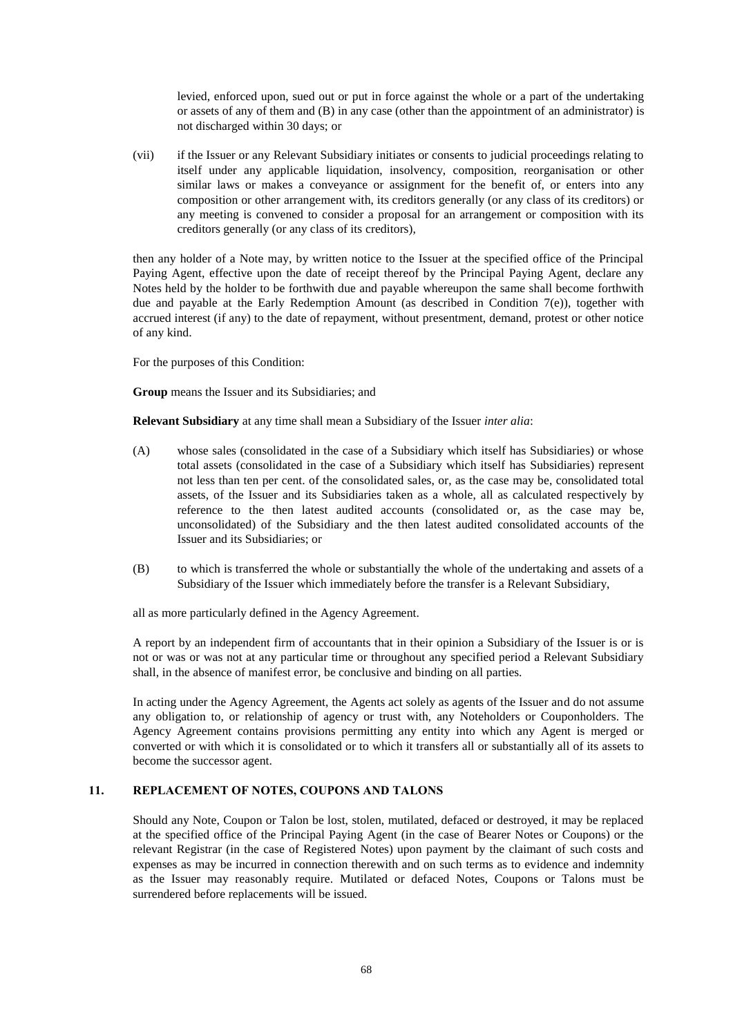levied, enforced upon, sued out or put in force against the whole or a part of the undertaking or assets of any of them and (B) in any case (other than the appointment of an administrator) is not discharged within 30 days; or

(vii) if the Issuer or any Relevant Subsidiary initiates or consents to judicial proceedings relating to itself under any applicable liquidation, insolvency, composition, reorganisation or other similar laws or makes a conveyance or assignment for the benefit of, or enters into any composition or other arrangement with, its creditors generally (or any class of its creditors) or any meeting is convened to consider a proposal for an arrangement or composition with its creditors generally (or any class of its creditors),

then any holder of a Note may, by written notice to the Issuer at the specified office of the Principal Paying Agent, effective upon the date of receipt thereof by the Principal Paying Agent, declare any Notes held by the holder to be forthwith due and payable whereupon the same shall become forthwith due and payable at the Early Redemption Amount (as described in Condition [7\(e\)\)](#page-64-0), together with accrued interest (if any) to the date of repayment, without presentment, demand, protest or other notice of any kind.

For the purposes of this Condition:

**Group** means the Issuer and its Subsidiaries; and

**Relevant Subsidiary** at any time shall mean a Subsidiary of the Issuer *inter alia*:

- (A) whose sales (consolidated in the case of a Subsidiary which itself has Subsidiaries) or whose total assets (consolidated in the case of a Subsidiary which itself has Subsidiaries) represent not less than ten per cent. of the consolidated sales, or, as the case may be, consolidated total assets, of the Issuer and its Subsidiaries taken as a whole, all as calculated respectively by reference to the then latest audited accounts (consolidated or, as the case may be, unconsolidated) of the Subsidiary and the then latest audited consolidated accounts of the Issuer and its Subsidiaries; or
- (B) to which is transferred the whole or substantially the whole of the undertaking and assets of a Subsidiary of the Issuer which immediately before the transfer is a Relevant Subsidiary,

all as more particularly defined in the Agency Agreement.

A report by an independent firm of accountants that in their opinion a Subsidiary of the Issuer is or is not or was or was not at any particular time or throughout any specified period a Relevant Subsidiary shall, in the absence of manifest error, be conclusive and binding on all parties.

In acting under the Agency Agreement, the Agents act solely as agents of the Issuer and do not assume any obligation to, or relationship of agency or trust with, any Noteholders or Couponholders. The Agency Agreement contains provisions permitting any entity into which any Agent is merged or converted or with which it is consolidated or to which it transfers all or substantially all of its assets to become the successor agent.

## **11. REPLACEMENT OF NOTES, COUPONS AND TALONS**

Should any Note, Coupon or Talon be lost, stolen, mutilated, defaced or destroyed, it may be replaced at the specified office of the Principal Paying Agent (in the case of Bearer Notes or Coupons) or the relevant Registrar (in the case of Registered Notes) upon payment by the claimant of such costs and expenses as may be incurred in connection therewith and on such terms as to evidence and indemnity as the Issuer may reasonably require. Mutilated or defaced Notes, Coupons or Talons must be surrendered before replacements will be issued.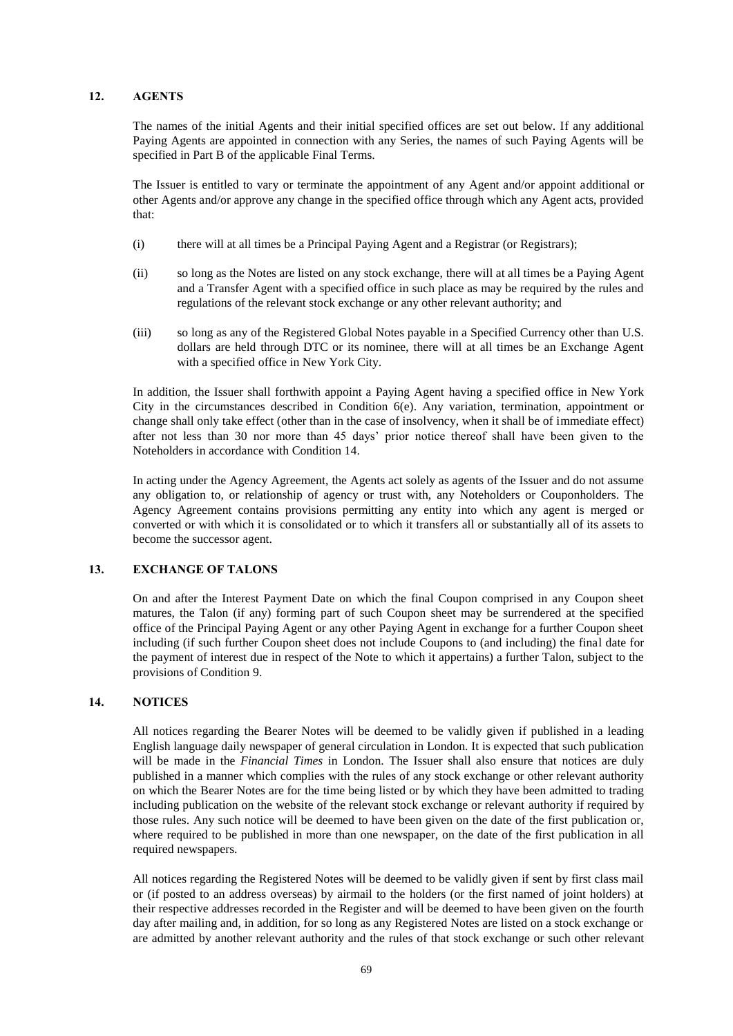## **12. AGENTS**

The names of the initial Agents and their initial specified offices are set out below. If any additional Paying Agents are appointed in connection with any Series, the names of such Paying Agents will be specified in Part B of the applicable Final Terms.

The Issuer is entitled to vary or terminate the appointment of any Agent and/or appoint additional or other Agents and/or approve any change in the specified office through which any Agent acts, provided that:

- (i) there will at all times be a Principal Paying Agent and a Registrar (or Registrars);
- (ii) so long as the Notes are listed on any stock exchange, there will at all times be a Paying Agent and a Transfer Agent with a specified office in such place as may be required by the rules and regulations of the relevant stock exchange or any other relevant authority; and
- (iii) so long as any of the Registered Global Notes payable in a Specified Currency other than U.S. dollars are held through DTC or its nominee, there will at all times be an Exchange Agent with a specified office in New York City.

In addition, the Issuer shall forthwith appoint a Paying Agent having a specified office in New York City in the circumstances described in Condition [6\(e\).](#page-58-0) Any variation, termination, appointment or change shall only take effect (other than in the case of insolvency, when it shall be of immediate effect) after not less than 30 nor more than 45 days' prior notice thereof shall have been given to the Noteholders in accordance with Condition [14.](#page-68-0)

In acting under the Agency Agreement, the Agents act solely as agents of the Issuer and do not assume any obligation to, or relationship of agency or trust with, any Noteholders or Couponholders. The Agency Agreement contains provisions permitting any entity into which any agent is merged or converted or with which it is consolidated or to which it transfers all or substantially all of its assets to become the successor agent.

## **13. EXCHANGE OF TALONS**

On and after the Interest Payment Date on which the final Coupon comprised in any Coupon sheet matures, the Talon (if any) forming part of such Coupon sheet may be surrendered at the specified office of the Principal Paying Agent or any other Paying Agent in exchange for a further Coupon sheet including (if such further Coupon sheet does not include Coupons to (and including) the final date for the payment of interest due in respect of the Note to which it appertains) a further Talon, subject to the provisions of Condition [9.](#page-66-0)

## <span id="page-68-0"></span>**14. NOTICES**

All notices regarding the Bearer Notes will be deemed to be validly given if published in a leading English language daily newspaper of general circulation in London. It is expected that such publication will be made in the *Financial Times* in London. The Issuer shall also ensure that notices are duly published in a manner which complies with the rules of any stock exchange or other relevant authority on which the Bearer Notes are for the time being listed or by which they have been admitted to trading including publication on the website of the relevant stock exchange or relevant authority if required by those rules. Any such notice will be deemed to have been given on the date of the first publication or, where required to be published in more than one newspaper, on the date of the first publication in all required newspapers.

All notices regarding the Registered Notes will be deemed to be validly given if sent by first class mail or (if posted to an address overseas) by airmail to the holders (or the first named of joint holders) at their respective addresses recorded in the Register and will be deemed to have been given on the fourth day after mailing and, in addition, for so long as any Registered Notes are listed on a stock exchange or are admitted by another relevant authority and the rules of that stock exchange or such other relevant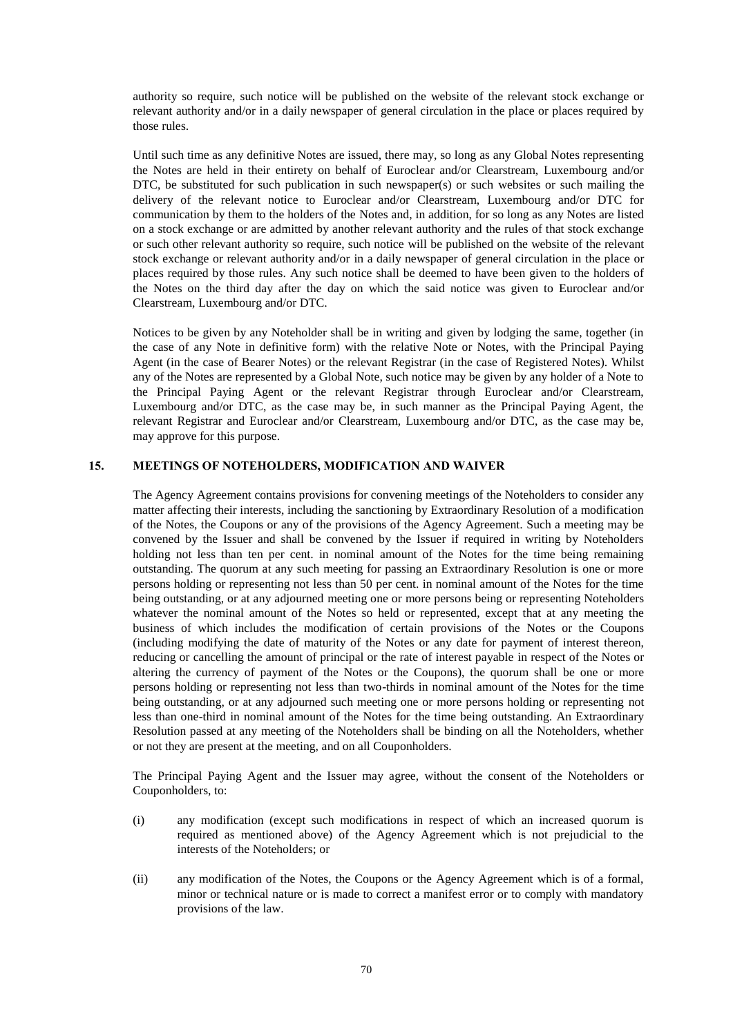authority so require, such notice will be published on the website of the relevant stock exchange or relevant authority and/or in a daily newspaper of general circulation in the place or places required by those rules.

Until such time as any definitive Notes are issued, there may, so long as any Global Notes representing the Notes are held in their entirety on behalf of Euroclear and/or Clearstream, Luxembourg and/or DTC, be substituted for such publication in such newspaper(s) or such websites or such mailing the delivery of the relevant notice to Euroclear and/or Clearstream, Luxembourg and/or DTC for communication by them to the holders of the Notes and, in addition, for so long as any Notes are listed on a stock exchange or are admitted by another relevant authority and the rules of that stock exchange or such other relevant authority so require, such notice will be published on the website of the relevant stock exchange or relevant authority and/or in a daily newspaper of general circulation in the place or places required by those rules. Any such notice shall be deemed to have been given to the holders of the Notes on the third day after the day on which the said notice was given to Euroclear and/or Clearstream, Luxembourg and/or DTC.

Notices to be given by any Noteholder shall be in writing and given by lodging the same, together (in the case of any Note in definitive form) with the relative Note or Notes, with the Principal Paying Agent (in the case of Bearer Notes) or the relevant Registrar (in the case of Registered Notes). Whilst any of the Notes are represented by a Global Note, such notice may be given by any holder of a Note to the Principal Paying Agent or the relevant Registrar through Euroclear and/or Clearstream, Luxembourg and/or DTC, as the case may be, in such manner as the Principal Paying Agent, the relevant Registrar and Euroclear and/or Clearstream, Luxembourg and/or DTC, as the case may be, may approve for this purpose.

## **15. MEETINGS OF NOTEHOLDERS, MODIFICATION AND WAIVER**

The Agency Agreement contains provisions for convening meetings of the Noteholders to consider any matter affecting their interests, including the sanctioning by Extraordinary Resolution of a modification of the Notes, the Coupons or any of the provisions of the Agency Agreement. Such a meeting may be convened by the Issuer and shall be convened by the Issuer if required in writing by Noteholders holding not less than ten per cent. in nominal amount of the Notes for the time being remaining outstanding. The quorum at any such meeting for passing an Extraordinary Resolution is one or more persons holding or representing not less than 50 per cent. in nominal amount of the Notes for the time being outstanding, or at any adjourned meeting one or more persons being or representing Noteholders whatever the nominal amount of the Notes so held or represented, except that at any meeting the business of which includes the modification of certain provisions of the Notes or the Coupons (including modifying the date of maturity of the Notes or any date for payment of interest thereon, reducing or cancelling the amount of principal or the rate of interest payable in respect of the Notes or altering the currency of payment of the Notes or the Coupons), the quorum shall be one or more persons holding or representing not less than two-thirds in nominal amount of the Notes for the time being outstanding, or at any adjourned such meeting one or more persons holding or representing not less than one-third in nominal amount of the Notes for the time being outstanding. An Extraordinary Resolution passed at any meeting of the Noteholders shall be binding on all the Noteholders, whether or not they are present at the meeting, and on all Couponholders.

The Principal Paying Agent and the Issuer may agree, without the consent of the Noteholders or Couponholders, to:

- (i) any modification (except such modifications in respect of which an increased quorum is required as mentioned above) of the Agency Agreement which is not prejudicial to the interests of the Noteholders; or
- (ii) any modification of the Notes, the Coupons or the Agency Agreement which is of a formal, minor or technical nature or is made to correct a manifest error or to comply with mandatory provisions of the law.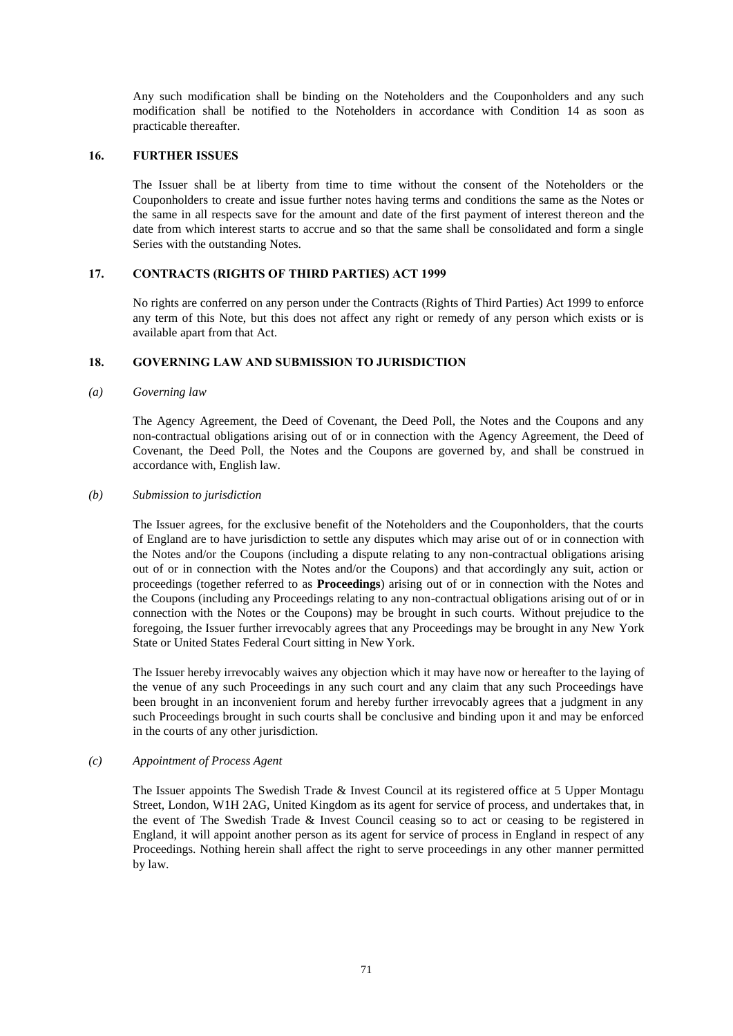Any such modification shall be binding on the Noteholders and the Couponholders and any such modification shall be notified to the Noteholders in accordance with Condition [14](#page-68-0) as soon as practicable thereafter.

## **16. FURTHER ISSUES**

The Issuer shall be at liberty from time to time without the consent of the Noteholders or the Couponholders to create and issue further notes having terms and conditions the same as the Notes or the same in all respects save for the amount and date of the first payment of interest thereon and the date from which interest starts to accrue and so that the same shall be consolidated and form a single Series with the outstanding Notes.

## **17. CONTRACTS (RIGHTS OF THIRD PARTIES) ACT 1999**

No rights are conferred on any person under the Contracts (Rights of Third Parties) Act 1999 to enforce any term of this Note, but this does not affect any right or remedy of any person which exists or is available apart from that Act.

## **18. GOVERNING LAW AND SUBMISSION TO JURISDICTION**

### *(a) Governing law*

The Agency Agreement, the Deed of Covenant, the Deed Poll, the Notes and the Coupons and any non-contractual obligations arising out of or in connection with the Agency Agreement, the Deed of Covenant, the Deed Poll, the Notes and the Coupons are governed by, and shall be construed in accordance with, English law.

### *(b) Submission to jurisdiction*

The Issuer agrees, for the exclusive benefit of the Noteholders and the Couponholders, that the courts of England are to have jurisdiction to settle any disputes which may arise out of or in connection with the Notes and/or the Coupons (including a dispute relating to any non-contractual obligations arising out of or in connection with the Notes and/or the Coupons) and that accordingly any suit, action or proceedings (together referred to as **Proceedings**) arising out of or in connection with the Notes and the Coupons (including any Proceedings relating to any non-contractual obligations arising out of or in connection with the Notes or the Coupons) may be brought in such courts. Without prejudice to the foregoing, the Issuer further irrevocably agrees that any Proceedings may be brought in any New York State or United States Federal Court sitting in New York.

The Issuer hereby irrevocably waives any objection which it may have now or hereafter to the laying of the venue of any such Proceedings in any such court and any claim that any such Proceedings have been brought in an inconvenient forum and hereby further irrevocably agrees that a judgment in any such Proceedings brought in such courts shall be conclusive and binding upon it and may be enforced in the courts of any other jurisdiction.

# *(c) Appointment of Process Agent*

The Issuer appoints The Swedish Trade & Invest Council at its registered office at 5 Upper Montagu Street, London, W1H 2AG, United Kingdom as its agent for service of process, and undertakes that, in the event of The Swedish Trade & Invest Council ceasing so to act or ceasing to be registered in England, it will appoint another person as its agent for service of process in England in respect of any Proceedings. Nothing herein shall affect the right to serve proceedings in any other manner permitted by law.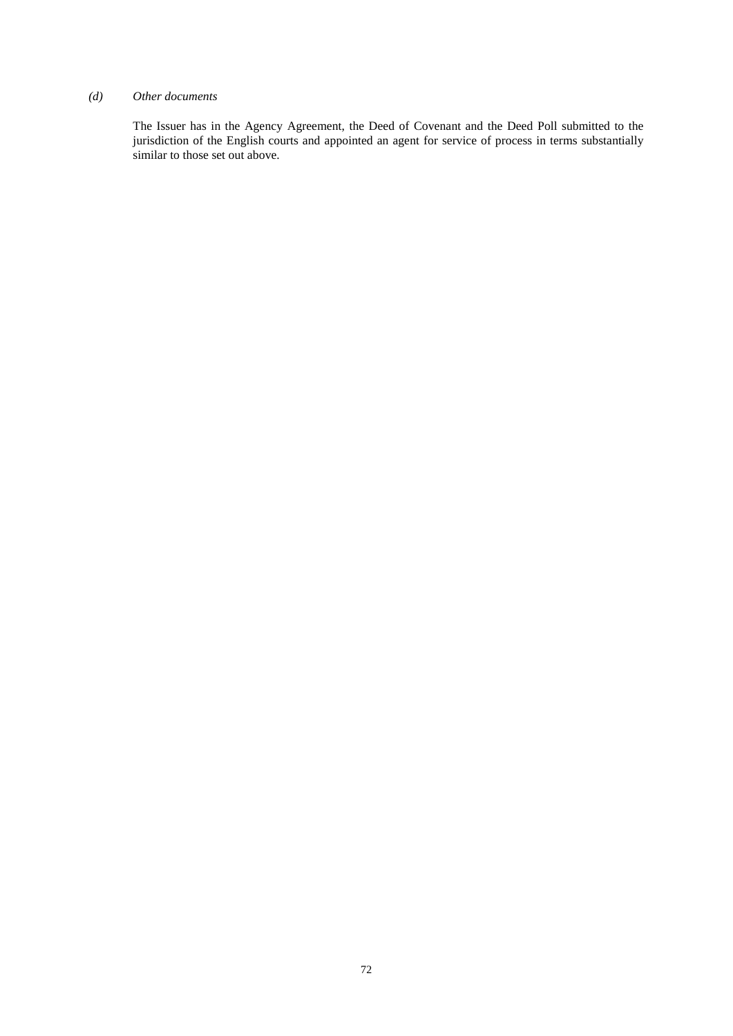# *(d) Other documents*

The Issuer has in the Agency Agreement, the Deed of Covenant and the Deed Poll submitted to the jurisdiction of the English courts and appointed an agent for service of process in terms substantially similar to those set out above.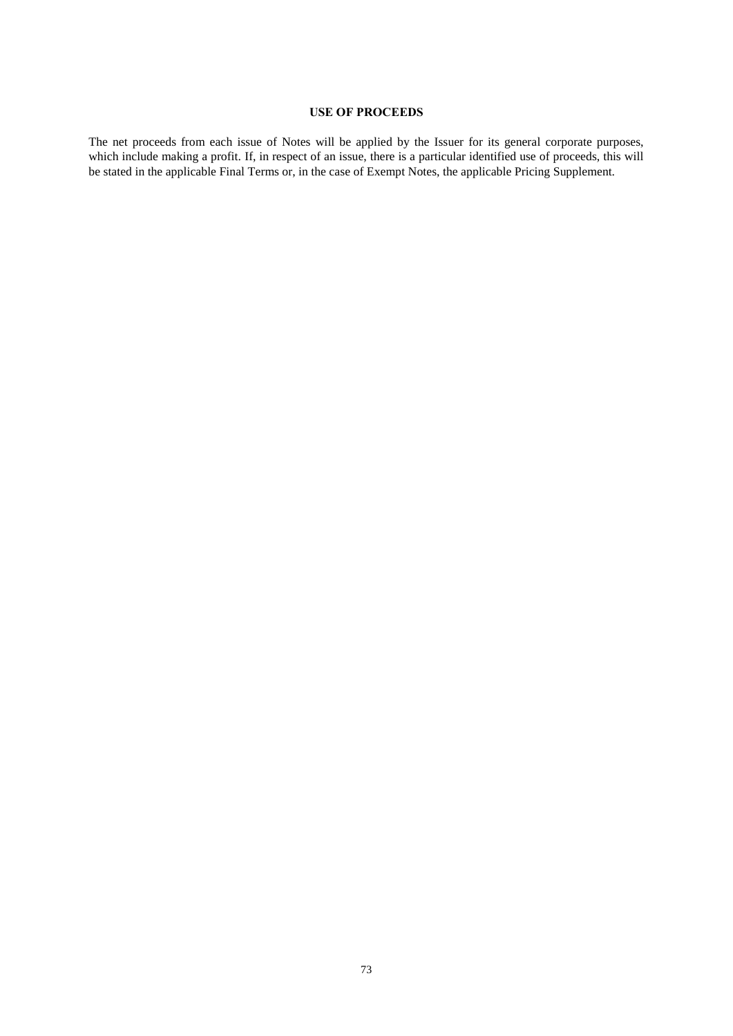# **USE OF PROCEEDS**

The net proceeds from each issue of Notes will be applied by the Issuer for its general corporate purposes, which include making a profit. If, in respect of an issue, there is a particular identified use of proceeds, this will be stated in the applicable Final Terms or, in the case of Exempt Notes, the applicable Pricing Supplement.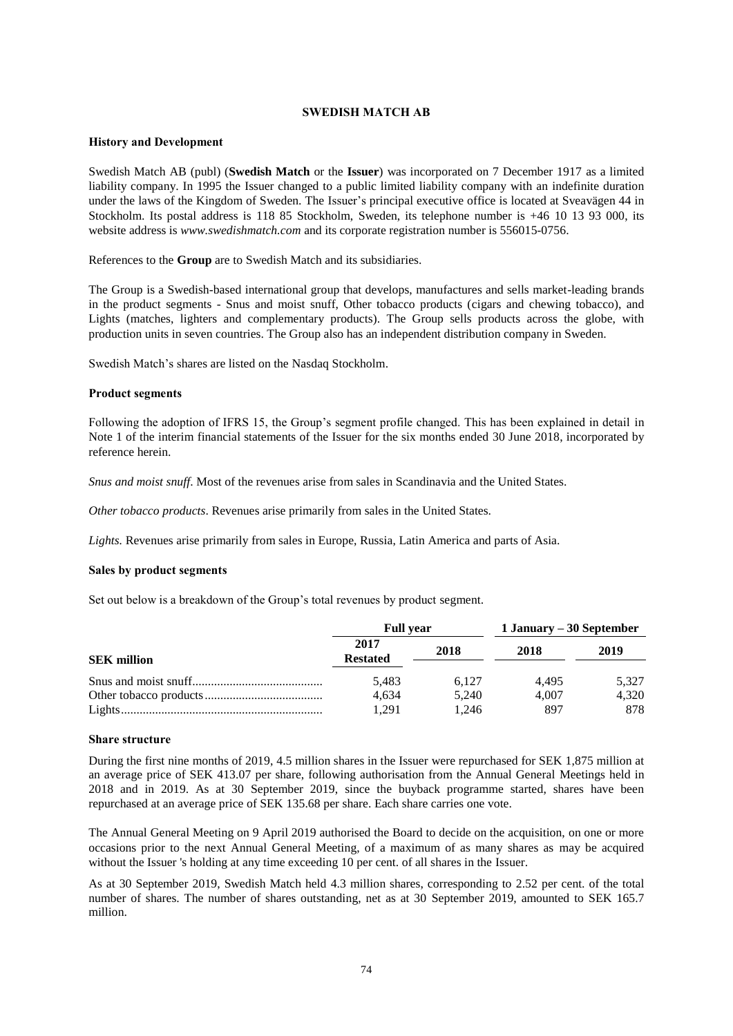# **SWEDISH MATCH AB**

#### **History and Development**

Swedish Match AB (publ) (**Swedish Match** or the **Issuer**) was incorporated on 7 December 1917 as a limited liability company. In 1995 the Issuer changed to a public limited liability company with an indefinite duration under the laws of the Kingdom of Sweden. The Issuer's principal executive office is located at Sveavägen 44 in Stockholm. Its postal address is 118 85 Stockholm, Sweden, its telephone number is +46 10 13 93 000, its website address is *www.swedishmatch.com* and its corporate registration number is 556015-0756.

References to the **Group** are to Swedish Match and its subsidiaries.

The Group is a Swedish-based international group that develops, manufactures and sells market-leading brands in the product segments - Snus and moist snuff, Other tobacco products (cigars and chewing tobacco), and Lights (matches, lighters and complementary products). The Group sells products across the globe, with production units in seven countries. The Group also has an independent distribution company in Sweden.

Swedish Match's shares are listed on the Nasdaq Stockholm.

#### **Product segments**

Following the adoption of IFRS 15, the Group's segment profile changed. This has been explained in detail in Note 1 of the interim financial statements of the Issuer for the six months ended 30 June 2018, incorporated by reference herein.

*Snus and moist snuff*. Most of the revenues arise from sales in Scandinavia and the United States.

*Other tobacco products*. Revenues arise primarily from sales in the United States.

*Lights.* Revenues arise primarily from sales in Europe, Russia, Latin America and parts of Asia.

#### **Sales by product segments**

Set out below is a breakdown of the Group's total revenues by product segment.

|                    | <b>Full vear</b>        |       | 1 January – 30 September |       |
|--------------------|-------------------------|-------|--------------------------|-------|
| <b>SEK</b> million | 2017<br><b>Restated</b> | 2018  | 2018                     | 2019  |
|                    | 5.483                   | 6.127 | 4.495                    | 5.327 |
|                    | 4,634                   | 5.240 | 4.007                    | 4.320 |
|                    | 1.291                   | 1.246 | 897                      | 878   |

#### **Share structure**

During the first nine months of 2019, 4.5 million shares in the Issuer were repurchased for SEK 1,875 million at an average price of SEK 413.07 per share, following authorisation from the Annual General Meetings held in 2018 and in 2019. As at 30 September 2019, since the buyback programme started, shares have been repurchased at an average price of SEK 135.68 per share. Each share carries one vote.

The Annual General Meeting on 9 April 2019 authorised the Board to decide on the acquisition, on one or more occasions prior to the next Annual General Meeting, of a maximum of as many shares as may be acquired without the Issuer 's holding at any time exceeding 10 per cent. of all shares in the Issuer.

As at 30 September 2019, Swedish Match held 4.3 million shares, corresponding to 2.52 per cent. of the total number of shares. The number of shares outstanding, net as at 30 September 2019, amounted to SEK 165.7 million.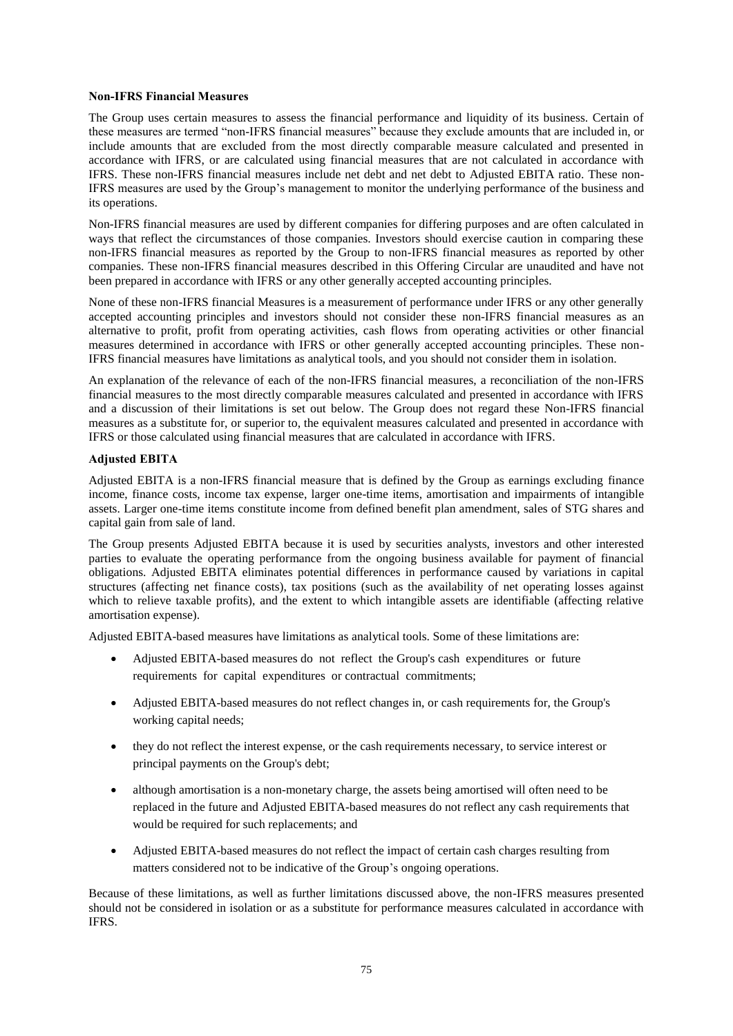# **Non-IFRS Financial Measures**

The Group uses certain measures to assess the financial performance and liquidity of its business. Certain of these measures are termed "non-IFRS financial measures" because they exclude amounts that are included in, or include amounts that are excluded from the most directly comparable measure calculated and presented in accordance with IFRS, or are calculated using financial measures that are not calculated in accordance with IFRS. These non-IFRS financial measures include net debt and net debt to Adjusted EBITA ratio. These non-IFRS measures are used by the Group's management to monitor the underlying performance of the business and its operations.

Non-IFRS financial measures are used by different companies for differing purposes and are often calculated in ways that reflect the circumstances of those companies. Investors should exercise caution in comparing these non-IFRS financial measures as reported by the Group to non-IFRS financial measures as reported by other companies. These non-IFRS financial measures described in this Offering Circular are unaudited and have not been prepared in accordance with IFRS or any other generally accepted accounting principles.

None of these non-IFRS financial Measures is a measurement of performance under IFRS or any other generally accepted accounting principles and investors should not consider these non-IFRS financial measures as an alternative to profit, profit from operating activities, cash flows from operating activities or other financial measures determined in accordance with IFRS or other generally accepted accounting principles. These non-IFRS financial measures have limitations as analytical tools, and you should not consider them in isolation.

An explanation of the relevance of each of the non-IFRS financial measures, a reconciliation of the non-IFRS financial measures to the most directly comparable measures calculated and presented in accordance with IFRS and a discussion of their limitations is set out below. The Group does not regard these Non-IFRS financial measures as a substitute for, or superior to, the equivalent measures calculated and presented in accordance with IFRS or those calculated using financial measures that are calculated in accordance with IFRS.

# **Adjusted EBITA**

Adjusted EBITA is a non-IFRS financial measure that is defined by the Group as earnings excluding finance income, finance costs, income tax expense, larger one-time items, amortisation and impairments of intangible assets. Larger one-time items constitute income from defined benefit plan amendment, sales of STG shares and capital gain from sale of land.

The Group presents Adjusted EBITA because it is used by securities analysts, investors and other interested parties to evaluate the operating performance from the ongoing business available for payment of financial obligations. Adjusted EBITA eliminates potential differences in performance caused by variations in capital structures (affecting net finance costs), tax positions (such as the availability of net operating losses against which to relieve taxable profits), and the extent to which intangible assets are identifiable (affecting relative amortisation expense).

Adjusted EBITA-based measures have limitations as analytical tools. Some of these limitations are:

- Adjusted EBITA-based measures do not reflect the Group's cash expenditures or future requirements for capital expenditures or contractual commitments;
- Adjusted EBITA-based measures do not reflect changes in, or cash requirements for, the Group's working capital needs;
- they do not reflect the interest expense, or the cash requirements necessary, to service interest or principal payments on the Group's debt;
- although amortisation is a non-monetary charge, the assets being amortised will often need to be replaced in the future and Adjusted EBITA-based measures do not reflect any cash requirements that would be required for such replacements; and
- Adjusted EBITA-based measures do not reflect the impact of certain cash charges resulting from matters considered not to be indicative of the Group's ongoing operations.

Because of these limitations, as well as further limitations discussed above, the non-IFRS measures presented should not be considered in isolation or as a substitute for performance measures calculated in accordance with IFRS.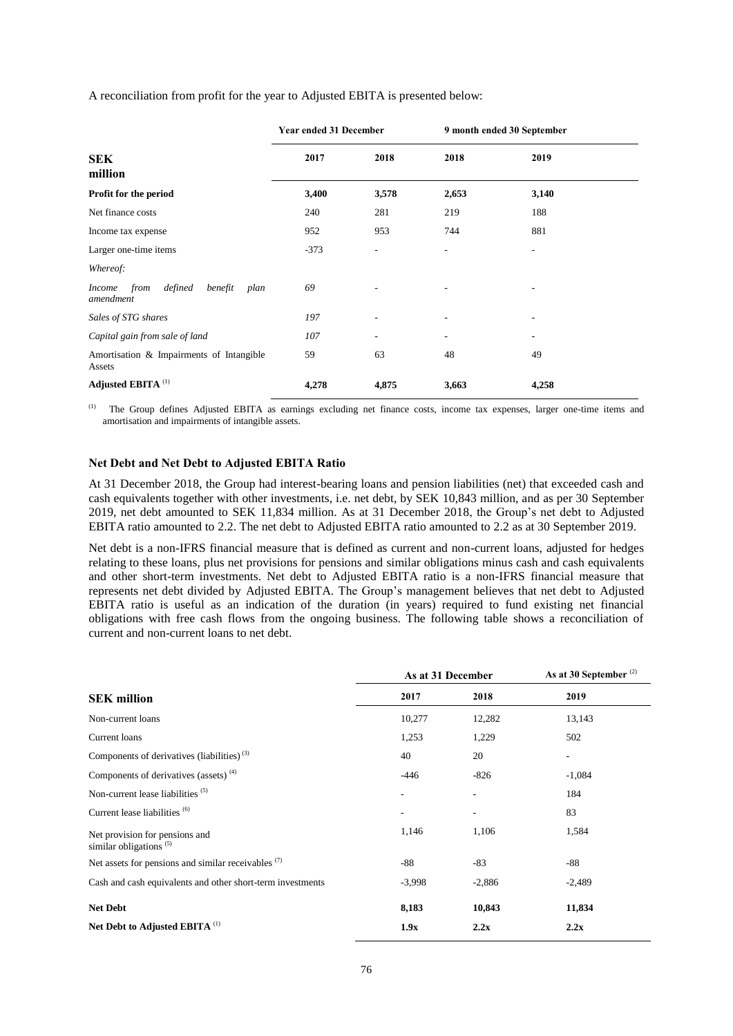A reconciliation from profit for the year to Adjusted EBITA is presented below:

|                                                                  | <b>Year ended 31 December</b> |       | 9 month ended 30 September |                          |  |
|------------------------------------------------------------------|-------------------------------|-------|----------------------------|--------------------------|--|
| <b>SEK</b><br>million                                            | 2017                          | 2018  | 2018                       | 2019                     |  |
| Profit for the period                                            | 3,400                         | 3,578 | 2,653                      | 3,140                    |  |
| Net finance costs                                                | 240                           | 281   | 219                        | 188                      |  |
| Income tax expense                                               | 952                           | 953   | 744                        | 881                      |  |
| Larger one-time items                                            | $-373$                        |       | ٠                          | $\overline{\phantom{a}}$ |  |
| Whereof:                                                         |                               |       |                            |                          |  |
| defined<br>from<br>benefit<br><i>Income</i><br>plan<br>amendment | 69                            |       |                            |                          |  |
| Sales of STG shares                                              | 197                           |       |                            | ٠                        |  |
| Capital gain from sale of land                                   | 107                           | ٠     | ٠                          | ٠                        |  |
| Amortisation & Impairments of Intangible<br>Assets               | 59                            | 63    | 48                         | 49                       |  |
| Adjusted EBITA <sup>(1)</sup>                                    | 4,278                         | 4,875 | 3,663                      | 4,258                    |  |

(1) The Group defines Adjusted EBITA as earnings excluding net finance costs, income tax expenses, larger one-time items and amortisation and impairments of intangible assets.

#### **Net Debt and Net Debt to Adjusted EBITA Ratio**

At 31 December 2018, the Group had interest-bearing loans and pension liabilities (net) that exceeded cash and cash equivalents together with other investments, i.e. net debt, by SEK 10,843 million, and as per 30 September 2019, net debt amounted to SEK 11,834 million. As at 31 December 2018, the Group's net debt to Adjusted EBITA ratio amounted to 2.2. The net debt to Adjusted EBITA ratio amounted to 2.2 as at 30 September 2019.

Net debt is a non-IFRS financial measure that is defined as current and non-current loans, adjusted for hedges relating to these loans, plus net provisions for pensions and similar obligations minus cash and cash equivalents and other short-term investments. Net debt to Adjusted EBITA ratio is a non-IFRS financial measure that represents net debt divided by Adjusted EBITA. The Group's management believes that net debt to Adjusted EBITA ratio is useful as an indication of the duration (in years) required to fund existing net financial obligations with free cash flows from the ongoing business. The following table shows a reconciliation of current and non-current loans to net debt.

|                                                             | As at 31 December |          | As at 30 September $(2)$ |  |
|-------------------------------------------------------------|-------------------|----------|--------------------------|--|
| <b>SEK</b> million                                          | 2017              | 2018     | 2019                     |  |
| Non-current loans                                           | 10,277            | 12,282   | 13,143                   |  |
| Current loans                                               | 1,253             | 1,229    | 502                      |  |
| Components of derivatives (liabilities) <sup>(3)</sup>      | 40                | 20       | -                        |  |
| Components of derivatives (assets) <sup>(4)</sup>           | $-446$            | $-826$   | $-1,084$                 |  |
| Non-current lease liabilities <sup>(5)</sup>                |                   |          | 184                      |  |
| Current lease liabilities <sup>(6)</sup>                    |                   |          | 83                       |  |
| Net provision for pensions and<br>similar obligations $(5)$ | 1,146             | 1,106    | 1,584                    |  |
| Net assets for pensions and similar receivables (7)         | $-88$             | $-83$    | $-88$                    |  |
| Cash and cash equivalents and other short-term investments  | $-3,998$          | $-2,886$ | $-2,489$                 |  |
| <b>Net Debt</b>                                             | 8,183             | 10,843   | 11,834                   |  |
| Net Debt to Adjusted EBITA (1)                              | 1.9x              | 2.2x     | 2.2x                     |  |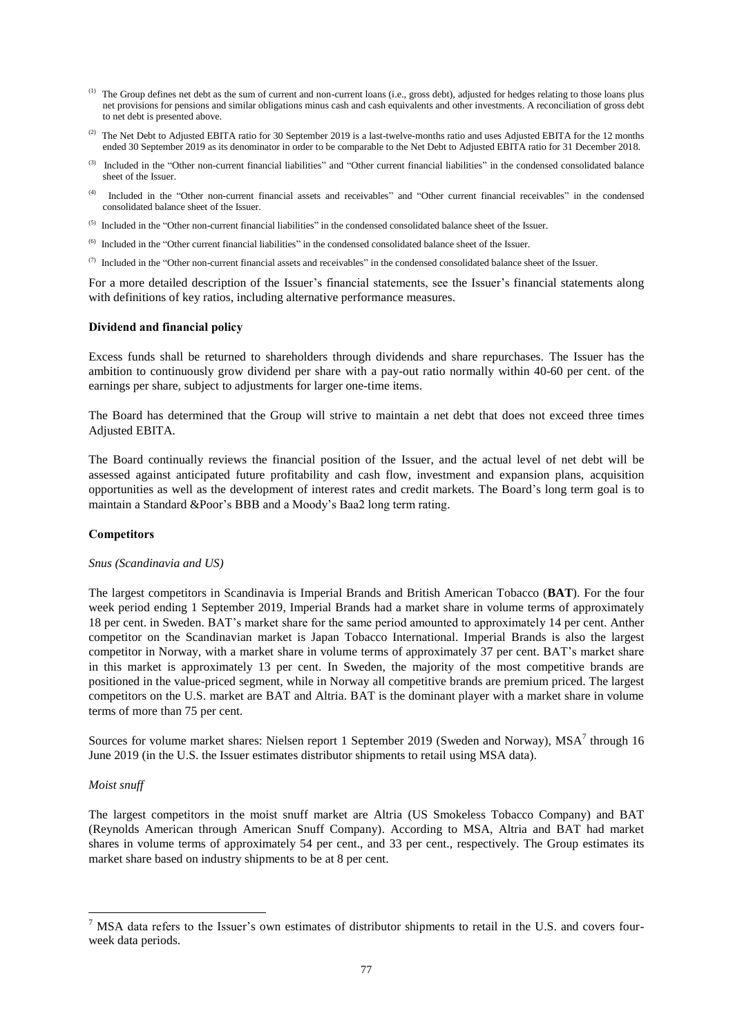- (1) The Group defines net debt as the sum of current and non-current loans (i.e., gross debt), adjusted for hedges relating to those loans plus net provisions for pensions and similar obligations minus cash and cash equivalents and other investments. A reconciliation of gross debt to net debt is presented above.
- $^{(2)}$  The Net Debt to Adjusted EBITA ratio for 30 September 2019 is a last-twelve-months ratio and uses Adjusted EBITA for the 12 months ended 30 September 2019 as its denominator in order to be comparable to the Net Debt to Adjusted EBITA ratio for 31 December 2018.
- (3) Included in the "Other non-current financial liabilities" and "Other current financial liabilities" in the condensed consolidated balance sheet of the Issuer.
- (4) Included in the "Other non-current financial assets and receivables" and "Other current financial receivables" in the condensed consolidated balance sheet of the Issuer.
- <sup>(5)</sup> Included in the "Other non-current financial liabilities" in the condensed consolidated balance sheet of the Issuer.
- (6) Included in the "Other current financial liabilities" in the condensed consolidated balance sheet of the Issuer.
- $(7)$  Included in the "Other non-current financial assets and receivables" in the condensed consolidated balance sheet of the Issuer.

For a more detailed description of the Issuer's financial statements, see the Issuer's financial statements along with definitions of key ratios, including alternative performance measures.

# **Dividend and financial policy**

Excess funds shall be returned to shareholders through dividends and share repurchases. The Issuer has the ambition to continuously grow dividend per share with a pay-out ratio normally within 40-60 per cent. of the earnings per share, subject to adjustments for larger one-time items.

The Board has determined that the Group will strive to maintain a net debt that does not exceed three times Adjusted EBITA.

The Board continually reviews the financial position of the Issuer, and the actual level of net debt will be assessed against anticipated future profitability and cash flow, investment and expansion plans, acquisition opportunities as well as the development of interest rates and credit markets. The Board's long term goal is to maintain a Standard &Poor's BBB and a Moody's Baa2 long term rating.

#### **Competitors**

#### *Snus (Scandinavia and US)*

The largest competitors in Scandinavia is Imperial Brands and British American Tobacco (**BAT**). For the four week period ending 1 September 2019, Imperial Brands had a market share in volume terms of approximately 18 per cent. in Sweden. BAT's market share for the same period amounted to approximately 14 per cent. Anther competitor on the Scandinavian market is Japan Tobacco International. Imperial Brands is also the largest competitor in Norway, with a market share in volume terms of approximately 37 per cent. BAT's market share in this market is approximately 13 per cent. In Sweden, the majority of the most competitive brands are positioned in the value-priced segment, while in Norway all competitive brands are premium priced. The largest competitors on the U.S. market are BAT and Altria. BAT is the dominant player with a market share in volume terms of more than 75 per cent.

Sources for volume market shares: Nielsen report 1 September 2019 (Sweden and Norway), MSA<sup>7</sup> through 16 June 2019 (in the U.S. the Issuer estimates distributor shipments to retail using MSA data).

#### *Moist snuff*

1

The largest competitors in the moist snuff market are Altria (US Smokeless Tobacco Company) and BAT (Reynolds American through American Snuff Company). According to MSA, Altria and BAT had market shares in volume terms of approximately 54 per cent., and 33 per cent., respectively. The Group estimates its market share based on industry shipments to be at 8 per cent.

<sup>&</sup>lt;sup>7</sup> MSA data refers to the Issuer's own estimates of distributor shipments to retail in the U.S. and covers fourweek data periods.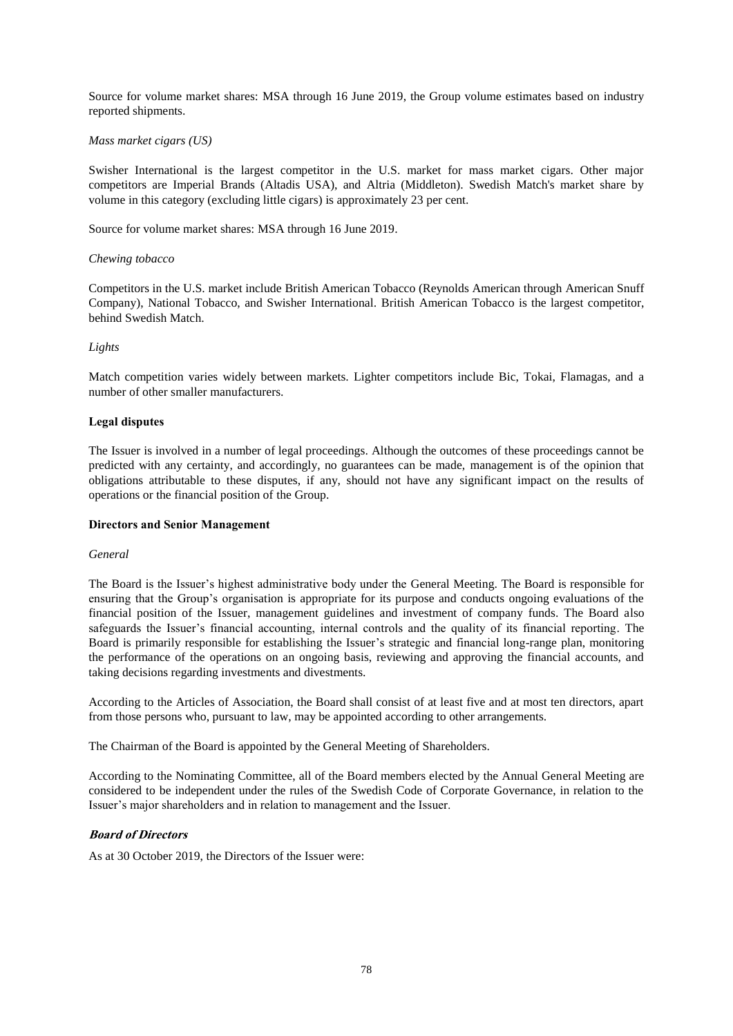Source for volume market shares: MSA through 16 June 2019, the Group volume estimates based on industry reported shipments.

# *Mass market cigars (US)*

Swisher International is the largest competitor in the U.S. market for mass market cigars. Other major competitors are Imperial Brands (Altadis USA), and Altria (Middleton). Swedish Match's market share by volume in this category (excluding little cigars) is approximately 23 per cent.

Source for volume market shares: MSA through 16 June 2019.

### *Chewing tobacco*

Competitors in the U.S. market include British American Tobacco (Reynolds American through American Snuff Company), National Tobacco, and Swisher International. British American Tobacco is the largest competitor, behind Swedish Match.

# *Lights*

Match competition varies widely between markets. Lighter competitors include Bic, Tokai, Flamagas, and a number of other smaller manufacturers.

# **Legal disputes**

The Issuer is involved in a number of legal proceedings. Although the outcomes of these proceedings cannot be predicted with any certainty, and accordingly, no guarantees can be made, management is of the opinion that obligations attributable to these disputes, if any, should not have any significant impact on the results of operations or the financial position of the Group.

#### **Directors and Senior Management**

#### *General*

The Board is the Issuer's highest administrative body under the General Meeting. The Board is responsible for ensuring that the Group's organisation is appropriate for its purpose and conducts ongoing evaluations of the financial position of the Issuer, management guidelines and investment of company funds. The Board also safeguards the Issuer's financial accounting, internal controls and the quality of its financial reporting. The Board is primarily responsible for establishing the Issuer's strategic and financial long-range plan, monitoring the performance of the operations on an ongoing basis, reviewing and approving the financial accounts, and taking decisions regarding investments and divestments.

According to the Articles of Association, the Board shall consist of at least five and at most ten directors, apart from those persons who, pursuant to law, may be appointed according to other arrangements.

The Chairman of the Board is appointed by the General Meeting of Shareholders.

According to the Nominating Committee, all of the Board members elected by the Annual General Meeting are considered to be independent under the rules of the Swedish Code of Corporate Governance, in relation to the Issuer's major shareholders and in relation to management and the Issuer.

# **Board of Directors**

As at 30 October 2019, the Directors of the Issuer were: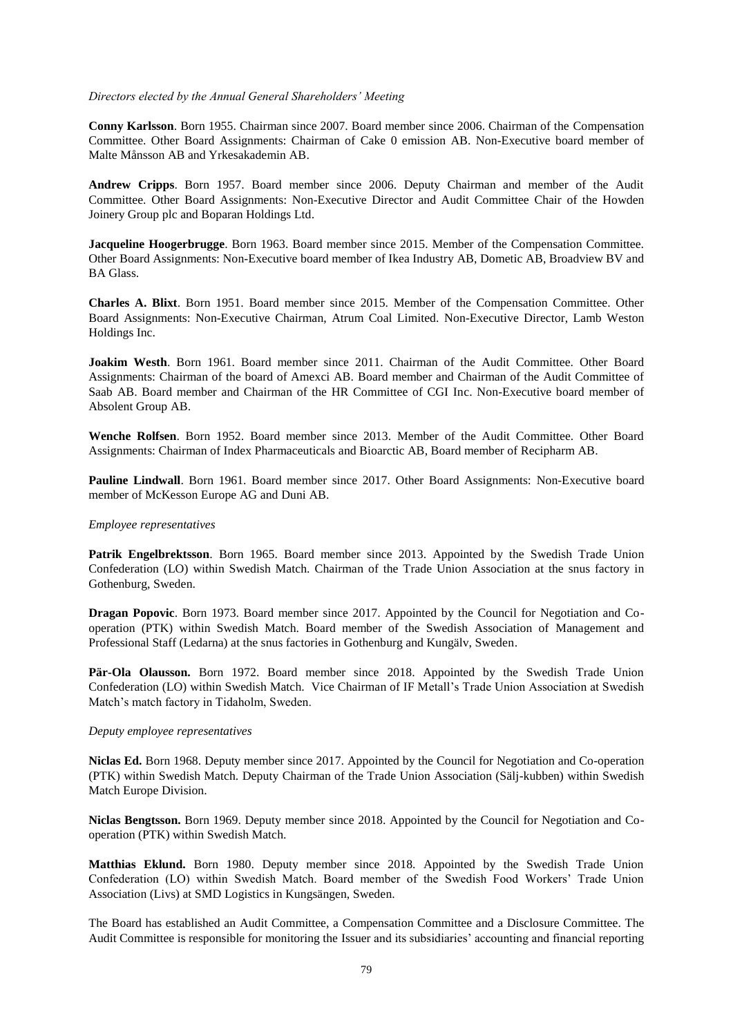#### *Directors elected by the Annual General Shareholders' Meeting*

**Conny Karlsson**. Born 1955. Chairman since 2007. Board member since 2006. Chairman of the Compensation Committee. Other Board Assignments: Chairman of Cake 0 emission AB. Non-Executive board member of Malte Månsson AB and Yrkesakademin AB.

**Andrew Cripps**. Born 1957. Board member since 2006. Deputy Chairman and member of the Audit Committee. Other Board Assignments: Non-Executive Director and Audit Committee Chair of the Howden Joinery Group plc and Boparan Holdings Ltd.

**Jacqueline Hoogerbrugge**. Born 1963. Board member since 2015. Member of the Compensation Committee. Other Board Assignments: Non-Executive board member of Ikea Industry AB, Dometic AB, Broadview BV and BA Glass.

**Charles A. Blixt**. Born 1951. Board member since 2015. Member of the Compensation Committee. Other Board Assignments: Non-Executive Chairman, Atrum Coal Limited. Non-Executive Director, Lamb Weston Holdings Inc.

**Joakim Westh**. Born 1961. Board member since 2011. Chairman of the Audit Committee. Other Board Assignments: Chairman of the board of Amexci AB. Board member and Chairman of the Audit Committee of Saab AB. Board member and Chairman of the HR Committee of CGI Inc. Non-Executive board member of Absolent Group AB.

**Wenche Rolfsen**. Born 1952. Board member since 2013. Member of the Audit Committee. Other Board Assignments: Chairman of Index Pharmaceuticals and Bioarctic AB, Board member of Recipharm AB.

**Pauline Lindwall**. Born 1961. Board member since 2017. Other Board Assignments: Non-Executive board member of McKesson Europe AG and Duni AB.

#### *Employee representatives*

**Patrik Engelbrektsson**. Born 1965. Board member since 2013. Appointed by the Swedish Trade Union Confederation (LO) within Swedish Match. Chairman of the Trade Union Association at the snus factory in Gothenburg, Sweden.

**Dragan Popovic**. Born 1973. Board member since 2017. Appointed by the Council for Negotiation and Cooperation (PTK) within Swedish Match. Board member of the Swedish Association of Management and Professional Staff (Ledarna) at the snus factories in Gothenburg and Kungälv, Sweden.

**Pär-Ola Olausson.** Born 1972. Board member since 2018. Appointed by the Swedish Trade Union Confederation (LO) within Swedish Match. Vice Chairman of IF Metall's Trade Union Association at Swedish Match's match factory in Tidaholm, Sweden.

#### *Deputy employee representatives*

**Niclas Ed.** Born 1968. Deputy member since 2017. Appointed by the Council for Negotiation and Co-operation (PTK) within Swedish Match. Deputy Chairman of the Trade Union Association (Sälj-kubben) within Swedish Match Europe Division.

**Niclas Bengtsson.** Born 1969. Deputy member since 2018. Appointed by the Council for Negotiation and Cooperation (PTK) within Swedish Match.

**Matthias Eklund.** Born 1980. Deputy member since 2018. Appointed by the Swedish Trade Union Confederation (LO) within Swedish Match. Board member of the Swedish Food Workers' Trade Union Association (Livs) at SMD Logistics in Kungsängen, Sweden.

The Board has established an Audit Committee, a Compensation Committee and a Disclosure Committee. The Audit Committee is responsible for monitoring the Issuer and its subsidiaries' accounting and financial reporting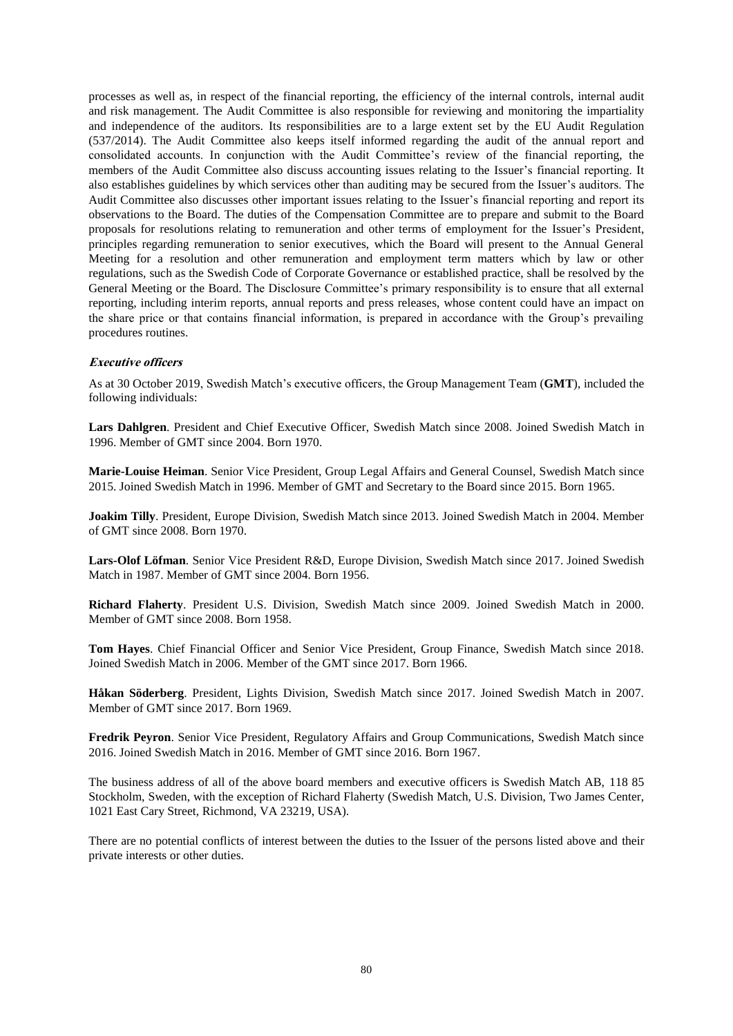processes as well as, in respect of the financial reporting, the efficiency of the internal controls, internal audit and risk management. The Audit Committee is also responsible for reviewing and monitoring the impartiality and independence of the auditors. Its responsibilities are to a large extent set by the EU Audit Regulation (537/2014). The Audit Committee also keeps itself informed regarding the audit of the annual report and consolidated accounts. In conjunction with the Audit Committee's review of the financial reporting, the members of the Audit Committee also discuss accounting issues relating to the Issuer's financial reporting. It also establishes guidelines by which services other than auditing may be secured from the Issuer's auditors. The Audit Committee also discusses other important issues relating to the Issuer's financial reporting and report its observations to the Board. The duties of the Compensation Committee are to prepare and submit to the Board proposals for resolutions relating to remuneration and other terms of employment for the Issuer's President, principles regarding remuneration to senior executives, which the Board will present to the Annual General Meeting for a resolution and other remuneration and employment term matters which by law or other regulations, such as the Swedish Code of Corporate Governance or established practice, shall be resolved by the General Meeting or the Board. The Disclosure Committee's primary responsibility is to ensure that all external reporting, including interim reports, annual reports and press releases, whose content could have an impact on the share price or that contains financial information, is prepared in accordance with the Group's prevailing procedures routines.

# **Executive officers**

As at 30 October 2019, Swedish Match's executive officers, the Group Management Team (**GMT**), included the following individuals:

**Lars Dahlgren**. President and Chief Executive Officer, Swedish Match since 2008. Joined Swedish Match in 1996. Member of GMT since 2004. Born 1970.

**Marie-Louise Heiman**. Senior Vice President, Group Legal Affairs and General Counsel, Swedish Match since 2015. Joined Swedish Match in 1996. Member of GMT and Secretary to the Board since 2015. Born 1965.

**Joakim Tilly**. President, Europe Division, Swedish Match since 2013. Joined Swedish Match in 2004. Member of GMT since 2008. Born 1970.

**Lars-Olof Löfman**. Senior Vice President R&D, Europe Division, Swedish Match since 2017. Joined Swedish Match in 1987. Member of GMT since 2004. Born 1956.

**Richard Flaherty**. President U.S. Division, Swedish Match since 2009. Joined Swedish Match in 2000. Member of GMT since 2008. Born 1958.

**Tom Hayes**. Chief Financial Officer and Senior Vice President, Group Finance, Swedish Match since 2018. Joined Swedish Match in 2006. Member of the GMT since 2017. Born 1966.

**Håkan Söderberg**. President, Lights Division, Swedish Match since 2017. Joined Swedish Match in 2007. Member of GMT since 2017. Born 1969.

**Fredrik Peyron**. Senior Vice President, Regulatory Affairs and Group Communications, Swedish Match since 2016. Joined Swedish Match in 2016. Member of GMT since 2016. Born 1967.

The business address of all of the above board members and executive officers is Swedish Match AB, 118 85 Stockholm, Sweden, with the exception of Richard Flaherty (Swedish Match, U.S. Division, Two James Center, 1021 East Cary Street, Richmond, VA 23219, USA).

There are no potential conflicts of interest between the duties to the Issuer of the persons listed above and their private interests or other duties.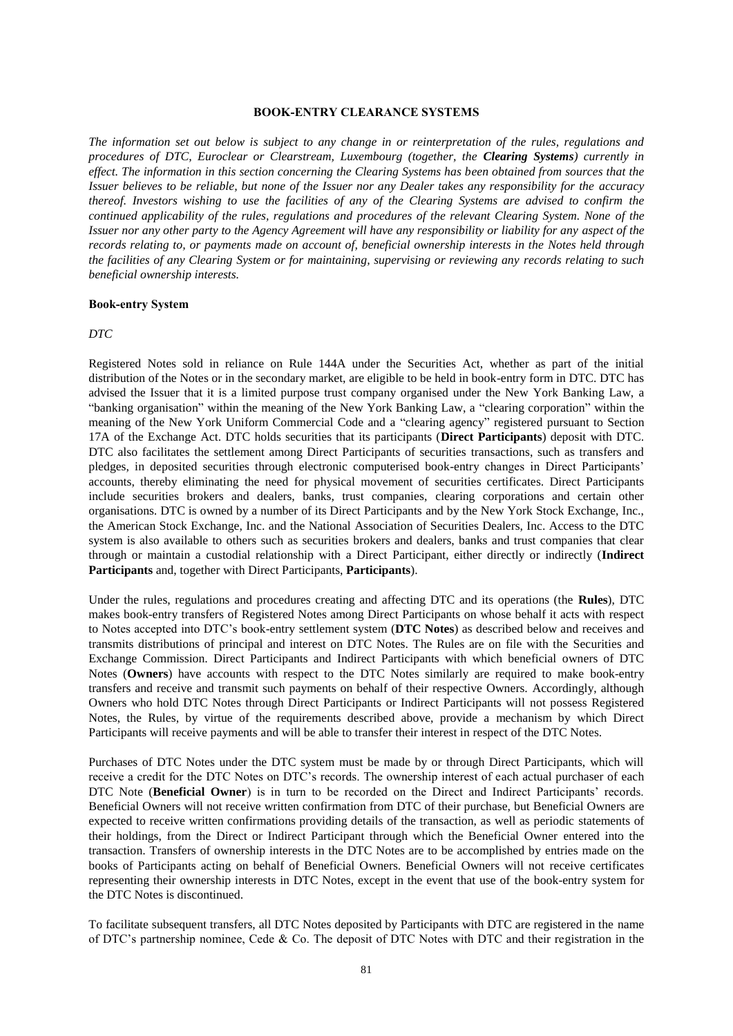#### **BOOK-ENTRY CLEARANCE SYSTEMS**

*The information set out below is subject to any change in or reinterpretation of the rules, regulations and procedures of DTC, Euroclear or Clearstream, Luxembourg (together, the Clearing Systems) currently in effect. The information in this section concerning the Clearing Systems has been obtained from sources that the Issuer believes to be reliable, but none of the Issuer nor any Dealer takes any responsibility for the accuracy thereof. Investors wishing to use the facilities of any of the Clearing Systems are advised to confirm the continued applicability of the rules, regulations and procedures of the relevant Clearing System. None of the Issuer nor any other party to the Agency Agreement will have any responsibility or liability for any aspect of the records relating to, or payments made on account of, beneficial ownership interests in the Notes held through the facilities of any Clearing System or for maintaining, supervising or reviewing any records relating to such beneficial ownership interests.*

#### **Book-entry System**

#### *DTC*

Registered Notes sold in reliance on Rule 144A under the Securities Act, whether as part of the initial distribution of the Notes or in the secondary market, are eligible to be held in book-entry form in DTC. DTC has advised the Issuer that it is a limited purpose trust company organised under the New York Banking Law, a "banking organisation" within the meaning of the New York Banking Law, a "clearing corporation" within the meaning of the New York Uniform Commercial Code and a "clearing agency" registered pursuant to Section 17A of the Exchange Act. DTC holds securities that its participants (**Direct Participants**) deposit with DTC. DTC also facilitates the settlement among Direct Participants of securities transactions, such as transfers and pledges, in deposited securities through electronic computerised book-entry changes in Direct Participants' accounts, thereby eliminating the need for physical movement of securities certificates. Direct Participants include securities brokers and dealers, banks, trust companies, clearing corporations and certain other organisations. DTC is owned by a number of its Direct Participants and by the New York Stock Exchange, Inc., the American Stock Exchange, Inc. and the National Association of Securities Dealers, Inc. Access to the DTC system is also available to others such as securities brokers and dealers, banks and trust companies that clear through or maintain a custodial relationship with a Direct Participant, either directly or indirectly (**Indirect Participants** and, together with Direct Participants, **Participants**).

Under the rules, regulations and procedures creating and affecting DTC and its operations (the **Rules**), DTC makes book-entry transfers of Registered Notes among Direct Participants on whose behalf it acts with respect to Notes accepted into DTC's book-entry settlement system (**DTC Notes**) as described below and receives and transmits distributions of principal and interest on DTC Notes. The Rules are on file with the Securities and Exchange Commission. Direct Participants and Indirect Participants with which beneficial owners of DTC Notes (**Owners**) have accounts with respect to the DTC Notes similarly are required to make book-entry transfers and receive and transmit such payments on behalf of their respective Owners. Accordingly, although Owners who hold DTC Notes through Direct Participants or Indirect Participants will not possess Registered Notes, the Rules, by virtue of the requirements described above, provide a mechanism by which Direct Participants will receive payments and will be able to transfer their interest in respect of the DTC Notes.

Purchases of DTC Notes under the DTC system must be made by or through Direct Participants, which will receive a credit for the DTC Notes on DTC's records. The ownership interest of each actual purchaser of each DTC Note (**Beneficial Owner**) is in turn to be recorded on the Direct and Indirect Participants' records. Beneficial Owners will not receive written confirmation from DTC of their purchase, but Beneficial Owners are expected to receive written confirmations providing details of the transaction, as well as periodic statements of their holdings, from the Direct or Indirect Participant through which the Beneficial Owner entered into the transaction. Transfers of ownership interests in the DTC Notes are to be accomplished by entries made on the books of Participants acting on behalf of Beneficial Owners. Beneficial Owners will not receive certificates representing their ownership interests in DTC Notes, except in the event that use of the book-entry system for the DTC Notes is discontinued.

To facilitate subsequent transfers, all DTC Notes deposited by Participants with DTC are registered in the name of DTC's partnership nominee, Cede & Co. The deposit of DTC Notes with DTC and their registration in the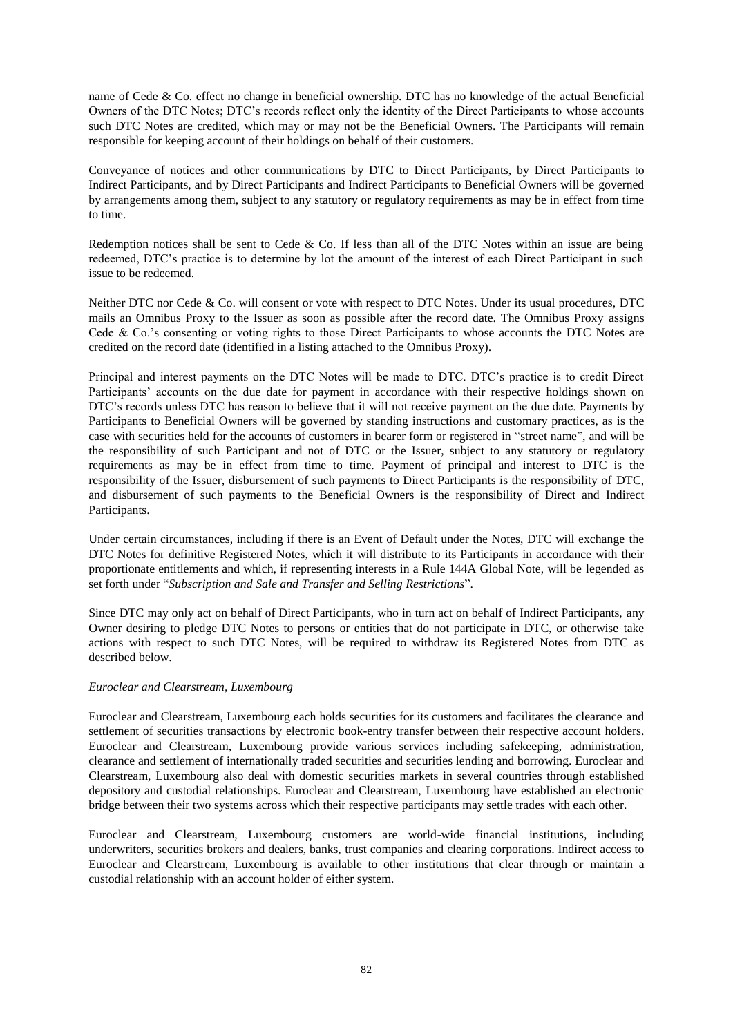name of Cede & Co. effect no change in beneficial ownership. DTC has no knowledge of the actual Beneficial Owners of the DTC Notes; DTC's records reflect only the identity of the Direct Participants to whose accounts such DTC Notes are credited, which may or may not be the Beneficial Owners. The Participants will remain responsible for keeping account of their holdings on behalf of their customers.

Conveyance of notices and other communications by DTC to Direct Participants, by Direct Participants to Indirect Participants, and by Direct Participants and Indirect Participants to Beneficial Owners will be governed by arrangements among them, subject to any statutory or regulatory requirements as may be in effect from time to time.

Redemption notices shall be sent to Cede & Co. If less than all of the DTC Notes within an issue are being redeemed, DTC's practice is to determine by lot the amount of the interest of each Direct Participant in such issue to be redeemed.

Neither DTC nor Cede & Co. will consent or vote with respect to DTC Notes. Under its usual procedures, DTC mails an Omnibus Proxy to the Issuer as soon as possible after the record date. The Omnibus Proxy assigns Cede & Co.'s consenting or voting rights to those Direct Participants to whose accounts the DTC Notes are credited on the record date (identified in a listing attached to the Omnibus Proxy).

Principal and interest payments on the DTC Notes will be made to DTC. DTC's practice is to credit Direct Participants' accounts on the due date for payment in accordance with their respective holdings shown on DTC's records unless DTC has reason to believe that it will not receive payment on the due date. Payments by Participants to Beneficial Owners will be governed by standing instructions and customary practices, as is the case with securities held for the accounts of customers in bearer form or registered in "street name", and will be the responsibility of such Participant and not of DTC or the Issuer, subject to any statutory or regulatory requirements as may be in effect from time to time. Payment of principal and interest to DTC is the responsibility of the Issuer, disbursement of such payments to Direct Participants is the responsibility of DTC, and disbursement of such payments to the Beneficial Owners is the responsibility of Direct and Indirect Participants.

Under certain circumstances, including if there is an Event of Default under the Notes, DTC will exchange the DTC Notes for definitive Registered Notes, which it will distribute to its Participants in accordance with their proportionate entitlements and which, if representing interests in a Rule 144A Global Note, will be legended as set forth under "*Subscription and Sale and Transfer and Selling Restrictions*".

Since DTC may only act on behalf of Direct Participants, who in turn act on behalf of Indirect Participants, any Owner desiring to pledge DTC Notes to persons or entities that do not participate in DTC, or otherwise take actions with respect to such DTC Notes, will be required to withdraw its Registered Notes from DTC as described below.

# *Euroclear and Clearstream, Luxembourg*

Euroclear and Clearstream, Luxembourg each holds securities for its customers and facilitates the clearance and settlement of securities transactions by electronic book-entry transfer between their respective account holders. Euroclear and Clearstream, Luxembourg provide various services including safekeeping, administration, clearance and settlement of internationally traded securities and securities lending and borrowing. Euroclear and Clearstream, Luxembourg also deal with domestic securities markets in several countries through established depository and custodial relationships. Euroclear and Clearstream, Luxembourg have established an electronic bridge between their two systems across which their respective participants may settle trades with each other.

Euroclear and Clearstream, Luxembourg customers are world-wide financial institutions, including underwriters, securities brokers and dealers, banks, trust companies and clearing corporations. Indirect access to Euroclear and Clearstream, Luxembourg is available to other institutions that clear through or maintain a custodial relationship with an account holder of either system.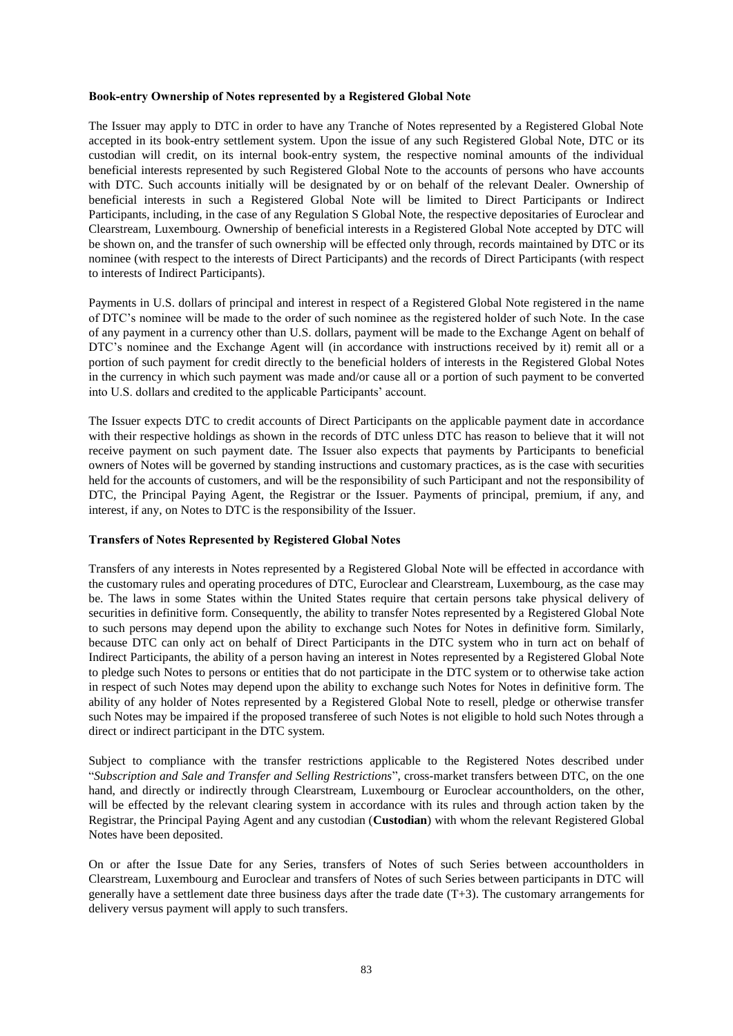# **Book-entry Ownership of Notes represented by a Registered Global Note**

The Issuer may apply to DTC in order to have any Tranche of Notes represented by a Registered Global Note accepted in its book-entry settlement system. Upon the issue of any such Registered Global Note, DTC or its custodian will credit, on its internal book-entry system, the respective nominal amounts of the individual beneficial interests represented by such Registered Global Note to the accounts of persons who have accounts with DTC. Such accounts initially will be designated by or on behalf of the relevant Dealer. Ownership of beneficial interests in such a Registered Global Note will be limited to Direct Participants or Indirect Participants, including, in the case of any Regulation S Global Note, the respective depositaries of Euroclear and Clearstream, Luxembourg. Ownership of beneficial interests in a Registered Global Note accepted by DTC will be shown on, and the transfer of such ownership will be effected only through, records maintained by DTC or its nominee (with respect to the interests of Direct Participants) and the records of Direct Participants (with respect to interests of Indirect Participants).

Payments in U.S. dollars of principal and interest in respect of a Registered Global Note registered in the name of DTC's nominee will be made to the order of such nominee as the registered holder of such Note. In the case of any payment in a currency other than U.S. dollars, payment will be made to the Exchange Agent on behalf of DTC's nominee and the Exchange Agent will (in accordance with instructions received by it) remit all or a portion of such payment for credit directly to the beneficial holders of interests in the Registered Global Notes in the currency in which such payment was made and/or cause all or a portion of such payment to be converted into U.S. dollars and credited to the applicable Participants' account.

The Issuer expects DTC to credit accounts of Direct Participants on the applicable payment date in accordance with their respective holdings as shown in the records of DTC unless DTC has reason to believe that it will not receive payment on such payment date. The Issuer also expects that payments by Participants to beneficial owners of Notes will be governed by standing instructions and customary practices, as is the case with securities held for the accounts of customers, and will be the responsibility of such Participant and not the responsibility of DTC, the Principal Paying Agent, the Registrar or the Issuer. Payments of principal, premium, if any, and interest, if any, on Notes to DTC is the responsibility of the Issuer.

#### **Transfers of Notes Represented by Registered Global Notes**

Transfers of any interests in Notes represented by a Registered Global Note will be effected in accordance with the customary rules and operating procedures of DTC, Euroclear and Clearstream, Luxembourg, as the case may be. The laws in some States within the United States require that certain persons take physical delivery of securities in definitive form. Consequently, the ability to transfer Notes represented by a Registered Global Note to such persons may depend upon the ability to exchange such Notes for Notes in definitive form. Similarly, because DTC can only act on behalf of Direct Participants in the DTC system who in turn act on behalf of Indirect Participants, the ability of a person having an interest in Notes represented by a Registered Global Note to pledge such Notes to persons or entities that do not participate in the DTC system or to otherwise take action in respect of such Notes may depend upon the ability to exchange such Notes for Notes in definitive form. The ability of any holder of Notes represented by a Registered Global Note to resell, pledge or otherwise transfer such Notes may be impaired if the proposed transferee of such Notes is not eligible to hold such Notes through a direct or indirect participant in the DTC system.

Subject to compliance with the transfer restrictions applicable to the Registered Notes described under "*Subscription and Sale and Transfer and Selling Restrictions*", cross-market transfers between DTC, on the one hand, and directly or indirectly through Clearstream, Luxembourg or Euroclear accountholders, on the other, will be effected by the relevant clearing system in accordance with its rules and through action taken by the Registrar, the Principal Paying Agent and any custodian (**Custodian**) with whom the relevant Registered Global Notes have been deposited.

On or after the Issue Date for any Series, transfers of Notes of such Series between accountholders in Clearstream, Luxembourg and Euroclear and transfers of Notes of such Series between participants in DTC will generally have a settlement date three business days after the trade date (T+3). The customary arrangements for delivery versus payment will apply to such transfers.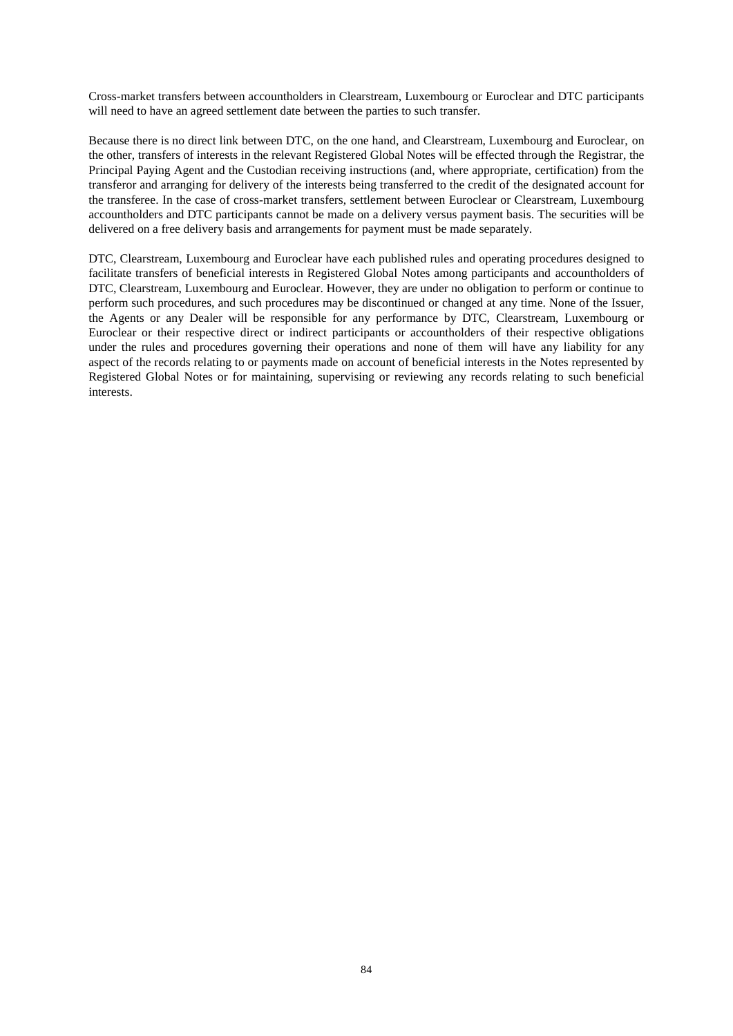Cross-market transfers between accountholders in Clearstream, Luxembourg or Euroclear and DTC participants will need to have an agreed settlement date between the parties to such transfer.

Because there is no direct link between DTC, on the one hand, and Clearstream, Luxembourg and Euroclear, on the other, transfers of interests in the relevant Registered Global Notes will be effected through the Registrar, the Principal Paying Agent and the Custodian receiving instructions (and, where appropriate, certification) from the transferor and arranging for delivery of the interests being transferred to the credit of the designated account for the transferee. In the case of cross-market transfers, settlement between Euroclear or Clearstream, Luxembourg accountholders and DTC participants cannot be made on a delivery versus payment basis. The securities will be delivered on a free delivery basis and arrangements for payment must be made separately.

DTC, Clearstream, Luxembourg and Euroclear have each published rules and operating procedures designed to facilitate transfers of beneficial interests in Registered Global Notes among participants and accountholders of DTC, Clearstream, Luxembourg and Euroclear. However, they are under no obligation to perform or continue to perform such procedures, and such procedures may be discontinued or changed at any time. None of the Issuer, the Agents or any Dealer will be responsible for any performance by DTC, Clearstream, Luxembourg or Euroclear or their respective direct or indirect participants or accountholders of their respective obligations under the rules and procedures governing their operations and none of them will have any liability for any aspect of the records relating to or payments made on account of beneficial interests in the Notes represented by Registered Global Notes or for maintaining, supervising or reviewing any records relating to such beneficial interests.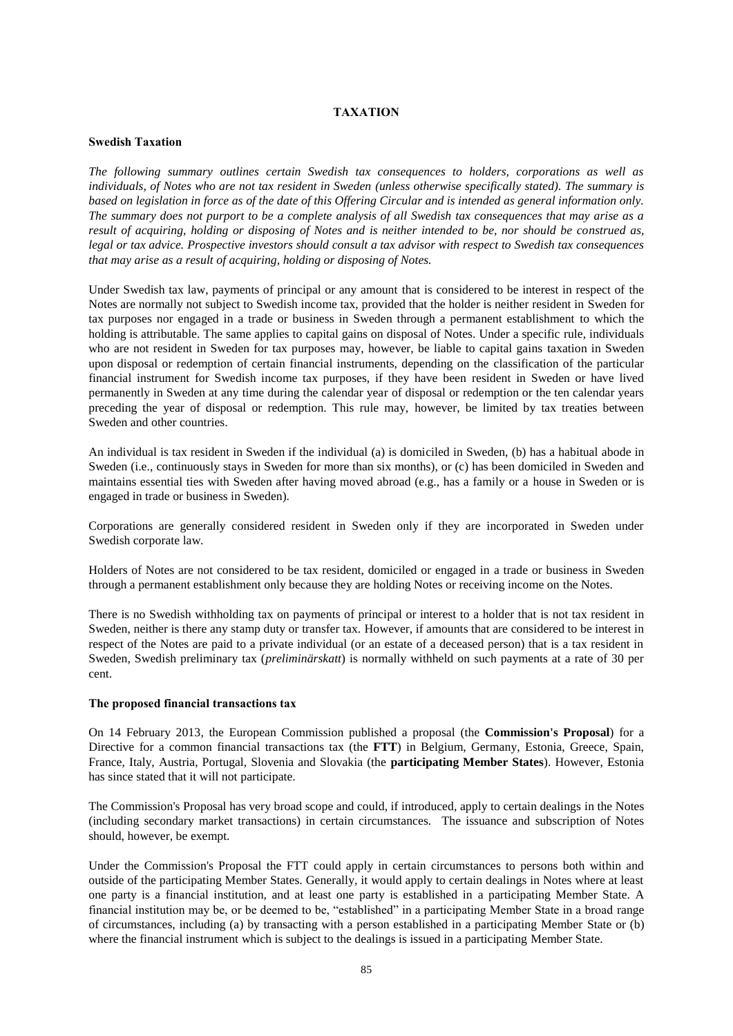# **TAXATION**

#### **Swedish Taxation**

*The following summary outlines certain Swedish tax consequences to holders, corporations as well as individuals, of Notes who are not tax resident in Sweden (unless otherwise specifically stated). The summary is based on legislation in force as of the date of this Offering Circular and is intended as general information only. The summary does not purport to be a complete analysis of all Swedish tax consequences that may arise as a result of acquiring, holding or disposing of Notes and is neither intended to be, nor should be construed as, legal or tax advice. Prospective investors should consult a tax advisor with respect to Swedish tax consequences that may arise as a result of acquiring, holding or disposing of Notes.*

Under Swedish tax law, payments of principal or any amount that is considered to be interest in respect of the Notes are normally not subject to Swedish income tax, provided that the holder is neither resident in Sweden for tax purposes nor engaged in a trade or business in Sweden through a permanent establishment to which the holding is attributable. The same applies to capital gains on disposal of Notes. Under a specific rule, individuals who are not resident in Sweden for tax purposes may, however, be liable to capital gains taxation in Sweden upon disposal or redemption of certain financial instruments, depending on the classification of the particular financial instrument for Swedish income tax purposes, if they have been resident in Sweden or have lived permanently in Sweden at any time during the calendar year of disposal or redemption or the ten calendar years preceding the year of disposal or redemption. This rule may, however, be limited by tax treaties between Sweden and other countries.

An individual is tax resident in Sweden if the individual (a) is domiciled in Sweden, (b) has a habitual abode in Sweden (i.e., continuously stays in Sweden for more than six months), or (c) has been domiciled in Sweden and maintains essential ties with Sweden after having moved abroad (e.g., has a family or a house in Sweden or is engaged in trade or business in Sweden).

Corporations are generally considered resident in Sweden only if they are incorporated in Sweden under Swedish corporate law.

Holders of Notes are not considered to be tax resident, domiciled or engaged in a trade or business in Sweden through a permanent establishment only because they are holding Notes or receiving income on the Notes.

There is no Swedish withholding tax on payments of principal or interest to a holder that is not tax resident in Sweden, neither is there any stamp duty or transfer tax. However, if amounts that are considered to be interest in respect of the Notes are paid to a private individual (or an estate of a deceased person) that is a tax resident in Sweden, Swedish preliminary tax (*preliminärskatt*) is normally withheld on such payments at a rate of 30 per cent.

#### **The proposed financial transactions tax**

On 14 February 2013, the European Commission published a proposal (the **Commission's Proposal**) for a Directive for a common financial transactions tax (the **FTT**) in Belgium, Germany, Estonia, Greece, Spain, France, Italy, Austria, Portugal, Slovenia and Slovakia (the **participating Member States**). However, Estonia has since stated that it will not participate.

The Commission's Proposal has very broad scope and could, if introduced, apply to certain dealings in the Notes (including secondary market transactions) in certain circumstances. The issuance and subscription of Notes should, however, be exempt.

Under the Commission's Proposal the FTT could apply in certain circumstances to persons both within and outside of the participating Member States. Generally, it would apply to certain dealings in Notes where at least one party is a financial institution, and at least one party is established in a participating Member State. A financial institution may be, or be deemed to be, "established" in a participating Member State in a broad range of circumstances, including (a) by transacting with a person established in a participating Member State or (b) where the financial instrument which is subject to the dealings is issued in a participating Member State.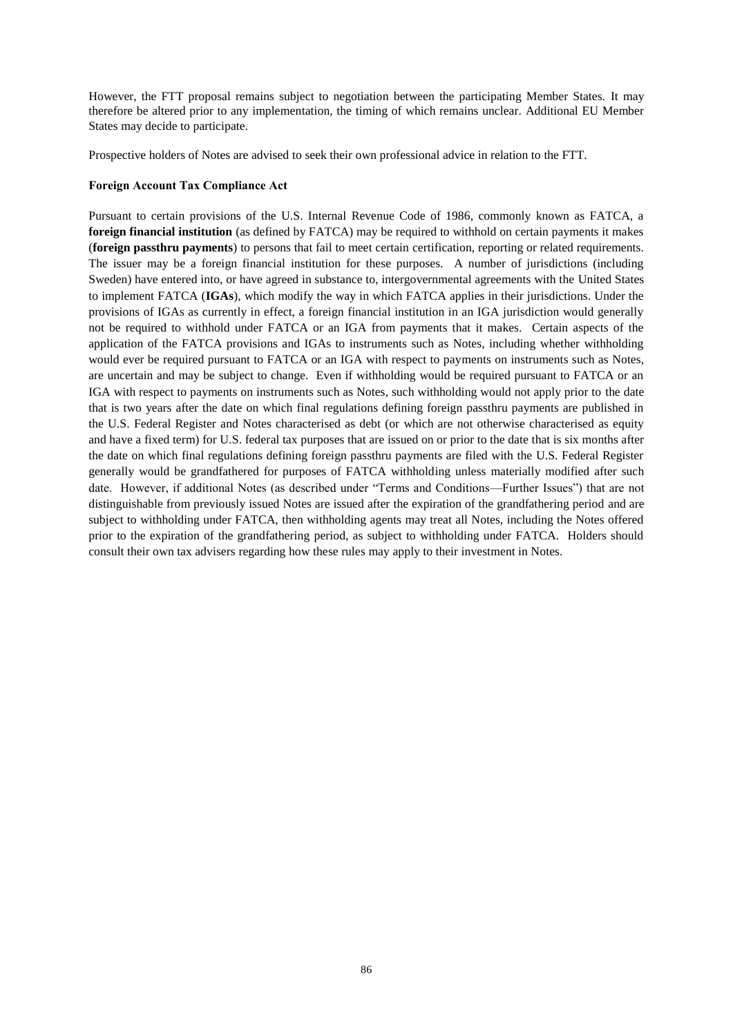However, the FTT proposal remains subject to negotiation between the participating Member States. It may therefore be altered prior to any implementation, the timing of which remains unclear. Additional EU Member States may decide to participate.

Prospective holders of Notes are advised to seek their own professional advice in relation to the FTT.

# **Foreign Account Tax Compliance Act**

Pursuant to certain provisions of the U.S. Internal Revenue Code of 1986, commonly known as FATCA, a **foreign financial institution** (as defined by FATCA) may be required to withhold on certain payments it makes (**foreign passthru payments**) to persons that fail to meet certain certification, reporting or related requirements. The issuer may be a foreign financial institution for these purposes. A number of jurisdictions (including Sweden) have entered into, or have agreed in substance to, intergovernmental agreements with the United States to implement FATCA (**IGAs**), which modify the way in which FATCA applies in their jurisdictions. Under the provisions of IGAs as currently in effect, a foreign financial institution in an IGA jurisdiction would generally not be required to withhold under FATCA or an IGA from payments that it makes. Certain aspects of the application of the FATCA provisions and IGAs to instruments such as Notes, including whether withholding would ever be required pursuant to FATCA or an IGA with respect to payments on instruments such as Notes, are uncertain and may be subject to change. Even if withholding would be required pursuant to FATCA or an IGA with respect to payments on instruments such as Notes, such withholding would not apply prior to the date that is two years after the date on which final regulations defining foreign passthru payments are published in the U.S. Federal Register and Notes characterised as debt (or which are not otherwise characterised as equity and have a fixed term) for U.S. federal tax purposes that are issued on or prior to the date that is six months after the date on which final regulations defining foreign passthru payments are filed with the U.S. Federal Register generally would be grandfathered for purposes of FATCA withholding unless materially modified after such date. However, if additional Notes (as described under "Terms and Conditions—Further Issues") that are not distinguishable from previously issued Notes are issued after the expiration of the grandfathering period and are subject to withholding under FATCA, then withholding agents may treat all Notes, including the Notes offered prior to the expiration of the grandfathering period, as subject to withholding under FATCA. Holders should consult their own tax advisers regarding how these rules may apply to their investment in Notes.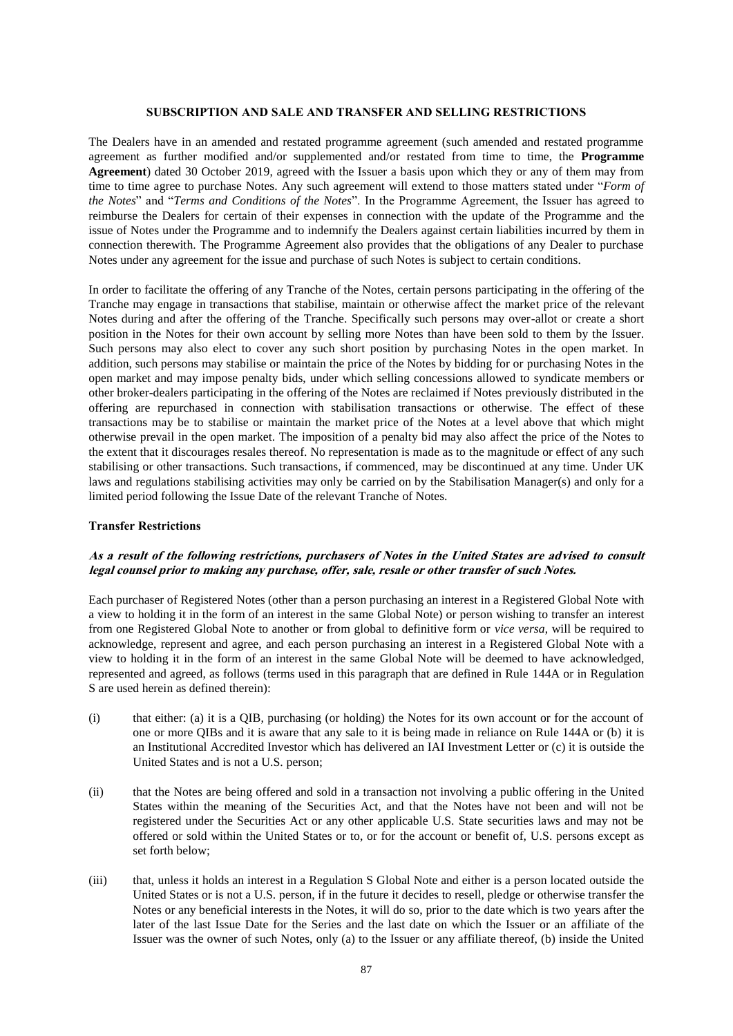#### **SUBSCRIPTION AND SALE AND TRANSFER AND SELLING RESTRICTIONS**

The Dealers have in an amended and restated programme agreement (such amended and restated programme agreement as further modified and/or supplemented and/or restated from time to time, the **Programme Agreement**) dated 30 October 2019, agreed with the Issuer a basis upon which they or any of them may from time to time agree to purchase Notes. Any such agreement will extend to those matters stated under "*Form of the Notes*" and "*Terms and Conditions of the Notes*". In the Programme Agreement, the Issuer has agreed to reimburse the Dealers for certain of their expenses in connection with the update of the Programme and the issue of Notes under the Programme and to indemnify the Dealers against certain liabilities incurred by them in connection therewith. The Programme Agreement also provides that the obligations of any Dealer to purchase Notes under any agreement for the issue and purchase of such Notes is subject to certain conditions.

In order to facilitate the offering of any Tranche of the Notes, certain persons participating in the offering of the Tranche may engage in transactions that stabilise, maintain or otherwise affect the market price of the relevant Notes during and after the offering of the Tranche. Specifically such persons may over-allot or create a short position in the Notes for their own account by selling more Notes than have been sold to them by the Issuer. Such persons may also elect to cover any such short position by purchasing Notes in the open market. In addition, such persons may stabilise or maintain the price of the Notes by bidding for or purchasing Notes in the open market and may impose penalty bids, under which selling concessions allowed to syndicate members or other broker-dealers participating in the offering of the Notes are reclaimed if Notes previously distributed in the offering are repurchased in connection with stabilisation transactions or otherwise. The effect of these transactions may be to stabilise or maintain the market price of the Notes at a level above that which might otherwise prevail in the open market. The imposition of a penalty bid may also affect the price of the Notes to the extent that it discourages resales thereof. No representation is made as to the magnitude or effect of any such stabilising or other transactions. Such transactions, if commenced, may be discontinued at any time. Under UK laws and regulations stabilising activities may only be carried on by the Stabilisation Manager(s) and only for a limited period following the Issue Date of the relevant Tranche of Notes.

#### **Transfer Restrictions**

# **As a result of the following restrictions, purchasers of Notes in the United States are advised to consult legal counsel prior to making any purchase, offer, sale, resale or other transfer of such Notes.**

Each purchaser of Registered Notes (other than a person purchasing an interest in a Registered Global Note with a view to holding it in the form of an interest in the same Global Note) or person wishing to transfer an interest from one Registered Global Note to another or from global to definitive form or *vice versa*, will be required to acknowledge, represent and agree, and each person purchasing an interest in a Registered Global Note with a view to holding it in the form of an interest in the same Global Note will be deemed to have acknowledged, represented and agreed, as follows (terms used in this paragraph that are defined in Rule 144A or in Regulation S are used herein as defined therein):

- (i) that either: (a) it is a QIB, purchasing (or holding) the Notes for its own account or for the account of one or more QIBs and it is aware that any sale to it is being made in reliance on Rule 144A or (b) it is an Institutional Accredited Investor which has delivered an IAI Investment Letter or (c) it is outside the United States and is not a U.S. person;
- (ii) that the Notes are being offered and sold in a transaction not involving a public offering in the United States within the meaning of the Securities Act, and that the Notes have not been and will not be registered under the Securities Act or any other applicable U.S. State securities laws and may not be offered or sold within the United States or to, or for the account or benefit of, U.S. persons except as set forth below;
- <span id="page-86-0"></span>(iii) that, unless it holds an interest in a Regulation S Global Note and either is a person located outside the United States or is not a U.S. person, if in the future it decides to resell, pledge or otherwise transfer the Notes or any beneficial interests in the Notes, it will do so, prior to the date which is two years after the later of the last Issue Date for the Series and the last date on which the Issuer or an affiliate of the Issuer was the owner of such Notes, only (a) to the Issuer or any affiliate thereof, (b) inside the United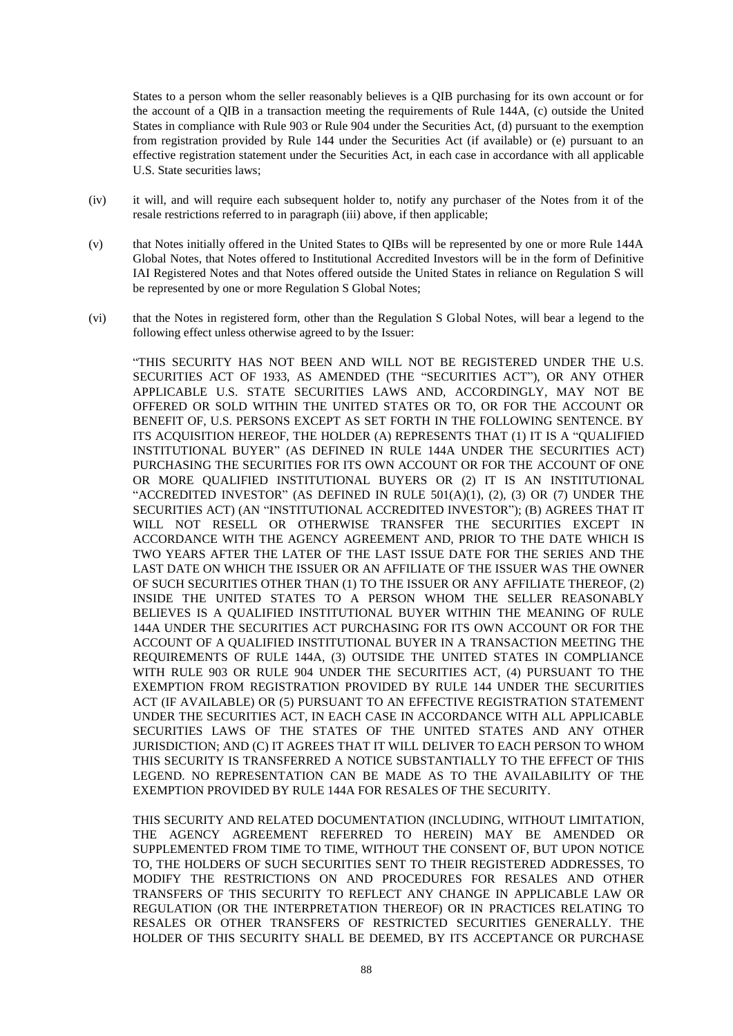States to a person whom the seller reasonably believes is a QIB purchasing for its own account or for the account of a QIB in a transaction meeting the requirements of Rule 144A, (c) outside the United States in compliance with Rule 903 or Rule 904 under the Securities Act, (d) pursuant to the exemption from registration provided by Rule 144 under the Securities Act (if available) or (e) pursuant to an effective registration statement under the Securities Act, in each case in accordance with all applicable U.S. State securities laws;

- (iv) it will, and will require each subsequent holder to, notify any purchaser of the Notes from it of the resale restrictions referred to in paragraph [\(iii\) above,](#page-86-0) if then applicable;
- (v) that Notes initially offered in the United States to QIBs will be represented by one or more Rule 144A Global Notes, that Notes offered to Institutional Accredited Investors will be in the form of Definitive IAI Registered Notes and that Notes offered outside the United States in reliance on Regulation S will be represented by one or more Regulation S Global Notes;
- (vi) that the Notes in registered form, other than the Regulation S Global Notes, will bear a legend to the following effect unless otherwise agreed to by the Issuer:

"THIS SECURITY HAS NOT BEEN AND WILL NOT BE REGISTERED UNDER THE U.S. SECURITIES ACT OF 1933, AS AMENDED (THE "SECURITIES ACT"), OR ANY OTHER APPLICABLE U.S. STATE SECURITIES LAWS AND, ACCORDINGLY, MAY NOT BE OFFERED OR SOLD WITHIN THE UNITED STATES OR TO, OR FOR THE ACCOUNT OR BENEFIT OF, U.S. PERSONS EXCEPT AS SET FORTH IN THE FOLLOWING SENTENCE. BY ITS ACQUISITION HEREOF, THE HOLDER (A) REPRESENTS THAT (1) IT IS A "QUALIFIED INSTITUTIONAL BUYER" (AS DEFINED IN RULE 144A UNDER THE SECURITIES ACT) PURCHASING THE SECURITIES FOR ITS OWN ACCOUNT OR FOR THE ACCOUNT OF ONE OR MORE QUALIFIED INSTITUTIONAL BUYERS OR (2) IT IS AN INSTITUTIONAL "ACCREDITED INVESTOR" (AS DEFINED IN RULE  $501(A)(1)$ ,  $(2)$ ,  $(3)$  OR  $(7)$  UNDER THE SECURITIES ACT) (AN "INSTITUTIONAL ACCREDITED INVESTOR"); (B) AGREES THAT IT WILL NOT RESELL OR OTHERWISE TRANSFER THE SECURITIES EXCEPT IN ACCORDANCE WITH THE AGENCY AGREEMENT AND, PRIOR TO THE DATE WHICH IS TWO YEARS AFTER THE LATER OF THE LAST ISSUE DATE FOR THE SERIES AND THE LAST DATE ON WHICH THE ISSUER OR AN AFFILIATE OF THE ISSUER WAS THE OWNER OF SUCH SECURITIES OTHER THAN (1) TO THE ISSUER OR ANY AFFILIATE THEREOF, (2) INSIDE THE UNITED STATES TO A PERSON WHOM THE SELLER REASONABLY BELIEVES IS A QUALIFIED INSTITUTIONAL BUYER WITHIN THE MEANING OF RULE 144A UNDER THE SECURITIES ACT PURCHASING FOR ITS OWN ACCOUNT OR FOR THE ACCOUNT OF A QUALIFIED INSTITUTIONAL BUYER IN A TRANSACTION MEETING THE REQUIREMENTS OF RULE 144A, (3) OUTSIDE THE UNITED STATES IN COMPLIANCE WITH RULE 903 OR RULE 904 UNDER THE SECURITIES ACT, (4) PURSUANT TO THE EXEMPTION FROM REGISTRATION PROVIDED BY RULE 144 UNDER THE SECURITIES ACT (IF AVAILABLE) OR (5) PURSUANT TO AN EFFECTIVE REGISTRATION STATEMENT UNDER THE SECURITIES ACT, IN EACH CASE IN ACCORDANCE WITH ALL APPLICABLE SECURITIES LAWS OF THE STATES OF THE UNITED STATES AND ANY OTHER JURISDICTION; AND (C) IT AGREES THAT IT WILL DELIVER TO EACH PERSON TO WHOM THIS SECURITY IS TRANSFERRED A NOTICE SUBSTANTIALLY TO THE EFFECT OF THIS LEGEND. NO REPRESENTATION CAN BE MADE AS TO THE AVAILABILITY OF THE EXEMPTION PROVIDED BY RULE 144A FOR RESALES OF THE SECURITY.

THIS SECURITY AND RELATED DOCUMENTATION (INCLUDING, WITHOUT LIMITATION, THE AGENCY AGREEMENT REFERRED TO HEREIN) MAY BE AMENDED OR SUPPLEMENTED FROM TIME TO TIME, WITHOUT THE CONSENT OF, BUT UPON NOTICE TO, THE HOLDERS OF SUCH SECURITIES SENT TO THEIR REGISTERED ADDRESSES, TO MODIFY THE RESTRICTIONS ON AND PROCEDURES FOR RESALES AND OTHER TRANSFERS OF THIS SECURITY TO REFLECT ANY CHANGE IN APPLICABLE LAW OR REGULATION (OR THE INTERPRETATION THEREOF) OR IN PRACTICES RELATING TO RESALES OR OTHER TRANSFERS OF RESTRICTED SECURITIES GENERALLY. THE HOLDER OF THIS SECURITY SHALL BE DEEMED, BY ITS ACCEPTANCE OR PURCHASE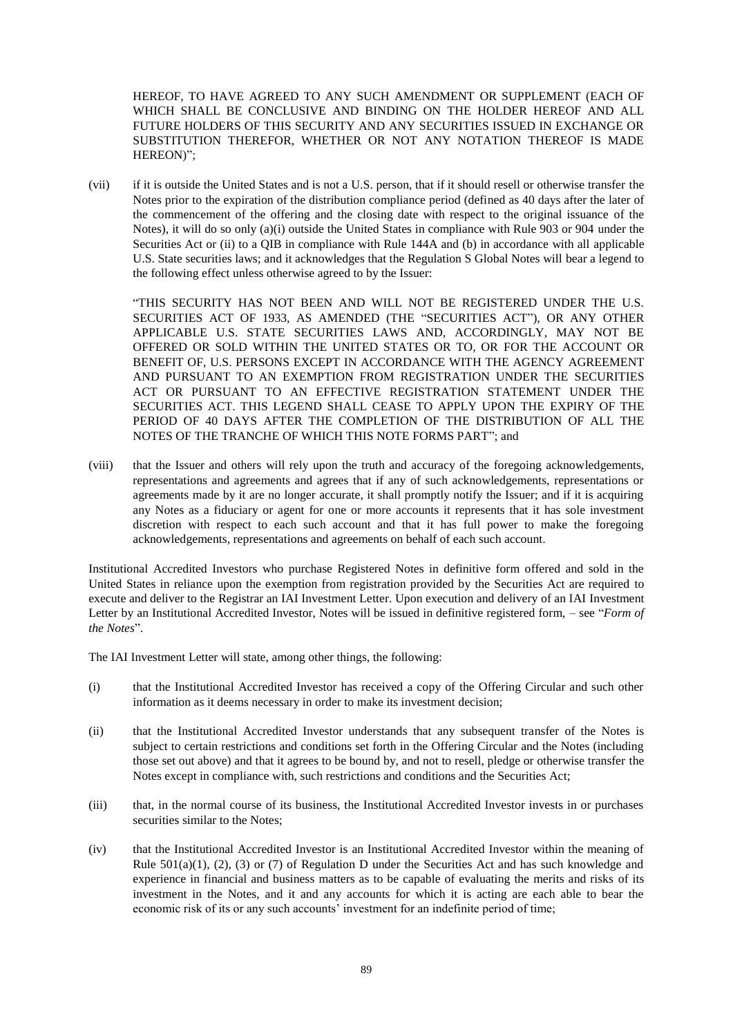HEREOF, TO HAVE AGREED TO ANY SUCH AMENDMENT OR SUPPLEMENT (EACH OF WHICH SHALL BE CONCLUSIVE AND BINDING ON THE HOLDER HEREOF AND ALL FUTURE HOLDERS OF THIS SECURITY AND ANY SECURITIES ISSUED IN EXCHANGE OR SUBSTITUTION THEREFOR, WHETHER OR NOT ANY NOTATION THEREOF IS MADE HEREON)";

(vii) if it is outside the United States and is not a U.S. person, that if it should resell or otherwise transfer the Notes prior to the expiration of the distribution compliance period (defined as 40 days after the later of the commencement of the offering and the closing date with respect to the original issuance of the Notes), it will do so only (a)(i) outside the United States in compliance with Rule 903 or 904 under the Securities Act or (ii) to a QIB in compliance with Rule 144A and (b) in accordance with all applicable U.S. State securities laws; and it acknowledges that the Regulation S Global Notes will bear a legend to the following effect unless otherwise agreed to by the Issuer:

"THIS SECURITY HAS NOT BEEN AND WILL NOT BE REGISTERED UNDER THE U.S. SECURITIES ACT OF 1933, AS AMENDED (THE "SECURITIES ACT"), OR ANY OTHER APPLICABLE U.S. STATE SECURITIES LAWS AND, ACCORDINGLY, MAY NOT BE OFFERED OR SOLD WITHIN THE UNITED STATES OR TO, OR FOR THE ACCOUNT OR BENEFIT OF, U.S. PERSONS EXCEPT IN ACCORDANCE WITH THE AGENCY AGREEMENT AND PURSUANT TO AN EXEMPTION FROM REGISTRATION UNDER THE SECURITIES ACT OR PURSUANT TO AN EFFECTIVE REGISTRATION STATEMENT UNDER THE SECURITIES ACT. THIS LEGEND SHALL CEASE TO APPLY UPON THE EXPIRY OF THE PERIOD OF 40 DAYS AFTER THE COMPLETION OF THE DISTRIBUTION OF ALL THE NOTES OF THE TRANCHE OF WHICH THIS NOTE FORMS PART"; and

(viii) that the Issuer and others will rely upon the truth and accuracy of the foregoing acknowledgements, representations and agreements and agrees that if any of such acknowledgements, representations or agreements made by it are no longer accurate, it shall promptly notify the Issuer; and if it is acquiring any Notes as a fiduciary or agent for one or more accounts it represents that it has sole investment discretion with respect to each such account and that it has full power to make the foregoing acknowledgements, representations and agreements on behalf of each such account.

Institutional Accredited Investors who purchase Registered Notes in definitive form offered and sold in the United States in reliance upon the exemption from registration provided by the Securities Act are required to execute and deliver to the Registrar an IAI Investment Letter. Upon execution and delivery of an IAI Investment Letter by an Institutional Accredited Investor, Notes will be issued in definitive registered form, – see "*Form of the Notes*".

The IAI Investment Letter will state, among other things, the following:

- (i) that the Institutional Accredited Investor has received a copy of the Offering Circular and such other information as it deems necessary in order to make its investment decision;
- (ii) that the Institutional Accredited Investor understands that any subsequent transfer of the Notes is subject to certain restrictions and conditions set forth in the Offering Circular and the Notes (including those set out above) and that it agrees to be bound by, and not to resell, pledge or otherwise transfer the Notes except in compliance with, such restrictions and conditions and the Securities Act;
- (iii) that, in the normal course of its business, the Institutional Accredited Investor invests in or purchases securities similar to the Notes:
- (iv) that the Institutional Accredited Investor is an Institutional Accredited Investor within the meaning of Rule  $501(a)(1)$ ,  $(2)$ ,  $(3)$  or  $(7)$  of Regulation D under the Securities Act and has such knowledge and experience in financial and business matters as to be capable of evaluating the merits and risks of its investment in the Notes, and it and any accounts for which it is acting are each able to bear the economic risk of its or any such accounts' investment for an indefinite period of time;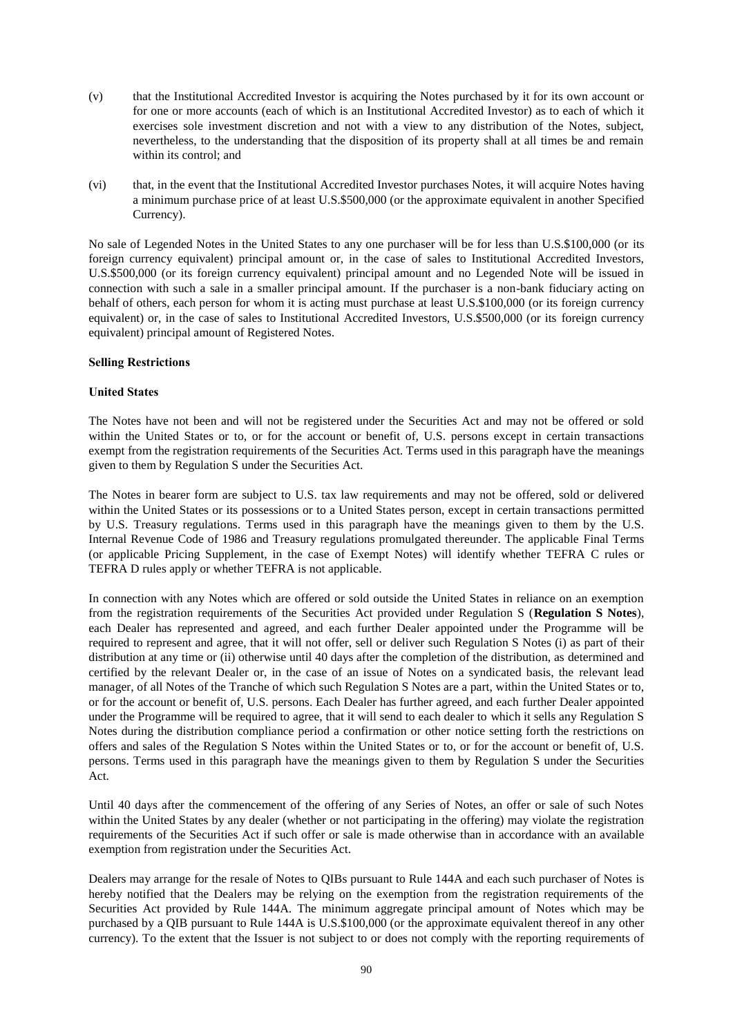- (v) that the Institutional Accredited Investor is acquiring the Notes purchased by it for its own account or for one or more accounts (each of which is an Institutional Accredited Investor) as to each of which it exercises sole investment discretion and not with a view to any distribution of the Notes, subject, nevertheless, to the understanding that the disposition of its property shall at all times be and remain within its control; and
- (vi) that, in the event that the Institutional Accredited Investor purchases Notes, it will acquire Notes having a minimum purchase price of at least U.S.\$500,000 (or the approximate equivalent in another Specified Currency).

No sale of Legended Notes in the United States to any one purchaser will be for less than U.S.\$100,000 (or its foreign currency equivalent) principal amount or, in the case of sales to Institutional Accredited Investors, U.S.\$500,000 (or its foreign currency equivalent) principal amount and no Legended Note will be issued in connection with such a sale in a smaller principal amount. If the purchaser is a non-bank fiduciary acting on behalf of others, each person for whom it is acting must purchase at least U.S.\$100,000 (or its foreign currency equivalent) or, in the case of sales to Institutional Accredited Investors, U.S.\$500,000 (or its foreign currency equivalent) principal amount of Registered Notes.

# **Selling Restrictions**

# **United States**

The Notes have not been and will not be registered under the Securities Act and may not be offered or sold within the United States or to, or for the account or benefit of, U.S. persons except in certain transactions exempt from the registration requirements of the Securities Act. Terms used in this paragraph have the meanings given to them by Regulation S under the Securities Act.

The Notes in bearer form are subject to U.S. tax law requirements and may not be offered, sold or delivered within the United States or its possessions or to a United States person, except in certain transactions permitted by U.S. Treasury regulations. Terms used in this paragraph have the meanings given to them by the U.S. Internal Revenue Code of 1986 and Treasury regulations promulgated thereunder. The applicable Final Terms (or applicable Pricing Supplement, in the case of Exempt Notes) will identify whether TEFRA C rules or TEFRA D rules apply or whether TEFRA is not applicable.

In connection with any Notes which are offered or sold outside the United States in reliance on an exemption from the registration requirements of the Securities Act provided under Regulation S (**Regulation S Notes**), each Dealer has represented and agreed, and each further Dealer appointed under the Programme will be required to represent and agree, that it will not offer, sell or deliver such Regulation S Notes (i) as part of their distribution at any time or (ii) otherwise until 40 days after the completion of the distribution, as determined and certified by the relevant Dealer or, in the case of an issue of Notes on a syndicated basis, the relevant lead manager, of all Notes of the Tranche of which such Regulation S Notes are a part, within the United States or to, or for the account or benefit of, U.S. persons. Each Dealer has further agreed, and each further Dealer appointed under the Programme will be required to agree, that it will send to each dealer to which it sells any Regulation S Notes during the distribution compliance period a confirmation or other notice setting forth the restrictions on offers and sales of the Regulation S Notes within the United States or to, or for the account or benefit of, U.S. persons. Terms used in this paragraph have the meanings given to them by Regulation S under the Securities Act.

Until 40 days after the commencement of the offering of any Series of Notes, an offer or sale of such Notes within the United States by any dealer (whether or not participating in the offering) may violate the registration requirements of the Securities Act if such offer or sale is made otherwise than in accordance with an available exemption from registration under the Securities Act.

Dealers may arrange for the resale of Notes to QIBs pursuant to Rule 144A and each such purchaser of Notes is hereby notified that the Dealers may be relying on the exemption from the registration requirements of the Securities Act provided by Rule 144A. The minimum aggregate principal amount of Notes which may be purchased by a QIB pursuant to Rule 144A is U.S.\$100,000 (or the approximate equivalent thereof in any other currency). To the extent that the Issuer is not subject to or does not comply with the reporting requirements of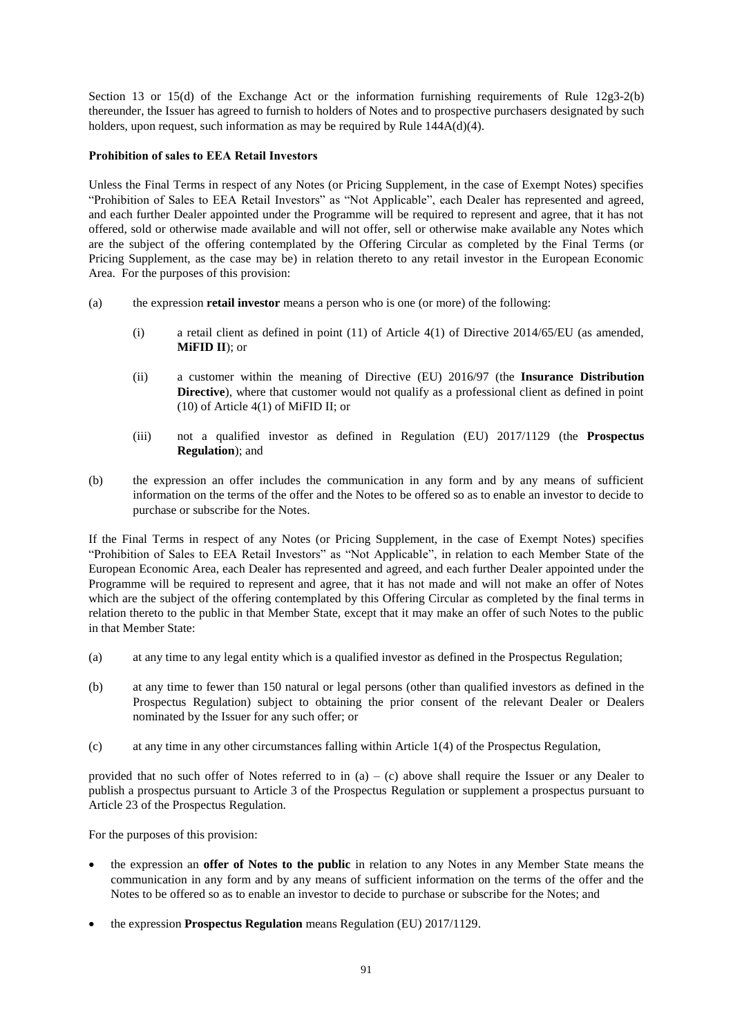Section 13 or 15(d) of the Exchange Act or the information furnishing requirements of Rule 12g3-2(b) thereunder, the Issuer has agreed to furnish to holders of Notes and to prospective purchasers designated by such holders, upon request, such information as may be required by Rule 144A(d)(4).

# **Prohibition of sales to EEA Retail Investors**

Unless the Final Terms in respect of any Notes (or Pricing Supplement, in the case of Exempt Notes) specifies "Prohibition of Sales to EEA Retail Investors" as "Not Applicable", each Dealer has represented and agreed, and each further Dealer appointed under the Programme will be required to represent and agree, that it has not offered, sold or otherwise made available and will not offer, sell or otherwise make available any Notes which are the subject of the offering contemplated by the Offering Circular as completed by the Final Terms (or Pricing Supplement, as the case may be) in relation thereto to any retail investor in the European Economic Area. For the purposes of this provision:

- (a) the expression **retail investor** means a person who is one (or more) of the following:
	- (i) a retail client as defined in point (11) of Article 4(1) of Directive 2014/65/EU (as amended, **MiFID II**); or
	- (ii) a customer within the meaning of Directive (EU) 2016/97 (the **Insurance Distribution Directive**), where that customer would not qualify as a professional client as defined in point (10) of Article 4(1) of MiFID II; or
	- (iii) not a qualified investor as defined in Regulation (EU) 2017/1129 (the **Prospectus Regulation**); and
- (b) the expression an offer includes the communication in any form and by any means of sufficient information on the terms of the offer and the Notes to be offered so as to enable an investor to decide to purchase or subscribe for the Notes.

If the Final Terms in respect of any Notes (or Pricing Supplement, in the case of Exempt Notes) specifies "Prohibition of Sales to EEA Retail Investors" as "Not Applicable", in relation to each Member State of the European Economic Area, each Dealer has represented and agreed, and each further Dealer appointed under the Programme will be required to represent and agree, that it has not made and will not make an offer of Notes which are the subject of the offering contemplated by this Offering Circular as completed by the final terms in relation thereto to the public in that Member State, except that it may make an offer of such Notes to the public in that Member State:

- <span id="page-90-0"></span>(a) at any time to any legal entity which is a qualified investor as defined in the Prospectus Regulation;
- (b) at any time to fewer than 150 natural or legal persons (other than qualified investors as defined in the Prospectus Regulation) subject to obtaining the prior consent of the relevant Dealer or Dealers nominated by the Issuer for any such offer; or
- <span id="page-90-1"></span>(c) at any time in any other circumstances falling within Article 1(4) of the Prospectus Regulation,

provided that no such offer of Notes referred to in  $(a) - (c)$  above shall require the Issuer or any Dealer to publish a prospectus pursuant to Article 3 of the Prospectus Regulation or supplement a prospectus pursuant to Article 23 of the Prospectus Regulation.

For the purposes of this provision:

- the expression an **offer of Notes to the public** in relation to any Notes in any Member State means the communication in any form and by any means of sufficient information on the terms of the offer and the Notes to be offered so as to enable an investor to decide to purchase or subscribe for the Notes; and
- the expression **Prospectus Regulation** means Regulation (EU) 2017/1129.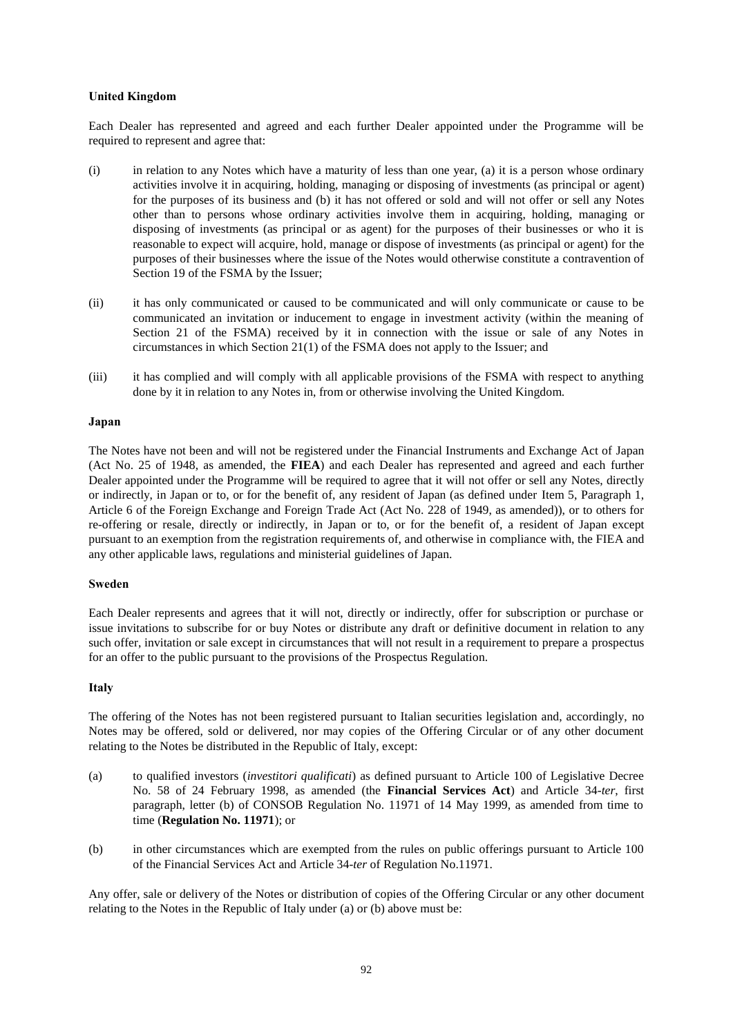# **United Kingdom**

Each Dealer has represented and agreed and each further Dealer appointed under the Programme will be required to represent and agree that:

- (i) in relation to any Notes which have a maturity of less than one year, (a) it is a person whose ordinary activities involve it in acquiring, holding, managing or disposing of investments (as principal or agent) for the purposes of its business and (b) it has not offered or sold and will not offer or sell any Notes other than to persons whose ordinary activities involve them in acquiring, holding, managing or disposing of investments (as principal or as agent) for the purposes of their businesses or who it is reasonable to expect will acquire, hold, manage or dispose of investments (as principal or agent) for the purposes of their businesses where the issue of the Notes would otherwise constitute a contravention of Section 19 of the FSMA by the Issuer;
- (ii) it has only communicated or caused to be communicated and will only communicate or cause to be communicated an invitation or inducement to engage in investment activity (within the meaning of Section 21 of the FSMA) received by it in connection with the issue or sale of any Notes in circumstances in which Section 21(1) of the FSMA does not apply to the Issuer; and
- (iii) it has complied and will comply with all applicable provisions of the FSMA with respect to anything done by it in relation to any Notes in, from or otherwise involving the United Kingdom.

# **Japan**

The Notes have not been and will not be registered under the Financial Instruments and Exchange Act of Japan (Act No. 25 of 1948, as amended, the **FIEA**) and each Dealer has represented and agreed and each further Dealer appointed under the Programme will be required to agree that it will not offer or sell any Notes, directly or indirectly, in Japan or to, or for the benefit of, any resident of Japan (as defined under Item 5, Paragraph 1, Article 6 of the Foreign Exchange and Foreign Trade Act (Act No. 228 of 1949, as amended)), or to others for re-offering or resale, directly or indirectly, in Japan or to, or for the benefit of, a resident of Japan except pursuant to an exemption from the registration requirements of, and otherwise in compliance with, the FIEA and any other applicable laws, regulations and ministerial guidelines of Japan.

#### **Sweden**

Each Dealer represents and agrees that it will not, directly or indirectly, offer for subscription or purchase or issue invitations to subscribe for or buy Notes or distribute any draft or definitive document in relation to any such offer, invitation or sale except in circumstances that will not result in a requirement to prepare a prospectus for an offer to the public pursuant to the provisions of the Prospectus Regulation.

# **Italy**

The offering of the Notes has not been registered pursuant to Italian securities legislation and, accordingly, no Notes may be offered, sold or delivered, nor may copies of the Offering Circular or of any other document relating to the Notes be distributed in the Republic of Italy, except:

- <span id="page-91-0"></span>(a) to qualified investors (*investitori qualificati*) as defined pursuant to Article 100 of Legislative Decree No. 58 of 24 February 1998, as amended (the **Financial Services Act**) and Article 34-*ter*, first paragraph, letter (b) of CONSOB Regulation No. 11971 of 14 May 1999, as amended from time to time (**Regulation No. 11971**); or
- <span id="page-91-1"></span>(b) in other circumstances which are exempted from the rules on public offerings pursuant to Article 100 of the Financial Services Act and Article 34-*ter* of Regulation No.11971.

Any offer, sale or delivery of the Notes or distribution of copies of the Offering Circular or any other document relating to the Notes in the Republic of Italy under [\(a\)](#page-91-0) or [\(b\) above](#page-91-1) must be: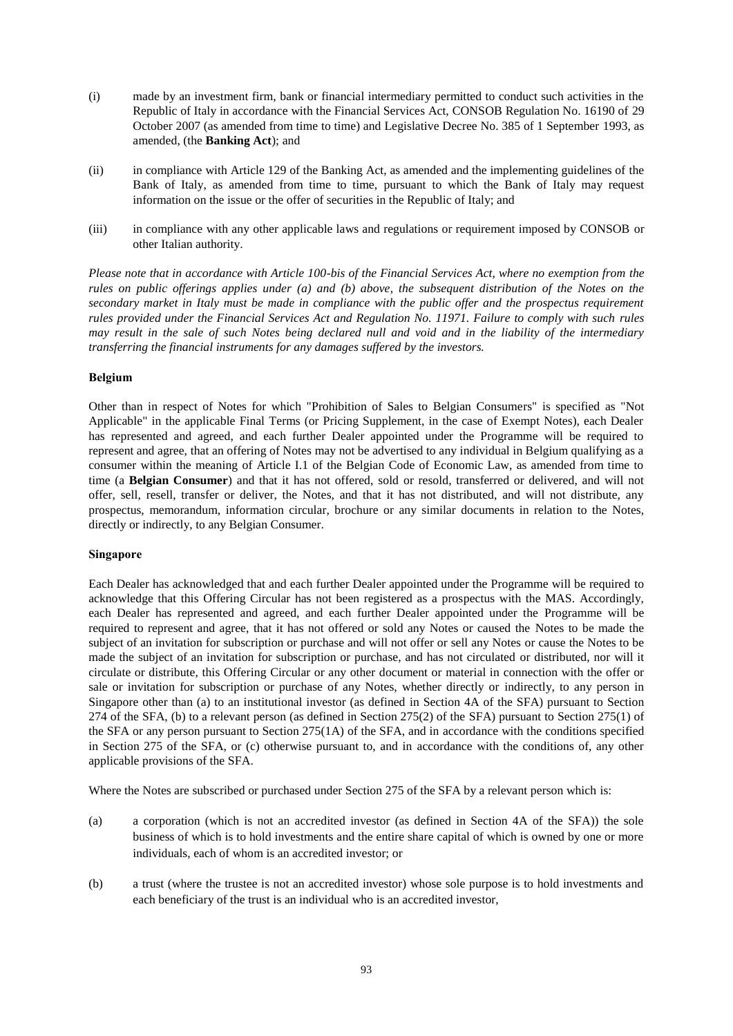- (i) made by an investment firm, bank or financial intermediary permitted to conduct such activities in the Republic of Italy in accordance with the Financial Services Act, CONSOB Regulation No. 16190 of 29 October 2007 (as amended from time to time) and Legislative Decree No. 385 of 1 September 1993, as amended, (the **Banking Act**); and
- (ii) in compliance with Article 129 of the Banking Act, as amended and the implementing guidelines of the Bank of Italy, as amended from time to time, pursuant to which the Bank of Italy may request information on the issue or the offer of securities in the Republic of Italy; and
- (iii) in compliance with any other applicable laws and regulations or requirement imposed by CONSOB or other Italian authority.

*Please note that in accordance with Article 100-bis of the Financial Services Act, where no exemption from the rules on public offerings applies under [\(a\)](#page-91-0) and [\(b\) above,](#page-91-1) the subsequent distribution of the Notes on the secondary market in Italy must be made in compliance with the public offer and the prospectus requirement rules provided under the Financial Services Act and Regulation No. 11971. Failure to comply with such rules may result in the sale of such Notes being declared null and void and in the liability of the intermediary transferring the financial instruments for any damages suffered by the investors.*

# **Belgium**

Other than in respect of Notes for which "Prohibition of Sales to Belgian Consumers" is specified as "Not Applicable" in the applicable Final Terms (or Pricing Supplement, in the case of Exempt Notes), each Dealer has represented and agreed, and each further Dealer appointed under the Programme will be required to represent and agree, that an offering of Notes may not be advertised to any individual in Belgium qualifying as a consumer within the meaning of Article I.1 of the Belgian Code of Economic Law, as amended from time to time (a **Belgian Consumer**) and that it has not offered, sold or resold, transferred or delivered, and will not offer, sell, resell, transfer or deliver, the Notes, and that it has not distributed, and will not distribute, any prospectus, memorandum, information circular, brochure or any similar documents in relation to the Notes, directly or indirectly, to any Belgian Consumer.

#### **Singapore**

Each Dealer has acknowledged that and each further Dealer appointed under the Programme will be required to acknowledge that this Offering Circular has not been registered as a prospectus with the MAS. Accordingly, each Dealer has represented and agreed, and each further Dealer appointed under the Programme will be required to represent and agree, that it has not offered or sold any Notes or caused the Notes to be made the subject of an invitation for subscription or purchase and will not offer or sell any Notes or cause the Notes to be made the subject of an invitation for subscription or purchase, and has not circulated or distributed, nor will it circulate or distribute, this Offering Circular or any other document or material in connection with the offer or sale or invitation for subscription or purchase of any Notes, whether directly or indirectly, to any person in Singapore other than (a) to an institutional investor (as defined in Section 4A of the SFA) pursuant to Section 274 of the SFA, (b) to a relevant person (as defined in Section 275(2) of the SFA) pursuant to Section 275(1) of the SFA or any person pursuant to Section 275(1A) of the SFA, and in accordance with the conditions specified in Section 275 of the SFA, or (c) otherwise pursuant to, and in accordance with the conditions of, any other applicable provisions of the SFA.

Where the Notes are subscribed or purchased under Section 275 of the SFA by a relevant person which is:

- (a) a corporation (which is not an accredited investor (as defined in Section 4A of the SFA)) the sole business of which is to hold investments and the entire share capital of which is owned by one or more individuals, each of whom is an accredited investor; or
- (b) a trust (where the trustee is not an accredited investor) whose sole purpose is to hold investments and each beneficiary of the trust is an individual who is an accredited investor,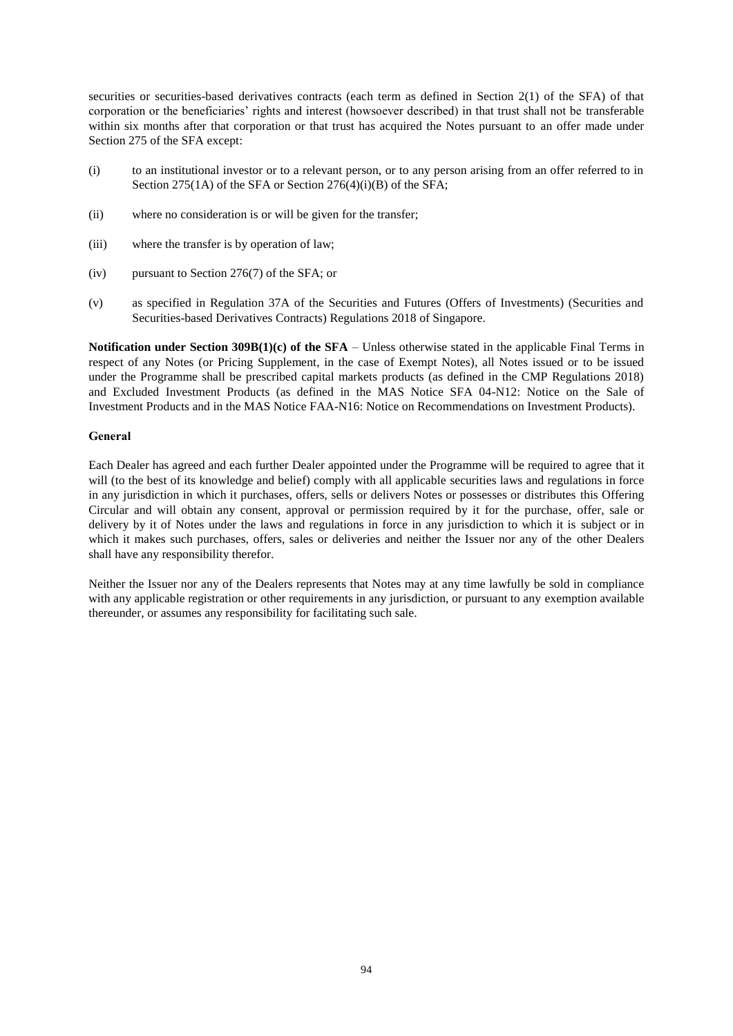securities or securities-based derivatives contracts (each term as defined in Section 2(1) of the SFA) of that corporation or the beneficiaries' rights and interest (howsoever described) in that trust shall not be transferable within six months after that corporation or that trust has acquired the Notes pursuant to an offer made under Section 275 of the SFA except:

- (i) to an institutional investor or to a relevant person, or to any person arising from an offer referred to in Section 275(1A) of the SFA or Section 276(4)(i)(B) of the SFA;
- (ii) where no consideration is or will be given for the transfer;
- (iii) where the transfer is by operation of law;
- (iv) pursuant to Section 276(7) of the SFA; or
- (v) as specified in Regulation 37A of the Securities and Futures (Offers of Investments) (Securities and Securities-based Derivatives Contracts) Regulations 2018 of Singapore.

**Notification under Section 309B(1)(c) of the SFA** – Unless otherwise stated in the applicable Final Terms in respect of any Notes (or Pricing Supplement, in the case of Exempt Notes), all Notes issued or to be issued under the Programme shall be prescribed capital markets products (as defined in the CMP Regulations 2018) and Excluded Investment Products (as defined in the MAS Notice SFA 04-N12: Notice on the Sale of Investment Products and in the MAS Notice FAA-N16: Notice on Recommendations on Investment Products).

# **General**

Each Dealer has agreed and each further Dealer appointed under the Programme will be required to agree that it will (to the best of its knowledge and belief) comply with all applicable securities laws and regulations in force in any jurisdiction in which it purchases, offers, sells or delivers Notes or possesses or distributes this Offering Circular and will obtain any consent, approval or permission required by it for the purchase, offer, sale or delivery by it of Notes under the laws and regulations in force in any jurisdiction to which it is subject or in which it makes such purchases, offers, sales or deliveries and neither the Issuer nor any of the other Dealers shall have any responsibility therefor.

Neither the Issuer nor any of the Dealers represents that Notes may at any time lawfully be sold in compliance with any applicable registration or other requirements in any jurisdiction, or pursuant to any exemption available thereunder, or assumes any responsibility for facilitating such sale.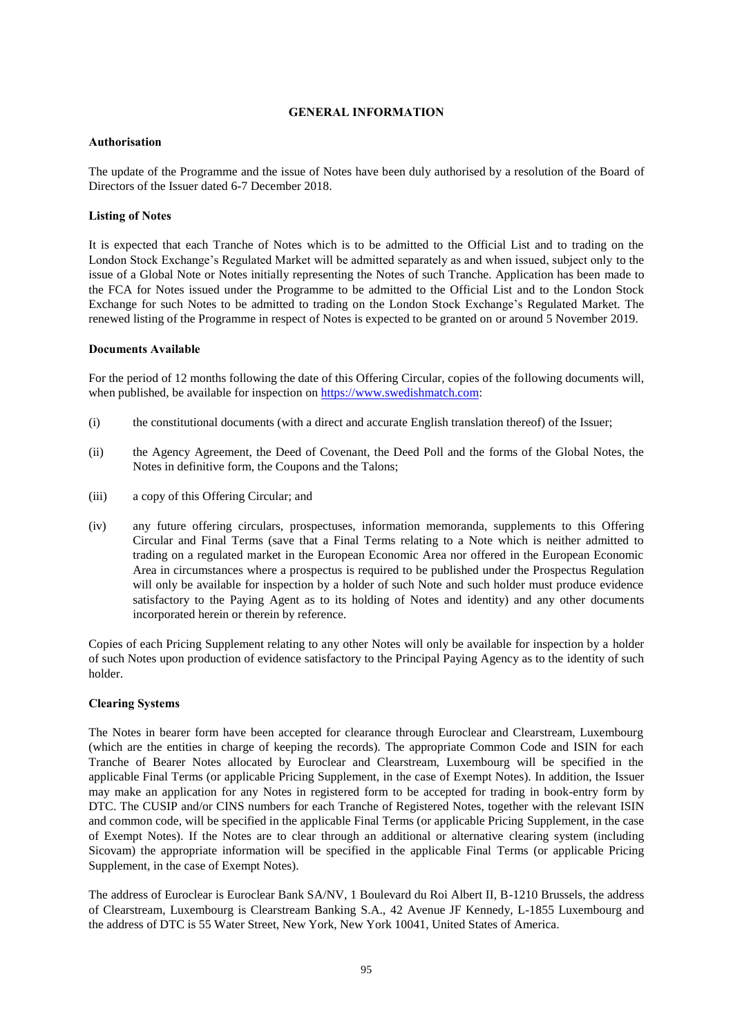# **GENERAL INFORMATION**

# **Authorisation**

The update of the Programme and the issue of Notes have been duly authorised by a resolution of the Board of Directors of the Issuer dated 6-7 December 2018.

# **Listing of Notes**

It is expected that each Tranche of Notes which is to be admitted to the Official List and to trading on the London Stock Exchange's Regulated Market will be admitted separately as and when issued, subject only to the issue of a Global Note or Notes initially representing the Notes of such Tranche. Application has been made to the FCA for Notes issued under the Programme to be admitted to the Official List and to the London Stock Exchange for such Notes to be admitted to trading on the London Stock Exchange's Regulated Market. The renewed listing of the Programme in respect of Notes is expected to be granted on or around 5 November 2019.

# **Documents Available**

For the period of 12 months following the date of this Offering Circular, copies of the following documents will, when published, be available for inspection on [https://www.swedishmatch.com:](https://www.swedishmatch.com/)

- (i) the constitutional documents (with a direct and accurate English translation thereof) of the Issuer;
- (ii) the Agency Agreement, the Deed of Covenant, the Deed Poll and the forms of the Global Notes, the Notes in definitive form, the Coupons and the Talons;
- (iii) a copy of this Offering Circular; and
- (iv) any future offering circulars, prospectuses, information memoranda, supplements to this Offering Circular and Final Terms (save that a Final Terms relating to a Note which is neither admitted to trading on a regulated market in the European Economic Area nor offered in the European Economic Area in circumstances where a prospectus is required to be published under the Prospectus Regulation will only be available for inspection by a holder of such Note and such holder must produce evidence satisfactory to the Paying Agent as to its holding of Notes and identity) and any other documents incorporated herein or therein by reference.

Copies of each Pricing Supplement relating to any other Notes will only be available for inspection by a holder of such Notes upon production of evidence satisfactory to the Principal Paying Agency as to the identity of such holder.

# **Clearing Systems**

The Notes in bearer form have been accepted for clearance through Euroclear and Clearstream, Luxembourg (which are the entities in charge of keeping the records). The appropriate Common Code and ISIN for each Tranche of Bearer Notes allocated by Euroclear and Clearstream, Luxembourg will be specified in the applicable Final Terms (or applicable Pricing Supplement, in the case of Exempt Notes). In addition, the Issuer may make an application for any Notes in registered form to be accepted for trading in book-entry form by DTC. The CUSIP and/or CINS numbers for each Tranche of Registered Notes, together with the relevant ISIN and common code, will be specified in the applicable Final Terms (or applicable Pricing Supplement, in the case of Exempt Notes). If the Notes are to clear through an additional or alternative clearing system (including Sicovam) the appropriate information will be specified in the applicable Final Terms (or applicable Pricing Supplement, in the case of Exempt Notes).

The address of Euroclear is Euroclear Bank SA/NV, 1 Boulevard du Roi Albert II, B-1210 Brussels, the address of Clearstream, Luxembourg is Clearstream Banking S.A., 42 Avenue JF Kennedy, L-1855 Luxembourg and the address of DTC is 55 Water Street, New York, New York 10041, United States of America.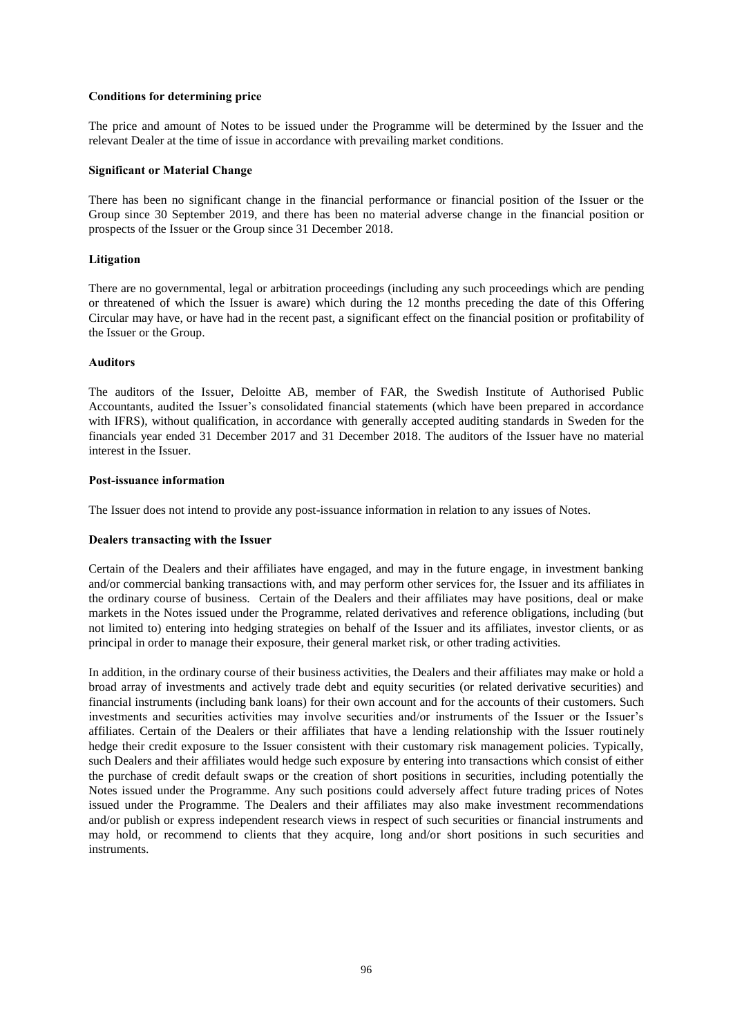# **Conditions for determining price**

The price and amount of Notes to be issued under the Programme will be determined by the Issuer and the relevant Dealer at the time of issue in accordance with prevailing market conditions.

#### **Significant or Material Change**

There has been no significant change in the financial performance or financial position of the Issuer or the Group since 30 September 2019, and there has been no material adverse change in the financial position or prospects of the Issuer or the Group since 31 December 2018.

# **Litigation**

There are no governmental, legal or arbitration proceedings (including any such proceedings which are pending or threatened of which the Issuer is aware) which during the 12 months preceding the date of this Offering Circular may have, or have had in the recent past, a significant effect on the financial position or profitability of the Issuer or the Group.

#### **Auditors**

The auditors of the Issuer, Deloitte AB, member of FAR, the Swedish Institute of Authorised Public Accountants, audited the Issuer's consolidated financial statements (which have been prepared in accordance with IFRS), without qualification, in accordance with generally accepted auditing standards in Sweden for the financials year ended 31 December 2017 and 31 December 2018. The auditors of the Issuer have no material interest in the Issuer.

## **Post-issuance information**

The Issuer does not intend to provide any post-issuance information in relation to any issues of Notes.

#### **Dealers transacting with the Issuer**

Certain of the Dealers and their affiliates have engaged, and may in the future engage, in investment banking and/or commercial banking transactions with, and may perform other services for, the Issuer and its affiliates in the ordinary course of business. Certain of the Dealers and their affiliates may have positions, deal or make markets in the Notes issued under the Programme, related derivatives and reference obligations, including (but not limited to) entering into hedging strategies on behalf of the Issuer and its affiliates, investor clients, or as principal in order to manage their exposure, their general market risk, or other trading activities.

In addition, in the ordinary course of their business activities, the Dealers and their affiliates may make or hold a broad array of investments and actively trade debt and equity securities (or related derivative securities) and financial instruments (including bank loans) for their own account and for the accounts of their customers. Such investments and securities activities may involve securities and/or instruments of the Issuer or the Issuer's affiliates. Certain of the Dealers or their affiliates that have a lending relationship with the Issuer routinely hedge their credit exposure to the Issuer consistent with their customary risk management policies. Typically, such Dealers and their affiliates would hedge such exposure by entering into transactions which consist of either the purchase of credit default swaps or the creation of short positions in securities, including potentially the Notes issued under the Programme. Any such positions could adversely affect future trading prices of Notes issued under the Programme. The Dealers and their affiliates may also make investment recommendations and/or publish or express independent research views in respect of such securities or financial instruments and may hold, or recommend to clients that they acquire, long and/or short positions in such securities and instruments.